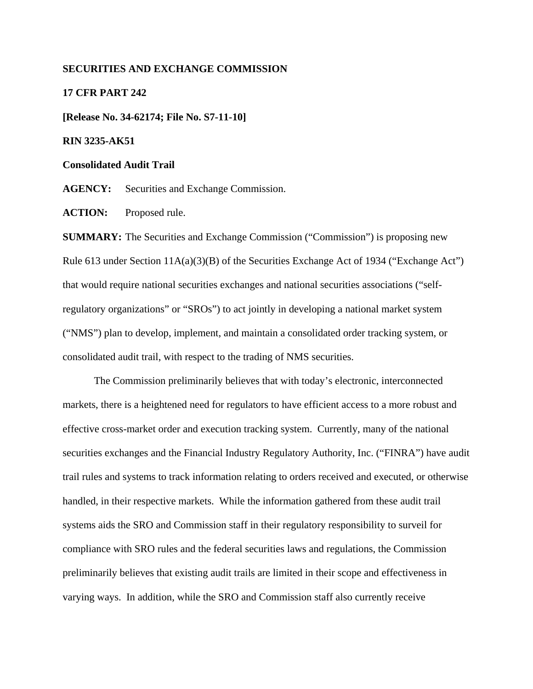#### **SECURITIES AND EXCHANGE COMMISSION**

#### **17 CFR PART 242**

**[Release No. 34-62174; File No. S7-11-10]** 

#### **RIN 3235-AK51**

#### **Consolidated Audit Trail**

**AGENCY:** Securities and Exchange Commission.

ACTION: Proposed rule.

**SUMMARY:** The Securities and Exchange Commission ("Commission") is proposing new Rule 613 under Section 11A(a)(3)(B) of the Securities Exchange Act of 1934 ("Exchange Act") that would require national securities exchanges and national securities associations ("selfregulatory organizations" or "SROs") to act jointly in developing a national market system ("NMS") plan to develop, implement, and maintain a consolidated order tracking system, or consolidated audit trail, with respect to the trading of NMS securities.

 The Commission preliminarily believes that with today's electronic, interconnected markets, there is a heightened need for regulators to have efficient access to a more robust and effective cross-market order and execution tracking system. Currently, many of the national securities exchanges and the Financial Industry Regulatory Authority, Inc. ("FINRA") have audit trail rules and systems to track information relating to orders received and executed, or otherwise handled, in their respective markets. While the information gathered from these audit trail systems aids the SRO and Commission staff in their regulatory responsibility to surveil for compliance with SRO rules and the federal securities laws and regulations, the Commission preliminarily believes that existing audit trails are limited in their scope and effectiveness in varying ways. In addition, while the SRO and Commission staff also currently receive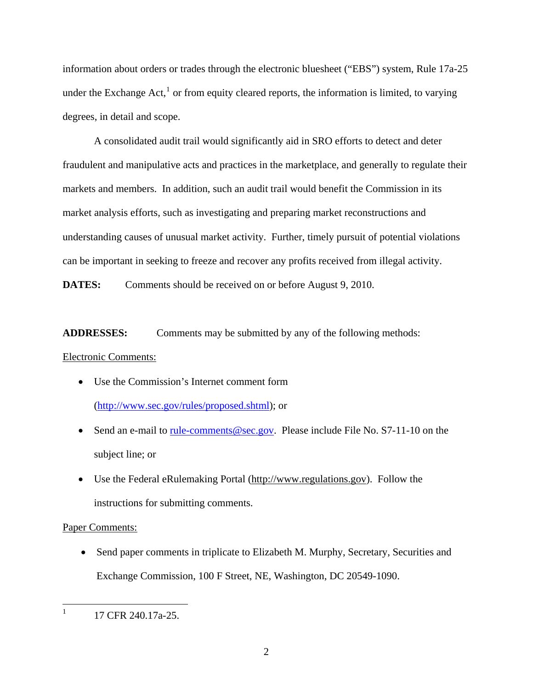information about orders or trades through the electronic bluesheet ("EBS") system, Rule 17a-25 under the Exchange Act, $<sup>1</sup>$  $<sup>1</sup>$  $<sup>1</sup>$  or from equity cleared reports, the information is limited, to varying</sup> degrees, in detail and scope.

 A consolidated audit trail would significantly aid in SRO efforts to detect and deter fraudulent and manipulative acts and practices in the marketplace, and generally to regulate their markets and members. In addition, such an audit trail would benefit the Commission in its market analysis efforts, such as investigating and preparing market reconstructions and understanding causes of unusual market activity. Further, timely pursuit of potential violations can be important in seeking to freeze and recover any profits received from illegal activity.

**DATES:** Comments should be received on or before August 9, 2010.

**ADDRESSES:** Comments may be submitted by any of the following methods:

Electronic Comments:

- Use the Commission's Internet comment form ([http://www.sec.gov/rules/proposed.shtml\)](http://www.sec.gov/rules/proposed.shtml); or
- Send an e-mail to <u>rule-comments@sec.gov</u>. Please include File No.  $S7-11-10$  on the subject line; or
- Use the Federal eRulemaking Portal (http://www.regulations.gov). Follow the instructions for submitting comments.

# Paper Comments:

• Send paper comments in triplicate to Elizabeth M. Murphy, Secretary, Securities and Exchange Commission, 100 F Street, NE, Washington, DC 20549-1090.

<span id="page-1-0"></span> $\frac{1}{1}$ 17 CFR 240.17a-25.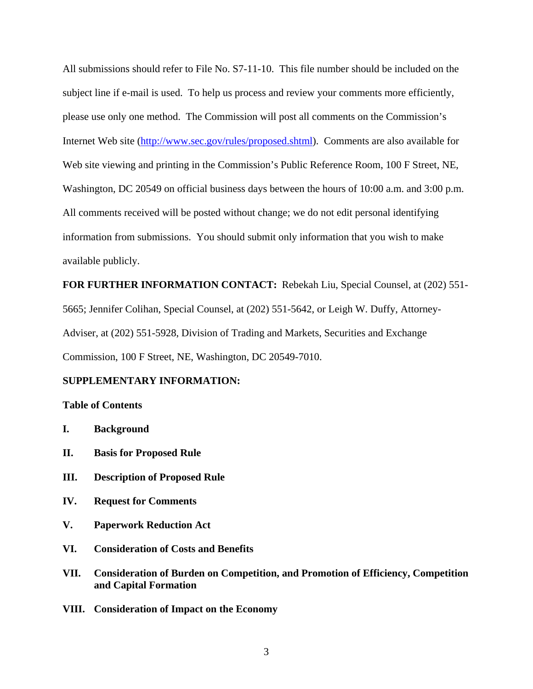All submissions should refer to File No. S7-11-10. This file number should be included on the subject line if e-mail is used. To help us process and review your comments more efficiently, please use only one method. The Commission will post all comments on the Commission's Internet Web site (<http://www.sec.gov/rules/proposed.shtml>). Comments are also available for Web site viewing and printing in the Commission's Public Reference Room, 100 F Street, NE, Washington, DC 20549 on official business days between the hours of 10:00 a.m. and 3:00 p.m. All comments received will be posted without change; we do not edit personal identifying information from submissions. You should submit only information that you wish to make available publicly.

**FOR FURTHER INFORMATION CONTACT:** Rebekah Liu, Special Counsel, at (202) 551- 5665; Jennifer Colihan, Special Counsel, at (202) 551-5642, or Leigh W. Duffy, Attorney-Adviser, at (202) 551-5928, Division of Trading and Markets, Securities and Exchange Commission, 100 F Street, NE, Washington, DC 20549-7010.

#### **SUPPLEMENTARY INFORMATION:**

#### **Table of Contents**

- **I. Background**
- **II. Basis for Proposed Rule**
- **III. Description of Proposed Rule**
- **IV. Request for Comments**
- **V. Paperwork Reduction Act**
- **VI. Consideration of Costs and Benefits**
- **VII. Consideration of Burden on Competition, and Promotion of Efficiency, Competition and Capital Formation**
- **VIII. Consideration of Impact on the Economy**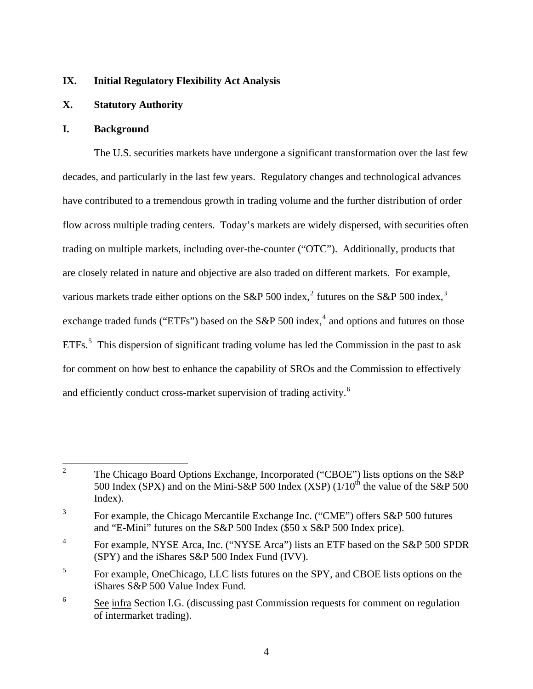#### **IX. Initial Regulatory Flexibility Act Analysis**

# **X. Statutory Authority**

#### **I. Background**

 The U.S. securities markets have undergone a significant transformation over the last few decades, and particularly in the last few years. Regulatory changes and technological advances have contributed to a tremendous growth in trading volume and the further distribution of order flow across multiple trading centers. Today's markets are widely dispersed, with securities often trading on multiple markets, including over-the-counter ("OTC"). Additionally, products that are closely related in nature and objective are also traded on different markets. For example, various markets trade either options on the S&P 500 index,<sup>[2](#page-3-0)</sup> futures on the S&P 500 index,<sup>[3](#page-3-1)</sup> exchange traded funds ("ETFs") based on the S&P 500 index,<sup>[4](#page-3-2)</sup> and options and futures on those ETFs.<sup>[5](#page-3-3)</sup> This dispersion of significant trading volume has led the Commission in the past to ask for comment on how best to enhance the capability of SROs and the Commission to effectively and efficiently conduct cross-market supervision of trading activity.<sup>[6](#page-3-4)</sup>

<span id="page-3-0"></span> $\frac{1}{2}$  The Chicago Board Options Exchange, Incorporated ("CBOE") lists options on the S&P 500 Index (SPX) and on the Mini-S&P 500 Index (XSP) ( $1/10^{th}$  the value of the S&P 500 Index).

<span id="page-3-1"></span><sup>3</sup> For example, the Chicago Mercantile Exchange Inc. ("CME") offers S&P 500 futures and "E-Mini" futures on the S&P 500 Index (\$50 x S&P 500 Index price).

<span id="page-3-2"></span><sup>4</sup> For example, NYSE Arca, Inc. ("NYSE Arca") lists an ETF based on the S&P 500 SPDR (SPY) and the iShares S&P 500 Index Fund (IVV).

<span id="page-3-3"></span><sup>5</sup> For example, OneChicago, LLC lists futures on the SPY, and CBOE lists options on the iShares S&P 500 Value Index Fund.

<span id="page-3-4"></span><sup>6</sup> See infra Section I.G. (discussing past Commission requests for comment on regulation of intermarket trading).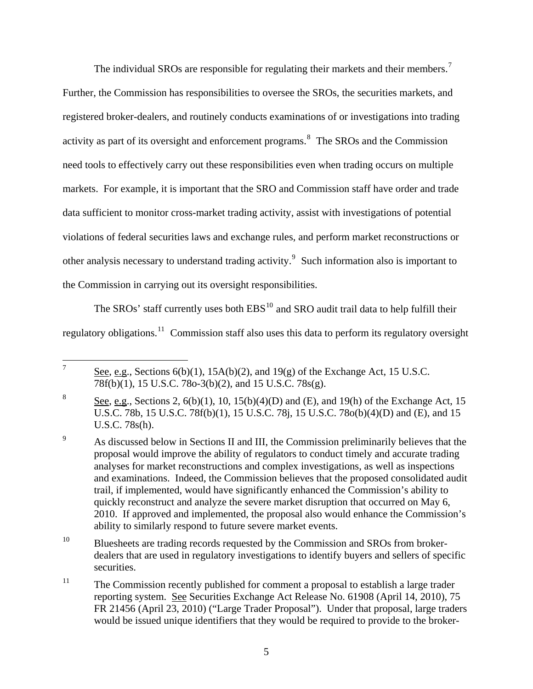The individual SROs are responsible for regulating their markets and their members.<sup>[7](#page-4-0)</sup> Further, the Commission has responsibilities to oversee the SROs, the securities markets, and registered broker-dealers, and routinely conducts examinations of or investigations into trading activity as part of its oversight and enforcement programs.<sup>[8](#page-4-1)</sup> The SROs and the Commission need tools to effectively carry out these responsibilities even when trading occurs on multiple markets. For example, it is important that the SRO and Commission staff have order and trade data sufficient to monitor cross-market trading activity, assist with investigations of poten tial violations of federal securities laws and exchange rules, and perform market reconstructions or other analysis necessary to understand trading activity.<sup>[9](#page-4-2)</sup> Such information also is important to the Commission in carrying out its oversight responsibilities.

The SROs' staff currently uses both EBS<sup>[10](#page-4-3)</sup> and SRO audit trail data to help fulfill their regulatory obligations.<sup>[11](#page-4-4)</sup> Commission staff also uses this data to perform its regulatory oversight

<span id="page-4-0"></span><sup>—&</sup>lt;br>7 See, e.g., Sections  $6(b)(1)$ ,  $15A(b)(2)$ , and  $19(g)$  of the Exchange Act, 15 U.S.C. 78f(b)(1), 15 U.S.C. 78o-3(b)(2), and 15 U.S.C. 78s(g).

<span id="page-4-1"></span><sup>8</sup> See, e.g., Sections 2, 6(b)(1), 10, 15(b)(4)(D) and (E), and 19(h) of the Exchange Act, 15 U.S.C. 78b, 15 U.S.C. 78f(b)(1), 15 U.S.C. 78j, 15 U.S.C. 78o(b)(4)(D) and (E), and 15 U.S.C. 78s(h).

<span id="page-4-2"></span><sup>9</sup> As discussed below in Sections II and III, the Commission preliminarily believes that the proposal would improve the ability of regulators to conduct timely and accurate trading analyses for market reconstructions and complex investigations, as well as inspections and examinations. Indeed, the Commission believes that the proposed consolidated audit trail, if implemented, would have significantly enhanced the Commission's ability to quickly reconstruct and analyze the severe market disruption that occurred on May 6, 2010. If approved and implemented, the proposal also would enhance the Commission's ability to similarly respond to future severe market events.

<span id="page-4-3"></span><sup>&</sup>lt;sup>10</sup> Bluesheets are trading records requested by the Commission and SROs from brokerdealers that are used in regulatory investigations to identify buyers and sellers of specific securities.

<span id="page-4-4"></span><sup>&</sup>lt;sup>11</sup> The Commission recently published for comment a proposal to establish a large trader reporting system. See Securities Exchange Act Release No. 61908 (April 14, 2010), 75 FR 21456 (April 23, 2010) ("Large Trader Proposal"). Under that proposal, large traders would be issued unique identifiers that they would be required to provide to the broker-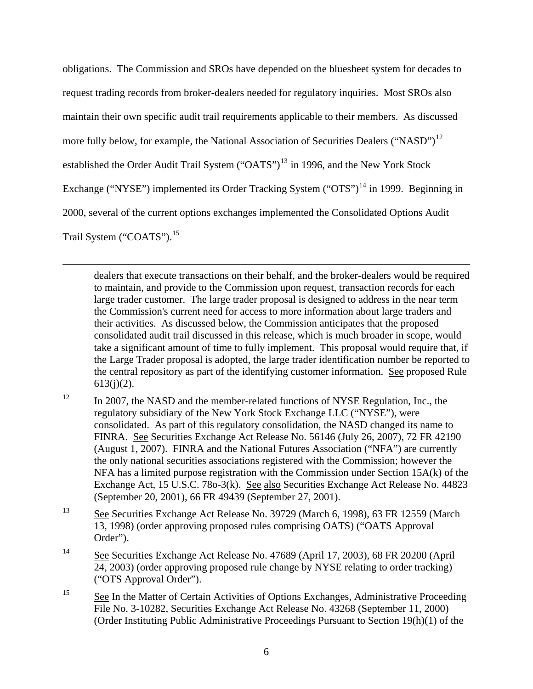obligations. The Commission and SROs have depended on the bluesheet system for decades to request trading records from broker-dealers needed for regulatory inquiries. Most SROs also maintain their own specific audit trail requirements applicable to their members. As discussed more fully below, for example, the National Association of Securities Dealers ("NASD")<sup>[12](#page-5-0)</sup> established the Order Audit Trail System  $("OATS")^{13}$  $("OATS")^{13}$  $("OATS")^{13}$  in 1996, and the New York Stock Exchange ("NYSE") implemented its Order Tracking System ("OTS")<sup>[14](#page-5-2)</sup> in 1999. Beginning in 2000, several of the current options exchanges implemented the Consolidated Options Audit Trail System ("COATS").<sup>[15](#page-5-3)</sup>

 $\overline{a}$ 

dealers that execute transactions on their behalf, and the broker-dealers would be required to maintain, and provide to the Commission upon request, transaction records for each large trader customer. The large trader proposal is designed to address in the near term the Commission's current need for access to more information about large traders and their activities. As discussed below, the Commission anticipates that the proposed consolidated audit trail discussed in this release, which is much broader in scope, would take a significant amount of time to fully implement. This proposal would require that, if the Large Trader proposal is adopted, the large trader identification number be reported to the central repository as part of the identifying customer information. See proposed Rule  $613(j)(2)$ .

<span id="page-5-0"></span><sup>12</sup> In 2007, the NASD and the member-related functions of NYSE Regulation, Inc., the regulatory subsidiary of the New York Stock Exchange LLC ("NYSE"), were consolidated. As part of this regulatory consolidation, the NASD changed its name to FINRA. See Securities Exchange Act Release No. 56146 (July 26, 2007), 72 FR 42190 (August 1, 2007). FINRA and the National Futures Association ("NFA") are currently the only national securities associations registered with the Commission; however the NFA has a limited purpose registration with the Commission under Section 15A(k) of the Exchange Act, 15 U.S.C. 78o-3(k). See also Securities Exchange Act Release No. 44823 (September 20, 2001), 66 FR 49439 (September 27, 2001).

<span id="page-5-1"></span>13 See Securities Exchange Act Release No. 39729 (March 6, 1998), 63 FR 12559 (March 13, 1998) (order approving proposed rules comprising OATS) ("OATS Approval Order").

- <span id="page-5-2"></span>14 See Securities Exchange Act Release No. 47689 (April 17, 2003), 68 FR 20200 (April 24, 2003) (order approving proposed rule change by NYSE relating to order tracking) ("OTS Approval Order").
- <span id="page-5-3"></span><sup>15</sup> See In the Matter of Certain Activities of Options Exchanges, Administrative Proceeding File No. 3-10282, Securities Exchange Act Release No. 43268 (September 11, 2000) (Order Instituting Public Administrative Proceedings Pursuant to Section 19(h)(1) of the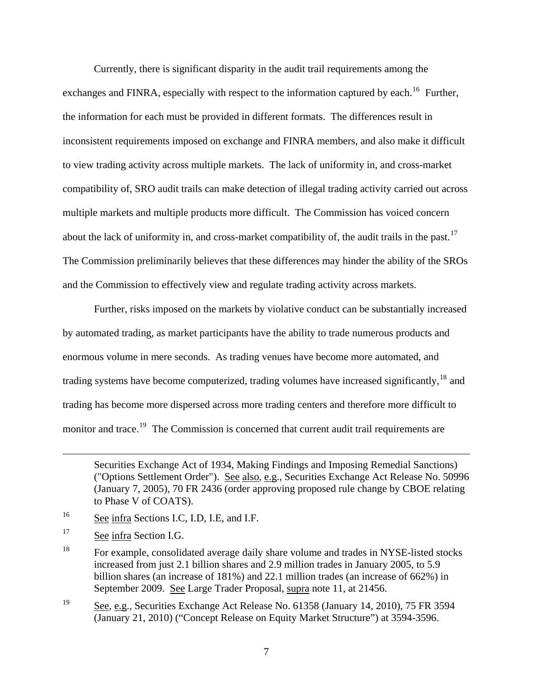Currently, there is significant disparity in the audit trail requirements among the exchanges and FINRA, especially with respect to the information captured by each.<sup>[16](#page-6-0)</sup> Further, the information for each must be provided in different formats. The differences result in inconsistent requirements imposed on exchange and FINRA members, and also make it difficult to view trading activity across multiple markets. The lack of uniformity in, and cross-market compatibility of, SRO audit trails can make detection of illegal trading activity carried out across multiple markets and multiple products more difficult. The Commission has voiced concern about the lack of uniformity in, and cross-market compatibility of, the audit trails in the past.<sup>[17](#page-6-1)</sup> The Commission preliminarily believes that these differences may hinder the ability of the SROs and the Commission to effectively view and regulate trading activity across markets.

Further, risks imposed on the markets by violative conduct can be substantially increased by automated trading, as market participants have the ability to trade numerous products and enormous volume in mere seconds. As trading venues have become more automated, and trading systems have become computerized, trading volumes have increased significantly,  $^{18}$  $^{18}$  $^{18}$  and trading has become more dispersed across more trading centers and therefore more difficult to monitor and trace.<sup>[19](#page-6-3)</sup> The Commission is concerned that current audit trail requirements are

<span id="page-6-0"></span>16 See infra Sections I.C, I.D, I.E, and I.F.

<span id="page-6-1"></span><sup>17</sup> See infra Section I.G.

 $\overline{a}$ 

Securities Exchange Act of 1934, Making Findings and Imposing Remedial Sanctions) ("Options Settlement Order"). See also, e.g., Securities Exchange Act Release No. 50996 (January 7, 2005), 70 FR 2436 (order approving proposed rule change by CBOE relating to Phase V of COATS).

<span id="page-6-2"></span><sup>&</sup>lt;sup>18</sup> For example, consolidated average daily share volume and trades in NYSE-listed stocks increased from just 2.1 billion shares and 2.9 million trades in January 2005, to 5.9 billion shares (an increase of 181%) and 22.1 million trades (an increase of 662%) in September 2009. See Large Trader Proposal, supra note 11, at 21456.

<span id="page-6-3"></span><sup>19</sup> See, e.g., Securities Exchange Act Release No. 61358 (January 14, 2010), 75 FR 3594 (January 21, 2010) ("Concept Release on Equity Market Structure") at 3594-3596.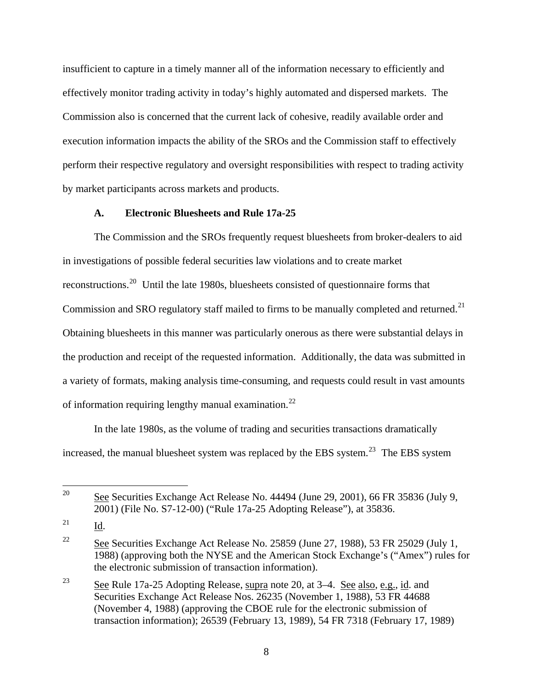insufficient to capture in a timely manner all of the information necessary to efficiently and effectively monitor trading activity in today's highly automated and dispersed markets. The Commission also is concerned that the current lack of cohesive, readily available order and execution information impacts the ability of the SROs and the Commission staff to effectively perform their respective regulatory and oversight responsibilities with respect to trading activity by market participants across markets and products.

### **A. Electronic Bluesheets and Rule 17a-25**

The Commission and the SROs frequently request bluesheets from broker-dealers to aid in investigations of possible federal securities law violations and to create market reconstructions.[20](#page-7-0) Until the late 1980s, bluesheets consisted of questionnaire forms that Commission and SRO regulatory staff mailed to firms to be manually completed and returned.<sup>[21](#page-7-1)</sup> Obtaining bluesheets in this manner was particularly onerous as there were substantial delays in the production and receipt of the requested information. Additionally, the data was submitted in a variety of formats, making analysis time-consuming, and requests could result in vast amounts of information requiring lengthy manual examination.<sup>[22](#page-7-2)</sup>

In the late 1980s, as the volume of trading and securities transactions dramatically increased, the manual bluesheet system was replaced by the EBS system.<sup>[23](#page-7-3)</sup> The EBS system

<span id="page-7-0"></span><sup>20</sup> 20 See Securities Exchange Act Release No. 44494 (June 29, 2001), 66 FR 35836 (July 9, 2001) (File No. S7-12-00) ("Rule 17a-25 Adopting Release"), at 35836.

<span id="page-7-1"></span> $^{21}$  Id.

<span id="page-7-2"></span><sup>&</sup>lt;sup>22</sup> See Securities Exchange Act Release No. 25859 (June 27, 1988), 53 FR 25029 (July 1, 1988) (approving both the NYSE and the American Stock Exchange's ("Amex") rules for the electronic submission of transaction information).

<span id="page-7-3"></span><sup>23</sup> See Rule 17a-25 Adopting Release, supra note 20, at 3–4. See also, e.g., id. and Securities Exchange Act Release Nos. 26235 (November 1, 1988), 53 FR 44688 (November 4, 1988) (approving the CBOE rule for the electronic submission of transaction information); 26539 (February 13, 1989), 54 FR 7318 (February 17, 1989)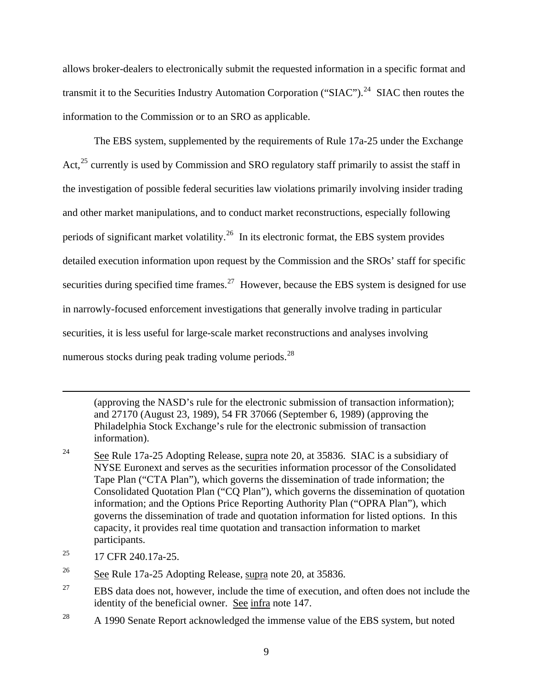allows broker-dealers to electronically submit the requested information in a specific format and transmit it to the Securities Industry Automation Corporation ("SIAC").<sup>[24](#page-8-0)</sup> SIAC then routes the information to the Commission or to an SRO as applicable.

The EBS system, supplemented by the requirements of Rule 17a-25 under the Exchange Act,  $^{25}$  $^{25}$  $^{25}$  currently is used by Commission and SRO regulatory staff primarily to assist the staff in the investigation of possible federal securities law violations primarily involving insider trading and other market manipulations, and to conduct market reconstructions, especially following periods of significant market volatility.<sup>[26](#page-8-2)</sup> In its electronic format, the EBS system provides detailed execution information upon request by the Commission and the SROs' staff for specific securities during specified time frames.<sup>[27](#page-8-3)</sup> However, because the EBS system is designed for use in narrowly-focused enforcement investigations that generally involve trading in particular securities, it is less useful for large-scale market reconstructions and analyses involving numerous stocks during peak trading volume periods.<sup>[28](#page-8-4)</sup>

(approving the NASD's rule for the electronic submission of transaction information); and 27170 (August 23, 1989), 54 FR 37066 (September 6, 1989) (approving the Philadelphia Stock Exchange's rule for the electronic submission of transaction information).

- <span id="page-8-0"></span><sup>24</sup> See Rule 17a-25 Adopting Release, supra note 20, at 35836. SIAC is a subsidiary of [NYSE Euronext](http://en.wikipedia.org/wiki/NYSE_Euronext) and serves as the securities information processor of the Consolidated Tape Plan ("CTA Plan"), which governs the dissemination of trade information; the Consolidated Quotation Plan ("CQ Plan"), which governs the dissemination of quotation information; and the Options Price Reporting Authority Plan ("OPRA Plan"), which governs the dissemination of trade and quotation information for listed options. In this capacity, it provides real time quotation and transaction information to market participants.
- <span id="page-8-1"></span> $^{25}$  17 CFR 240.17a-25.

 $\overline{a}$ 

- <span id="page-8-2"></span><sup>26</sup> See Rule 17a-25 Adopting Release, supra note 20, at 35836.
- <span id="page-8-3"></span> $27$  EBS data does not, however, include the time of execution, and often does not include the identity of the beneficial owner. See infra note 147.
- <span id="page-8-4"></span> $28$  A 1990 Senate Report acknowledged the immense value of the EBS system, but noted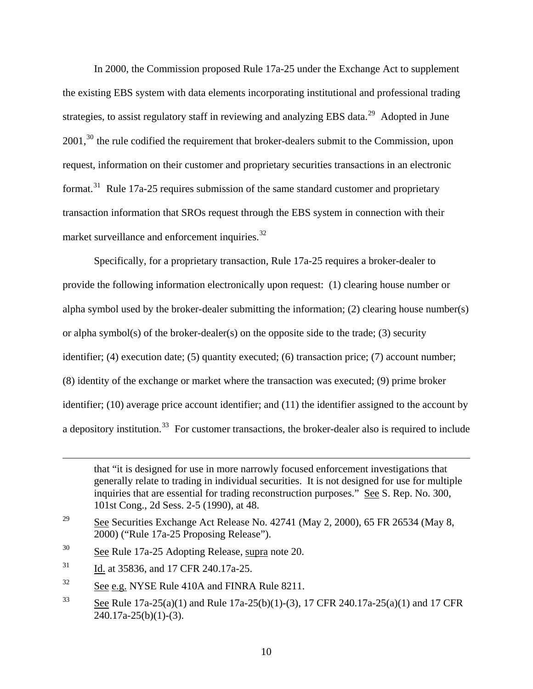In 2000, the Commission proposed Rule 17a-25 under the Exchange Act to supplement the existing EBS system with data elements incorporating institutional and professional trading strategies, to assist regulatory staff in reviewing and analyzing EBS data.<sup>[29](#page-9-0)</sup> Adopted in June 2001,<sup>[30](#page-9-1)</sup> the rule codified the requirement that broker-dealers submit to the Commission, upon request, information on their customer and proprietary securities transactions in an electronic format.<sup>[31](#page-9-2)</sup> Rule 17a-25 requires submission of the same standard customer and proprietary transaction information that SROs request through the EBS system in connection with their market surveillance and enforcement inquiries.<sup>[32](#page-9-3)</sup>

 Specifically, for a proprietary transaction, Rule 17a-25 requires a broker-dealer to provide the following information electronically upon request: (1) clearing house number or alpha symbol used by the broker-dealer submitting the information; (2) clearing house number(s) or alpha symbol(s) of the broker-dealer(s) on the opposite side to the trade; (3) security identifier; (4) execution date; (5) quantity executed; (6) transaction price; (7) account number; (8) identity of the exchange or market where the transaction was executed; (9) prime broker identifier; (10) average price account identifier; and (11) the identifier assigned to the account by a depository institution.<sup>[33](#page-9-4)</sup> For customer transactions, the broker-dealer also is required to include

<u>.</u>

that "it is designed for use in more narrowly focused enforcement investigations that generally relate to trading in individual securities. It is not designed for use for multiple inquiries that are essential for trading reconstruction purposes." See S. Rep. No. 300, 101st Cong., 2d Sess. 2-5 (1990), at 48.

<span id="page-9-0"></span><sup>&</sup>lt;sup>29</sup> See Securities Exchange Act Release No. 42741 (May 2, 2000), 65 FR 26534 (May 8, 2000) ("Rule 17a-25 Proposing Release").

<span id="page-9-1"></span><sup>30</sup> See Rule 17a-25 Adopting Release, supra note 20.

<span id="page-9-2"></span><sup>&</sup>lt;sup>31</sup> Id. at 35836, and 17 CFR 240.17a-25.

<span id="page-9-3"></span> $\frac{32}{2}$  See e.g. NYSE Rule 410A and FINRA Rule 8211.

<span id="page-9-4"></span><sup>&</sup>lt;sup>33</sup> See Rule 17a-25(a)(1) and Rule 17a-25(b)(1)-(3), 17 CFR 240.17a-25(a)(1) and 17 CFR  $240.17a-25(b)(1)-(3)$ .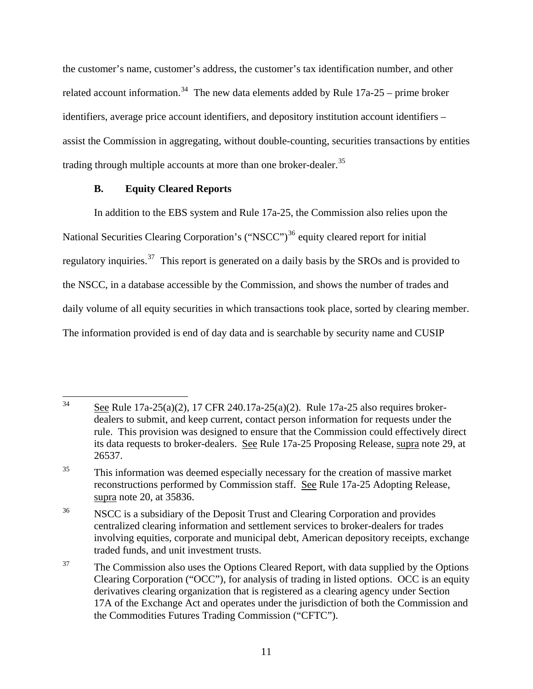the customer's name, customer's address, the customer's tax identification number, and other related account information.<sup>[34](#page-10-0)</sup> The new data elements added by Rule  $17a-25$  – prime broker identifiers, average price account identifiers, and depository institution account identifiers – assist the Commission in aggregating, without double-counting, securities transactions by entities trading through multiple accounts at more than one broker-dealer.<sup>[35](#page-10-1)</sup>

# **B. Equity Cleared Reports**

In addition to the EBS system and Rule 17a-25, the Commission also relies upon the National Securities Clearing Corporation's ("NSCC")<sup>[36](#page-10-2)</sup> equity cleared report for initial regulatory inquiries.<sup>[37](#page-10-3)</sup> This report is generated on a daily basis by the SROs and is provided to the NSCC, in a database accessible by the Commission, and shows the number of trades and daily volume of all equity securities in which transactions took place, sorted by clearing member. The information provided is end of day data and is searchable by security name and CUSIP

<span id="page-10-0"></span><sup>34</sup> See Rule 17a-25(a)(2), 17 CFR 240.17a-25(a)(2). Rule 17a-25 also requires brokerdealers to submit, and keep current, contact person information for requests under the rule. This provision was designed to ensure that the Commission could effectively direct its data requests to broker-dealers. See Rule 17a-25 Proposing Release, supra note 29, at 26537.

<span id="page-10-1"></span><sup>&</sup>lt;sup>35</sup> This information was deemed especially necessary for the creation of massive market reconstructions performed by Commission staff. See Rule 17a-25 Adopting Release, supra note 20, at 35836.

<span id="page-10-2"></span><sup>&</sup>lt;sup>36</sup> NSCC is a subsidiary of the Deposit Trust and Clearing Corporation and provides centralized clearing information and settlement services to broker-dealers for trades involving equities, corporate and municipal debt, American depository receipts, exchange traded funds, and unit investment trusts.

<span id="page-10-3"></span> $37$  The Commission also uses the Options Cleared Report, with data supplied by the Options Clearing Corporation ("OCC"), for analysis of trading in listed options. OCC is an equity derivatives clearing organization that is registered as a clearing agency under Section 17A of the Exchange Act and operates under the jurisdiction of both the Commission and the Commodities Futures Trading Commission ("CFTC").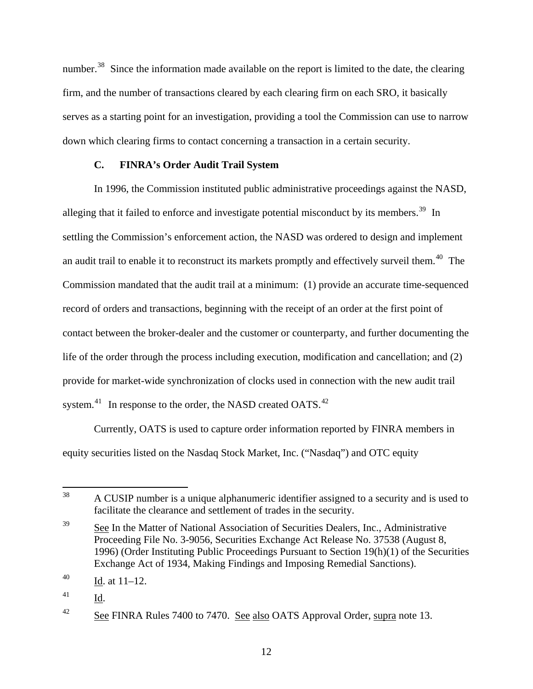number.<sup>[38](#page-11-0)</sup> Since the information made available on the report is limited to the date, the clearing firm, and the number of transactions cleared by each clearing firm on each SRO, it basically serves as a starting point for an investigation, providing a tool the Commission can use to narrow down which clearing firms to contact concerning a transaction in a certain security.

# **C. FINRA's Order Audit Trail System**

In 1996, the Commission instituted public administrative proceedings against the NASD, alleging that it failed to enforce and investigate potential misconduct by its members.<sup>[39](#page-11-1)</sup> In settling the Commission's enforcement action, the NASD was ordered to design and implement an audit trail to enable it to reconstruct its markets promptly and effectively surveil them.<sup>[40](#page-11-2)</sup> The Commission mandated that the audit trail at a minimum: (1) provide an accurate time-sequenced record of orders and transactions, beginning with the receipt of an order at the first point of contact between the broker-dealer and the customer or counterparty, and further documenting the life of the order through the process including execution, modification and cancellation; and (2) provide for market-wide synchronization of clocks used in connection with the new audit trail system.<sup>[41](#page-11-3)</sup> In response to the order, the NASD created OATS.<sup>[42](#page-11-4)</sup>

Currently, OATS is used to capture order information reported by FINRA members in equity securities listed on the Nasdaq Stock Market, Inc. ("Nasdaq") and OTC equity

<span id="page-11-0"></span><sup>38</sup> 38 A CUSIP number is a unique alphanumeric identifier assigned to a security and is used to facilitate the clearance and settlement of trades in the security.

<span id="page-11-1"></span><sup>&</sup>lt;sup>39</sup> See In the Matter of National Association of Securities Dealers, Inc., Administrative Proceeding File No. 3-9056, Securities Exchange Act Release No. 37538 (August 8, 1996) (Order Instituting Public Proceedings Pursuant to Section 19(h)(1) of the Securities Exchange Act of 1934, Making Findings and Imposing Remedial Sanctions).

<span id="page-11-2"></span> $^{40}$  Id. at  $11-12$ .

<span id="page-11-3"></span><sup>41</sup> Id.

<span id="page-11-4"></span><sup>&</sup>lt;sup>42</sup> See FINRA Rules 7400 to 7470. See also OATS Approval Order, supra note 13.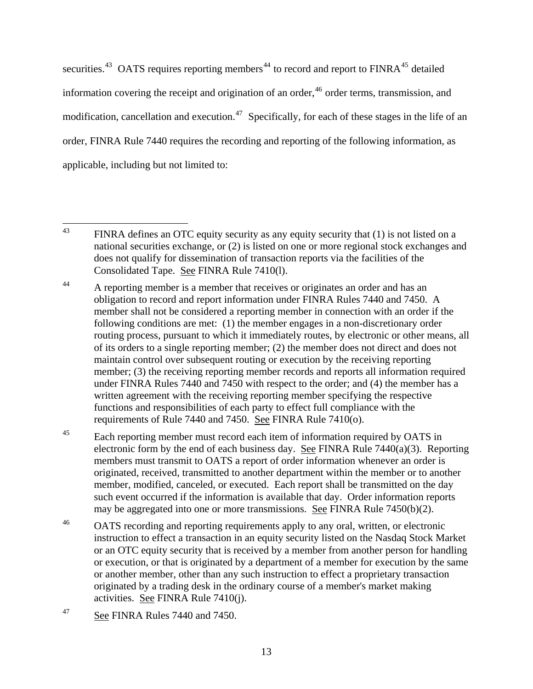securities. $43$  OATS requires reporting members<sup>[44](#page-12-1)</sup> to record and report to  $FINRA<sup>45</sup>$  $FINRA<sup>45</sup>$  $FINRA<sup>45</sup>$  detailed information covering the receipt and origination of an order,  $46$  order terms, transmission, and modification, cancellation and execution.<sup>[47](#page-12-4)</sup> Specifically, for each of these stages in the life of an order, FINRA Rule 7440 requires the recording and reporting of the following information, as applicable, including but not limited to:

<span id="page-12-0"></span> $43$ FINRA defines an OTC equity security as any equity security that (1) is not listed on a national securities exchange, or (2) is listed on one or more regional stock exchanges and does not qualify for dissemination of transaction reports via the facilities of the Consolidated Tape. See FINRA Rule 7410(l).

<span id="page-12-1"></span><sup>&</sup>lt;sup>44</sup> A reporting member is a member that receives or originates an order and has an obligation to record and report information under FINRA Rules 7440 and 7450. A member shall not be considered a reporting member in connection with an order if the following conditions are met: (1) the member engages in a non-discretionary order routing process, pursuant to which it immediately routes, by electronic or other means, all of its orders to a single reporting member; (2) the member does not direct and does not maintain control over subsequent routing or execution by the receiving reporting member; (3) the receiving reporting member records and reports all information required under FINRA Rules 7440 and 7450 with respect to the order; and (4) the member has a written agreement with the receiving reporting member specifying the respective functions and responsibilities of each party to effect full compliance with the requirements of Rule 7440 and 7450. See FINRA Rule 7410(o).

<span id="page-12-2"></span><sup>&</sup>lt;sup>45</sup> Each reporting member must record each item of information required by OATS in electronic form by the end of each business day. See FINRA Rule 7440(a)(3). Reporting members must transmit to OATS a report of order information whenever an order is originated, received, transmitted to another department within the member or to another member, modified, canceled, or executed. Each report shall be transmitted on the day such event occurred if the information is available that day. Order information reports may be aggregated into one or more transmissions. See FINRA Rule 7450(b)(2).

<span id="page-12-3"></span><sup>&</sup>lt;sup>46</sup> OATS recording and reporting requirements apply to any oral, written, or electronic instruction to effect a transaction in an equity security listed on the Nasdaq Stock Market or an OTC equity security that is received by a member from another person for handling or execution, or that is originated by a department of a member for execution by the same or another member, other than any such instruction to effect a proprietary transaction originated by a trading desk in the ordinary course of a member's market making activities. See FINRA Rule  $7410(j)$ .

<span id="page-12-4"></span><sup>47</sup> See FINRA Rules 7440 and 7450.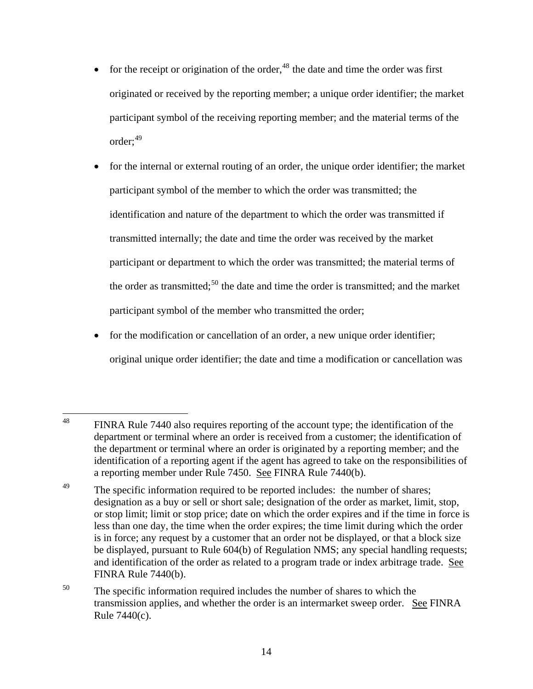- for the receipt or origination of the order,  $48$  the date and time the order was first originated or received by the reporting member; a unique order identifier; the market participant symbol of the receiving reporting member; and the material terms of the order:<sup>[49](#page-13-1)</sup>
- for the internal or external routing of an order, the unique order identifier; the market participant symbol of the member to which the order was transmitted; the identification and nature of the department to which the order was transmitted if transmitted internally; the date and time the order was received by the market participant or department to which the order was transmitted; the material terms of the order as transmitted;<sup>[50](#page-13-2)</sup> the date and time the order is transmitted; and the market participant symbol of the member who transmitted the order;
- for the modification or cancellation of an order, a new unique order identifier; original unique order identifier; the date and time a modification or cancellation was

<span id="page-13-0"></span><sup>48</sup> FINRA Rule 7440 also requires reporting of the account type; the identification of the department or terminal where an order is received from a customer; the identification of the department or terminal where an order is originated by a reporting member; and the identification of a reporting agent if the agent has agreed to take on the responsibilities of a reporting member under Rule 7450. See FINRA Rule 7440(b).

<span id="page-13-1"></span><sup>&</sup>lt;sup>49</sup> The specific information required to be reported includes: the number of shares; designation as a buy or sell or short sale; designation of the order as market, limit, stop, or stop limit; limit or stop price; date on which the order expires and if the time in force is less than one day, the time when the order expires; the time limit during which the order is in force; any request by a customer that an order not be displayed, or that a block size be displayed, pursuant to Rule 604(b) of Regulation NMS; any special handling requests; and identification of the order as related to a program trade or index arbitrage trade. See FINRA Rule 7440(b).

<span id="page-13-2"></span><sup>&</sup>lt;sup>50</sup> The specific information required includes the number of shares to which the transmission applies, and whether the order is an intermarket sweep order. See FINRA Rule 7440(c).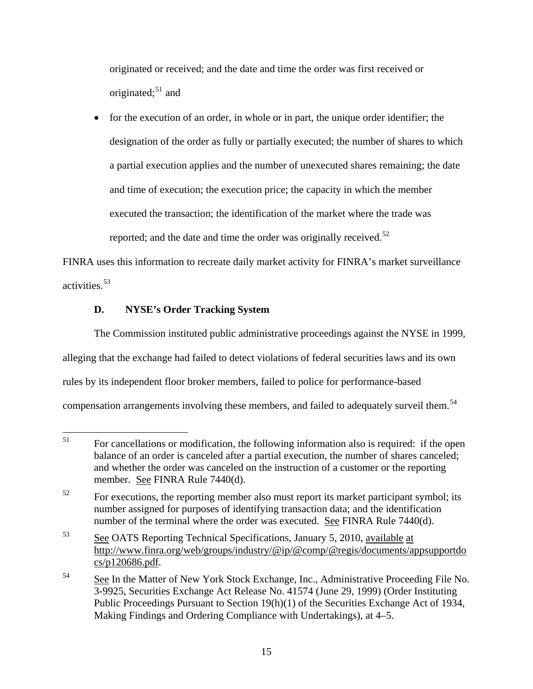originated or received; and the date and time the order was first received or originated; $51$  and

• for the execution of an order, in whole or in part, the unique order identifier; the designation of the order as fully or partially executed; the number of shares to which a partial execution applies and the number of unexecuted shares remaining; the date and time of execution; the execution price; the capacity in which the member executed the transaction; the identification of the market where the trade was reported; and the date and time the order was originally received.<sup>[52](#page-14-0)</sup>

FINRA uses this information to recreate daily market activity for FINRA's market surveillance activities.<sup>[53](#page-14-1)</sup>

# **D. NYSE's Order Tracking System**

The Commission instituted public administrative proceedings against the NYSE in 1999, alleging that the exchange had failed to detect violations of federal securities laws and its own rules by its independent floor broker members, failed to police for performance-based compensation arrangements involving these members, and failed to adequately surveil them.<sup>[54](#page-14-2)</sup>

 $51$ 51 For cancellations or modification, the following information also is required: if the open balance of an order is canceled after a partial execution, the number of shares canceled; and whether the order was canceled on the instruction of a customer or the reporting member. See FINRA Rule 7440(d).

<span id="page-14-0"></span><sup>&</sup>lt;sup>52</sup> For executions, the reporting member also must report its market participant symbol; its number assigned for purposes of identifying transaction data; and the identification number of the terminal where the order was executed. See FINRA Rule 7440(d).

<span id="page-14-1"></span><sup>53</sup> See OATS Reporting Technical Specifications, January 5, 2010, available at http://www.finra.org/web/groups/industry/@ip/@comp/@regis/documents/appsupportdo cs/p120686.pdf.

<span id="page-14-2"></span><sup>&</sup>lt;sup>54</sup> See In the Matter of New York Stock Exchange, Inc., Administrative Proceeding File No. 3-9925, Securities Exchange Act Release No. 41574 (June 29, 1999) (Order Instituting Public Proceedings Pursuant to Section 19(h)(1) of the Securities Exchange Act of 1934, Making Findings and Ordering Compliance with Undertakings), at 4–5.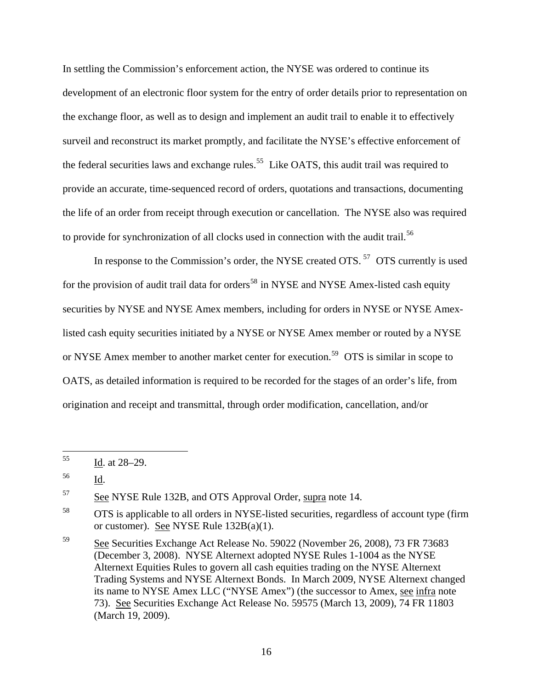In settling the Commission's enforcement action, the NYSE was ordered to continue its development of an electronic floor system for the entry of order details prior to representation on the exchange floor, as well as to design and implement an audit trail to enable it to effectively surveil and reconstruct its market promptly, and facilitate the NYSE's effective enforcement of the federal securities laws and exchange rules.<sup>[55](#page-15-0)</sup> Like OATS, this audit trail was required to provide an accurate, time-sequenced record of orders, quotations and transactions, documenting the life of an order from receipt through execution or cancellation. The NYSE also was required to provide for synchronization of all clocks used in connection with the audit trail.<sup>[56](#page-15-1)</sup>

In response to the Commission's order, the NYSE created OTS.<sup>[57](#page-15-2)</sup> OTS currently is used for the provision of audit trail data for orders<sup>[58](#page-15-3)</sup> in NYSE and NYSE Amex-listed cash equity securities by NYSE and NYSE Amex members, including for orders in NYSE or NYSE Amexlisted cash equity securities initiated by a NYSE or NYSE Amex member or routed by a NYSE or NYSE Amex member to another market center for execution.<sup>[59](#page-15-4)</sup> OTS is similar in scope to OATS, as detailed information is required to be recorded for the stages of an order's life, from origination and receipt and transmittal, through order modification, cancellation, and/or

<span id="page-15-2"></span><sup>57</sup> See NYSE Rule 132B, and OTS Approval Order, supra note 14.

<span id="page-15-0"></span><sup>55</sup> Id. at  $28-29$ .

<span id="page-15-1"></span><sup>56</sup> Id.

<span id="page-15-3"></span><sup>&</sup>lt;sup>58</sup> OTS is applicable to all orders in NYSE-listed securities, regardless of account type (firm or customer). See NYSE Rule  $132B(a)(1)$ .

<span id="page-15-4"></span><sup>59</sup> See Securities Exchange Act Release No. 59022 (November 26, 2008), 73 FR 73683 (December 3, 2008). NYSE Alternext adopted NYSE Rules 1-1004 as the NYSE Alternext Equities Rules to govern all cash equities trading on the NYSE Alternext Trading Systems and NYSE Alternext Bonds. In March 2009, NYSE Alternext changed its name to NYSE Amex LLC ("NYSE Amex") (the successor to Amex, see infra note 73). See Securities Exchange Act Release No. 59575 (March 13, 2009), 74 FR 11803 (March 19, 2009).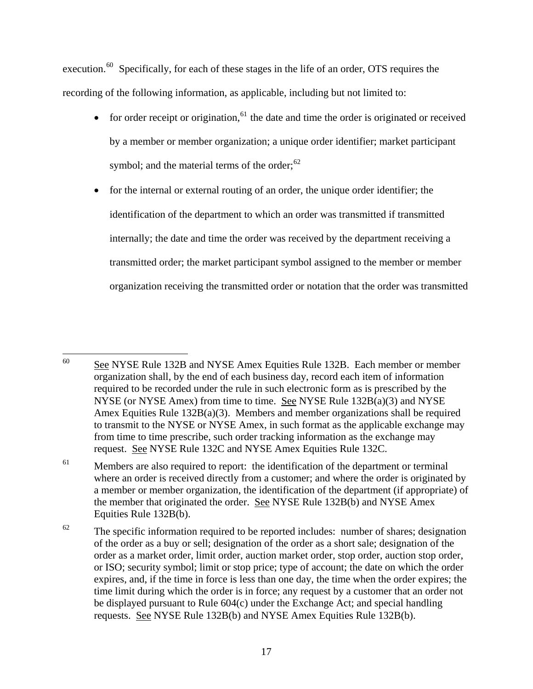execution.<sup>[60](#page-16-0)</sup> Specifically, for each of these stages in the life of an order, OTS requires the recording of the following information, as applicable, including but not limited to:

- for order receipt or origination,<sup>[61](#page-16-1)</sup> the date and time the order is originated or received by a member or member organization; a unique order identifier; market participant symbol; and the material terms of the order; $62$
- for the internal or external routing of an order, the unique order identifier; the identification of the department to which an order was transmitted if transmitted internally; the date and time the order was received by the department receiving a transmitted order; the market participant symbol assigned to the member or member organization receiving the transmitted order or notation that the order was transmitted

<span id="page-16-0"></span><sup>60</sup> See NYSE Rule 132B and NYSE Amex Equities Rule 132B. Each member or member organization shall, by the end of each business day, record each item of information required to be recorded under the rule in such electronic form as is prescribed by the NYSE (or NYSE Amex) from time to time. See NYSE Rule  $132B(a)(3)$  and NYSE Amex Equities Rule 132B(a)(3). Members and member organizations shall be required to transmit to the NYSE or NYSE Amex, in such format as the applicable exchange may from time to time prescribe, such order tracking information as the exchange may request. See NYSE Rule 132C and NYSE Amex Equities Rule 132C.

<span id="page-16-1"></span><sup>&</sup>lt;sup>61</sup> Members are also required to report: the identification of the department or terminal where an order is received directly from a customer; and where the order is originated by a member or member organization, the identification of the department (if appropriate) of the member that originated the order. See NYSE Rule 132B(b) and NYSE Amex Equities Rule 132B(b).

<span id="page-16-2"></span> $62$  The specific information required to be reported includes: number of shares; designation of the order as a buy or sell; designation of the order as a short sale; designation of the order as a market order, limit order, auction market order, stop order, auction stop order, or ISO; security symbol; limit or stop price; type of account; the date on which the order expires, and, if the time in force is less than one day, the time when the order expires; the time limit during which the order is in force; any request by a customer that an order not be displayed pursuant to Rule 604(c) under the Exchange Act; and special handling requests. See NYSE Rule 132B(b) and NYSE Amex Equities Rule 132B(b).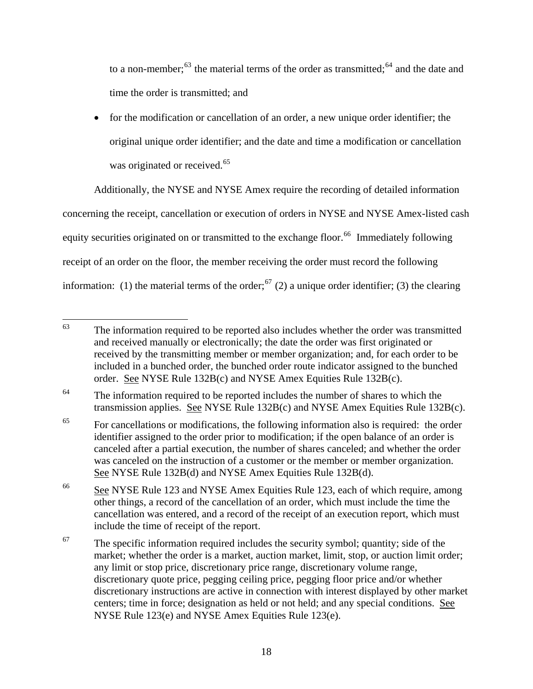to a non-member; $^{63}$  the material terms of the order as transmitted; $^{64}$  and the date and time the order is transmitted; and

• for the modification or cancellation of an order, a new unique order identifier; the original unique order identifier; and the date and time a modification or cancellation was originated or received.<sup>[65](#page-17-0)</sup>

Additionally, the NYSE and NYSE Amex require the recording of detailed information concerning the receipt, cancellation or execution of orders in NYSE and NYSE Amex-listed cash equity securities originated on or transmitted to the exchange floor.<sup>[66](#page-17-1)</sup> Immediately following receipt of an order on the floor, the member receiving the order must record the following information: (1) the material terms of the order;<sup>[67](#page-17-2)</sup> (2) a unique order identifier; (3) the clearing

<sup>64</sup> The information required to be reported includes the number of shares to which the transmission applies. See NYSE Rule 132B(c) and NYSE Amex Equities Rule 132B(c).

<span id="page-17-0"></span><sup>65</sup> For cancellations or modifications, the following information also is required: the order identifier assigned to the order prior to modification; if the open balance of an order is canceled after a partial execution, the number of shares canceled; and whether the order was canceled on the instruction of a customer or the member or member organization. See NYSE Rule 132B(d) and NYSE Amex Equities Rule 132B(d).

<sup>63</sup> The information required to be reported also includes whether the order was transmitted and received manually or electronically; the date the order was first originated or received by the transmitting member or member organization; and, for each order to be included in a bunched order, the bunched order route indicator assigned to the bunched order. See NYSE Rule 132B(c) and NYSE Amex Equities Rule 132B(c).

<span id="page-17-1"></span><sup>66</sup> See NYSE Rule 123 and NYSE Amex Equities Rule 123, each of which require, among other things, a record of the cancellation of an order, which must include the time the cancellation was entered, and a record of the receipt of an execution report, which must include the time of receipt of the report.

<span id="page-17-2"></span> $67$  The specific information required includes the security symbol; quantity; side of the market; whether the order is a market, auction market, limit, stop, or auction limit order; any limit or stop price, discretionary price range, discretionary volume range, discretionary quote price, pegging ceiling price, pegging floor price and/or whether discretionary instructions are active in connection with interest displayed by other market centers; time in force; designation as held or not held; and any special conditions. See NYSE Rule 123(e) and NYSE Amex Equities Rule 123(e).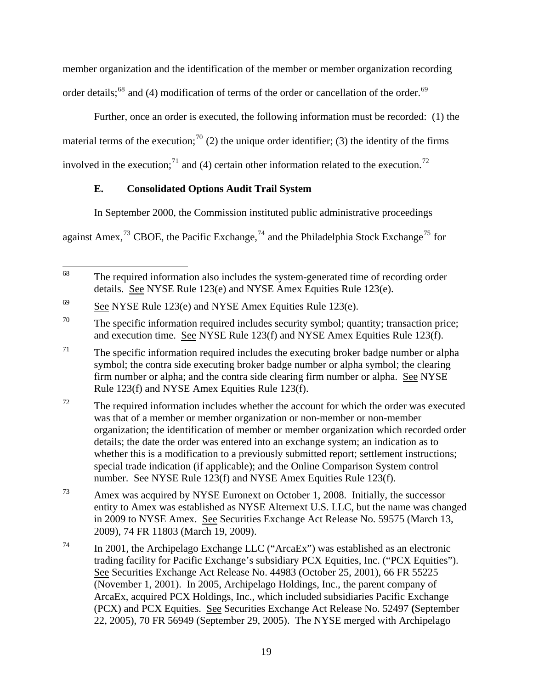member organization and the identification of the member or member organization recording order details;<sup>[68](#page-18-0)</sup> and (4) modification of terms of the order or cancellation of the order.<sup>[69](#page-18-1)</sup>

Further, once an order is executed, the following information must be recorded: (1) the material terms of the execution;<sup>[70](#page-18-2)</sup> (2) the unique order identifier; (3) the identity of the firms involved in the execution;<sup>[71](#page-18-3)</sup> and (4) certain other information related to the execution.<sup>[72](#page-18-4)</sup>

# **E. Consolidated Options Audit Trail System**

In September 2000, the Commission instituted public administrative proceedings

against Amex,<sup>[73](#page-18-5)</sup> CBOE, the Pacific Exchange,<sup>[74](#page-18-6)</sup> and the Philadelphia Stock Exchange<sup>[75](#page-18-7)</sup> for

<span id="page-18-0"></span><sup>68</sup> The required information also includes the system-generated time of recording order details. See NYSE Rule 123(e) and NYSE Amex Equities Rule 123(e).

<span id="page-18-1"></span><sup>&</sup>lt;sup>69</sup> See NYSE Rule 123(e) and NYSE Amex Equities Rule 123(e).

<span id="page-18-2"></span> $70$  The specific information required includes security symbol; quantity; transaction price; and execution time. See NYSE Rule 123(f) and NYSE Amex Equities Rule 123(f).

<span id="page-18-3"></span> $71$  The specific information required includes the executing broker badge number or alpha symbol; the contra side executing broker badge number or alpha symbol; the clearing firm number or alpha; and the contra side clearing firm number or alpha. See NYSE Rule 123(f) and NYSE Amex Equities Rule 123(f).

<span id="page-18-4"></span> $72$  The required information includes whether the account for which the order was executed was that of a member or member organization or non-member or non-member organization; the identification of member or member organization which recorded order details; the date the order was entered into an exchange system; an indication as to whether this is a modification to a previously submitted report; settlement instructions; special trade indication (if applicable); and the Online Comparison System control number. See NYSE Rule 123(f) and NYSE Amex Equities Rule 123(f).

<span id="page-18-5"></span><sup>73</sup> Amex was acquired by NYSE Euronext on October 1, 2008. Initially, the successor entity to Amex was established as NYSE Alternext U.S. LLC, but the name was changed in 2009 to NYSE Amex. See Securities Exchange Act Release No. 59575 (March 13, 2009), 74 FR 11803 (March 19, 2009).

<span id="page-18-7"></span><span id="page-18-6"></span><sup>74</sup> In 2001, the Archipelago Exchange LLC ("ArcaEx") was established as an electronic trading facility for Pacific Exchange's subsidiary PCX Equities, Inc. ("PCX Equities"). See Securities Exchange Act Release No. 44983 (October 25, 2001), 66 FR 55225 (November 1, 2001). In 2005, Archipelago Holdings, Inc., the parent company of ArcaEx, acquired PCX Holdings, Inc., which included subsidiaries Pacific Exchange (PCX) and PCX Equities. See Securities Exchange Act Release No. 52497 **(**September 22, 2005), 70 FR 56949 (September 29, 2005). The NYSE merged with Archipelago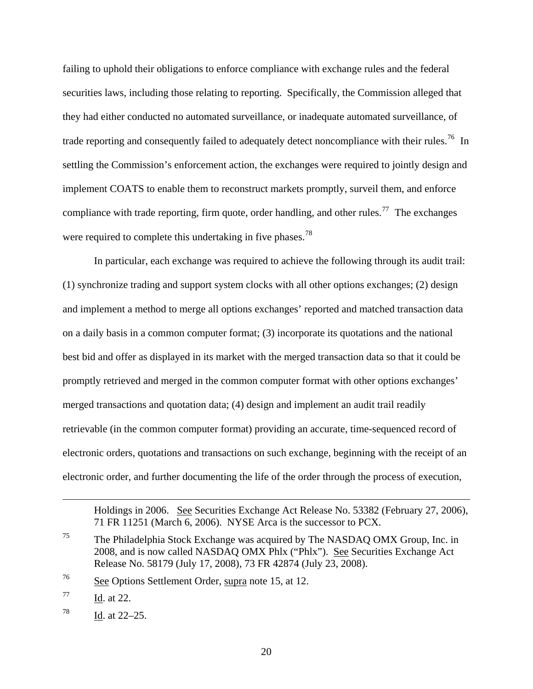failing to uphold their obligations to enforce compliance with exchange rules and the federal securities laws, including those relating to reporting. Specifically, the Commission alleged that they had either conducted no automated surveillance, or inadequate automated surveillance, of trade reporting and consequently failed to adequately detect noncompliance with their rules.<sup>[76](#page-19-0)</sup> In settling the Commission's enforcement action, the exchanges were required to jointly design and implement COATS to enable them to reconstruct markets promptly, surveil them, and enforce compliance with trade reporting, firm quote, order handling, and other rules.<sup>[77](#page-19-1)</sup> The exchanges were required to complete this undertaking in five phases.<sup>[78](#page-19-2)</sup>

In particular, each exchange was required to achieve the following through its audit trail: (1) synchronize trading and support system clocks with all other options exchanges; (2) design and implement a method to merge all options exchanges' reported and matched transaction data on a daily basis in a common computer format; (3) incorporate its quotations and the national best bid and offer as displayed in its market with the merged transaction data so that it could be promptly retrieved and merged in the common computer format with other options exchanges' merged transactions and quotation data; (4) design and implement an audit trail readily retrievable (in the common computer format) providing an accurate, time-sequenced record of electronic orders, quotations and transactions on such exchange, beginning with the receipt of an electronic order, and further documenting the life of the order through the process of execution,

<span id="page-19-0"></span>76 See Options Settlement Order, supra note 15, at 12.

<span id="page-19-1"></span>77 Id. at 22.

 $\overline{a}$ 

<span id="page-19-2"></span> $^{78}$  Id. at 22–25.

Holdings in 2006. See Securities Exchange Act Release No. 53382 (February 27, 2006), 71 FR 11251 (March 6, 2006). NYSE Arca is the successor to PCX.

<sup>75</sup> The Philadelphia Stock Exchange was acquired by The NASDAQ OMX Group, Inc. in 2008, and is now called NASDAQ OMX Phlx ("Phlx"). See Securities Exchange Act Release No. 58179 (July 17, 2008), 73 FR 42874 (July 23, 2008).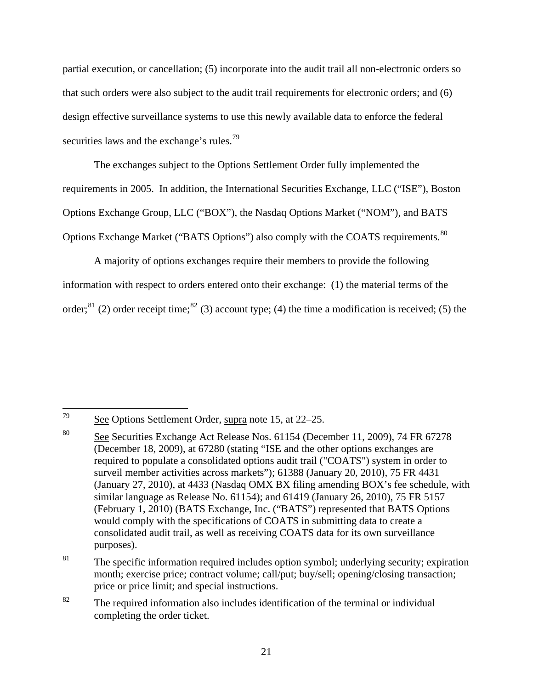partial execution, or cancellation; (5) incorporate into the audit trail all non-electronic orders so that such orders were also subject to the audit trail requirements for electronic orders; and (6) design effective surveillance systems to use this newly available data to enforce the federal securities laws and the exchange's rules.<sup>[79](#page-20-0)</sup>

The exchanges subject to the Options Settlement Order fully implemented the requirements in 2005. In addition, the International Securities Exchange, LLC ("ISE"), Boston Options Exchange Group, LLC ("BOX"), the Nasdaq Options Market ("NOM"), and BATS Options Exchange Market ("BATS Options") also comply with the COATS requirements.<sup>[80](#page-20-1)</sup>

A majority of options exchanges require their members to provide the following information with respect to orders entered onto their exchange: (1) the material terms of the order;<sup>[81](#page-20-2)</sup> (2) order receipt time;<sup>[82](#page-20-3)</sup> (3) account type; (4) the time a modification is received; (5) the

<span id="page-20-0"></span><sup>79</sup> See Options Settlement Order, supra note 15, at 22–25.

<span id="page-20-1"></span><sup>80</sup> See Securities Exchange Act Release Nos. 61154 (December 11, 2009), 74 FR 67278 (December 18, 2009), at 67280 (stating "ISE and the other options exchanges are required to populate a consolidated options audit trail ("COATS") system in order to surveil member activities across markets"); 61388 (January 20, 2010), 75 FR 4431 (January 27, 2010), at 4433 (Nasdaq OMX BX filing amending BOX's fee schedule, with similar language as Release No. 61154); and 61419 (January 26, 2010), 75 FR 5157 (February 1, 2010) (BATS Exchange, Inc. ("BATS") represented that BATS Options would comply with the specifications of COATS in submitting data to create a consolidated audit trail, as well as receiving COATS data for its own surveillance purposes).

<span id="page-20-2"></span> $81$  The specific information required includes option symbol; underlying security; expiration month; exercise price; contract volume; call/put; buy/sell; opening/closing transaction; price or price limit; and special instructions.

<span id="page-20-3"></span> $82$  The required information also includes identification of the terminal or individual completing the order ticket.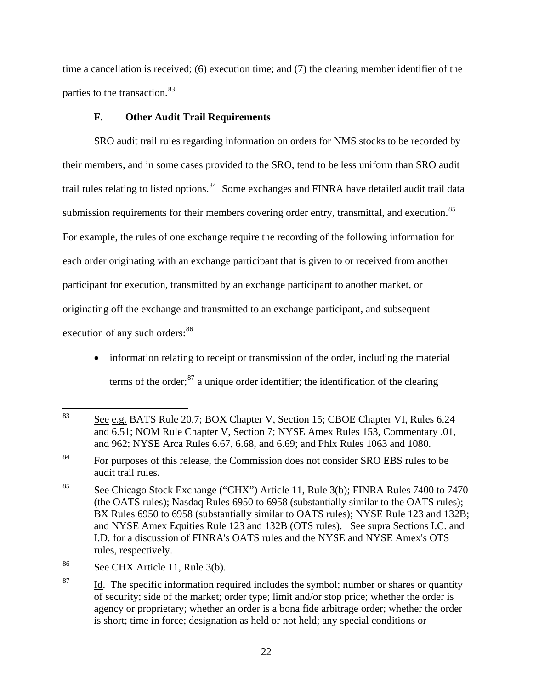time a cancellation is received; (6) execution time; and (7) the clearing member identifier of the parties to the transaction.<sup>[83](#page-21-0)</sup>

## **F. Other Audit Trail Requirements**

 SRO audit trail rules regarding information on orders for NMS stocks to be recorded by their members, and in some cases provided to the SRO, tend to be less uniform than SRO audit trail rules relating to listed options.<sup>[84](#page-21-1)</sup> Some exchanges and FINRA have detailed audit trail data submission requirements for their members covering order entry, transmittal, and execution.<sup>[85](#page-21-2)</sup> For example, the rules of one exchange require the recording of the following information for each order originating with an exchange participant that is given to or received from another participant for execution, transmitted by an exchange participant to another market, or originating off the exchange and transmitted to an exchange participant, and subsequent execution of any such orders:<sup>[86](#page-21-3)</sup>

• information relating to receipt or transmission of the order, including the material terms of the order; $^{87}$  $^{87}$  $^{87}$  a unique order identifier; the identification of the clearing

<span id="page-21-0"></span><sup>83</sup> See e.g. BATS Rule 20.7; BOX Chapter V, Section 15; CBOE Chapter VI, Rules 6.24 and 6.51; NOM Rule Chapter V, Section 7; NYSE Amex Rules 153, Commentary .01, and 962; NYSE Arca Rules 6.67, 6.68, and 6.69; and Phlx Rules 1063 and 1080.

<span id="page-21-1"></span><sup>&</sup>lt;sup>84</sup> For purposes of this release, the Commission does not consider SRO EBS rules to be audit trail rules.

<span id="page-21-2"></span><sup>&</sup>lt;sup>85</sup> See Chicago Stock Exchange ("CHX") Article 11, Rule 3(b); FINRA Rules 7400 to 7470 (the OATS rules); Nasdaq Rules 6950 to 6958 (substantially similar to the OATS rules); BX Rules 6950 to 6958 (substantially similar to OATS rules); NYSE Rule 123 and 132B; and NYSE Amex Equities Rule 123 and 132B (OTS rules). See supra Sections I.C. and I.D. for a discussion of FINRA's OATS rules and the NYSE and NYSE Amex's OTS rules, respectively.

<span id="page-21-3"></span><sup>86</sup> See CHX Article 11, Rule 3(b).

<span id="page-21-4"></span> $87$  Id. The specific information required includes the symbol; number or shares or quantity of security; side of the market; order type; limit and/or stop price; whether the order is agency or proprietary; whether an order is a bona fide arbitrage order; whether the order is short; time in force; designation as held or not held; any special conditions or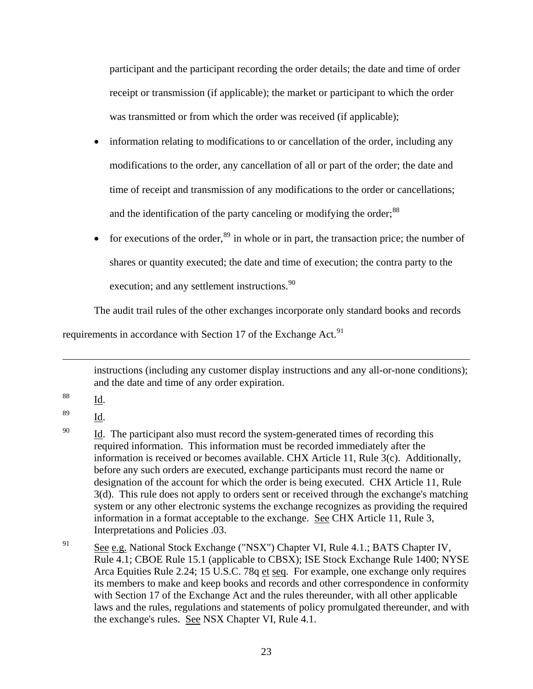participant and the participant recording the order details; the date and time of order receipt or transmission (if applicable); the market or participant to which the order was transmitted or from which the order was received (if applicable);

- information relating to modifications to or cancellation of the order, including any modifications to the order, any cancellation of all or part of the order; the date and time of receipt and transmission of any modifications to the order or cancellations; and the identification of the party canceling or modifying the order;<sup>[88](#page-22-0)</sup>
- for executions of the order,  $89$  in whole or in part, the transaction price; the number of shares or quantity executed; the date and time of execution; the contra party to the

execution; and any settlement instructions.<sup>[90](#page-22-2)</sup>

The audit trail rules of the other exchanges incorporate only standard books and records

requirements in accordance with Section 17 of the Exchange Act.<sup>[91](#page-22-3)</sup>

instructions (including any customer display instructions and any all-or-none conditions); and the date and time of any order expiration.

<span id="page-22-0"></span>88 Id.

 $\overline{a}$ 

<span id="page-22-1"></span>89 Id.

<span id="page-22-2"></span> $\frac{1}{20}$  Id. The participant also must record the system-generated times of recording this required information. This information must be recorded immediately after the information is received or becomes available. CHX Article 11, Rule 3(c). Additionally, before any such orders are executed, exchange participants must record the name or designation of the account for which the order is being executed. CHX Article 11, Rule 3(d). This rule does not apply to orders sent or received through the exchange's matching system or any other electronic systems the exchange recognizes as providing the required information in a format acceptable to the exchange. See CHX Article 11, Rule 3, Interpretations and Policies .03.

<span id="page-22-3"></span><sup>&</sup>lt;sup>91</sup> See e.g. National Stock Exchange ("NSX") Chapter VI, Rule 4.1.; BATS Chapter IV, Rule 4.1; CBOE Rule 15.1 (applicable to CBSX); ISE Stock Exchange Rule 1400; NYSE Arca Equities Rule 2.24; 15 U.S.C. 78q et seq. For example, one exchange only requires its members to make and keep books and records and other correspondence in conformity with Section 17 of the Exchange Act and the rules thereunder, with all other applicable laws and the rules, regulations and statements of policy promulgated thereunder, and with the exchange's rules. See NSX Chapter VI, Rule 4.1.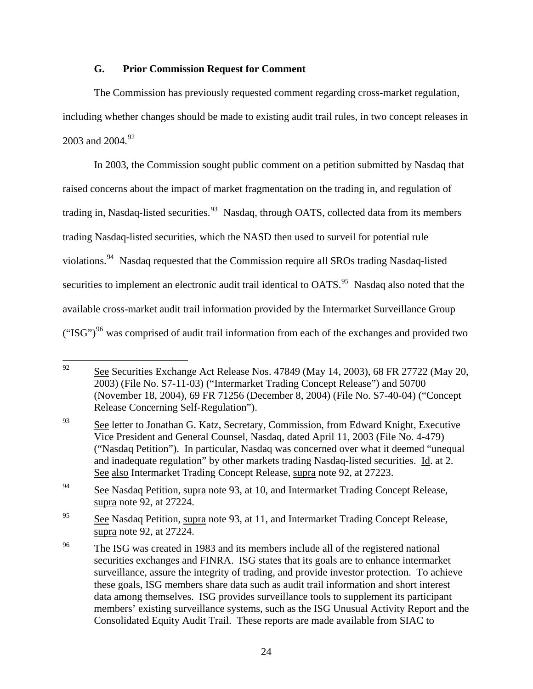# **G. Prior Commission Request for Comment**

The Commission has previously requested comment regarding cross-market regulation, including whether changes should be made to existing audit trail rules, in two concept releases in 2003 and 2004.<sup>[92](#page-23-0)</sup>

 In 2003, the Commission sought public comment on a petition submitted by Nasdaq that raised concerns about the impact of market fragmentation on the trading in, and regulation of trading in, Nasdaq-listed securities.<sup>[93](#page-23-1)</sup> Nasdaq, through OATS, collected data from its members trading Nasdaq-listed securities, which the NASD then used to surveil for potential rule violations.[94](#page-23-2) Nasdaq requested that the Commission require all SROs trading Nasdaq-listed securities to implement an electronic audit trail identical to OATS.<sup>[95](#page-23-3)</sup> Nasdaq also noted that the available cross-market audit trail information provided by the Intermarket Surveillance Group  $("ISG")<sup>96</sup>$  $("ISG")<sup>96</sup>$  $("ISG")<sup>96</sup>$  was comprised of audit trail information from each of the exchanges and provided two

<span id="page-23-0"></span><sup>92</sup> 92 See Securities Exchange Act Release Nos. 47849 (May 14, 2003), 68 FR 27722 (May 20, 2003) (File No. S7-11-03) ("Intermarket Trading Concept Release") and 50700 (November 18, 2004), 69 FR 71256 (December 8, 2004) (File No. S7-40-04) ("Concept Release Concerning Self-Regulation").

<span id="page-23-1"></span><sup>&</sup>lt;sup>93</sup> See letter to Jonathan G. Katz, Secretary, Commission, from Edward Knight, Executive Vice President and General Counsel, Nasdaq, dated April 11, 2003 (File No. 4-479) ("Nasdaq Petition"). In particular, Nasdaq was concerned over what it deemed "unequal and inadequate regulation" by other markets trading Nasdaq-listed securities. Id. at 2. See also Intermarket Trading Concept Release, supra note 92, at 27223.

<span id="page-23-2"></span><sup>&</sup>lt;sup>94</sup> See Nasdaq Petition, supra note 93, at 10, and Intermarket Trading Concept Release, supra note 92, at 27224.

<span id="page-23-3"></span><sup>&</sup>lt;sup>95</sup> See Nasdaq Petition, supra note 93, at 11, and Intermarket Trading Concept Release, supra note 92, at 27224.

<span id="page-23-4"></span><sup>&</sup>lt;sup>96</sup> The ISG was created in 1983 and its members include all of the registered national securities exchanges and FINRA. ISG states that its goals are to enhance intermarket surveillance, assure the integrity of trading, and provide investor protection. To achieve these goals, ISG members share data such as audit trail information and short interest data among themselves. ISG provides surveillance tools to supplement its participant members' existing surveillance systems, such as the ISG Unusual Activity Report and the Consolidated Equity Audit Trail. These reports are made available from SIAC to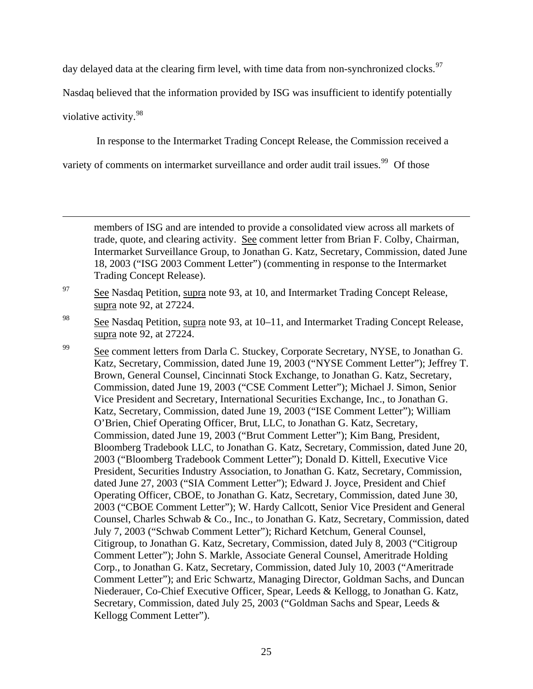day delayed data at the clearing firm level, with time data from non-synchronized clocks.<sup>[97](#page-24-0)</sup>

Nasdaq believed that the information provided by ISG was insufficient to identify potentially

violative activity.[98](#page-24-1)

1

In response to the Intermarket Trading Concept Release, the Commission received a

variety of comments on intermarket surveillance and order audit trail issues.<sup>[99](#page-24-2)</sup> Of those

members of ISG and are intended to provide a consolidated view across all markets of trade, quote, and clearing activity. See comment letter from Brian F. Colby, Chairman, Intermarket Surveillance Group, to Jonathan G. Katz, Secretary, Commission, dated June 18, 2003 ("ISG 2003 Comment Letter") (commenting in response to the Intermarket Trading Concept Release).

# <span id="page-24-0"></span> $97$  See Nasdaq Petition, supra note 93, at 10, and Intermarket Trading Concept Release, supra note 92, at 27224.

<span id="page-24-1"></span> $\frac{98}{20}$  See Nasdaq Petition, supra note 93, at 10–11, and Intermarket Trading Concept Release, supra note 92, at 27224.

<span id="page-24-2"></span><sup>99</sup> See comment letters from Darla C. Stuckey, Corporate Secretary, NYSE, to Jonathan G. Katz, Secretary, Commission, dated June 19, 2003 ("NYSE Comment Letter"); Jeffrey T. Brown, General Counsel, Cincinnati Stock Exchange, to Jonathan G. Katz, Secretary, Commission, dated June 19, 2003 ("CSE Comment Letter"); Michael J. Simon, Senior Vice President and Secretary, International Securities Exchange, Inc., to Jonathan G. Katz, Secretary, Commission, dated June 19, 2003 ("ISE Comment Letter"); William O'Brien, Chief Operating Officer, Brut, LLC, to Jonathan G. Katz, Secretary, Commission, dated June 19, 2003 ("Brut Comment Letter"); Kim Bang, President, Bloomberg Tradebook LLC, to Jonathan G. Katz, Secretary, Commission, dated June 20, 2003 ("Bloomberg Tradebook Comment Letter"); Donald D. Kittell, Executive Vice President, Securities Industry Association, to Jonathan G. Katz, Secretary, Commission, dated June 27, 2003 ("SIA Comment Letter"); Edward J. Joyce, President and Chief Operating Officer, CBOE, to Jonathan G. Katz, Secretary, Commission, dated June 30, 2003 ("CBOE Comment Letter"); W. Hardy Callcott, Senior Vice President and General Counsel, Charles Schwab & Co., Inc., to Jonathan G. Katz, Secretary, Commission, dated July 7, 2003 ("Schwab Comment Letter"); Richard Ketchum, General Counsel, Citigroup, to Jonathan G. Katz, Secretary, Commission, dated July 8, 2003 ("Citigroup Comment Letter"); John S. Markle, Associate General Counsel, Ameritrade Holding Corp., to Jonathan G. Katz, Secretary, Commission, dated July 10, 2003 ("Ameritrade Comment Letter"); and Eric Schwartz, Managing Director, Goldman Sachs, and Duncan Niederauer, Co-Chief Executive Officer, Spear, Leeds & Kellogg, to Jonathan G. Katz, Secretary, Commission, dated July 25, 2003 ("Goldman Sachs and Spear, Leeds & Kellogg Comment Letter").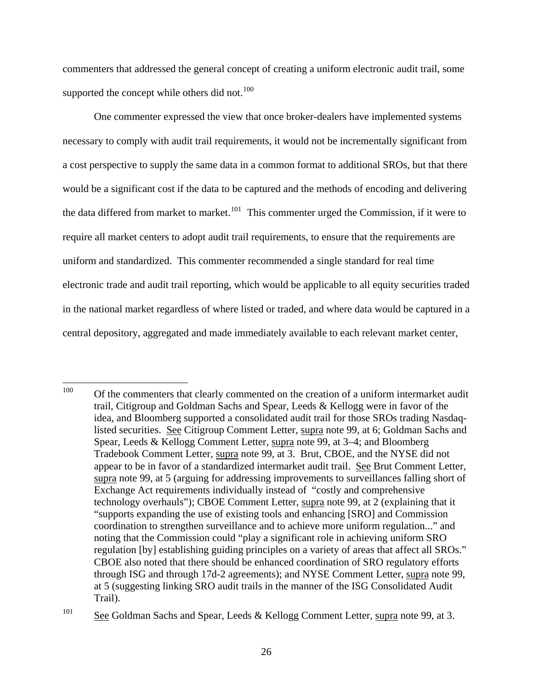commenters that addressed the general concept of creating a uniform electronic audit trail, some supported the concept while others did not. $100$ 

One commenter expressed the view that once broker-dealers have implemented systems necessary to comply with audit trail requirements, it would not be incrementally significant from a cost perspective to supply the same data in a common format to additional SROs, but that there would be a significant cost if the data to be captured and the methods of encoding and delivering the data differed from market to market.<sup>[101](#page-25-1)</sup> This commenter urged the Commission, if it were to require all market centers to adopt audit trail requirements, to ensure that the requirements are uniform and standardized. This commenter recommended a single standard for real time electronic trade and audit trail reporting, which would be applicable to all equity securities traded in the national market regardless of where listed or traded, and where data would be captured in a central depository, aggregated and made immediately available to each relevant market center,

<span id="page-25-0"></span><sup>100</sup> 100 Of the commenters that clearly commented on the creation of a uniform intermarket audit trail, Citigroup and Goldman Sachs and Spear, Leeds & Kellogg were in favor of the idea, and Bloomberg supported a consolidated audit trail for those SROs trading Nasdaqlisted securities. See Citigroup Comment Letter, supra note 99, at 6; Goldman Sachs and Spear, Leeds & Kellogg Comment Letter, supra note 99, at 3–4; and Bloomberg Tradebook Comment Letter, supra note 99, at 3. Brut, CBOE, and the NYSE did not appear to be in favor of a standardized intermarket audit trail. See Brut Comment Letter, supra note 99, at 5 (arguing for addressing improvements to surveillances falling short of Exchange Act requirements individually instead of "costly and comprehensive technology overhauls"); CBOE Comment Letter, supra note 99, at 2 (explaining that it "supports expanding the use of existing tools and enhancing [SRO] and Commission coordination to strengthen surveillance and to achieve more uniform regulation..." and noting that the Commission could "play a significant role in achieving uniform SRO regulation [by] establishing guiding principles on a variety of areas that affect all SROs." CBOE also noted that there should be enhanced coordination of SRO regulatory efforts through ISG and through 17d-2 agreements); and NYSE Comment Letter, supra note 99, at 5 (suggesting linking SRO audit trails in the manner of the ISG Consolidated Audit Trail).

<span id="page-25-1"></span><sup>&</sup>lt;sup>101</sup> See Goldman Sachs and Spear, Leeds & Kellogg Comment Letter, supra note 99, at 3.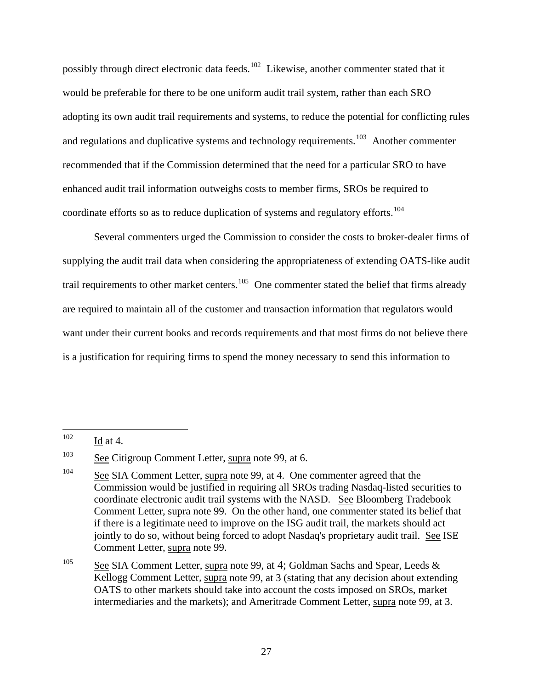possibly through direct electronic data feeds.<sup>[102](#page-26-0)</sup> Likewise, another commenter stated that it would be preferable for there to be one uniform audit trail system, rather than each SRO adopting its own audit trail requirements and systems, to reduce the potential for conflicting rules and regulations and duplicative systems and technology requirements.<sup>[103](#page-26-1)</sup> Another commenter recommended that if the Commission determined that the need for a particular SRO to have enhanced audit trail information outweighs costs to member firms, SROs be required to coordinate efforts so as to reduce duplication of systems and regulatory efforts.<sup>[104](#page-26-2)</sup>

 Several commenters urged the Commission to consider the costs to broker-dealer firms of supplying the audit trail data when considering the appropriateness of extending OATS-like audit trail requirements to other market centers.<sup>[105](#page-26-3)</sup> One commenter stated the belief that firms already are required to maintain all of the customer and transaction information that regulators would want under their current books and records requirements and that most firms do not believe there is a justification for requiring firms to spend the money necessary to send this information to

<span id="page-26-3"></span><sup>105</sup> See SIA Comment Letter, supra note 99, at 4; Goldman Sachs and Spear, Leeds & Kellogg Comment Letter, supra note 99, at 3 (stating that any decision about extending OATS to other markets should take into account the costs imposed on SROs, market intermediaries and the markets); and Ameritrade Comment Letter, supra note 99, at 3.

<span id="page-26-0"></span><sup>102</sup> Id at  $4$ .

<span id="page-26-1"></span><sup>&</sup>lt;sup>103</sup> See Citigroup Comment Letter, supra note 99, at 6.

<span id="page-26-2"></span><sup>&</sup>lt;sup>104</sup> See SIA Comment Letter, supra note 99, at 4. One commenter agreed that the Commission would be justified in requiring all SROs trading Nasdaq-listed securities to coordinate electronic audit trail systems with the NASD. See Bloomberg Tradebook Comment Letter, supra note 99. On the other hand, one commenter stated its belief that if there is a legitimate need to improve on the ISG audit trail, the markets should act jointly to do so, without being forced to adopt Nasdaq's proprietary audit trail. See ISE Comment Letter, supra note 99.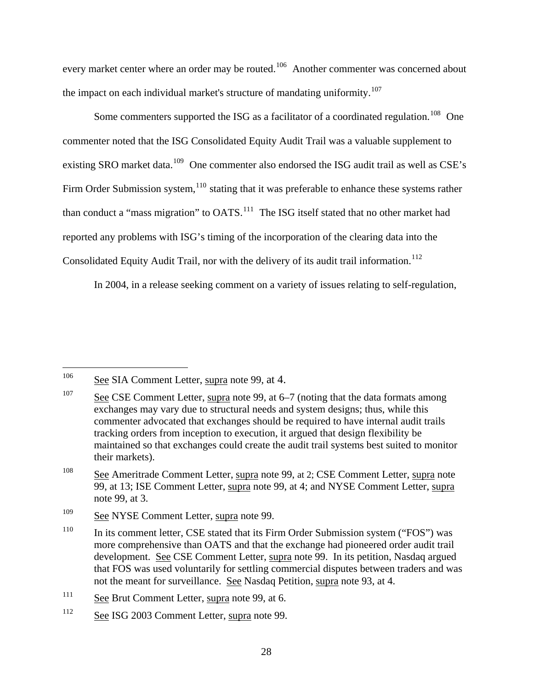every market center where an order may be routed.<sup>[106](#page-27-0)</sup> Another commenter was concerned about the impact on each individual market's structure of mandating uniformity.<sup>[107](#page-27-1)</sup>

Some commenters supported the ISG as a facilitator of a coordinated regulation.<sup>[108](#page-27-2)</sup> One commenter noted that the ISG Consolidated Equity Audit Trail was a valuable supplement to existing SRO market data.<sup>[109](#page-27-3)</sup> One commenter also endorsed the ISG audit trail as well as CSE's Firm Order Submission system,  $110$  stating that it was preferable to enhance these systems rather than conduct a "mass migration" to OATS.<sup>[111](#page-27-5)</sup> The ISG itself stated that no other market had reported any problems with ISG's timing of the incorporation of the clearing data into the Consolidated Equity Audit Trail, nor with the delivery of its audit trail information.<sup>[112](#page-27-6)</sup>

In 2004, in a release seeking comment on a variety of issues relating to self-regulation,

 $\overline{a}$ 

<span id="page-27-0"></span><sup>&</sup>lt;sup>106</sup> See SIA Comment Letter, supra note 99, at 4.

<span id="page-27-1"></span><sup>107</sup> See CSE Comment Letter, supra note 99, at 6–7 (noting that the data formats among exchanges may vary due to structural needs and system designs; thus, while this commenter advocated that exchanges should be required to have internal audit trails tracking orders from inception to execution, it argued that design flexibility be maintained so that exchanges could create the audit trail systems best suited to monitor their markets).

<span id="page-27-2"></span><sup>&</sup>lt;sup>108</sup> See Ameritrade Comment Letter, supra note 99, at 2; CSE Comment Letter, supra note 99, at 13; ISE Comment Letter, supra note 99, at 4; and NYSE Comment Letter, supra note 99, at 3.

<span id="page-27-3"></span> $\frac{109}{200}$  See NYSE Comment Letter, supra note 99.

<span id="page-27-4"></span><sup>&</sup>lt;sup>110</sup> In its comment letter, CSE stated that its Firm Order Submission system ("FOS") was more comprehensive than OATS and that the exchange had pioneered order audit trail development. See CSE Comment Letter, supra note 99. In its petition, Nasdaq argued that FOS was used voluntarily for settling commercial disputes between traders and was not the meant for surveillance. See Nasdaq Petition, supra note 93, at 4.

<span id="page-27-5"></span> $111$  See Brut Comment Letter, supra note 99, at 6.

<span id="page-27-6"></span><sup>112</sup> See ISG 2003 Comment Letter, supra note 99.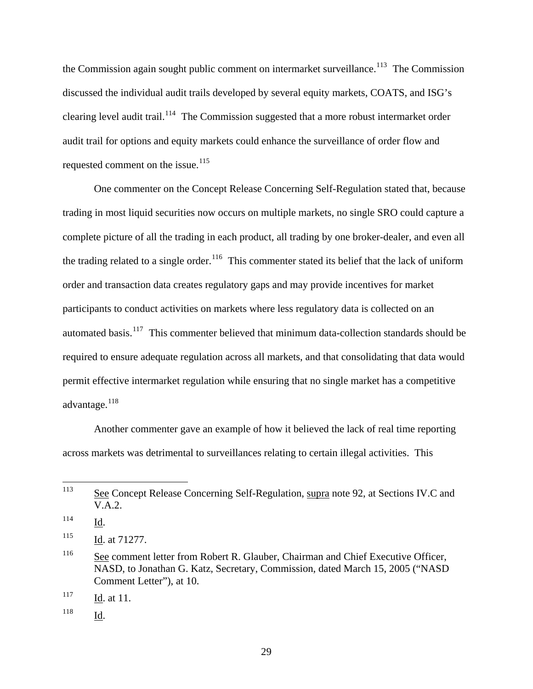the Commission again sought public comment on intermarket surveillance.<sup>[113](#page-28-0)</sup> The Commission discussed the individual audit trails developed by several equity markets, COATS, and ISG's clearing level audit trail.<sup>[114](#page-28-1)</sup> The Commission suggested that a more robust intermarket order audit trail for options and equity markets could enhance the surveillance of order flow and requested comment on the issue.<sup>[115](#page-28-2)</sup>

One commenter on the Concept Release Concerning Self-Regulation stated that, because trading in most liquid securities now occurs on multiple markets, no single SRO could capture a complete picture of all the trading in each product, all trading by one broker-dealer, and even all the trading related to a single order.<sup>[116](#page-28-3)</sup> This commenter stated its belief that the lack of uniform order and transaction data creates regulatory gaps and may provide incentives for market participants to conduct activities on markets where less regulatory data is collected on an automated basis.<sup>[117](#page-28-4)</sup> This commenter believed that minimum data-collection standards should be required to ensure adequate regulation across all markets, and that consolidating that data would permit effective intermarket regulation while ensuring that no single market has a competitive advantage.<sup>[118](#page-28-5)</sup>

Another commenter gave an example of how it believed the lack of real time reporting across markets was detrimental to surveillances relating to certain illegal activities. This

<span id="page-28-0"></span><sup>113</sup> See Concept Release Concerning Self-Regulation, supra note 92, at Sections IV.C and V.A.2.

<span id="page-28-1"></span><sup>114</sup> Id.

<span id="page-28-2"></span><sup>115</sup> Id. at 71277.

<span id="page-28-3"></span><sup>&</sup>lt;sup>116</sup> See comment letter from Robert R. Glauber, Chairman and Chief Executive Officer, NASD, to Jonathan G. Katz, Secretary, Commission, dated March 15, 2005 ("NASD Comment Letter"), at 10.

<span id="page-28-4"></span> $\frac{117}{\text{Id}}$ . at 11.

<span id="page-28-5"></span><sup>118</sup> Id.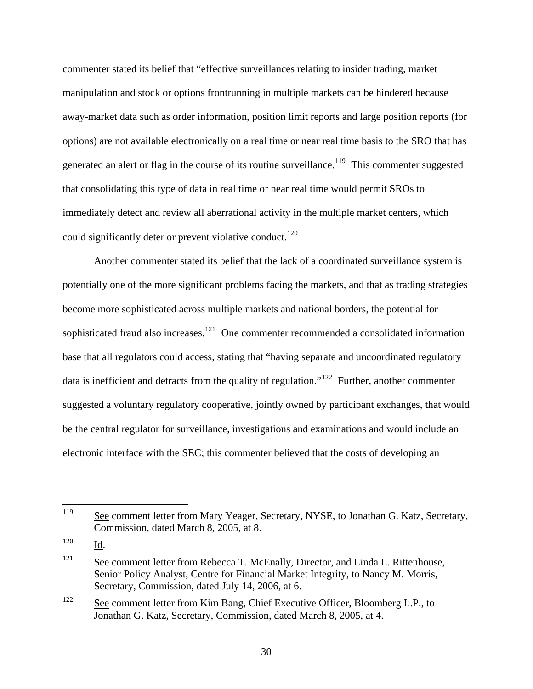commenter stated its belief that "effective surveillances relating to insider trading, market manipulation and stock or options frontrunning in multiple markets can be hindered because away-market data such as order information, position limit reports and large position reports (for options) are not available electronically on a real time or near real time basis to the SRO that has generated an alert or flag in the course of its routine surveillance.<sup>[119](#page-29-0)</sup> This commenter suggested that consolidating this type of data in real time or near real time would permit SROs to immediately detect and review all aberrational activity in the multiple market centers, which could significantly deter or prevent violative conduct.<sup>[120](#page-29-1)</sup>

Another commenter stated its belief that the lack of a coordinated surveillance system is potentially one of the more significant problems facing the markets, and that as trading strategies become more sophisticated across multiple markets and national borders, the potential for sophisticated fraud also increases.<sup>[121](#page-29-2)</sup> One commenter recommended a consolidated information base that all regulators could access, stating that "having separate and uncoordinated regulatory data is inefficient and detracts from the quality of regulation."<sup>[122](#page-29-3)</sup> Further, another commenter suggested a voluntary regulatory cooperative, jointly owned by participant exchanges, that would be the central regulator for surveillance, investigations and examinations and would include an electronic interface with the SEC; this commenter believed that the costs of developing an

<span id="page-29-0"></span><sup>119</sup> See comment letter from Mary Yeager, Secretary, NYSE, to Jonathan G. Katz, Secretary, Commission, dated March 8, 2005, at 8.

<span id="page-29-1"></span><sup>120</sup> Id.

<span id="page-29-2"></span><sup>&</sup>lt;sup>121</sup> See comment letter from Rebecca T. McEnally, Director, and Linda L. Rittenhouse, Senior Policy Analyst, Centre for Financial Market Integrity, to Nancy M. Morris, Secretary, Commission, dated July 14, 2006, at 6.

<span id="page-29-3"></span><sup>&</sup>lt;sup>122</sup> See comment letter from Kim Bang, Chief Executive Officer, Bloomberg L.P., to Jonathan G. Katz, Secretary, Commission, dated March 8, 2005, at 4.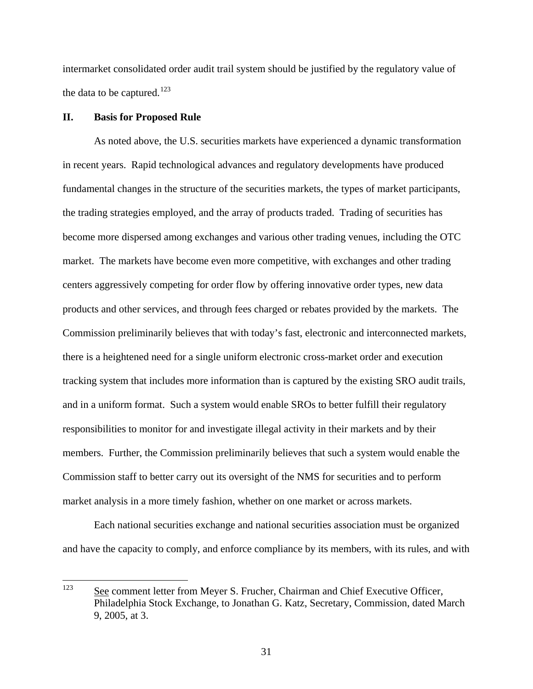intermarket consolidated order audit trail system should be justified by the regulatory value of the data to be captured.<sup>[123](#page-30-0)</sup>

## **II. Basis for Proposed Rule**

As noted above, the U.S. securities markets have experienced a dynamic transformation in recent years. Rapid technological advances and regulatory developments have produced fundamental changes in the structure of the securities markets, the types of market participants, the trading strategies employed, and the array of products traded. Trading of securities has become more dispersed among exchanges and various other trading venues, including the OTC market. The markets have become even more competitive, with exchanges and other trading centers aggressively competing for order flow by offering innovative order types, new data products and other services, and through fees charged or rebates provided by the markets. The Commission preliminarily believes that with today's fast, electronic and interconnected markets, there is a heightened need for a single uniform electronic cross-market order and execution tracking system that includes more information than is captured by the existing SRO audit trails, and in a uniform format. Such a system would enable SROs to better fulfill their regulatory responsibilities to monitor for and investigate illegal activity in their markets and by their members. Further, the Commission preliminarily believes that such a system would enable the Commission staff to better carry out its oversight of the NMS for securities and to perform market analysis in a more timely fashion, whether on one market or across markets.

Each national securities exchange and national securities association must be organized and have the capacity to comply, and enforce compliance by its members, with its rules, and with

<span id="page-30-0"></span><sup>123</sup> See comment letter from Meyer S. Frucher, Chairman and Chief Executive Officer, Philadelphia Stock Exchange, to Jonathan G. Katz, Secretary, Commission, dated March 9, 2005, at 3.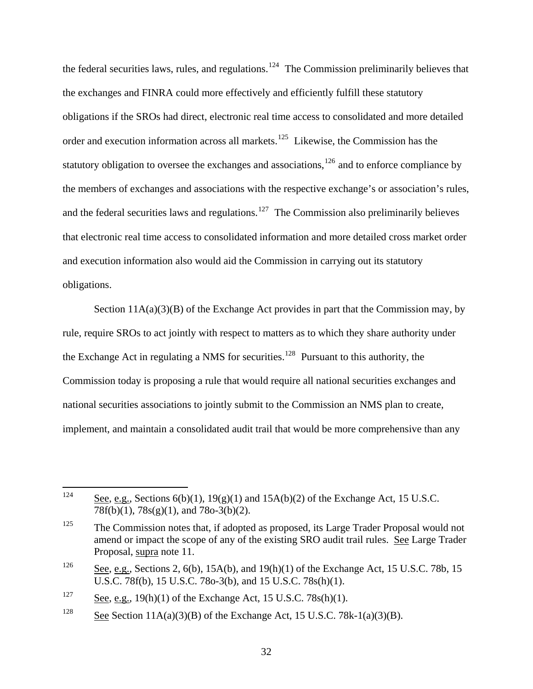the federal securities laws, rules, and regulations.<sup>[124](#page-31-0)</sup> The Commission preliminarily believes that the exchanges and FINRA could more effectively and efficiently fulfill these statutory obligations if the SROs had direct, electronic real time access to consolidated and more detailed order and execution information across all markets.<sup>[125](#page-31-1)</sup> Likewise, the Commission has the statutory obligation to oversee the exchanges and associations, $126$  and to enforce compliance by the members of exchanges and associations with the respective exchange's or association's rules, and the federal securities laws and regulations.<sup>[127](#page-31-3)</sup> The Commission also preliminarily believes that electronic real time access to consolidated information and more detailed cross market order and execution information also would aid the Commission in carrying out its statutory obligations.

Section  $11A(a)(3)(B)$  of the Exchange Act provides in part that the Commission may, by rule, require SROs to act jointly with respect to matters as to which they share authority under the Exchange Act in regulating a NMS for securities.<sup>[128](#page-31-4)</sup> Pursuant to this authority, the Commission today is proposing a rule that would require all national securities exchanges and national securities associations to jointly submit to the Commission an NMS plan to create, implement, and maintain a consolidated audit trail that would be more comprehensive than any

<span id="page-31-0"></span><sup>124</sup> See, e.g., Sections  $6(b)(1)$ ,  $19(g)(1)$  and  $15A(b)(2)$  of the Exchange Act, 15 U.S.C. 78f(b)(1), 78s(g)(1), and 78o-3(b)(2).

<span id="page-31-1"></span> $125$  The Commission notes that, if adopted as proposed, its Large Trader Proposal would not amend or impact the scope of any of the existing SRO audit trail rules. See Large Trader Proposal, supra note 11.

<span id="page-31-2"></span><sup>&</sup>lt;sup>126</sup> See, e.g., Sections 2, 6(b), 15A(b), and 19(h)(1) of the Exchange Act, 15 U.S.C. 78b, 15 U.S.C. 78f(b), 15 U.S.C. 78o-3(b), and 15 U.S.C. 78s(h)(1).

<span id="page-31-3"></span> $\frac{127}{\text{See, e.g., 19(h)(1) of the Exchange Act, 15 U.S.C. 78s(h)(1)}}$ 

<span id="page-31-4"></span><sup>&</sup>lt;sup>128</sup> See Section 11A(a)(3)(B) of the Exchange Act, 15 U.S.C. 78k-1(a)(3)(B).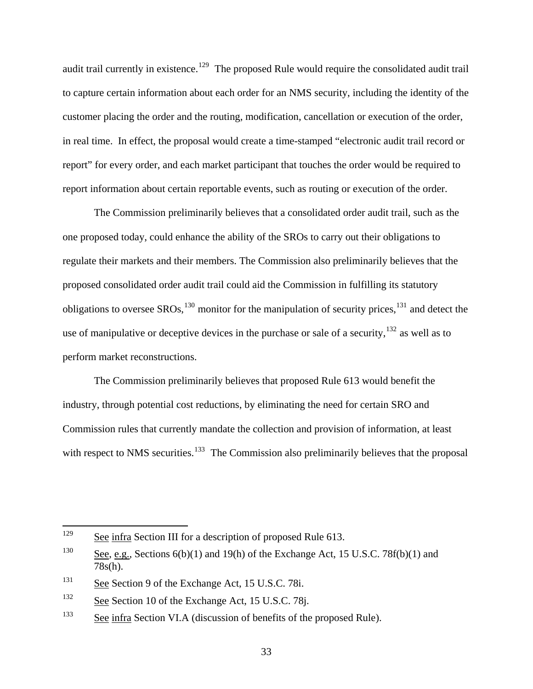audit trail currently in existence.<sup>[129](#page-32-0)</sup> The proposed Rule would require the consolidated audit trail to capture certain information about each order for an NMS security, including the identity of the customer placing the order and the routing, modification, cancellation or execution of the order, in real time. In effect, the proposal would create a time-stamped "electronic audit trail record or report" for every order, and each market participant that touches the order would be required to report information about certain reportable events, such as routing or execution of the order.

The Commission preliminarily believes that a consolidated order audit trail, such as the one proposed today, could enhance the ability of the SROs to carry out their obligations to regulate their markets and their members. The Commission also preliminarily believes that the proposed consolidated order audit trail could aid the Commission in fulfilling its statutory obligations to oversee  $SROs$ ,<sup>[130](#page-32-1)</sup> monitor for the manipulation of security prices,<sup>[131](#page-32-2)</sup> and detect the use of manipulative or deceptive devices in the purchase or sale of a security,  $132$  as well as to perform market reconstructions.

The Commission preliminarily believes that proposed Rule 613 would benefit the industry, through potential cost reductions, by eliminating the need for certain SRO and Commission rules that currently mandate the collection and provision of information, at least with respect to NMS securities.<sup>[133](#page-32-4)</sup> The Commission also preliminarily believes that the proposal

<span id="page-32-0"></span><sup>129</sup> See infra Section III for a description of proposed Rule 613.

<span id="page-32-1"></span><sup>&</sup>lt;sup>130</sup> See, e.g., Sections  $6(b)(1)$  and  $19(h)$  of the Exchange Act, 15 U.S.C. 78f(b)(1) and 78s(h).

<span id="page-32-2"></span><sup>&</sup>lt;sup>131</sup> See Section 9 of the Exchange Act, 15 U.S.C. 78i.

<span id="page-32-3"></span><sup>&</sup>lt;sup>132</sup> See Section 10 of the Exchange Act, 15 U.S.C. 78j.

<span id="page-32-4"></span><sup>&</sup>lt;sup>133</sup> See infra Section VI.A (discussion of benefits of the proposed Rule).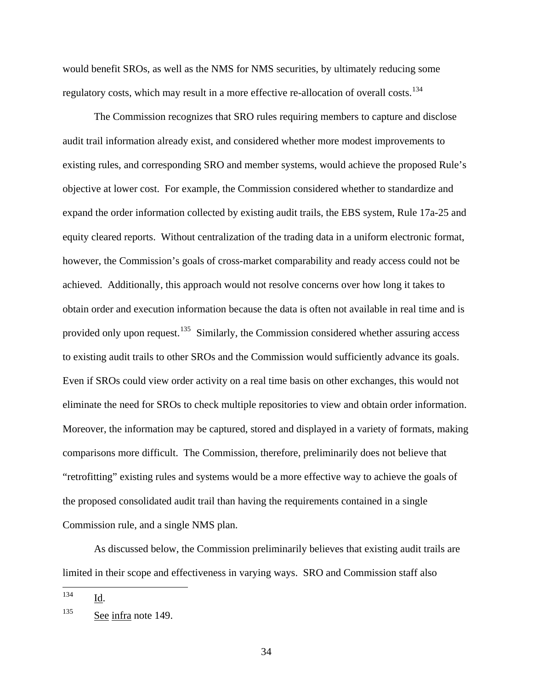would benefit SROs, as well as the NMS for NMS securities, by ultimately reducing some regulatory costs, which may result in a more effective re-allocation of overall costs.<sup>[134](#page-33-0)</sup>

 The Commission recognizes that SRO rules requiring members to capture and disclose audit trail information already exist, and considered whether more modest improvements to existing rules, and corresponding SRO and member systems, would achieve the proposed Rule's objective at lower cost. For example, the Commission considered whether to standardize and expand the order information collected by existing audit trails, the EBS system, Rule 17a-25 and equity cleared reports. Without centralization of the trading data in a uniform electronic format, however, the Commission's goals of cross-market comparability and ready access could not be achieved. Additionally, this approach would not resolve concerns over how long it takes to obtain order and execution information because the data is often not available in real time and is provided only upon request.<sup>[135](#page-33-1)</sup> Similarly, the Commission considered whether assuring access to existing audit trails to other SROs and the Commission would sufficiently advance its goals . Even if SROs could view order activity on a real time basis on other exchanges, this would not eliminate the need for SROs to check multiple repositories to view and obtain order information. Moreover, the information may be captured, stored and displayed in a variety of formats, making comparisons more difficult. The Commission, therefore, preliminarily does not believe that "retrofitting" existing rules and systems would be a more effective way to achieve the goals of the proposed consolidated audit trail than having the requirements contained in a single Commission rule, and a single NMS plan.

As discussed below, the Commission preliminarily believes that existing audit trails are limited in their scope and effectiveness in varying ways. SRO and Commission staff also

<span id="page-33-0"></span><sup>134</sup> Id.

<span id="page-33-1"></span><sup>&</sup>lt;sup>135</sup> See infra note 149.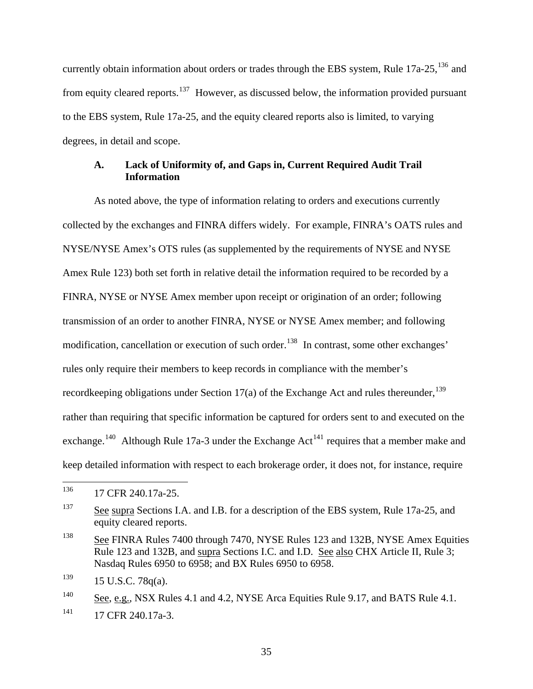currently obtain information about orders or trades through the EBS system, Rule  $17a-25$ ,  $^{136}$  $^{136}$  $^{136}$  and from equity cleared reports.<sup>[137](#page-34-1)</sup> However, as discussed below, the information provided pursuant to the EBS system, Rule 17a-25, and the equity cleared reports also is limited, to varying degrees, in detail and scope.

### **A. Lack of Uniformity of, and Gaps in, Current Required Audit Trail Information**

As noted above, the type of information relating to orders and executions currently collected by the exchanges and FINRA differs widely. For example, FINRA's OATS rules and NYSE/NYSE Amex's OTS rules (as supplemented by the requirements of NYSE and NYSE Amex Rule 123) both set forth in relative detail the information required to be recorded by a FINRA, NYSE or NYSE Amex member upon receipt or origination of an order; following transmission of an order to another FINRA, NYSE or NYSE Amex member; and following modification, cancellation or execution of such order.<sup>[138](#page-34-2)</sup> In contrast, some other exchanges' rules only require their members to keep records in compliance with the member's recordkeeping obligations under Section 17(a) of the Exchange Act and rules thereunder,  $^{139}$  $^{139}$  $^{139}$ rather than requiring that specific information be captured for orders sent to and executed on the exchange.<sup>[140](#page-34-4)</sup> Although Rule 17a-3 under the Exchange Act<sup>[141](#page-34-5)</sup> requires that a member make and keep detailed information with respect to each brokerage order, it does not, for instance, require

<span id="page-34-0"></span><sup>136</sup> 17 CFR 240.17a-25.

<span id="page-34-1"></span><sup>&</sup>lt;sup>137</sup> See supra Sections I.A. and I.B. for a description of the EBS system, Rule 17a-25, and equity cleared reports.

<span id="page-34-2"></span><sup>138</sup> See FINRA Rules 7400 through 7470, NYSE Rules 123 and 132B, NYSE Amex Equities Rule 123 and 132B, and supra Sections I.C. and I.D. See also CHX Article II, Rule 3; Nasdaq Rules 6950 to 6958; and BX Rules 6950 to 6958.

<span id="page-34-3"></span> $139$  15 U.S.C. 78q(a).

<span id="page-34-4"></span> $\frac{140}{\text{See, e.g., } NSX \text{ Rules } 4.1 \text{ and } 4.2, NYSE \text{ Area}$  Equities Rule 9.17, and BATS Rule 4.1.

<span id="page-34-5"></span> $^{141}$  17 CFR 240.17a-3.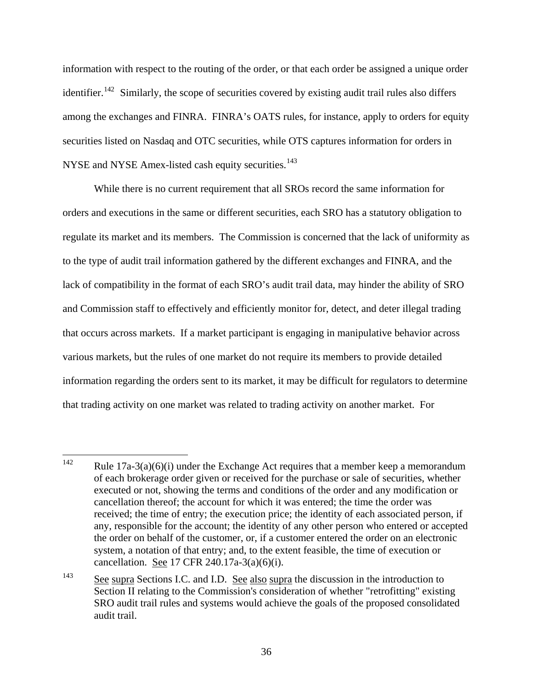information with respect to the routing of the order, or that each order be assigned a unique order identifier.<sup>[142](#page-35-0)</sup> Similarly, the scope of securities covered by existing audit trail rules also differs among the exchanges and FINRA. FINRA's OATS rules, for instance, apply to orders for equity securities listed on Nasdaq and OTC securities, while OTS captures information for orders in NYSE and NYSE Amex-listed cash equity securities.<sup>[143](#page-35-1)</sup>

 While there is no current requirement that all SROs record the same information for orders and executions in the same or different securities, each SRO has a statutory obligation to regulate its market and its members. The Commission is concerned that the lack of uniformity as to the type of audit trail information gathered by the different exchanges and FINRA, and the lack of compatibility in the format of each SRO's audit trail data, may hinder the ability of SRO and Commission staff to effectively and efficiently monitor for, detect, and deter illegal trading that occurs across markets. If a market participant is engaging in manipulative behavior across various markets, but the rules of one market do not require its members to provide detailed information regarding the orders sent to its market, it may be difficult for regulators to determine that trading activity on one market was related to trading activity on another market. For

<span id="page-35-0"></span><sup>142</sup> Rule  $17a-3(a)(6)(i)$  under the Exchange Act requires that a member keep a memorandum of each brokerage order given or received for the purchase or sale of securities, whether executed or not, showing the terms and conditions of the order and any modification or cancellation thereof; the account for which it was entered; the time the order was received; the time of entry; the execution price; the identity of each associated person, if any, responsible for the account; the identity of any other person who entered or accepted the order on behalf of the customer, or, if a customer entered the order on an electronic system, a notation of that entry; and, to the extent feasible, the time of execution or cancellation. See 17 CFR 240.17a-3(a)(6)(i).

<span id="page-35-1"></span><sup>&</sup>lt;sup>143</sup> See supra Sections I.C. and I.D. See also supra the discussion in the introduction to Section II relating to the Commission's consideration of whether "retrofitting" existing SRO audit trail rules and systems would achieve the goals of the proposed consolidated audit trail.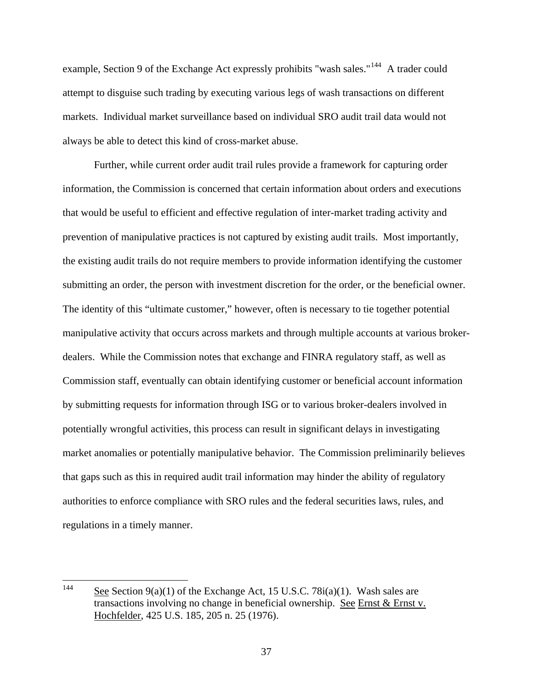example, Section 9 of the Exchange Act expressly prohibits "wash sales."<sup>[144](#page-36-0)</sup> A trader could attempt to disguise such trading by executing various legs of wash transactions on different markets. Individual market surveillance based on individual SRO audit trail data would not always be able to detect this kind of cross-market abuse.

 Further, while current order audit trail rules provide a framework for capturing order information, the Commission is concerned that certain information about orders and executions that would be useful to efficient and effective regulation of inter-market trading activity and prevention of manipulative practices is not captured by existing audit trails. Most importantly, the existing audit trails do not require members to provide information identifying the customer submitting an order, the person with investment discretion for the order, or the beneficial owner. The identity of this "ultimate customer," however, often is necessary to tie together potential manipulative activity that occurs across markets and through multiple accounts at various brokerdealers. While the Commission notes that exchange and FINRA regulatory staff, as well as Commission staff, eventually can obtain identifying customer or beneficial account information by submitting requests for information through ISG or to various broker-dealers involved in potentially wrongful activities, this process can result in significant delays in investigating market anomalies or potentially manipulative behavior. The Commission preliminarily believes that gaps such as this in required audit trail information may hinder the ability of regulatory authorities to enforce compliance with SRO rules and the federal securities laws, rules, and regulations in a timely manner.

<span id="page-36-0"></span><sup>144</sup> See Section  $9(a)(1)$  of the Exchange Act, 15 U.S.C. 78 $i(a)(1)$ . Wash sales are transactions involving no change in beneficial ownership. See Ernst & Ernst v. Hochfelder, 425 U.S. 185, 205 n. 25 (1976).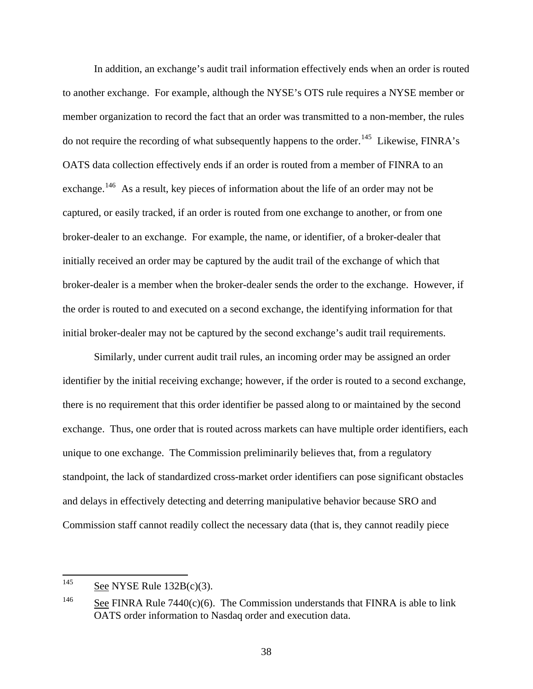In addition, an exchange's audit trail information effectively ends when an order is routed to another exchange. For example, although the NYSE's OTS rule requires a NYSE member or member organization to record the fact that an order was transmitted to a non-member, the rules do not require the recording of what subsequently happens to the order.[145](#page-37-0)Likewise, FINRA's OATS data collection effectively ends if an order is routed from a member of FINRA to an exchange.<sup>[146](#page-37-1)</sup> As a result, key pieces of information about the life of an order may not be captured, or easily tracked, if an order is routed from one exchange to another, or from one broker-dealer to an exchange. For example, the name, or identifier, of a broker-dealer that initially received an order may be captured by the audit trail of the exchange of which that broker-dealer is a member when the broker-dealer sends the order to the exchange. However, if the order is routed to and executed on a second exchange, the identifying information for that initial broker-dealer may not be captured by the second exchange's audit trail requirements.

Similarly, under current audit trail rules, an incoming order may be assigned an order identifier by the initial receiving exchange; however, if the order is routed to a second exchange, there is no requirement that this order identifier be passed along to or maintained by the second exchange. Thus, one order that is routed across markets can have multiple order identifiers, each unique to one exchange. The Commission preliminarily believes that, from a regulatory standpoint, the lack of standardized cross-market order identifiers can pose significant obstacles and delays in effectively detecting and deterring manipulative behavior because SRO and Commission staff cannot readily collect the necessary data (that is, they cannot readily piece

<span id="page-37-0"></span><sup>145</sup> See NYSE Rule  $132B(c)(3)$ .

<span id="page-37-1"></span><sup>&</sup>lt;sup>146</sup> See FINRA Rule 7440(c)(6). The Commission understands that FINRA is able to link OATS order information to Nasdaq order and execution data.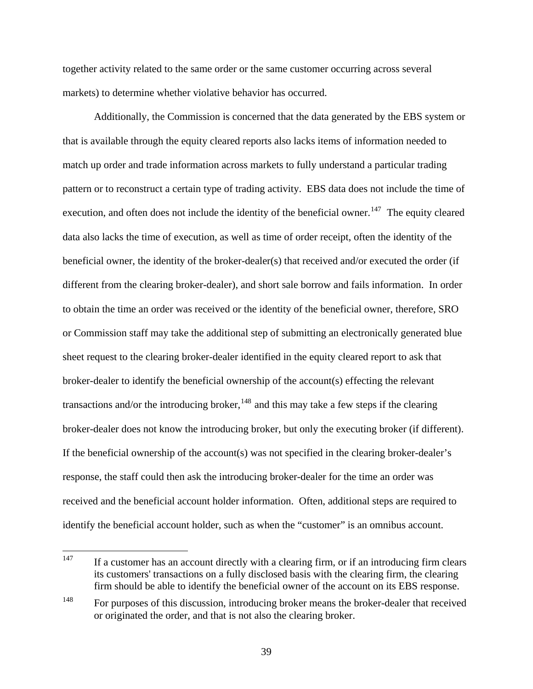together activity related to the same order or the same customer occurring across several markets) to determine whether violative behavior has occurred.

Additionally, the Commission is concerned that the data generated by the EBS system or that is available through the equity cleared reports also lacks items of information needed to match up order and trade information across markets to fully understand a particular trading pattern or to reconstruct a certain type of trading activity. EBS data does not include the time of execution, and often does not include the identity of the beneficial owner.<sup>[147](#page-38-0)</sup> The equity cleared data also lacks the time of execution, as well as time of order receipt, often the identity of the beneficial owner, the identity of the broker-dealer(s) that received and/or executed the order (if different from the clearing broker-dealer), and short sale borrow and fails information. In order to obtain the time an order was received or the identity of the beneficial owner, therefore, SRO or Commission staff may take the additional step of submitting an electronically generated blue sheet request to the clearing broker-dealer identified in the equity cleared report to ask that broker-dealer to identify the beneficial ownership of the account(s) effecting the relevant transactions and/or the introducing broker,  $148$  and this may take a few steps if the clearing broker-dealer does not know the introducing broker, but only the executing broker (if different). If the beneficial ownership of the account(s) was not specified in the clearing broker-dealer's response, the staff could then ask the introducing broker-dealer for the time an order was received and the beneficial account holder information. Often, additional steps are require d to identify the beneficial account holder, such as when the "customer" is an omnibus account.

<span id="page-38-0"></span><sup>147</sup> If a customer has an account directly with a clearing firm, or if an introducing firm clears its customers' transactions on a fully disclosed basis with the clearing firm, the clearing firm should be able to identify the beneficial owner of the account on its EBS response.

<span id="page-38-1"></span><sup>&</sup>lt;sup>148</sup> For purposes of this discussion, introducing broker means the broker-dealer that received or originated the order, and that is not also the clearing broker.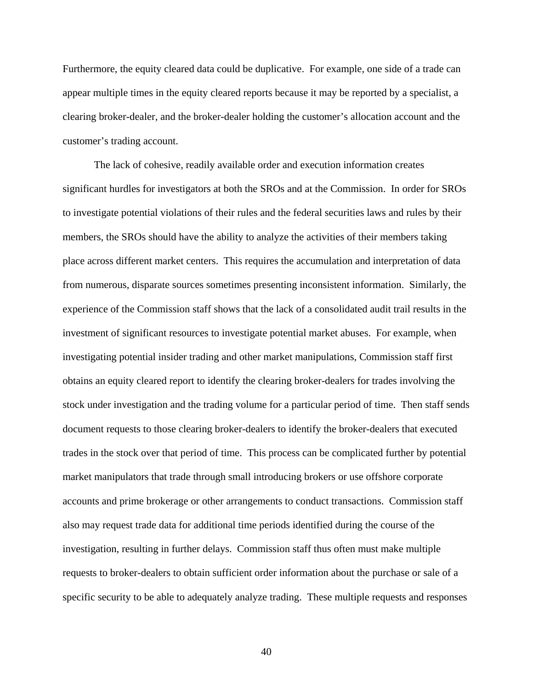Furthermore, the equity cleared data could be duplicative. For example, one side of a trade can appear multiple times in the equity cleared reports because it may be reported by a specialist, a clearing broker-dealer, and the broker-dealer holding the customer's allocation account and the customer's tradin g account.

The lack of cohesive, readily available order and execution information creates significant hurdles for investigators at both the SROs and at the Commission. In order for SROs to investigate potential violations of their rules and the federal securities laws and rules by their members, the SROs should have the ability to analyze the activities of their members taking place across different market centers. This requires the accumulation and interpretation of data from numerous, disparate sources sometimes presenting inconsistent information. Similarly, the experience of the Commission staff shows that the lack of a consolidated audit trail results in the investment of significant resources to investigate potential market abuses. For example, when investigating potential insider trading and other market manipulations, Commission staff first obtains an equity cleared report to identify the clearing broker-dealers for trades involving the stock under investigation and the trading volume for a particular period of time. Then staff sends document requests to those clearing broker-dealers to identify the broker-dealers that executed trades in the stock over that period of time. This process can be complicated further by potential market manipulators that trade through small introducing brokers or use offshore corporate accounts and prime brokerage or other arrangements to conduct transactions. Commission staff also may request trade data for additional time periods identified during the course of the investigation, resulting in further delays. Commission staff thus often must make multiple requests to broker-dealers to obtain sufficient order information about the purchase or sale of a specific security to be able to adequately analyze trading. These multiple requests and responses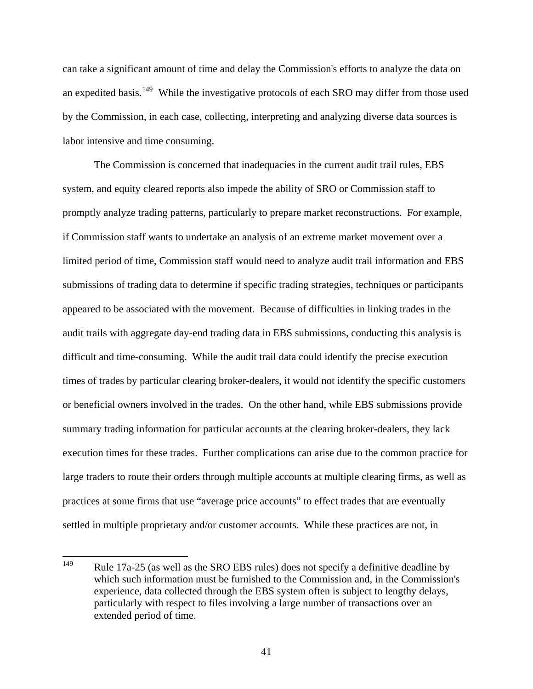can take a significant amount of time and delay the Commission's efforts to analyze the data on an expedited basis.<sup>[149](#page-40-0)</sup> While the investigative protocols of each SRO may differ from those used by the Commission, in each case, collecting, interpreting and analyzing diverse data sources is labor intensive and time consuming.

The Commission is concerned that inadequacies in the current audit trail rules, EBS system, and equity cleared reports also impede the ability of SRO or Commission staff to promptly analyze trading patterns, particularly to prepare market reconstructions. For example, if Commission staff wants to undertake an analysis of an extreme market movement over a limited period of time, Commission staff would need to analyze audit trail information and EBS submissions of trading data to determine if specific trading strategies, techniques or participants appeared to be associated with the movement. Because of difficulties in linking trades in the audit trails with aggregate day-end trading data in EBS submissions, conducting this analysis is difficult and time-consuming. While the audit trail data could identify the precise execution times of trades by particular clearing broker-dealers, it would not identify the specific customers or beneficial owners involved in the trades. On the other hand, while EBS submissions provide summary trading information for particular accounts at the clearing broker-dealers, they lack execution times for these trades. Further complications can arise due to the common practice for large traders to route their orders through multiple accounts at multiple clearing firms, as well as practices at some firms that use "average price accounts" to effect trades that are eventually settled in multiple proprietary and/or customer accounts. While these practices are not, in

<span id="page-40-0"></span><sup>149</sup> Rule 17a-25 (as well as the SRO EBS rules) does not specify a definitive deadline by which such information must be furnished to the Commission and, in the Commission's experience, data collected through the EBS system often is subject to lengthy delays, particularly with respect to files involving a large number of transactions over an extended period of time.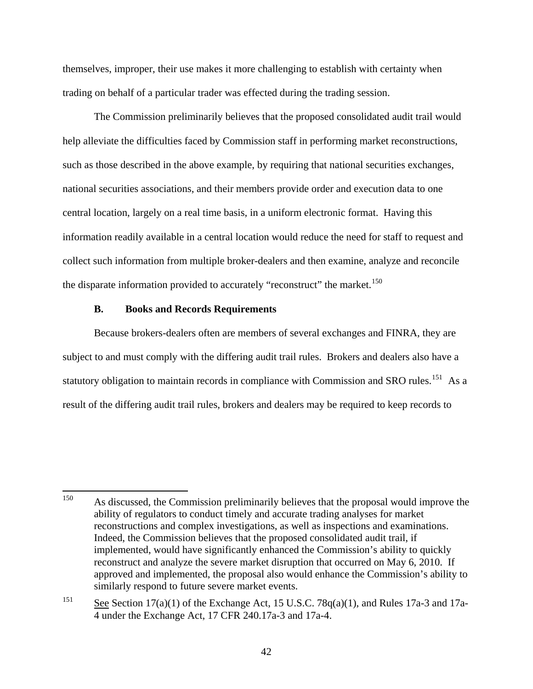themselves, improper, their use makes it more challenging to establish with certainty when trading on behalf of a particular trader was effected during the trading session.

 The Commission preliminarily believes that the proposed consolidated audit trail would help alleviate the difficulties faced by Commission staff in performing market reconstructions, such as those described in the above example, by requiring that national securities exchanges, national securities associations, and their members provide order and execution data to one central location, largely on a real time basis, in a uniform electronic format. Having this information readily available in a central location would reduce the need for staff to request and collect such information from multiple broker-dealers and then examine, analyze and reconcile the disparate information provided to accurately "reconstruct" the market.<sup>[150](#page-41-0)</sup>

### **B. Books and Records Requirements**

Because brokers-dealers often are members of several exchanges and FINRA, they are subject to and must comply with the differing audit trail rules. Brokers and dealers also have a statutory obligation to maintain records in compliance with Commission and SRO rules.<sup>[151](#page-41-1)</sup> As a result of the differing audit trail rules, brokers and dealers may be required to keep records to

<span id="page-41-0"></span><sup>150</sup> As discussed, the Commission preliminarily believes that the proposal would improve the ability of regulators to conduct timely and accurate trading analyses for market reconstructions and complex investigations, as well as inspections and examinations. Indeed, the Commission believes that the proposed consolidated audit trail, if implemented, would have significantly enhanced the Commission's ability to quickly reconstruct and analyze the severe market disruption that occurred on May 6, 2010. If approved and implemented, the proposal also would enhance the Commission's ability to similarly respond to future severe market events.

<span id="page-41-1"></span><sup>&</sup>lt;sup>151</sup> See Section 17(a)(1) of the Exchange Act, 15 U.S.C. 78 $q(a)(1)$ , and Rules 17a-3 and 17a-4 under the Exchange Act, 17 CFR 240.17a-3 and 17a-4.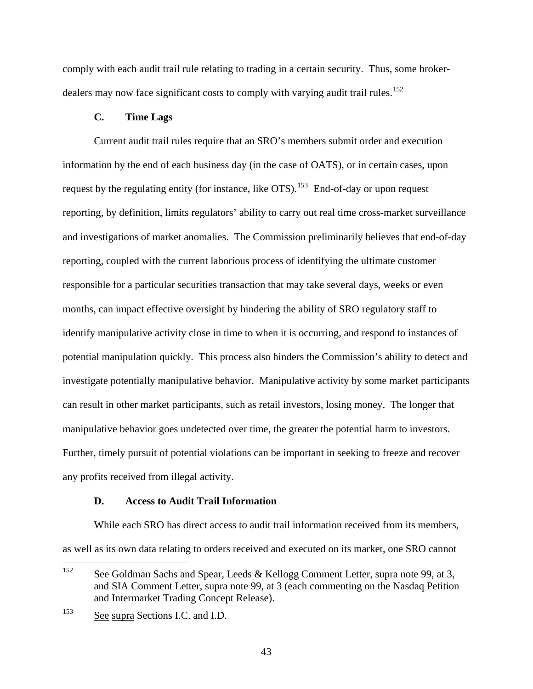comply with each audit trail rule relating to trading in a certain security. Thus, some broker-dealers may now face significant costs to comply with varying audit trail rules.<sup>[152](#page-42-0)</sup>

# **C. Time Lags**

 Current audit trail rules require that an SRO's members submit order and execution information by the end of each business day (in the case of OATS), or in certain cases, upon request by the regulating entity (for instance, like OTS).<sup>[153](#page-42-1)</sup> End-of-day or upon request reporting, by definition, limits regulators' ability to carry out real time cross-market surveillance and investigations of market anomalies. The Commission preliminarily believes that end-of-day reporting, coupled with the current laborious process of identifying the ultimate customer responsible for a particular securities transaction that may take several days, weeks or even months, can impact effective oversight by hindering the ability of SRO regulatory staff to identify manipulative activity close in time to when it is occurring, and respond to instances of potential manipulation quickly. This process also hinders the Commission's ability to detect and investigate potentially manipulative behavior. Manipulative activity by some market participants can result in other market participants, such as retail investors, losing money. The longer that manipulative behavior goes undetected over time, the greater the potential harm to investors. Further, timely pursuit of potential violations can be important in seeking to freeze and recover any profits received from illegal activity.

## **D. Access to Audit Trail Information**

While each SRO has direct access to audit trail information received from its members, as well as its own data relating to orders received and executed on its market, one SRO cannot

<span id="page-42-0"></span><sup>152</sup> See Goldman Sachs and Spear, Leeds & Kellogg Comment Letter, supra note 99, at 3, and SIA Comment Letter, supra note 99, at 3 (each commenting on the Nasdaq Petition and Intermarket Trading Concept Release).

<span id="page-42-1"></span><sup>153</sup> See supra Sections I.C. and I.D.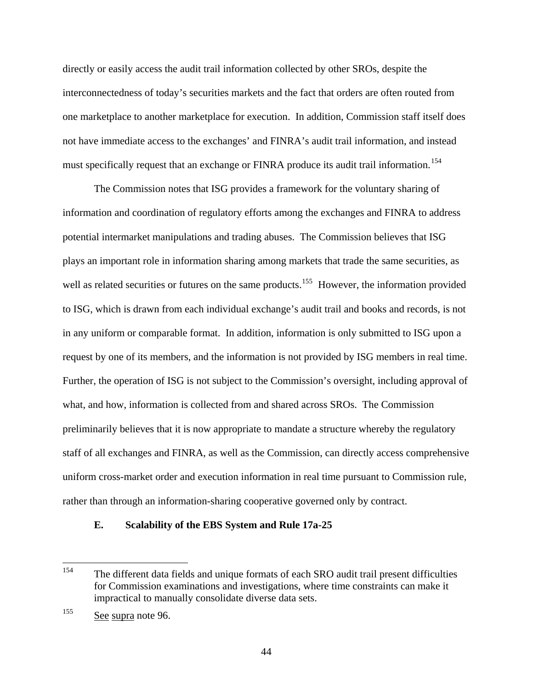directly or easily access the audit trail information collected by other SROs, despite the interconnectedness of today's securities markets and the fact that orders are often routed from one marketplace to another marketplace for execution. In addition, Commission staff itself does not have immediate access to the exchanges' and FINRA's audit trail information, and instead must specifically request that an exchange or FINRA produce its audit trail information.<sup>[154](#page-43-0)</sup>

The Commission notes that ISG provides a framework for the voluntary sharing of information and coordination of regulatory efforts among the exchanges and FINRA to address potential intermarket manipulations and trading abuses. The Commission believes that ISG plays an important role in information sharing among markets that trade the same securities, as well as related securities or futures on the same products.<sup>[155](#page-43-1)</sup> However, the information provided to ISG, which is drawn from each individual exchange's audit trail and books and records, is not in any uniform or comparable format. In addition, information is only submitted to ISG upon a request by one of its members, and the information is not provided by ISG members in real time. Further, the operation of ISG is not subject to the Commission's oversight, including approval of what, and how, information is collected from and shared across SROs. The Commission preliminarily believes that it is now appropriate to mandate a structure whereby the regulatory staff of all exchanges and FINRA, as well as the Commission, can directly access comprehensive uniform cross-market order and execution information in real time pursuant to Commission rule, rather than through an information-sharing cooperative governed only by contract.

## **E. Scalability of the EBS System and Rule 17a-25**

<span id="page-43-0"></span><sup>154</sup> The different data fields and unique formats of each SRO audit trail present difficulties for Commission examinations and investigations, where time constraints can make it impractical to manually consolidate diverse data sets.

<span id="page-43-1"></span><sup>155</sup> See supra note 96.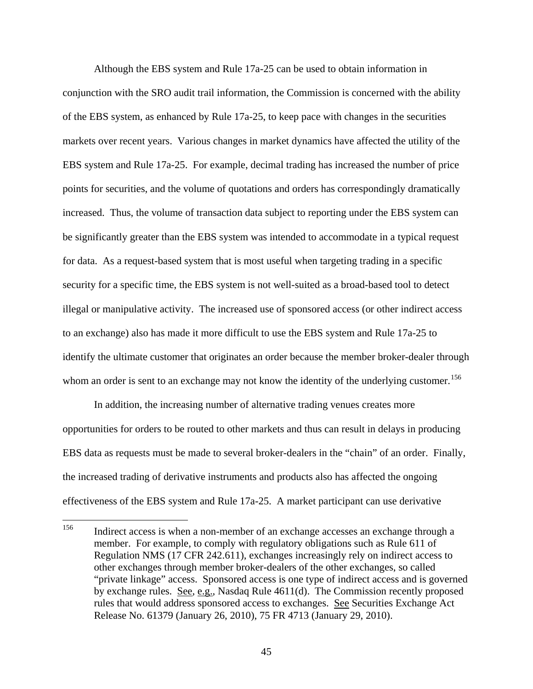Although the EBS system and Rule 17a-25 can be used to obtain information in conjunction with the SRO audit trail information, the Commission is concerned with the ability of the EBS system, as enhanced by Rule 17a-25, to keep pace with changes in the securities markets over recent years.Various changes in market dynamics have affected the utility of the EBS system and Rule 17a-25. For example, decimal trading has increased the number of price points for securities, and the volume of quotations and orders has correspondingly dramatically increased. Thus, the volume of transaction data subject to reporting under the EBS system can be significantly greater than the EBS system was intended to accommodate in a typical request for data. As a request-based system that is most useful when targeting trading in a specific security for a specific time, the EBS system is not well-suited as a broad-based tool to detect illegal or manipulative activity. The increased use of sponsored access (or other indirect access to an exchange) also has made it more difficult to use the EBS system and Rule 17a-25 to identify the ultimate customer that originates an order because the member broker-dealer through whom an order is sent to an exchange may not know the identity of the underlying customer.<sup>[156](#page-44-0)</sup>

In addition, the increasing number of alternative trading venues creates more opportunities for orders to be routed to other markets and thus can result in delays in producing EBS data as requests must be made to several broker-dealers in the "chain" of an order. Finally, the increased trading of derivative instruments and products also has affected the ongoing effectiveness of the EBS system and Rule 17a-25. A market participant can use derivative

<span id="page-44-0"></span><sup>156</sup> Indirect access is when a non-member of an exchange accesses an exchange through a member. For example, to comply with regulatory obligations such as Rule 611 of Regulation NMS (17 CFR 242.611), exchanges increasingly rely on indirect access to other exchanges through member broker-dealers of the other exchanges, so called "private linkage" access. Sponsored access is one type of indirect access and is governed by exchange rules. See, e.g., Nasdaq Rule 4611(d). The Commission recently proposed rules that would address sponsored access to exchanges. See Securities Exchange Act Release No. 61379 (January 26, 2010), 75 FR 4713 (January 29, 2010).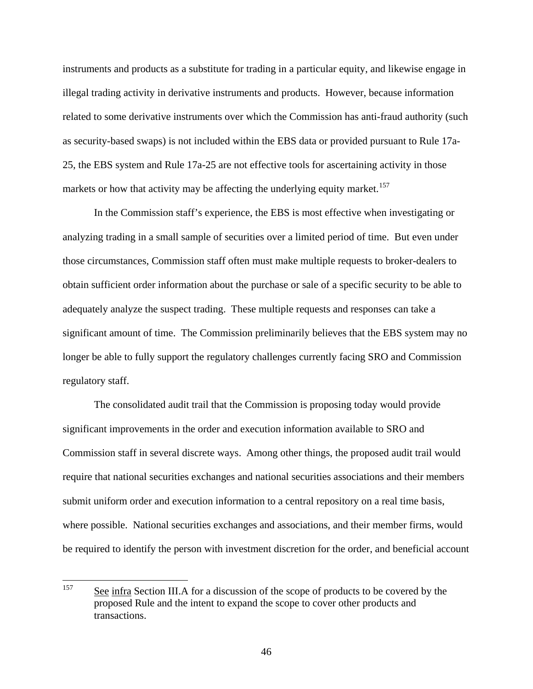instruments and products as a substitute for trading in a particular equity, and likewise engage in illegal trading activity in derivative instruments and products. However, because information related to some derivative instruments over which the Commission has anti-fraud authority (such as security-based swaps) is not included within the EBS data or provided pursuant to Rule 17a-25, the EBS system and Rule 17a-25 are not effective tools for ascertaining activity in those markets or how that activity may be affecting the underlying equity market.<sup>[157](#page-45-0)</sup>

In the Commission staff's experience, the EBS is most effective when investigating or analyzing trading in a small sample of securities over a limited period of time. But even under those circumstances, Commission staff often must make multiple requests to broker-dealers to obtain sufficient order information about the purchase or sale of a specific security to be able to adequately analyze the suspect trading. These multiple requests and responses can take a significant amount of time. The Commission preliminarily believes that the EBS system may no longer be able to fully support the regulatory challenges currently facing SRO and Commission regulatory staff.

The consolidated audit trail that the Commission is proposing today would provide significant improvements in the order and execution information available to SRO and Commission staff in several discrete ways. Among other things, the proposed audit trail would require that national securities exchanges and national securities associations and their members submit uniform order and execution information to a central repository on a real time basis, where possible. National securities exchanges and associations, and their member firms, would be required to identify the person with investment discretion for the order, and beneficial account

<span id="page-45-0"></span><sup>157</sup> See infra Section III.A for a discussion of the scope of products to be covered by the proposed Rule and the intent to expand the scope to cover other products and transactions.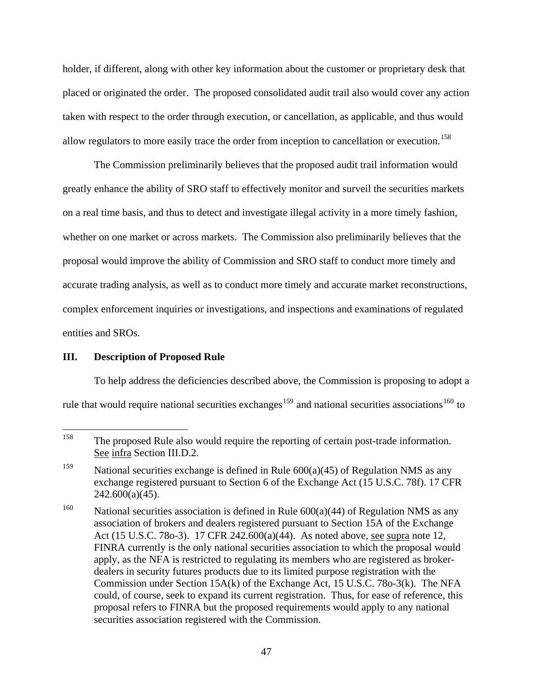holder, if different, along with other key information about the customer or proprietary desk that placed or originated the order. The proposed consolidated audit trail also would cover any action taken with respect to the order through execution, or cancellation, as applicable, and thus would allow regulators to more easily trace the order from inception to cancellation or execution.<sup>[158](#page-46-0)</sup>

The Commission preliminarily believes that the proposed audit trail information would greatly enhance the ability of SRO staff to effectively monitor and surveil the securities markets on a real time basis, and thus to detect and investigate illegal activity in a more timely fashion, whether on one market or across markets. The Commission also preliminarily believes that the proposal would improve the ability of Commission and SRO staff to conduct more timely and accurate trading analysis, as well as to conduct more timely and accurate market reconstructions, complex enforcement inquiries or investigations, and inspections and examinations of regulated entities and SROs.

# **III. Description of Proposed Rule**

 To help address the deficiencies described above, the Commission is proposing to adopt a rule that would require national securities exchanges<sup>[159](#page-46-1)</sup> and national securities associations<sup>[160](#page-46-2)</sup> to

<span id="page-46-0"></span><sup>158</sup> The proposed Rule also would require the reporting of certain post-trade information. See infra Section III.D.2.

<span id="page-46-1"></span><sup>&</sup>lt;sup>159</sup> National securities exchange is defined in Rule  $600(a)(45)$  of Regulation NMS as any exchange registered pursuant to Section 6 of the Exchange Act (15 U.S.C. 78f). 17 CFR  $242.600(a)(45)$ .

<span id="page-46-2"></span><sup>&</sup>lt;sup>160</sup> National securities association is defined in Rule  $600(a)(44)$  of Regulation NMS as any association of brokers and dealers registered pursuant to Section 15A of the Exchange Act (15 U.S.C. 780-3). 17 CFR 242.600(a)(44). As noted above, <u>see supra</u> note 12, FINRA currently is the only national securities association to which the proposal would apply, as the NFA is restricted to regulating its members who are registered as brokerdealers in security futures products due to its limited purpose registration with the Commission under Section 15A(k) of the Exchange Act, 15 U.S.C. 78o-3(k). The NFA could, of course, seek to expand its current registration. Thus, for ease of reference, this proposal refers to FINRA but the proposed requirements would apply to any national securities association registered with the Commission.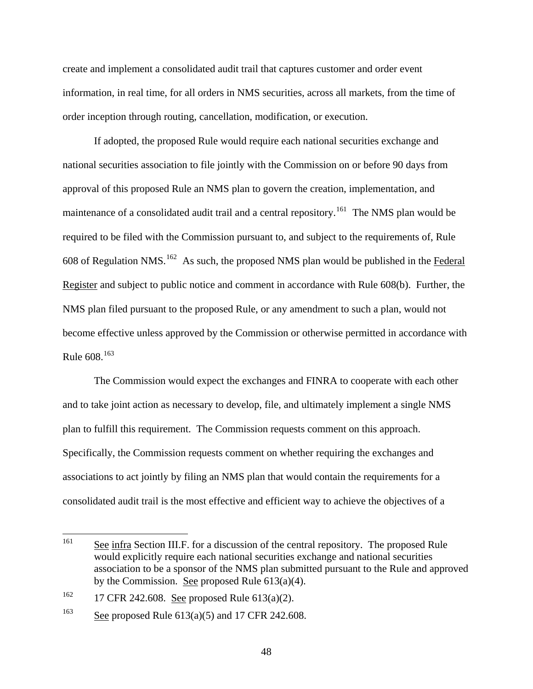create and implement a consolidated audit trail that captures customer and order event information, in real time, for all orders in NMS securities, across all markets, from the time of order inception through routing, cancellation, modification, or execution.

 If adopted, the proposed Rule would require each national securities exchange and national securities association to file jointly with the Commission on or before 90 days from approval of this proposed Rule an NMS plan to govern the creation, implementation, and maintenance of a consolidated audit trail and a central repository.<sup>[161](#page-47-0)</sup> The NMS plan would be required to be filed with the Commission pursuant to, and subject to the requirements of, Rule 608 of Regulation NMS.<sup>[162](#page-47-1)</sup> As such, the proposed NMS plan would be published in the Federal Register and subject to public notice and comment in accordance with Rule 608(b). Further, the NMS plan filed pursuant to the proposed Rule, or any amendment to such a plan, would not become effective unless approved by the Commission or otherwise permitted in accordance with Rule  $608^{163}$  $608^{163}$  $608^{163}$ 

 The Commission would expect the exchanges and FINRA to cooperate with each other and to take joint action as necessary to develop, file, and ultimately implement a single NMS plan to fulfill this requirement. The Commission requests comment on this approach. Specifically, the Commission requests comment on whether requiring the exchanges and associations to act jointly by filing an NMS plan that would contain the requirements for a consolidated audit trail is the most effective and efficient way to achieve the objectives of a

<span id="page-47-0"></span><sup>161</sup> See infra Section III.F. for a discussion of the central repository. The proposed Rule would explicitly require each national securities exchange and national securities association to be a sponsor of the NMS plan submitted pursuant to the Rule and approved by the Commission. See proposed Rule  $613(a)(4)$ .

<span id="page-47-1"></span><sup>&</sup>lt;sup>162</sup> 17 CFR 242.608. <u>See</u> proposed Rule 613(a)(2).

<span id="page-47-2"></span><sup>&</sup>lt;sup>163</sup> See proposed Rule  $613(a)(5)$  and 17 CFR 242.608.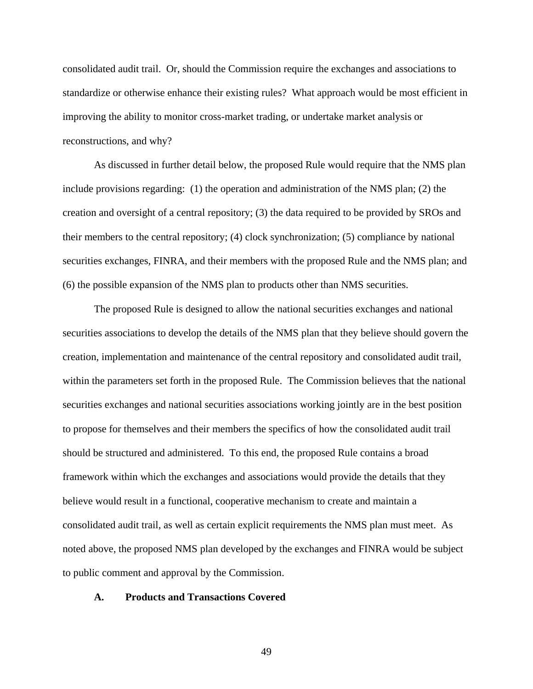consolidated audit trail. Or, should the Commission require the exchanges and associations to standardize or otherwise enhance their existing rules? What approach would be most efficient in improving the ability to monitor cross-market trading, or undertake market analysis or reconstructions, and why?

 As discussed in further detail below, the proposed Rule would require that the NMS plan include provisions regarding: (1) the operation and administration of the NMS plan; (2) the creation and oversight of a central repository; (3) the data required to be provided by SROs and their members to the central repository; (4) clock synchronization; (5) compliance by national securities exchanges, FINRA, and their members with the proposed Rule and the NMS plan; and (6) the possible expansion of the NMS plan to products other than NMS securities.

The proposed Rule is designed to allow the national securities exchanges and national securities associations to develop the details of the NMS plan that they believe should govern the creation, implementation and maintenance of the central repository and consolidated audit trail, within the parameters set forth in the proposed Rule. The Commission believes that the national securities exchanges and national securities associations working jointly are in the best position to propose for themselves and their members the specifics of how the consolidated audit trail should be structured and administered. To this end, the proposed Rule contains a broad framework within which the exchanges and associations would provide the details that they believe would result in a functional, cooperative mechanism to create and maintain a consolidated audit trail, as well as certain explicit requirements the NMS plan must meet. As noted above, the proposed NMS plan developed by the exchanges and FINRA would be subject to public comment and approval by the Commission.

### **A. Products and Transactions Covered**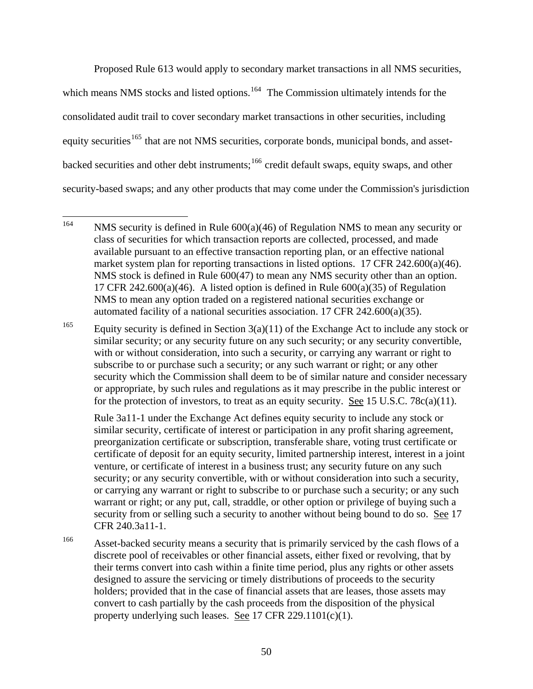Proposed Rule 613 would apply to secondary market transactions in all NMS securities, which means NMS stocks and listed options.<sup>[164](#page-49-0)</sup> The Commission ultimately intends for the consolidated audit trail to cover secondary market transactions in other securities, including equity securities<sup>[165](#page-49-1)</sup> that are not NMS securities, corporate bonds, municipal bonds, and asset-backed securities and other debt instruments;<sup>[166](#page-49-2)</sup> credit default swaps, equity swaps, and other security-based swaps; and any other products that may come under the Commission's jurisdiction

Rule 3a11-1 under the Exchange Act defines equity security to include any stock or similar security, certificate of interest or participation in any profit sharing agreement, preorganization certificate or subscription, transferable share, voting trust certificate or certificate of deposit for an equity security, limited partnership interest, interest in a joint venture, or certificate of interest in a business trust; any security future on any such security; or any security convertible, with or without consideration into such a security, or carrying any warrant or right to subscribe to or purchase such a security; or any such warrant or right; or any put, call, straddle, or other option or privilege of buying such a security from or selling such a security to another without being bound to do so. See 17 CFR 240.3a11-1.

<span id="page-49-2"></span><sup>166</sup> Asset-backed security means a security that is primarily serviced by the cash flows of a discrete pool of receivables or other financial assets, either fixed or revolving, that by their terms convert into cash within a finite time period, plus any rights or other assets designed to assure the servicing or timely distributions of proceeds to the security holders; provided that in the case of financial assets that are leases, those assets may convert to cash partially by the cash proceeds from the disposition of the physical property underlying such leases. See 17 CFR 229.1101(c)(1).

<span id="page-49-0"></span><sup>164</sup> NMS security is defined in Rule  $600(a)(46)$  of Regulation NMS to mean any security or class of securities for which transaction reports are collected, processed, and made available pursuant to an effective transaction reporting plan, or an effective national market system plan for reporting transactions in listed options. 17 CFR 242.600(a)(46). NMS stock is defined in Rule 600(47) to mean any NMS security other than an option. 17 CFR 242.600(a)(46). A listed option is defined in Rule  $600(a)(35)$  of Regulation NMS to mean any option traded on a registered national securities exchange or automated facility of a national securities association. 17 CFR 242.600(a)(35).

<span id="page-49-1"></span><sup>&</sup>lt;sup>165</sup> Equity security is defined in Section  $3(a)(11)$  of the Exchange Act to include any stock or similar security; or any security future on any such security; or any security convertible, with or without consideration, into such a security, or carrying any warrant or right to subscribe to or purchase such a security; or any such warrant or right; or any other security which the Commission shall deem to be of similar nature and consider necessary or appropriate, by such rules and regulations as it may prescribe in the public interest or for the protection of investors, to treat as an equity security. See 15 U.S.C. 78 $c(a)(11)$ .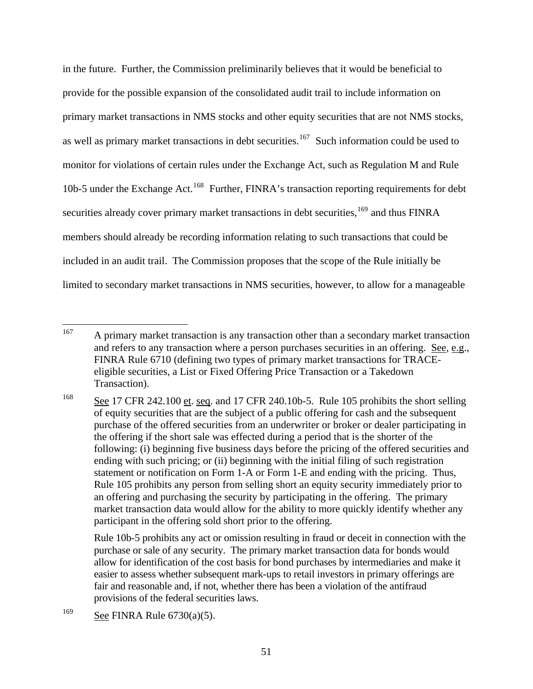in the future. Further, the Commission preliminarily believes that it would be beneficial to provide for the possible expansion of the consolidated audit trail to include information on primary market transactions in NMS stocks and other equity securities that are not NMS stocks, as well as primary market transactions in debt securities.<sup>[167](#page-50-0)</sup> Such information could be used to monitor for violations of certain rules under the Exchange Act, such as Regulation M and Rule 10b-5 under the Exchange Act.<sup>[168](#page-50-1)</sup> Further, FINRA's transaction reporting requirements for debt securities already cover primary market transactions in debt securities,<sup>[169](#page-50-2)</sup> and thus FINRA members should already be recording information relating to such transactions that could be included in an audit trail. The Commission proposes that the scope of the Rule initially be limited to secondary market transactions in NMS securities, however, to allow for a manageable

Rule 10b-5 prohibits any act or omission resulting in fraud or deceit in connection with the purchase or sale of any security. The primary market transaction data for bonds would allow for identification of the cost basis for bond purchases by intermediaries and make it easier to assess whether subsequent mark-ups to retail investors in primary offerings are fair and reasonable and, if not, whether there has been a violation of the antifraud provisions of the federal securities laws.

<span id="page-50-0"></span><sup>167</sup> 167 A primary market transaction is any transaction other than a secondary market transaction and refers to any transaction where a person purchases securities in an offering. See, e.g., FINRA Rule 6710 (defining two types of primary market transactions for TRACEeligible securities, a List or Fixed Offering Price Transaction or a Takedown Transaction).

<span id="page-50-1"></span><sup>&</sup>lt;sup>168</sup> See 17 CFR 242.100 et. seq. and 17 CFR 240.10b-5. Rule 105 prohibits the short selling of equity securities that are the subject of a public offering for cash and the subsequent purchase of the offered securities from an underwriter or broker or dealer participating in the offering if the short sale was effected during a period that is the shorter of the following: (i) beginning five business days before the pricing of the offered securities and ending with such pricing; or (ii) beginning with the initial filing of such registration statement or notification on Form 1-A or Form 1-E and ending with the pricing. Thus, Rule 105 prohibits any person from selling short an equity security immediately prior to an offering and purchasing the security by participating in the offering. The primary market transaction data would allow for the ability to more quickly identify whether any participant in the offering sold short prior to the offering.

<span id="page-50-2"></span><sup>&</sup>lt;sup>169</sup> See FINRA Rule  $6730(a)(5)$ .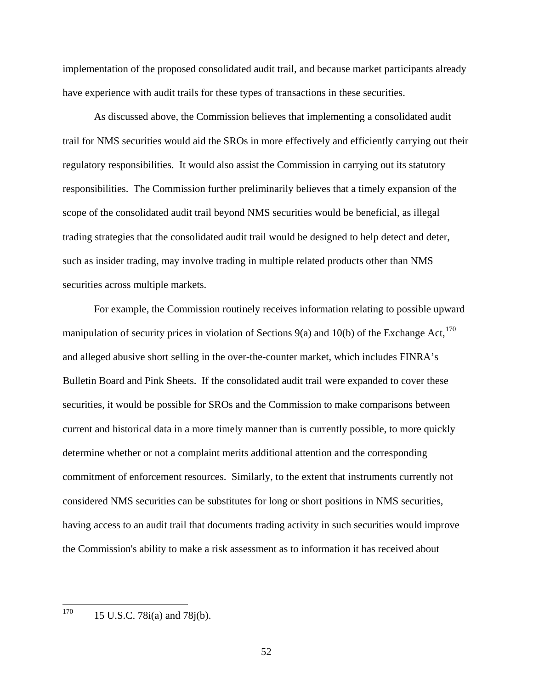implementation of the proposed consolidated audit trail, and because market participants already have experience with audit trails for these types of transactions in these securities.

 As discussed above, the Commission believes that implementing a consolidated audit trail for NMS securities would aid the SROs in more effectively and efficiently carrying out their regulatory responsibilities. It would also assist the Commission in carrying out its statutory responsibilities. The Commission further preliminarily believes that a timely expansion of the scope of the consolidated audit trail beyond NMS securities would be beneficial, as illegal trading strategies that the consolidated audit trail would be designed to help detect and deter, such as insider trading, may involve trading in multiple related products other than NMS securities across multiple markets.

For example, the Commission routinely receives information relating to possible upward manipulation of security prices in violation of Sections 9(a) and 10(b) of the Exchange Act,<sup>[170](#page-51-0)</sup> and alleged abusive short selling in the over-the-counter market, which includes FINRA's Bulletin Board and Pink Sheets. If the consolidated audit trail were expanded to cover these securities, it would be possible for SROs and the Commission to make comparisons between current and historical data in a more timely manner than is currently possible, to more quickly determine whether or not a complaint merits additional attention and the corresponding commitment of enforcement resources. Similarly, to the extent that instruments currently not considered NMS securities can be substitutes for long or short positions in NMS securities, having access to an audit trail that documents trading activity in such securities would improve the Commission's ability to make a risk assessment as to information it has received about

<span id="page-51-0"></span>170 15 U.S.C. 78i(a) and 78j(b).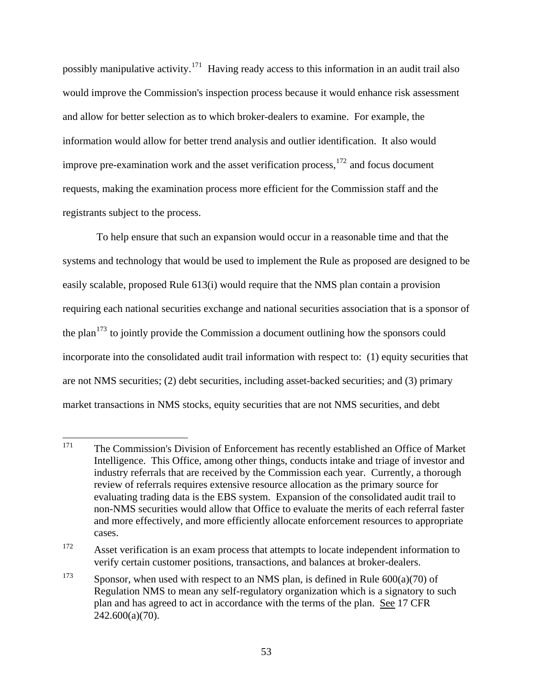possibly manipulative activity.<sup>[171](#page-52-0)</sup> Having ready access to this information in an audit trail also would improve the Commission's inspection process because it would enhance risk assessment and allow for better selection as to which broker-dealers to examine. For example, the information would allow for better trend analysis and outlier identification. It also would improve pre-examination work and the asset verification process, $172$  and focus document requests, making the examination process more efficient for the Commission staff and the registrants subject to the process.

 To help ensure that such an expansion would occur in a reasonable time and that the systems and technology that would be used to implement the Rule as proposed are designed to be easily scalable, proposed Rule 613(i) would require that the NMS plan contain a provision requiring each national securities exchange and national securities association that is a sponsor of the plan<sup>[173](#page-52-2)</sup> to jointly provide the Commission a document outlining how the sponsors could incorporate into the consolidated audit trail information with respect to: (1) equity securities that are not NMS securities; (2) debt securities, including asset-backed securities; and (3) primary market transactions in NMS stocks, equity securities that are not NMS securities, and debt

<span id="page-52-0"></span><sup>171</sup> The Commission's Division of Enforcement has recently established an Office of Market Intelligence. This Office, among other things, conducts intake and triage of investor and industry referrals that are received by the Commission each year. Currently, a thorough review of referrals requires extensive resource allocation as the primary source for evaluating trading data is the EBS system. Expansion of the consolidated audit trail to non-NMS securities would allow that Office to evaluate the merits of each referral faster and more effectively, and more efficiently allocate enforcement resources to appropriate cases.

<span id="page-52-1"></span><sup>&</sup>lt;sup>172</sup> Asset verification is an exam process that attempts to locate independent information to verify certain customer positions, transactions, and balances at broker-dealers.

<span id="page-52-2"></span><sup>&</sup>lt;sup>173</sup> Sponsor, when used with respect to an NMS plan, is defined in Rule  $600(a)(70)$  of Regulation NMS to mean any self-regulatory organization which is a signatory to such plan and has agreed to act in accordance with the terms of the plan. See 17 CFR 242.600(a)(70).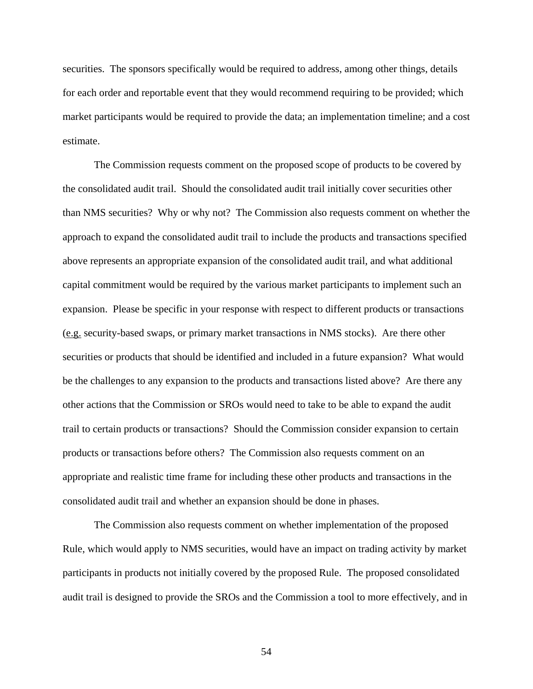securities. The sponsors specifically would be required to address, among other things, details for each order and reportable event that they would recommend requiring to be provided; which market participants would be required to provide the data; an implementation timeline; and a cost estimate.

The Commission requests comment on the proposed scope of products to be covered by the consolidated audit trail. Should the consolidated audit trail initially cover securities other than NMS securities? Why or why not? The Commission also requests comment on whether the approach to expand the consolidated audit trail to include the products and transactions specified above represents an appropriate expansion of the consolidated audit trail, and what additional capital commitment would be required by the various market participants to implement such an expansion. Please be specific in your response with respect to different products or transactions (e.g. security-based swaps, or primary market transactions in NMS stocks). Are there other securities or products that should be identified and included in a future expansion? What would be the challenges to any expansion to the products and transactions listed above? Are there any other actions that the Commission or SROs would need to take to be able to expand the audit trail to certain products or transactions? Should the Commission consider expansion to certain products or transactions before others? The Commission also requests comment on an appropriate and realistic time frame for including these other products and transactions in the consolidated audit trail and whether an expansion should be done in phases.

The Commission also requests comment on whether implementation of the proposed Rule, which would apply to NMS securities, would have an impact on trading activity by market participants in products not initially covered by the proposed Rule. The proposed consolidated audit trail is designed to provide the SROs and the Commission a tool to more effectively, and in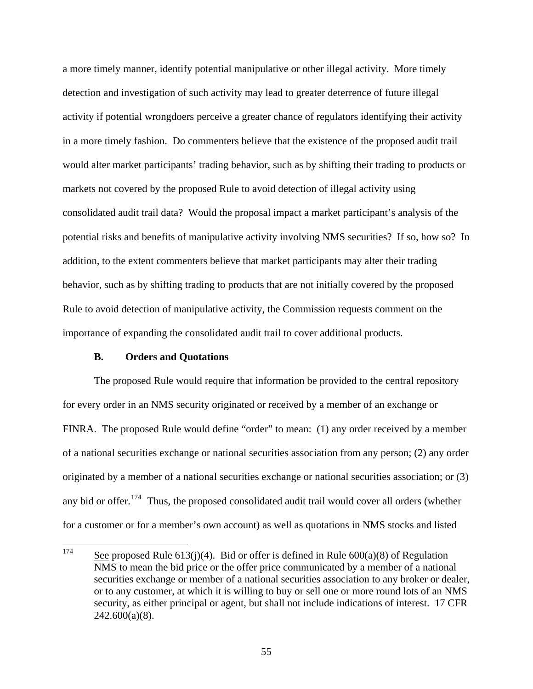a more timely manner, identify potential manipulative or other illegal activity. More timely detection and investigation of such activity may lead to greater deterrence of future illegal activity if potential wrongdoers perceive a greater chance of regulators identifying their activity in a more timely fashion. Do commenters believe that the existence of the proposed audit trail would alter market participants' trading behavior, such as by shifting their trading to products or markets not covered by the proposed Rule to avoid detection of illegal activity using consolidated audit trail data? Would the proposal impact a market participant's analysis of the potential risks and benefits of manipulative activity involving NMS securities? If so, how so? In addition, to the extent commenters believe that market participants may alter their trading behavior, such as by shifting trading to products that are not initially covered by the proposed Rule to avoid detection of manipulative activity, the Commission requests comment on the importance of expanding the consolidated audit trail to cover additional products.

### **B. Orders and Quotations**

The proposed Rule would require that information be provided to the central repository for every order in an NMS security originated or received by a member of an exchange or FINRA. The proposed Rule would define "order" to mean: (1) any order received by a member of a national securities exchange or national securities association from any person; (2) any order originated by a member of a national securities exchange or national securities association; or (3) any bid or offer.<sup>[174](#page-54-0)</sup> Thus, the proposed consolidated audit trail would cover all orders (whether for a customer or for a member's own account) as well as quotations in NMS stocks and listed

<span id="page-54-0"></span><sup>174</sup> See proposed Rule 613(j)(4). Bid or offer is defined in Rule  $600(a)(8)$  of Regulation NMS to mean the bid price or the offer price communicated by a member of a national securities exchange or member of a national securities association to any broker or dealer, or to any customer, at which it is willing to buy or sell one or more round lots of an NMS security, as either principal or agent, but shall not include indications of interest. 17 CFR  $242.600(a)(8)$ .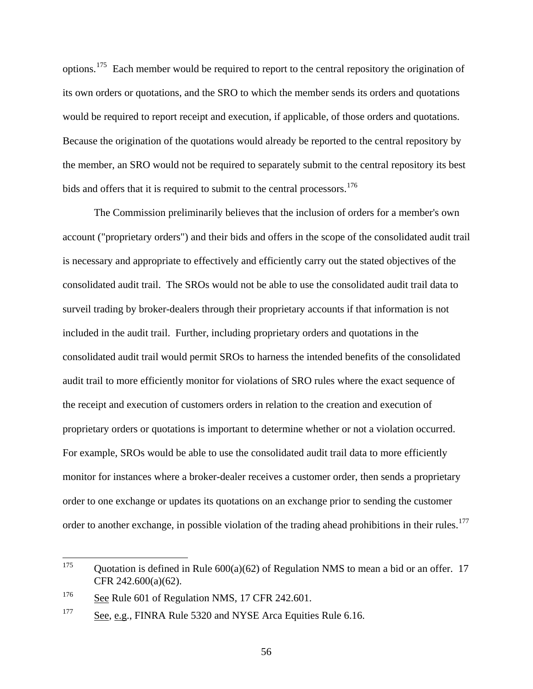options.[175](#page-55-0) Each member would be required to report to the central repository the origination of its own orders or quotations, and the SRO to which the member sends its orders and quotations would be required to report receipt and execution, if applicable, of those orders and quotations. Because the origination of the quotations would already be reported to the central repository by the member, an SRO would not be required to separately submit to the central repository its best bids and offers that it is required to submit to the central processors.<sup>[176](#page-55-1)</sup>

 The Commission preliminarily believes that the inclusion of orders for a member's own account ("proprietary orders") and their bids and offers in the scope of the consolidated audit trail is necessary and appropriate to effectively and efficiently carry out the stated objectives of the consolidated audit trail. The SROs would not be able to use the consolidated audit trail data to surveil trading by broker-dealers through their proprietary accounts if that information is not included in the audit trail. Further, including proprietary orders and quotations in the consolidated audit trail would permit SROs to harness the intended benefits of the consolidated audit trail to more efficiently monitor for violations of SRO rules where the exact sequence of the receipt and execution of customers orders in relation to the creation and execution of proprietary orders or quotations is important to determine whether or not a violation occurred. For example, SROs would be able to use the consolidated audit trail data to more efficiently monitor for instances where a broker-dealer receives a customer order, then sends a proprietary order to one exchange or updates its quotations on an exchange prior to sending the customer order to another exchange, in possible violation of the trading ahead prohibitions in their rules.<sup>[177](#page-55-2)</sup>

<span id="page-55-0"></span><sup>175</sup> Quotation is defined in Rule  $600(a)(62)$  of Regulation NMS to mean a bid or an offer. 17 CFR 242.600(a)(62).

<span id="page-55-1"></span><sup>&</sup>lt;sup>176</sup> See Rule 601 of Regulation NMS, 17 CFR 242.601.

<span id="page-55-2"></span><sup>&</sup>lt;sup>177</sup> See, e.g., FINRA Rule 5320 and NYSE Arca Equities Rule 6.16.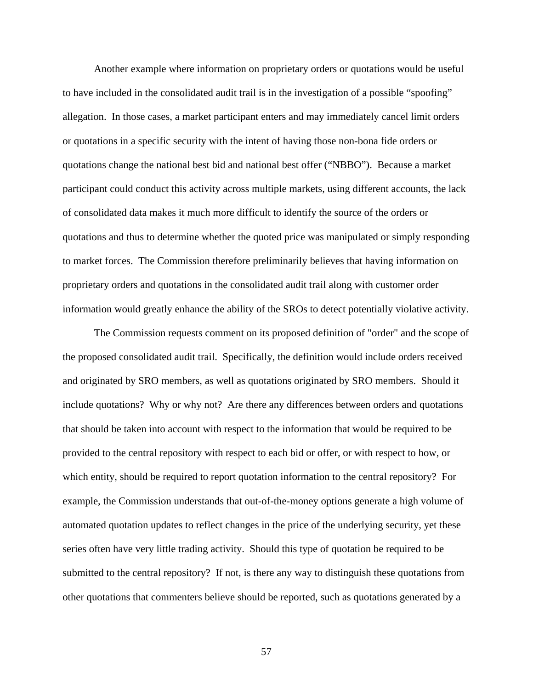Another example where information on proprietary orders or quotations would be useful to have included in the consolidated audit trail is in the investigation of a possible "spoofing" allegation. In those cases, a market participant enters and may immediately cancel limit orders or quotations in a specific security with the intent of having those non-bona fide orders or quotations change the national best bid and national best offer ("NBBO"). Because a market participant could conduct this activity across multiple markets, using different accounts, the lack of consolidated data makes it much more difficult to identify the source of the orders or quotations and thus to determine whether the quoted price was manipulated or simply responding to market forces. The Commission therefore preliminarily believes that having information on proprietary orders and quotations in the consolidated audit trail along with customer order information would greatly enhance the ability of the SROs to detect potentially violative activity.

The Commission requests comment on its proposed definition of "order" and the scope of the proposed consolidated audit trail. Specifically, the definition would include orders received and originated by SRO members, as well as quotations originated by SRO members. Should it include quotations? Why or why not? Are there any differences between orders and quotations that should be taken into account with respect to the information that would be required to be provided to the central repository with respect to each bid or offer, or with respect to how, or which entity, should be required to report quotation information to the central repository? For example, the Commission understands that out-of-the-money options generate a high volume of automated quotation updates to reflect changes in the price of the underlying security, yet these series often have very little trading activity. Should this type of quotation be required to be submitted to the central repository? If not, is there any way to distinguish these quotations from other quotations that commenters believe should be reported, such as quotations generated by a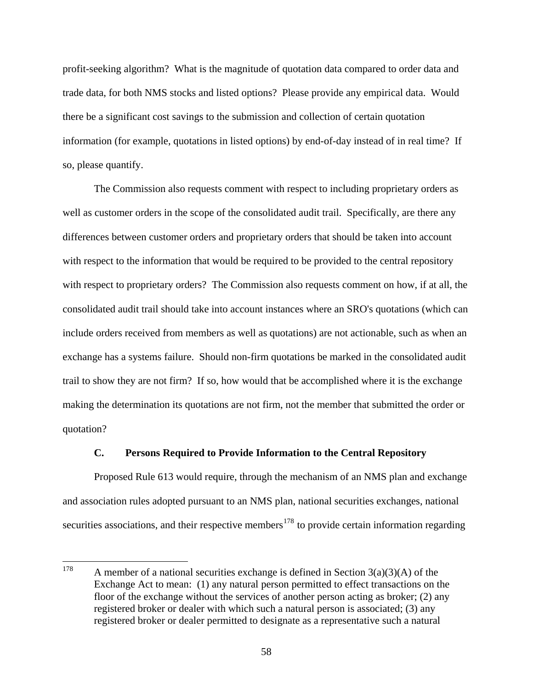profit-seeking algorithm? What is the magnitude of quotation data compared to order data and trade data, for both NMS stocks and listed options? Please provide any empirical data. Would there be a significant cost savings to the submission and collection of certain quotation information (for example, quotations in listed options) by end-of-day instead of in real time? If so, please quantify.

The Commission also requests comment with respect to including proprietary orders as well as customer orders in the scope of the consolidated audit trail. Specifically, are there any differences between customer orders and proprietary orders that should be taken into account with respect to the information that would be required to be provided to the central repository with respect to proprietary orders? The Commission also requests comment on how, if at all, the consolidated audit trail should take into account instances where an SRO's quotations (which can include orders received from members as well as quotations) are not actionable, such as when an exchange has a systems failure. Should non-firm quotations be marked in the consolidated audit trail to show they are not firm? If so, how would that be accomplished where it is the exchange making the determination its quotations are not firm, not the member that submitted the order or quotation?

# **C. Persons Required to Provide Information to the Central Repository**

 Proposed Rule 613 would require, through the mechanism of an NMS plan and exchange and association rules adopted pursuant to an NMS plan, national securities exchanges, national securities associations, and their respective members<sup>[178](#page-57-0)</sup> to provide certain information regarding

<span id="page-57-0"></span><sup>178</sup> A member of a national securities exchange is defined in Section  $3(a)(3)(A)$  of the Exchange Act to mean: (1) any natural person permitted to effect transactions on the floor of the exchange without the services of another person acting as broker; (2) any registered broker or dealer with which such a natural person is associated; (3) any registered broker or dealer permitted to designate as a representative such a natural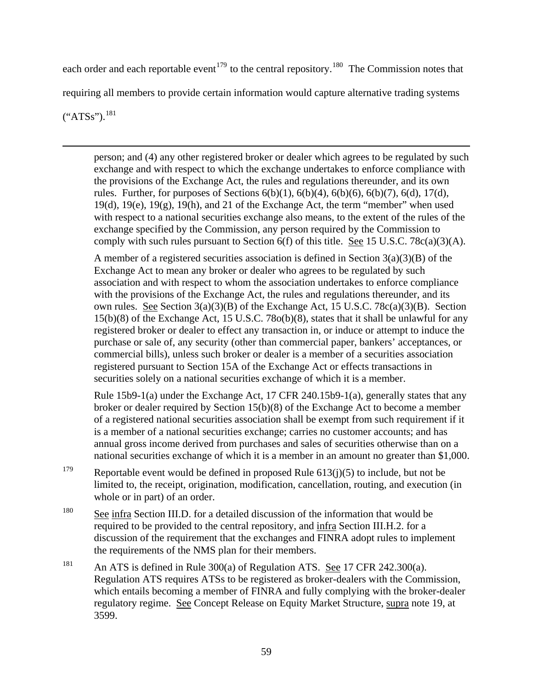each order and each reportable event<sup>[179](#page-58-0)</sup> to the central repository.<sup>[180](#page-58-1)</sup> The Commission notes that requiring all members to provide certain information would capture alternative trading systems  $(^{\circ}ATSS")$ .<sup>[181](#page-58-2)</sup>

 $\overline{a}$ 

person; and (4) any other registered broker or dealer which agrees to be regulated by such exchange and with respect to which the exchange undertakes to enforce compliance with the provisions of the Exchange Act, the rules and regulations thereunder, and its own rules. Further, for purposes of Sections  $6(b)(1)$ ,  $6(b)(4)$ ,  $6(b)(6)$ ,  $6(b)(7)$ ,  $6(d)$ ,  $17(d)$ , 19(d), 19(e), 19(g), 19(h), and 21 of the Exchange Act, the term "member" when used with respect to a national securities exchange also means, to the extent of the rules of the exchange specified by the Commission, any person required by the Commission to comply with such rules pursuant to Section  $6(f)$  of this title. See 15 U.S.C. 78c(a)(3)(A).

A member of a registered securities association is defined in Section  $3(a)(3)(B)$  of the Exchange Act to mean any broker or dealer who agrees to be regulated by such association and with respect to whom the association undertakes to enforce compliance with the provisions of the Exchange Act, the rules and regulations thereunder, and its own rules. See Section 3(a)(3)(B) of the Exchange Act, 15 U.S.C. 78c(a)(3)(B). Section 15(b)(8) of the Exchange Act, 15 U.S.C. 78o(b)(8), states that it shall be unlawful for any registered broker or dealer to effect any transaction in, or induce or attempt to induce the purchase or sale of, any security (other than commercial paper, bankers' acceptances, or commercial bills), unless such broker or dealer is a member of a securities association registered pursuant to Section 15A of the Exchange Act or effects transactions in securities solely on a national securities exchange of which it is a member.

Rule 15b9-1(a) under the Exchange Act, 17 CFR 240.15b9-1(a), generally states that any broker or dealer required by Section 15(b)(8) of the Exchange Act to become a member of a registered national securities association shall be exempt from such requirement if it is a member of a national securities exchange; carries no customer accounts; and has annual gross income derived from purchases and sales of securities otherwise than on a national securities exchange of which it is a member in an amount no greater than \$1,000.

- <span id="page-58-0"></span><sup>179</sup> Reportable event would be defined in proposed Rule  $613(i)(5)$  to include, but not be limited to, the receipt, origination, modification, cancellation, routing, and execution (in whole or in part) of an order.
- <span id="page-58-1"></span><sup>180</sup> See infra Section III.D. for a detailed discussion of the information that would be required to be provided to the central repository, and infra Section III.H.2. for a discussion of the requirement that the exchanges and FINRA adopt rules to implement the requirements of the NMS plan for their members.
- <span id="page-58-2"></span><sup>181</sup> An ATS is defined in Rule 300(a) of Regulation ATS. See 17 CFR 242.300(a). Regulation ATS requires ATSs to be registered as broker-dealers with the Commission, which entails becoming a member of FINRA and fully complying with the broker-dealer regulatory regime. See Concept Release on Equity Market Structure, supra note 19, at 3599.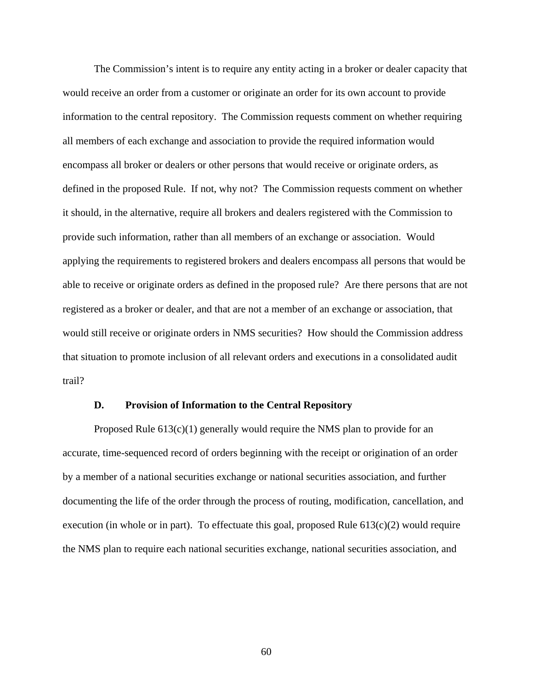The Commission's intent is to require any entity acting in a broker or dealer capacity that would receive an order from a customer or originate an order for its own account to provide information to the central repository. The Commission requests comment on whether requiring all members of each exchange and association to provide the required information would encompass all broker or dealers or other persons that would receive or originate orders, as defined in the proposed Rule. If not, why not? The Commission requests comment on whether it should, in the alternative, require all brokers and dealers registered with the Commission to provide such information, rather than all members of an exchange or association. Would applying the requirements to registered brokers and dealers encompass all persons that would be able to receive or originate orders as defined in the proposed rule? Are there persons that are not registered as a broker or dealer, and that are not a member of an exchange or association, that would still receive or originate orders in NMS securities? How should the Commission address that situation to promote inclusion of all relevant orders and executions in a consolidated audit trail?

#### **D. Provision of Information to the Central Repository**

Proposed Rule  $613(c)(1)$  generally would require the NMS plan to provide for an accurate, time-sequenced record of orders beginning with the receipt or origination of an order by a member of a national securities exchange or national securities association, and further documenting the life of the order through the process of routing, modification, cancellation, and execution (in whole or in part). To effectuate this goal, proposed Rule 613(c)(2) would require the NMS plan to require each national securities exchange, national securities association, and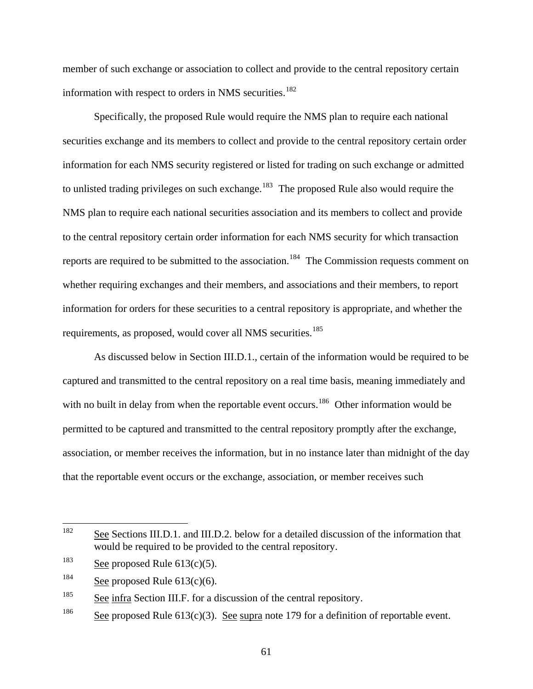member of such exchange or association to collect and provide to the central repository certain information with respect to orders in NMS securities.<sup>[182](#page-60-0)</sup>

Specifically, the proposed Rule would require the NMS plan to require each national securities exchange and its members to collect and provide to the central repository certain order information for each NMS security registered or listed for trading on such exchange or admitted to unlisted trading privileges on such exchange.<sup>[183](#page-60-1)</sup> The proposed Rule also would require the NMS plan to require each national securities association and its members to collect and provide to the central repository certain order information for each NMS security for which transaction reports are required to be submitted to the association.<sup>[184](#page-60-2)</sup> The Commission requests comment on whether requiring exchanges and their members, and associations and their members, to report information for orders for these securities to a central repository is appropriate, and whether the requirements, as proposed, would cover all NMS securities.<sup>[185](#page-60-3)</sup>

 As discussed below in Section III.D.1., certain of the information would be required to be captured and transmitted to the central repository on a real time basis, meaning immediately and with no built in delay from when the reportable event occurs.<sup>[186](#page-60-4)</sup> Other information would be permitted to be captured and transmitted to the central repository promptly after the exchange, association, or member receives the information, but in no instance later than midnight of the day that the reportable event occurs or the exchange, association, or member receives such

<span id="page-60-0"></span><sup>182</sup> See Sections III.D.1. and III.D.2. below for a detailed discussion of the information that would be required to be provided to the central repository.

<span id="page-60-1"></span><sup>&</sup>lt;sup>183</sup> See proposed Rule  $613(c)(5)$ .

<span id="page-60-2"></span><sup>&</sup>lt;sup>184</sup> See proposed Rule  $613(c)(6)$ .

<span id="page-60-3"></span> $\frac{185}{2}$  See infra Section III.F. for a discussion of the central repository.

<span id="page-60-4"></span><sup>&</sup>lt;sup>186</sup> See proposed Rule 613(c)(3). See supra note 179 for a definition of reportable event.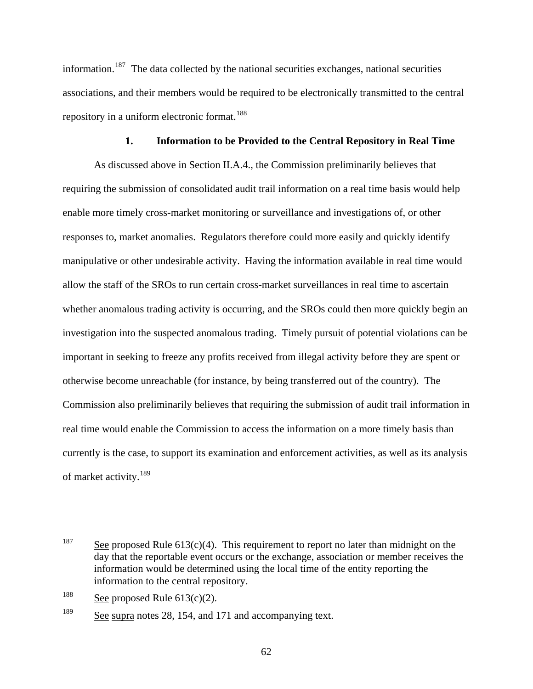information.<sup>[187](#page-61-0)</sup> The data collected by the national securities exchanges, national securities associations, and their members would be required to be electronically transmitted to the central repository in a uniform electronic format.<sup>[188](#page-61-1)</sup>

# **1. Information to be Provided to the Central Repository in Real Time**

As discussed above in Section II.A.4., the Commission preliminarily believes that requiring the submission of consolidated audit trail information on a real time basis would help enable more timely cross-market monitoring or surveillance and investigations of, or other responses to, market anomalies. Regulators therefore could more easily and quickly identify manipulative or other undesirable activity. Having the information available in real time would allow the staff of the SROs to run certain cross-market surveillances in real time to ascertain whether anomalous trading activity is occurring, and the SROs could then more quickly begin an investigation into the suspected anomalous trading. Timely pursuit of potential violations can be important in seeking to freeze any profits received from illegal activity before they are spent or otherwise become unreachable (for instance, by being transferred out of the country). The Commission also preliminarily believes that requiring the submission of audit trail information in real time would enable the Commission to access the information on a more timely basis than currently is the case, to support its examination and enforcement activities, as well as its analysis of market activity.<sup>[189](#page-61-2)</sup>

<span id="page-61-0"></span><sup>187</sup> See proposed Rule  $613(c)(4)$ . This requirement to report no later than midnight on the day that the reportable event occurs or the exchange, association or member receives the information would be determined using the local time of the entity reporting the information to the central repository.

<span id="page-61-1"></span><sup>&</sup>lt;sup>188</sup> See proposed Rule  $613(c)(2)$ .

<span id="page-61-2"></span><sup>&</sup>lt;sup>189</sup> See supra notes 28, 154, and 171 and accompanying text.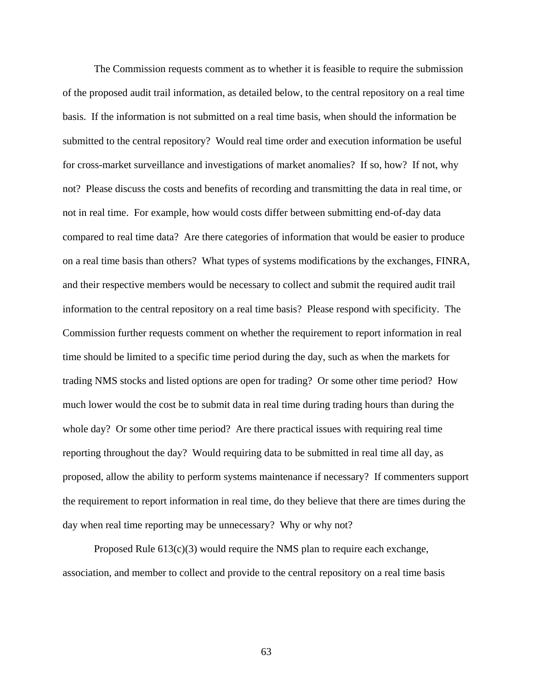The Commission requests comment as to whether it is feasible to require the submission of the proposed audit trail information, as detailed below, to the central repository on a real time basis. If the information is not submitted on a real time basis, when should the information be submitted to the central repository? Would real time order and execution information be useful for cross-market surveillance and investigations of market anomalies? If so, how? If not, why not? Please discuss the costs and benefits of recording and transmitting the data in real time, or not in real time. For example, how would costs differ between submitting end-of-day data compared to real time data? Are there categories of information that would be easier to produce on a real time basis than others? What types of systems modifications by the exchanges, FINRA, and their respective members would be necessary to collect and submit the required audit trail information to the central repository on a real time basis? Please respond with specificity. The Commission further requests comment on whether the requirement to report information in real time should be limited to a specific time period during the day, such as when the markets for trading NMS stocks and listed options are open for trading? Or some other time period? How much lower would the cost be to submit data in real time during trading hours than during the whole day? Or some other time period? Are there practical issues with requiring real time reporting throughout the day? Would requiring data to be submitted in real time all day, as proposed, allow the ability to perform systems maintenance if necessary? If commenters support the requirement to report information in real time, do they believe that there are times during the day when real time reporting may be unnecessary? Why or why not?

Proposed Rule 613(c)(3) would require the NMS plan to require each exchange, association, and member to collect and provide to the central repository on a real time basis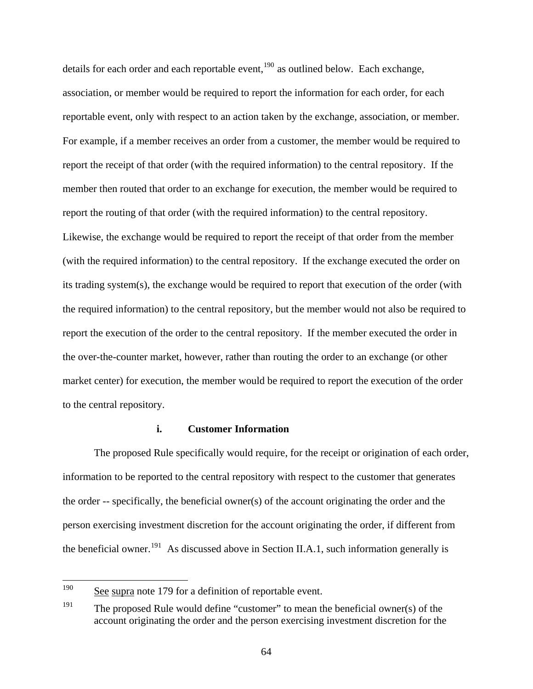details for each order and each reportable event, $190$  as outlined below. Each exchange, association, or member would be required to report the information for each order, for each reportable event, only with respect to an action taken by the exchange, association, or member. For example, if a member receives an order from a customer, the member would be required to report the receipt of that order (with the required information) to the central repository. If the member then routed that order to an exchange for execution, the member would be required to report the routing of that order (with the required information) to the central repository. Likewise, the exchange would be required to report the receipt of that order from the member (with the required information) to the central repository. If the exchange executed the order on its trading system(s), the exchange would be required to report that execution of the order (with the required information) to the central repository, but the member would not also be required to report the execution of the order to the central repository. If the member executed the order in the over-the-counter market, however, rather than routing the order to an exchange (or other market center) for execution, the member would be required to report the execution of the order to the central repository.

# **i. Customer Information**

The proposed Rule specifically would require, for the receipt or origination of each order, information to be reported to the central repository with respect to the customer that generates the order -- specifically, the beneficial owner(s) of the account originating the order and the person exercising investment discretion for the account originating the order, if different from the beneficial owner.<sup>[191](#page-63-1)</sup> As discussed above in Section II.A.1, such information generally is

<span id="page-63-0"></span><sup>190</sup> See supra note 179 for a definition of reportable event.

<span id="page-63-1"></span><sup>&</sup>lt;sup>191</sup> The proposed Rule would define "customer" to mean the beneficial owner(s) of the account originating the order and the person exercising investment discretion for the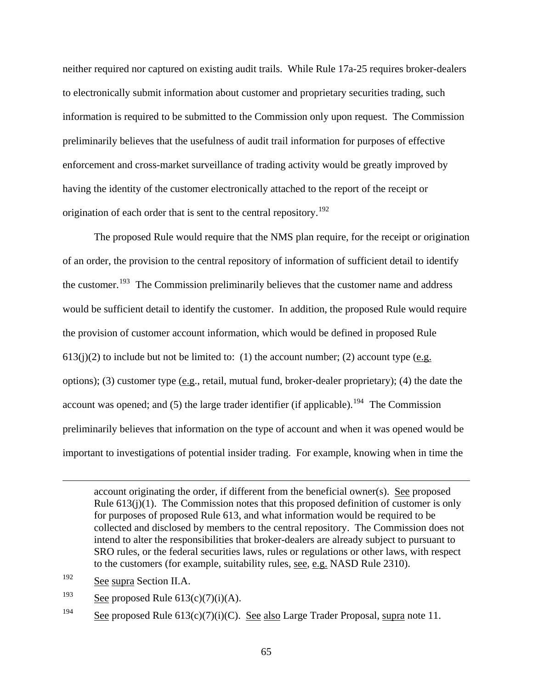neither required nor captured on existing audit trails. While Rule 17a-25 requires broker-dealers to electronically submit information about customer and proprietary securities trading, such information is required to be submitted to the Commission only upon request. The Commission preliminarily believes that the usefulness of audit trail information for purposes of effective enforcement and cross-market surveillance of trading activity would be greatly improved by having the identity of the customer electronically attached to the report of the receipt or origination of each order that is sent to the central repository.<sup>[192](#page-64-0)</sup>

The proposed Rule would require that the NMS plan require, for the receipt or origination of an order, the provision to the central repository of information of sufficient detail to identify the customer.<sup>[193](#page-64-1)</sup> The Commission preliminarily believes that the customer name and address would be sufficient detail to identify the customer. In addition, the proposed Rule would require the provision of customer account information, which would be defined in proposed Rule  $613(j)(2)$  to include but not be limited to: (1) the account number; (2) account type (e.g. options); (3) customer type (e.g., retail, mutual fund, broker-dealer proprietary); (4) the date the account was opened; and  $(5)$  the large trader identifier (if applicable).<sup>[194](#page-64-2)</sup> The Commission preliminarily believes that information on the type of account and when it was opened would be important to investigations of potential insider trading. For example, knowing when in time the

account originating the order, if different from the beneficial owner(s). See proposed Rule  $613(i)(1)$ . The Commission notes that this proposed definition of customer is only for purposes of proposed Rule 613, and what information would be required to be collected and disclosed by members to the central repository. The Commission does not intend to alter the responsibilities that broker-dealers are already subject to pursuant to SRO rules, or the federal securities laws, rules or regulations or other laws, with respect to the customers (for example, suitability rules, see, e.g. NASD Rule 2310).

<span id="page-64-0"></span>192 See supra Section II.A.

 $\overline{a}$ 

<span id="page-64-1"></span> $\frac{193}{\text{See proposed Rule 613(c)(7)(i)(A)}}$ .

<span id="page-64-2"></span><sup>194</sup> See proposed Rule  $613(c)(7)(i)(C)$ . See also Large Trader Proposal, supra note 11.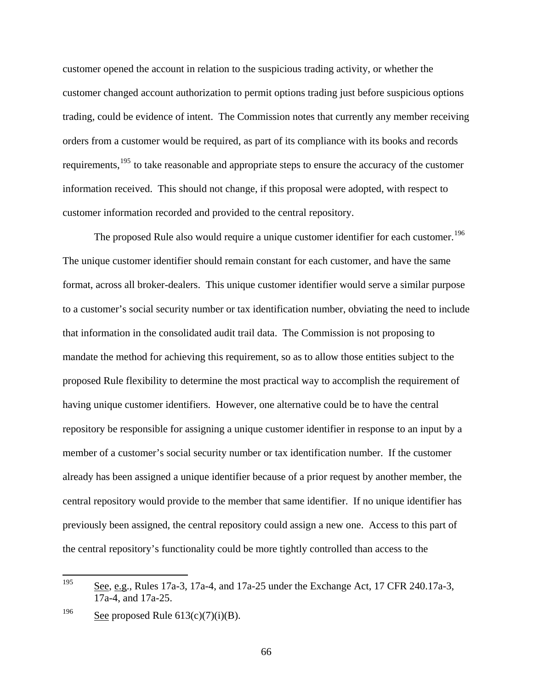customer opened the account in relation to the suspicious trading activity, or whether the customer changed account authorization to permit options trading just before suspicious options trading, could be evidence of intent. The Commission notes that currently any member receiving orders from a customer would be required, as part of its compliance with its books and records requirements,<sup>[195](#page-65-0)</sup> to take reasonable and appropriate steps to ensure the accuracy of the customer information received. This should not change, if this proposal were adopted, with respect to customer information recorded and provided to the central repository.

The proposed Rule also would require a unique customer identifier for each customer.<sup>[196](#page-65-1)</sup> The unique customer identifier should remain constant for each customer, and have the same format, across all broker-dealers. This unique customer identifier would serve a similar purpose to a customer's social security number or tax identification number, obviating the need to include that information in the consolidated audit trail data. The Commission is not proposing to mandate the method for achieving this requirement, so as to allow those entities subject to the proposed Rule flexibility to determine the most practical way to accomplish the requirement of having unique customer identifiers. However, one alternative could be to have the central repository be responsible for assigning a unique customer identifier in response to an input by a member of a customer's social security number or tax identification number. If the customer already has been assigned a unique identifier because of a prior request by another member, the central repository would provide to the member that same identifier. If no unique identifier has previously been assigned, the central repository could assign a new one. Access to this part of the central repository's functionality could be more tightly controlled than access to the

<span id="page-65-0"></span><sup>195</sup> See, e.g., Rules 17a-3, 17a-4, and 17a-25 under the Exchange Act, 17 CFR 240.17a-3, 17a-4, and 17a-25.

<span id="page-65-1"></span><sup>&</sup>lt;sup>196</sup> See proposed Rule  $613(c)(7)(i)(B)$ .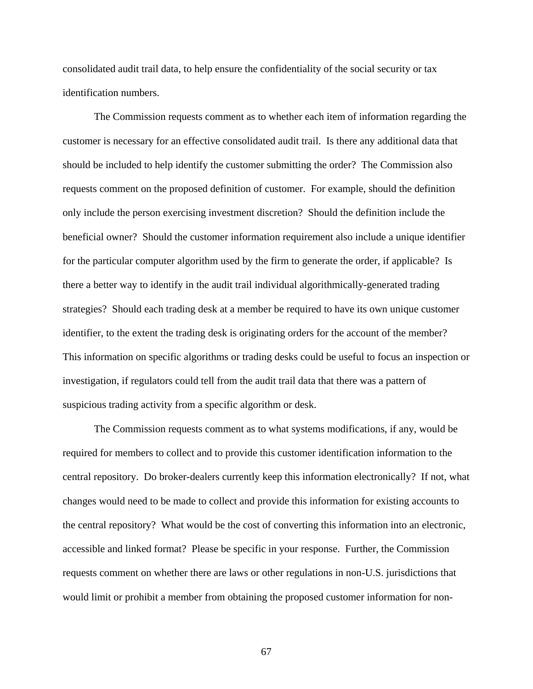consolidated audit trail data, to help ensure the confidentiality of the social security or tax identification numbers.

 The Commission requests comment as to whether each item of information regarding the customer is necessary for an effective consolidated audit trail. Is there any additional data that should be included to help identify the customer submitting the order? The Commission also requests comment on the proposed definition of customer. For example, should the definition only include the person exercising investment discretion? Should the definition include the beneficial owner? Should the customer information requirement also include a unique identifier for the particular computer algorithm used by the firm to generate the order, if applicable? Is there a better way to identify in the audit trail individual algorithmically-generated trading strategies? Should each trading desk at a member be required to have its own unique customer identifier, to the extent the trading desk is originating orders for the account of the member? This information on specific algorithms or trading desks could be useful to focus an inspection or investigation, if regulators could tell from the audit trail data that there was a pattern of suspicious trading activity from a specific algorithm or desk.

The Commission requests comment as to what systems modifications, if any, would be required for members to collect and to provide this customer identification information to the central repository. Do broker-dealers currently keep this information electronically? If not, what changes would need to be made to collect and provide this information for existing accounts to the central repository? What would be the cost of converting this information into an electronic, accessible and linked format? Please be specific in your response. Further, the Commission requests comment on whether there are laws or other regulations in non-U.S. jurisdictions that would limit or prohibit a member from obtaining the proposed customer information for non-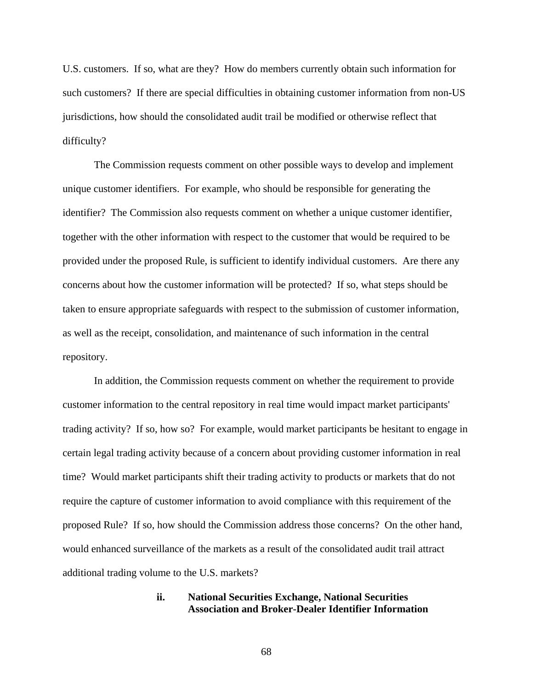U.S. customers. If so, what are they? How do members currently obtain such information for such customers? If there are special difficulties in obtaining customer information from non-US jurisdictions, how should the consolidated audit trail be modified or otherwise reflect that difficulty?

The Commission requests comment on other possible ways to develop and implement unique customer identifiers. For example, who should be responsible for generating the identifier? The Commission also requests comment on whether a unique customer identifier, together with the other information with respect to the customer that would be required to be provided under the proposed Rule, is sufficient to identify individual customers. Are there any concerns about how the customer information will be protected? If so, what steps should be taken to ensure appropriate safeguards with respect to the submission of customer information, as well as the receipt, consolidation, and maintenance of such information in the central repository.

In addition, the Commission requests comment on whether the requirement to provide customer information to the central repository in real time would impact market participants' trading activity? If so, how so? For example, would market participants be hesitant to engage in certain legal trading activity because of a concern about providing customer information in real time? Would market participants shift their trading activity to products or markets that do not require the capture of customer information to avoid compliance with this requirement of the proposed Rule? If so, how should the Commission address those concerns? On the other hand, would enhanced surveillance of the markets as a result of the consolidated audit trail attract additional trading volume to the U.S. markets?

# **ii. National Securities Exchange, National Securities Association and Broker-Dealer Identifier Information**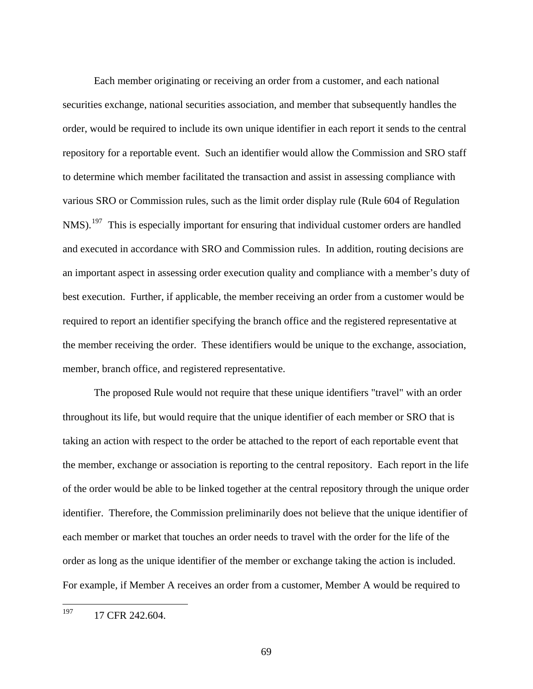Each member originating or receiving an order from a customer, and each national securities exchange, national securities association, and member that subsequently handles the order, would be required to include its own unique identifier in each report it sends to the central repository for a reportable event. Such an identifier would allow the Commission and SRO staff to determine which member facilitated the transaction and assist in assessing compliance with various SRO or Commission rules, such as the limit order display rule (Rule 604 of Regulation  $NMS$ ).<sup>[197](#page-68-0)</sup> This is especially important for ensuring that individual customer orders are handled and executed in accordance with SRO and Commission rules. In addition, routing decisions are an important aspect in assessing order execution quality and compliance with a member's duty of best execution. Further, if applicable, the member receiving an order from a customer would be required to report an identifier specifying the branch office and the registered representative at the member receiving the order. These identifiers would be unique to the exchange, association, member, branch office, and registered representative.

 The proposed Rule would not require that these unique identifiers "travel" with an order throughout its life, but would require that the unique identifier of each member or SRO that is taking an action with respect to the order be attached to the report of each reportable event that the member, exchange or association is reporting to the central repository. Each report in the life of the order would be able to be linked together at the central repository through the unique order identifier. Therefore, the Commission preliminarily does not believe that the unique identifier of each member or market that touches an order needs to travel with the order for the life of the order as long as the unique identifier of the member or exchange taking the action is included. For example, if Member A receives an order from a customer, Member A would be required to

<span id="page-68-0"></span><sup>197</sup> 17 CFR 242.604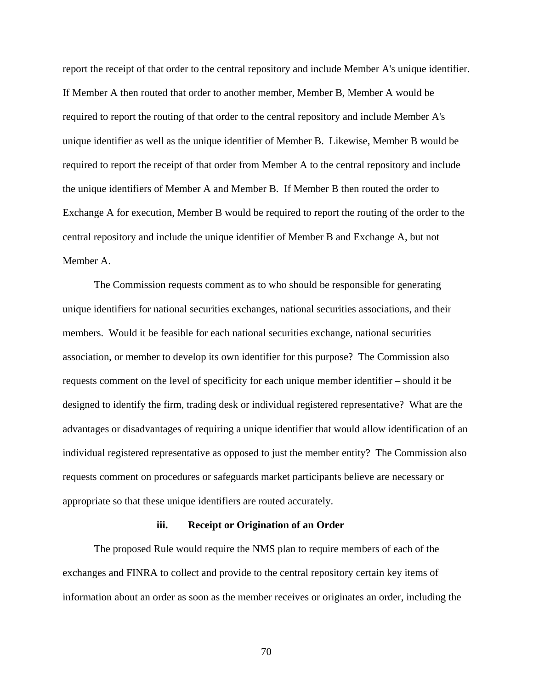report the receipt of that order to the central repository and include Member A's unique identifier. If Member A then routed that order to another member, Member B, Member A would be required to report the routing of that order to the central repository and include Member A's unique identifier as well as the unique identifier of Member B. Likewise, Member B would be required to report the receipt of that order from Member A to the central repository and include the unique identifiers of Member A and Member B. If Member B then routed the order to Exchange A for execution, Member B would be required to report the routing of the order to the central repository and include the unique identifier of Member B and Exchange A, but not Member A.

 The Commission requests comment as to who should be responsible for generating unique identifiers for national securities exchanges, national securities associations, and their members. Would it be feasible for each national securities exchange, national securities association, or member to develop its own identifier for this purpose? The Commission also requests comment on the level of specificity for each unique member identifier – should it be designed to identify the firm, trading desk or individual registered representative? What are the advantages or disadvantages of requiring a unique identifier that would allow identification of an individual registered representative as opposed to just the member entity? The Commission also requests comment on procedures or safeguards market participants believe are necessary or appropriate so that these unique identifiers are routed accurately.

#### **iii. Receipt or Origination of an Order**

The proposed Rule would require the NMS plan to require members of each of the exchanges and FINRA to collect and provide to the central repository certain key items of information about an order as soon as the member receives or originates an order, including the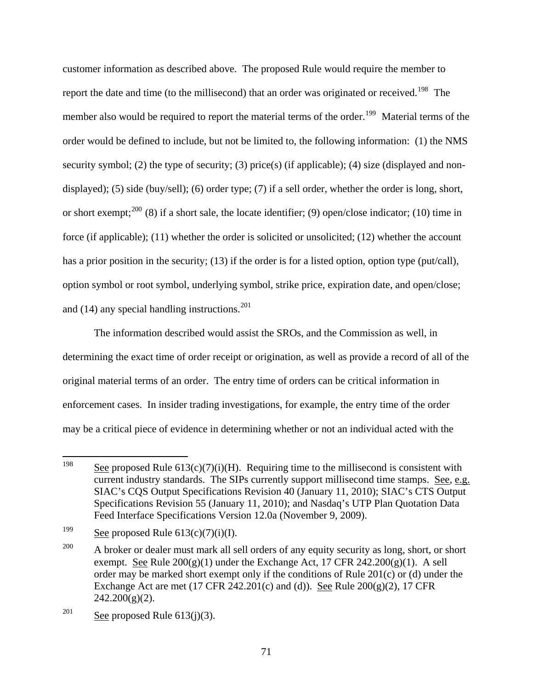customer information as described above. The proposed Rule would require the member to report the date and time (to the millisecond) that an order was originated or received.<sup>[198](#page-70-0)</sup> The member also would be required to report the material terms of the order.<sup>[199](#page-70-1)</sup> Material terms of the order would be defined to include, but not be limited to, the following information: (1) the NMS security symbol; (2) the type of security; (3) price(s) (if applicable); (4) size (displayed and nondisplayed); (5) side (buy/sell); (6) order type; (7) if a sell order, whether the order is long, short, or short exempt;<sup>[200](#page-70-2)</sup> (8) if a short sale, the locate identifier; (9) open/close indicator; (10) time in force (if applicable);  $(11)$  whether the order is solicited or unsolicited;  $(12)$  whether the account has a prior position in the security; (13) if the order is for a listed option, option type (put/call), option symbol or root symbol, underlying symbol, strike price, expiration date, and open/close; and  $(14)$  any special handling instructions.<sup>[201](#page-70-3)</sup>

 The information described would assist the SROs, and the Commission as well, in determining the exact time of order receipt or origination, as well as provide a record of all of the original material terms of an order. The entry time of orders can be critical information in enforcement cases. In insider trading investigations, for example, the entry time of the order may be a critical piece of evidence in determining whether or not an individual acted with the

<span id="page-70-0"></span><sup>198</sup> See proposed Rule  $613(c)(7)(i)$ (H). Requiring time to the millisecond is consistent with current industry standards. The SIPs currently support millisecond time stamps. See, e.g. SIAC's CQS Output Specifications Revision 40 (January 11, 2010); SIAC's CTS Output Specifications Revision 55 (January 11, 2010); and Nasdaq's UTP Plan Quotation Data Feed Interface Specifications Version 12.0a (November 9, 2009).

<span id="page-70-1"></span><sup>&</sup>lt;sup>199</sup> See proposed Rule  $613(c)(7)(i)(I)$ .

<span id="page-70-2"></span><sup>&</sup>lt;sup>200</sup> A broker or dealer must mark all sell orders of any equity security as long, short, or short exempt. See Rule  $200(g)(1)$  under the Exchange Act, 17 CFR  $242.200(g)(1)$ . A sell order may be marked short exempt only if the conditions of Rule 201(c) or (d) under the Exchange Act are met  $(17 \text{ CFR } 242.201(c)$  and  $(d)$ ). See Rule  $200(g)(2)$ , 17 CFR  $242.200(g)(2)$ .

<span id="page-70-3"></span><sup>&</sup>lt;sup>201</sup> See proposed Rule  $613(j)(3)$ .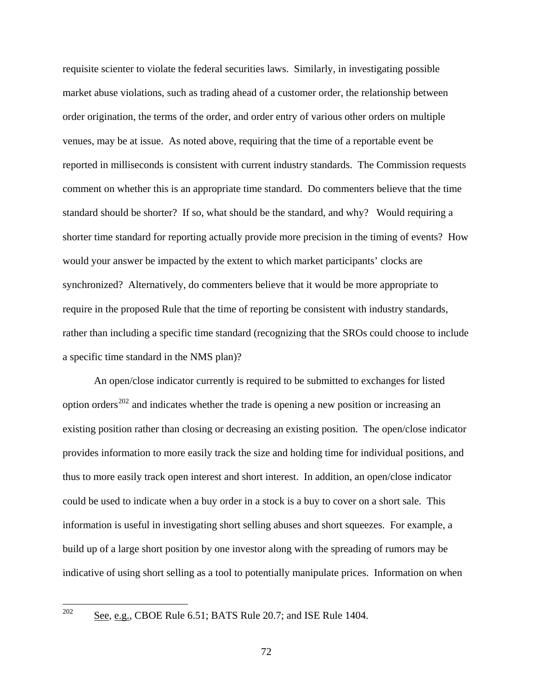requisite scienter to violate the federal securities laws. Similarly, in investigating possible market abuse violations, such as trading ahead of a customer order, the relationship between order origination, the terms of the order, and order entry of various other orders on multiple venues, may be at issue. As noted above, requiring that the time of a reportable event be reported in milliseconds is consistent with current industry standards. The Commission requests comment on whether this is an appropriate time standard. Do commenters believe that the time standard should be shorter? If so, what should be the standard, and why? Would requiring a shorter time standard for reporting actually provide more precision in the timing of events? How would your answer be impacted by the extent to which market participants' clocks are synchronized? Alternatively, do commenters believe that it would be more appropriate to require in the proposed Rule that the time of reporting be consistent with industry standards, rather than including a specific time standard (recognizing that the SROs could choose to include a specific time standard in the NMS plan)?

An open/close indicator currently is required to be submitted to exchanges for listed option orders<sup>[202](#page-71-0)</sup> and indicates whether the trade is opening a new position or increasing an existing position rather than closing or decreasing an existing position. The open/close indicator provides information to more easily track the size and holding time for individual positions, and thus to more easily track open interest and short interest. In addition, an open/close indicator could be used to indicate when a buy order in a stock is a buy to cover on a short sale. This information is useful in investigating short selling abuses and short squeezes. For example, a build up of a large short position by one investor along with the spreading of rumors may be indicative of using short selling as a tool to potentially manipulate prices. Information on when

<span id="page-71-0"></span>See, e.g., CBOE Rule 6.51; BATS Rule 20.7; and ISE Rule 1404.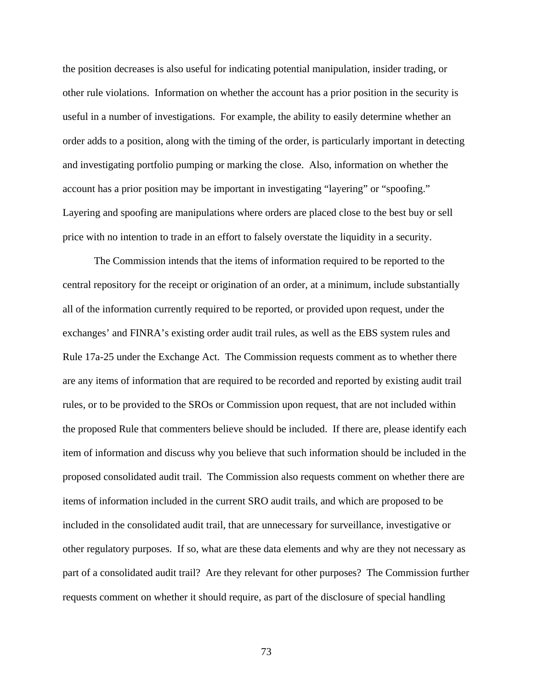the position decreases is also useful for indicating potential manipulation, insider trading, or other rule violations. Information on whether the account has a prior position in the security is useful in a number of investigations. For example, the ability to easily determine whether an order adds to a position, along with the timing of the order, is particularly important in detecting and investigating portfolio pumping or marking the close. Also, information on whether the account has a prior position may be important in investigating "layering" or "spoofing." Layering and spoofing are manipulations where orders are placed close to the best buy or sell price with no intention to trade in an effort to falsely overstate the liquidity in a security.

The Commission intends that the items of information required to be reported to the central repository for the receipt or origination of an order, at a minimum, include substantially all of the information currently required to be reported, or provided upon request, under the exchanges' and FINRA's existing order audit trail rules, as well as the EBS system rules and Rule 17a-25 under the Exchange Act. The Commission requests comment as to whether there are any items of information that are required to be recorded and reported by existing audit trail rules, or to be provided to the SROs or Commission upon request, that are not included within the proposed Rule that commenters believe should be included. If there are, please identify each item of information and discuss why you believe that such information should be included in the proposed consolidated audit trail. The Commission also requests comment on whether there are items of information included in the current SRO audit trails, and which are proposed to be included in the consolidated audit trail, that are unnecessary for surveillance, investigative or other regulatory purposes. If so, what are these data elements and why are they not necessary as part of a consolidated audit trail? Are they relevant for other purposes? The Commission further requests comment on whether it should require, as part of the disclosure of special handling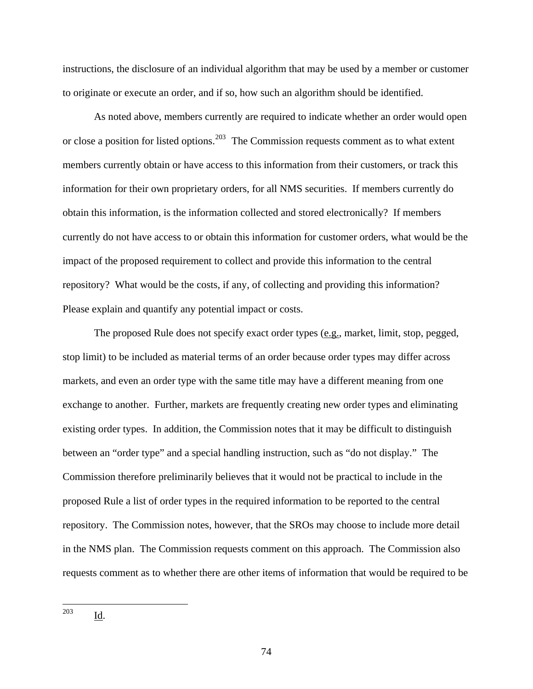instructions, the disclosure of an individual algorithm that may be used by a member or customer to originate or execute an order, and if so, how such an algorithm should be identified.

As noted above, members currently are required to indicate whether an order would open or close a position for listed options.<sup>[203](#page-73-0)</sup> The Commission requests comment as to what extent members currently obtain or have access to this information from their customers, or track this information for their own proprietary orders, for all NMS securities. If members currently do obtain this information, is the information collected and stored electronically? If members currently do not have access to or obtain this information for customer orders, what would be the impact of the proposed requirement to collect and provide this information to the central repository? What would be the costs, if any, of collecting and providing this information? Please explain and quantify any potential impact or costs.

<span id="page-73-0"></span>The proposed Rule does not specify exact order types (e.g., market, limit, stop, pegged, stop limit) to be included as material terms of an order because order types may differ across markets, and even an order type with the same title may have a different meaning from one exchange to another. Further, markets are frequently creating new order types and eliminating existing order types. In addition, the Commission notes that it may be difficult to distinguish between an "order type" and a special handling instruction, such as "do not display." The Commission therefore preliminarily believes that it would not be practical to include in the proposed Rule a list of order types in the required information to be reported to the central repository. The Commission notes, however, that the SROs may choose to include more detail in the NMS plan. The Commission requests comment on this approach. The Commission also requests comment as to whether there are other items of information that would be required to be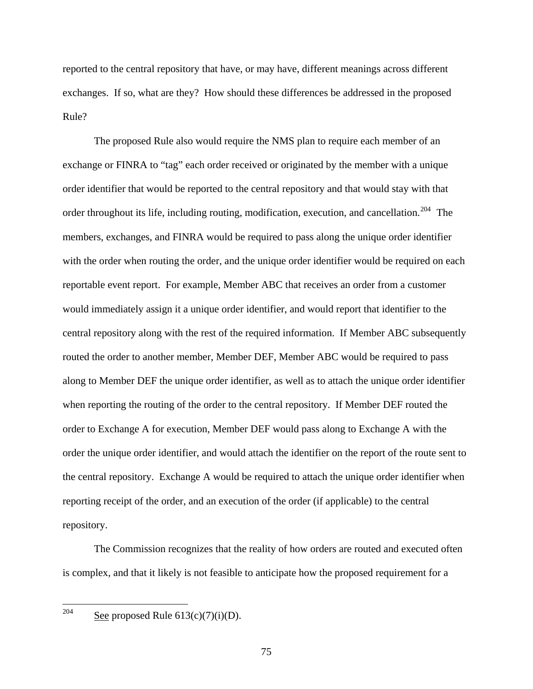reported to the central repository that have, or may have, different meanings across different exchanges. If so, what are they? How should these differences be addressed in the proposed Rule?

 The proposed Rule also would require the NMS plan to require each member of an exchange or FINRA to "tag" each order received or originated by the member with a unique order identifier that would be reported to the central repository and that would stay with that order throughout its life, including routing, modification, execution, and cancellation.<sup>[204](#page-74-0)</sup> The members, exchanges, and FINRA would be required to pass along the unique order identifier with the order when routing the order, and the unique order identifier would be required on each reportable event report. For example, Member ABC that receives an order from a customer would immediately assign it a unique order identifier, and would report that identifier to the central repository along with the rest of the required information. If Member ABC subsequently routed the order to another member, Member DEF, Member ABC would be required to pass along to Member DEF the unique order identifier, as well as to attach the unique order identifier when reporting the routing of the order to the central repository. If Member DEF routed the order to Exchange A for execution, Member DEF would pass along to Exchange A with the order the unique order identifier, and would attach the identifier on the report of the route sent to the central repository. Exchange A would be required to attach the unique order identifier when reporting receipt of the order, and an execution of the order (if applicable) to the central repository.

<span id="page-74-0"></span>The Commission recognizes that the reality of how orders are routed and executed often is complex, and that it likely is not feasible to anticipate how the proposed requirement for a

See proposed Rule  $613(c)(7)(i)(D)$ .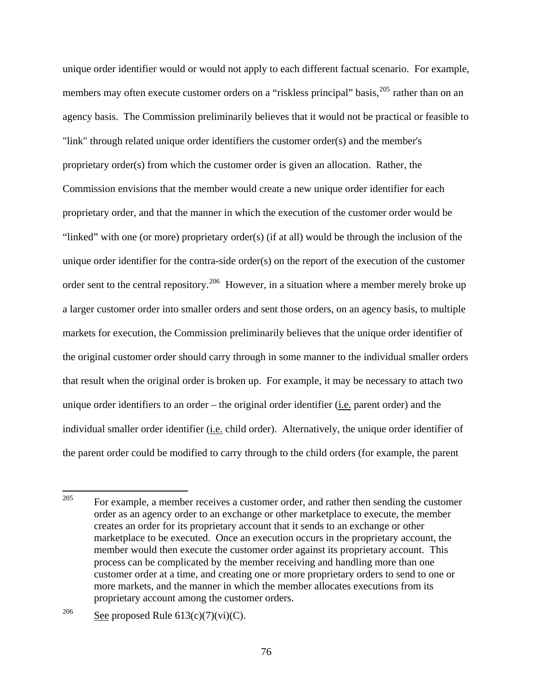unique order identifier would or would not apply to each different factual scenario. For example, members may often execute customer orders on a "riskless principal" basis,<sup>[205](#page-75-0)</sup> rather than on an agency basis. The Commission preliminarily believes that it would not be practical or feasible to "link" through related unique order identifiers the customer order(s) and the member's proprietary order(s) from which the customer order is given an allocation. Rather, the Commission envisions that the member would create a new unique order identifier for each proprietary order, and that the manner in which the execution of the customer order would be "linked" with one (or more) proprietary order(s) (if at all) would be through the inclusion of the unique order identifier for the contra-side order(s) on the report of the execution of the customer order sent to the central repository.<sup>[206](#page-75-1)</sup> However, in a situation where a member merely broke up a larger customer order into smaller orders and sent those orders, on an agency basis, to multiple markets for execution, the Commission preliminarily believes that the unique order identifier of the original customer order should carry through in some manner to the individual smaller orders that result when the original order is broken up. For example, it may be necessary to attach two unique order identifiers to an order – the original order identifier (*i.e.* parent order) and the individual smaller order identifier (i.e. child order). Alternatively, the unique order identifier of the parent order could be modified to carry through to the child orders (for example, the parent

<span id="page-75-0"></span><sup>205</sup> For example, a member receives a customer order, and rather then sending the customer order as an agency order to an exchange or other marketplace to execute, the member creates an order for its proprietary account that it sends to an exchange or other marketplace to be executed. Once an execution occurs in the proprietary account, the member would then execute the customer order against its proprietary account. This process can be complicated by the member receiving and handling more than one customer order at a time, and creating one or more proprietary orders to send to one or more markets, and the manner in which the member allocates executions from its proprietary account among the customer orders.

<span id="page-75-1"></span><sup>&</sup>lt;sup>206</sup> See proposed Rule  $613(c)(7)(vi)(C)$ .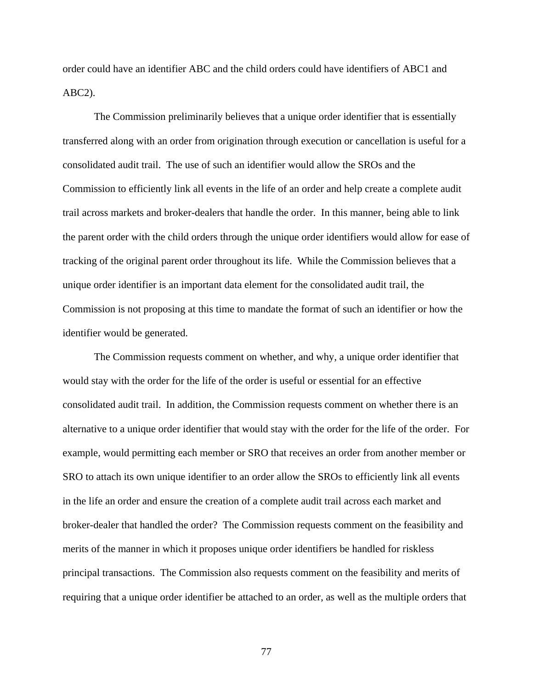order could have an identifier ABC and the child orders could have identifiers of ABC1 and ABC2).

The Commission preliminarily believes that a unique order identifier that is essentially transferred along with an order from origination through execution or cancellation is useful for a consolidated audit trail. The use of such an identifier would allow the SROs and the Commission to efficiently link all events in the life of an order and help create a complete audit trail across markets and broker-dealers that handle the order. In this manner, being able to link the parent order with the child orders through the unique order identifiers would allow for ease of tracking of the original parent order throughout its life. While the Commission believes that a unique order identifier is an important data element for the consolidated audit trail, the Commission is not proposing at this time to mandate the format of such an identifier or how the identifier would be generated.

The Commission requests comment on whether, and why, a unique order identifier that would stay with the order for the life of the order is useful or essential for an effective consolidated audit trail. In addition, the Commission requests comment on whether there is an alternative to a unique order identifier that would stay with the order for the life of the order. For example, would permitting each member or SRO that receives an order from another member or SRO to attach its own unique identifier to an order allow the SROs to efficiently link all events in the life an order and ensure the creation of a complete audit trail across each market and broker-dealer that handled the order? The Commission requests comment on the feasibility and merits of the manner in which it proposes unique order identifiers be handled for riskless principal transactions. The Commission also requests comment on the feasibility and merits of requiring that a unique order identifier be attached to an order, as well as the multiple orders that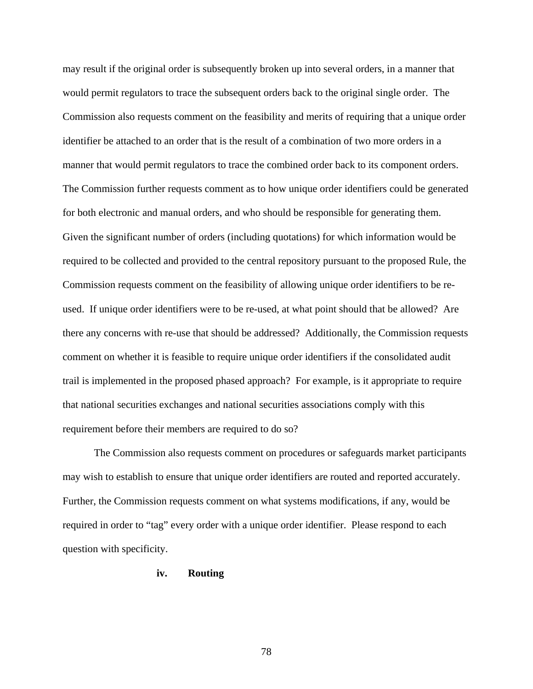may result if the original order is subsequently broken up into several orders, in a manner that would permit regulators to trace the subsequent orders back to the original single order. The Commission also requests comment on the feasibility and merits of requiring that a unique order identifier be attached to an order that is the result of a combination of two more orders in a manner that would permit regulators to trace the combined order back to its component orders. The Commission further requests comment as to how unique order identifiers could be generated for both electronic and manual orders, and who should be responsible for generating them. Given the significant number of orders (including quotations) for which information would be required to be collected and provided to the central repository pursuant to the proposed Rule, the Commission requests comment on the feasibility of allowing unique order identifiers to be reused. If unique order identifiers were to be re-used, at what point should that be allowed? Are there any concerns with re-use that should be addressed? Additionally, the Commission requests comment on whether it is feasible to require unique order identifiers if the consolidated audit trail is implemented in the proposed phased approach? For example, is it appropriate to require that national securities exchanges and national securities associations comply with this requirement before their members are required to do so?

The Commission also requests comment on procedures or safeguards market participants may wish to establish to ensure that unique order identifiers are routed and reported accurately. Further, the Commission requests comment on what systems modifications, if any, would be required in order to "tag" every order with a unique order identifier. Please respond to each question with specificity.

## **iv. Routing**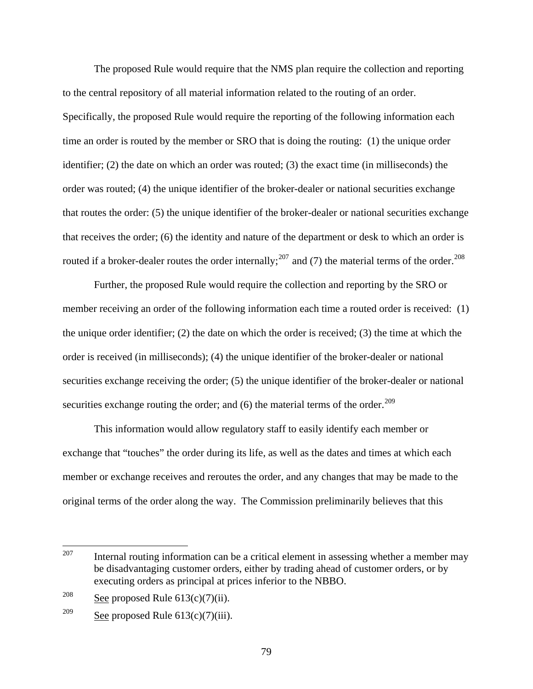The proposed Rule would require that the NMS plan require the collection and reporting to the central repository of all material information related to the routing of an order. Specifically, the proposed Rule would require the reporting of the following information each time an order is routed by the member or SRO that is doing the routing: (1) the unique order identifier; (2) the date on which an order was routed; (3) the exact time (in milliseconds) the order was routed; (4) the unique identifier of the broker-dealer or national securities exchange that routes the order: (5) the unique identifier of the broker-dealer or national securities exchange that receives the order; (6) the identity and nature of the department or desk to which an order is routed if a broker-dealer routes the order internally;<sup>[207](#page-78-0)</sup> and (7) the material terms of the order.<sup>[208](#page-78-1)</sup>

Further, the proposed Rule would require the collection and reporting by the SRO or member receiving an order of the following information each time a routed order is received: (1) the unique order identifier; (2) the date on which the order is received; (3) the time at which the order is received (in milliseconds); (4) the unique identifier of the broker-dealer or national securities exchange receiving the order; (5) the unique identifier of the broker-dealer or national securities exchange routing the order; and  $(6)$  the material terms of the order.<sup>[209](#page-78-2)</sup>

This information would allow regulatory staff to easily identify each member or exchange that "touches" the order during its life, as well as the dates and times at which each member or exchange receives and reroutes the order, and any changes that may be made to the original terms of the order along the way. The Commission preliminarily believes that this

<span id="page-78-0"></span><sup>207</sup> Internal routing information can be a critical element in assessing whether a member may be disadvantaging customer orders, either by trading ahead of customer orders, or by executing orders as principal at prices inferior to the NBBO.

<span id="page-78-1"></span><sup>&</sup>lt;sup>208</sup> See proposed Rule  $613(c)(7)(ii)$ .

<span id="page-78-2"></span><sup>&</sup>lt;sup>209</sup> See proposed Rule  $613(c)(7)(iii)$ .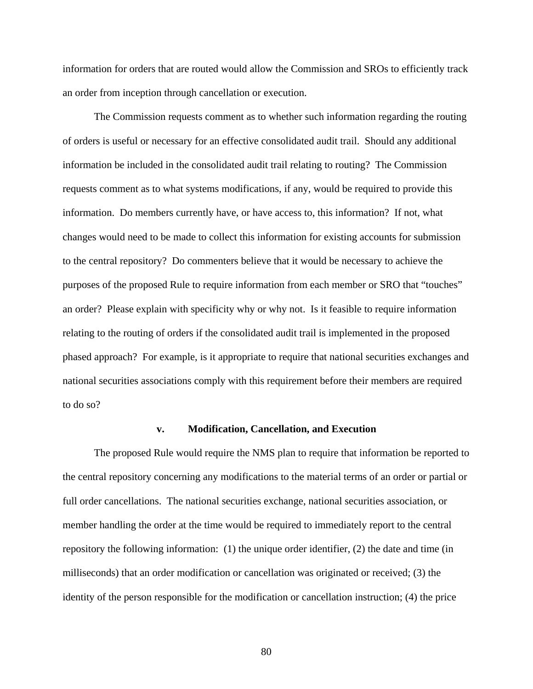information for orders that are routed would allow the Commission and SROs to efficiently track an order from inception through cancellation or execution.

 The Commission requests comment as to whether such information regarding the routing of orders is useful or necessary for an effective consolidated audit trail. Should any additional information be included in the consolidated audit trail relating to routing? The Commission requests comment as to what systems modifications, if any, would be required to provide this information. Do members currently have, or have access to, this information? If not, what changes would need to be made to collect this information for existing accounts for submission to the central repository? Do commenters believe that it would be necessary to achieve the purposes of the proposed Rule to require information from each member or SRO that "touches" an order? Please explain with specificity why or why not. Is it feasible to require information relating to the routing of orders if the consolidated audit trail is implemented in the proposed phased approach? For example, is it appropriate to require that national securities exchanges and national securities associations comply with this requirement before their members are required to do so?

#### **v. Modification, Cancellation, and Execution**

The proposed Rule would require the NMS plan to require that information be reported to the central repository concerning any modifications to the material terms of an order or partial or full order cancellations. The national securities exchange, national securities association, or member handling the order at the time would be required to immediately report to the central repository the following information: (1) the unique order identifier, (2) the date and time (in milliseconds) that an order modification or cancellation was originated or received; (3) the identity of the person responsible for the modification or cancellation instruction; (4) the price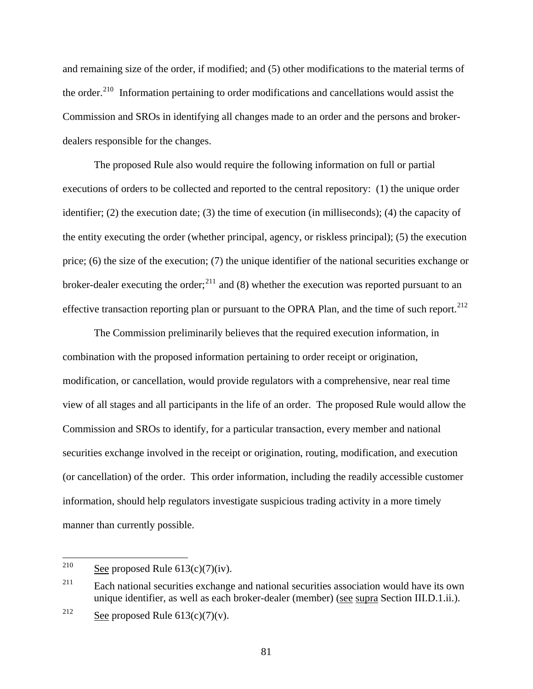and remaining size of the order, if modified; and (5) other modifications to the material terms of the order.<sup>[210](#page-80-0)</sup> Information pertaining to order modifications and cancellations would assist the Commission and SROs in identifying all changes made to an order and the persons and brokerdealers responsible for the changes.

The proposed Rule also would require the following information on full or partial executions of orders to be collected and reported to the central repository: (1) the unique order identifier; (2) the execution date; (3) the time of execution (in milliseconds); (4) the capacity of the entity executing the order (whether principal, agency, or riskless principal); (5) the execution price; (6) the size of the execution; (7) the unique identifier of the national securities exchange or broker-dealer executing the order;<sup>[211](#page-80-1)</sup> and (8) whether the execution was reported pursuant to an effective transaction reporting plan or pursuant to the OPRA Plan, and the time of such report.<sup>[212](#page-80-2)</sup>

 The Commission preliminarily believes that the required execution information, in combination with the proposed information pertaining to order receipt or origination, modification, or cancellation, would provide regulators with a comprehensive, near real time view of all stages and all participants in the life of an order. The proposed Rule would allow the Commission and SROs to identify, for a particular transaction, every member and national securities exchange involved in the receipt or origination, routing, modification, and execution (or cancellation) of the order. This order information, including the readily accessible customer information, should help regulators investigate suspicious trading activity in a more timely manner than currently possible.

<span id="page-80-0"></span><sup>210</sup> See proposed Rule  $613(c)(7)(iv)$ .

<span id="page-80-1"></span> $211$  Each national securities exchange and national securities association would have its own unique identifier, as well as each broker-dealer (member) (see supra Section III.D.1.ii.).

<span id="page-80-2"></span><sup>&</sup>lt;sup>212</sup> See proposed Rule  $613(c)(7)(v)$ .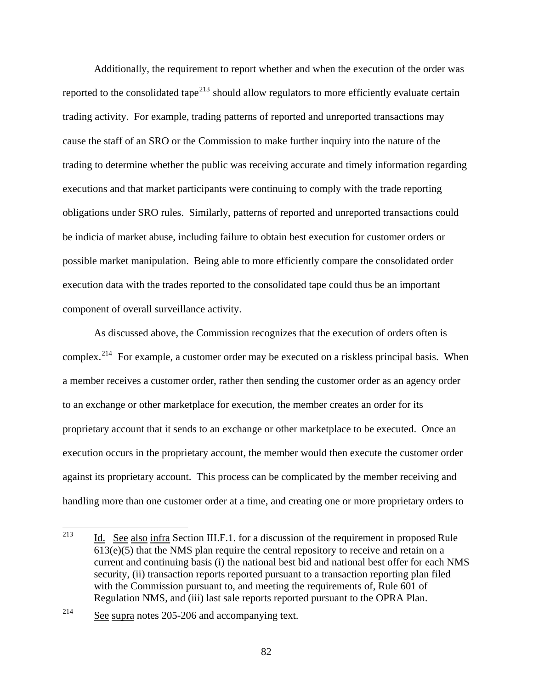Additionally, the requirement to report whether and when the execution of the order was reported to the consolidated tape<sup>[213](#page-81-0)</sup> should allow regulators to more efficiently evaluate certain trading activity. For example, trading patterns of reported and unreported transactions may cause the staff of an SRO or the Commission to make further inquiry into the nature of the trading to determine whether the public was receiving accurate and timely information regarding executions and that market participants were continuing to comply with the trade reporting obligations under SRO rules. Similarly, patterns of reported and unreported transactions could be indicia of market abuse, including failure to obtain best execution for customer orders or possible market manipulation. Being able to more efficiently compare the consolidated order execution data with the trades reported to the consolidated tape could thus be an important component of overall surveillance activity.

 As discussed above, the Commission recognizes that the execution of orders often is complex.<sup>[214](#page-81-1)</sup> For example, a customer order may be executed on a riskless principal basis. When a member receives a customer order, rather then sending the customer order as an agency order to an exchange or other marketplace for execution, the member creates an order for its proprietary account that it sends to an exchange or other marketplace to be executed. Once an execution occurs in the proprietary account, the member would then execute the customer order against its proprietary account. This process can be complicated by the member receiving and handling more than one customer order at a time, and creating one or more proprietary orders to

<span id="page-81-0"></span><sup>213</sup> Id. See also infra Section III.F.1. for a discussion of the requirement in proposed Rule  $613(e)(5)$  that the NMS plan require the central repository to receive and retain on a current and continuing basis (i) the national best bid and national best offer for each NMS security, (ii) transaction reports reported pursuant to a transaction reporting plan filed with the Commission pursuant to, and meeting the requirements of, Rule 601 of Regulation NMS, and (iii) last sale reports reported pursuant to the OPRA Plan.

<span id="page-81-1"></span><sup>214</sup> See supra notes 205-206 and accompanying text.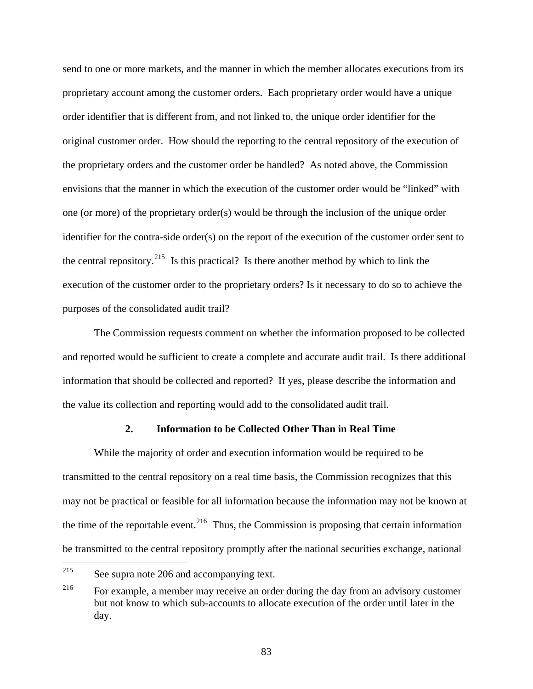send to one or more markets, and the manner in which the member allocates executions from its proprietary account among the customer orders. Each proprietary order would have a unique order identifier that is different from, and not linked to, the unique order identifier for the original customer order. How should the reporting to the central repository of the execution of the proprietary orders and the customer order be handled? As noted above, the Commission envisions that the manner in which the execution of the customer order would be "linked" with one (or more) of the proprietary order(s) would be through the inclusion of the unique order identifier for the contra-side order(s) on the report of the execution of the customer order sent to the central repository.<sup>[215](#page-82-0)</sup> Is this practical? Is there another method by which to link the execution of the customer order to the proprietary orders? Is it necessary to do so to achieve the purposes of the consolidated audit trail?

The Commission requests comment on whether the information proposed to be collected and reported would be sufficient to create a complete and accurate audit trail. Is there additional information that should be collected and reported? If yes, please describe the information and the value its collection and reporting would add to the consolidated audit trail.

## **2. Information to be Collected Other Than in Real Time**

 While the majority of order and execution information would be required to be transmitted to the central repository on a real time basis, the Commission recognizes that this may not be practical or feasible for all information because the information may not be known at the time of the reportable event.<sup>[216](#page-82-1)</sup> Thus, the Commission is proposing that certain information be transmitted to the central repository promptly after the national securities exchange, national

<span id="page-82-0"></span><sup>215</sup> See supra note 206 and accompanying text.

<span id="page-82-1"></span><sup>&</sup>lt;sup>216</sup> For example, a member may receive an order during the day from an advisory customer but not know to which sub-accounts to allocate execution of the order until later in the day.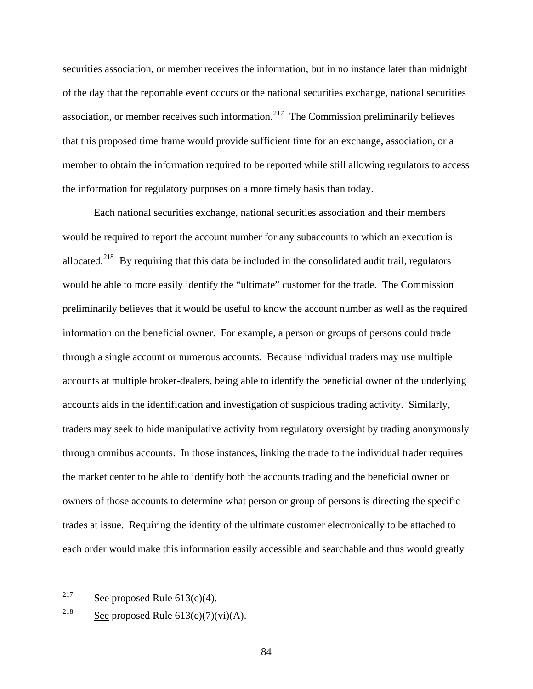securities association, or member receives the information, but in no instance later than midnight of the day that the reportable event occurs or the national securities exchange, national securities association, or member receives such information.<sup>[217](#page-83-0)</sup> The Commission preliminarily believes that this proposed time frame would provide sufficient time for an exchange, association, or a member to obtain the information required to be reported while still allowing regulators to access the information for regulatory purposes on a more timely basis than today.

 Each national securities exchange, national securities association and their members would be required to report the account number for any subaccounts to which an execution is allocated.<sup>[218](#page-83-1)</sup> By requiring that this data be included in the consolidated audit trail, regulators would be able to more easily identify the "ultimate" customer for the trade. The Commission preliminarily believes that it would be useful to know the account number as well as the required information on the beneficial owner. For example, a person or groups of persons could trade through a single account or numerous accounts. Because individual traders may use multiple accounts at multiple broker-dealers, being able to identify the beneficial owner of the underlying accounts aids in the identification and investigation of suspicious trading activity. Similarly, traders may seek to hide manipulative activity from regulatory oversight by trading anonymously through omnibus accounts. In those instances, linking the trade to the individual trader requires the market center to be able to identify both the accounts trading and the beneficial owner or owners of those accounts to determine what person or group of persons is directing the specific trades at issue. Requiring the identity of the ultimate customer electronically to be attached to each order would make this information easily accessible and searchable and thus would greatly

<span id="page-83-0"></span><sup>217</sup> See proposed Rule  $613(c)(4)$ .

<span id="page-83-1"></span><sup>&</sup>lt;sup>218</sup> See proposed Rule  $613(c)(7)(vi)(A)$ .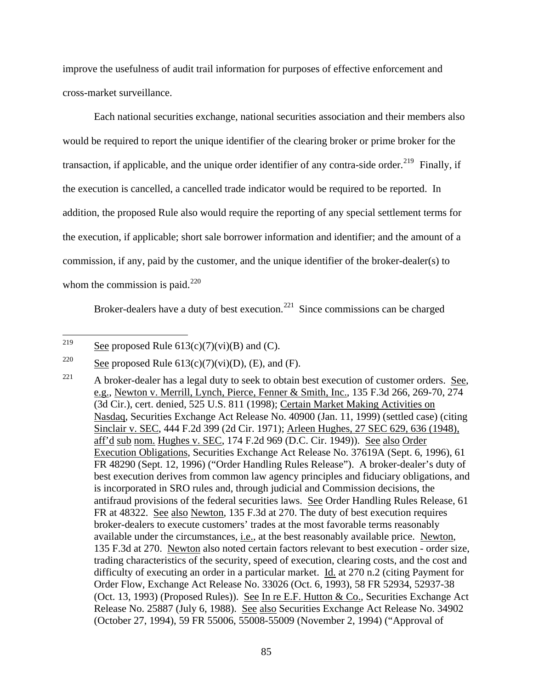improve the usefulness of audit trail information for purposes of effective enforcement and cross-market surveillance.

Each national securities exchange, national securities association and their members also would be required to report the unique identifier of the clearing broker or prime broker for the transaction, if applicable, and the unique order identifier of any contra-side order.<sup>[219](#page-84-0)</sup> Finally, if the execution is cancelled, a cancelled trade indicator would be required to be reported. In addition, the proposed Rule also would require the reporting of any special settlement terms for the execution, if applicable; short sale borrower information and identifier; and the amount of a commission, if any, paid by the customer, and the unique identifier of the broker-dealer(s) to whom the commission is paid.<sup>[220](#page-84-1)</sup>

Broker-dealers have a duty of best execution.<sup>[221](#page-84-2)</sup> Since commissions can be charged

<span id="page-84-0"></span><sup>219</sup> See proposed Rule  $613(c)(7)(vi)(B)$  and (C).

<span id="page-84-1"></span><sup>&</sup>lt;sup>220</sup> See proposed Rule 613(c)(7)(vi)(D), (E), and (F).

<span id="page-84-2"></span> $221$  A broker-dealer has a legal duty to seek to obtain best execution of customer orders. See, e.g., Newton v. Merrill, Lynch, Pierce, Fenner & Smith, Inc., 135 F.3d 266, 269-70, 274 (3d Cir.), cert. denied, [525 U.S. 811 \(1998\);](http://www.lexis.com/research/buttonTFLink?_m=e8c36d6f327fce39b877a3fa3a065b7d&_xfercite=%3ccite%20cc%3d%22USA%22%3e%3c%21%5bCDATA%5b70%20FR%2037496%5d%5d%3e%3c%2fcite%3e&_butType=3&_butStat=2&_butNum=28&_butInline=1&_butinfo=%3ccite%20cc%3d%22USA%22%3e%3c%21%5bCDATA%5b525%20U.S.%20811%5d%5d%3e%3c%2fcite%3e&_fmtstr=FULL&docnum=1&_startdoc=1&wchp=dGLbVlz-zSkAl&_md5=eb07d8f7c36a8808e0d5c20a7fc274ad) Certain Market Making Activities on Nasdaq, Securities Exchange Act Release No. 40900 (Jan. 11, 1999) (settled case) (citing Sinclair v. SEC, 444 F.2d 399 (2d Cir. 1971); [Arleen Hughes, 27 SEC 629, 636 \(1948\),](http://www.lexis.com/research/buttonTFLink?_m=e8c36d6f327fce39b877a3fa3a065b7d&_xfercite=%3ccite%20cc%3d%22USA%22%3e%3c%21%5bCDATA%5b70%20FR%2037496%5d%5d%3e%3c%2fcite%3e&_butType=3&_butStat=2&_butNum=30&_butInline=1&_butinfo=%3ccite%20cc%3d%22USA%22%3e%3c%21%5bCDATA%5b27%20S.E.C.%20629%2cat%20636%5d%5d%3e%3c%2fcite%3e&_fmtstr=FULL&docnum=1&_startdoc=1&wchp=dGLbVlz-zSkAl&_md5=c2f8fdb0a1e3b1a273a69f1da11465bb) aff'd sub nom. Hughes v. SEC[, 174 F.2d 969 \(D.C. Cir. 1949\)\).](http://www.lexis.com/research/buttonTFLink?_m=e8c36d6f327fce39b877a3fa3a065b7d&_xfercite=%3ccite%20cc%3d%22USA%22%3e%3c%21%5bCDATA%5b70%20FR%2037496%5d%5d%3e%3c%2fcite%3e&_butType=3&_butStat=2&_butNum=31&_butInline=1&_butinfo=%3ccite%20cc%3d%22USA%22%3e%3c%21%5bCDATA%5b174%20F.2d%20969%5d%5d%3e%3c%2fcite%3e&_fmtstr=FULL&docnum=1&_startdoc=1&wchp=dGLbVlz-zSkAl&_md5=dbdbd433998a23adab96541c5d863131) See also Order Execution Obligations, Securities Exchange Act Release No. 37619A (Sept. 6, 1996), [61](http://www.lexis.com/research/buttonTFLink?_m=e8c36d6f327fce39b877a3fa3a065b7d&_xfercite=%3ccite%20cc%3d%22USA%22%3e%3c%21%5bCDATA%5b70%20FR%2037496%5d%5d%3e%3c%2fcite%3e&_butType=3&_butStat=2&_butNum=32&_butInline=1&_butinfo=%3ccite%20cc%3d%22USA%22%3e%3c%21%5bCDATA%5b61%20FR%2048290%5d%5d%3e%3c%2fcite%3e&_fmtstr=FULL&docnum=1&_startdoc=1&wchp=dGLbVlz-zSkAl&_md5=e3bba575c80b0759ff85dbdf567747c5)  [FR 48290](http://www.lexis.com/research/buttonTFLink?_m=e8c36d6f327fce39b877a3fa3a065b7d&_xfercite=%3ccite%20cc%3d%22USA%22%3e%3c%21%5bCDATA%5b70%20FR%2037496%5d%5d%3e%3c%2fcite%3e&_butType=3&_butStat=2&_butNum=32&_butInline=1&_butinfo=%3ccite%20cc%3d%22USA%22%3e%3c%21%5bCDATA%5b61%20FR%2048290%5d%5d%3e%3c%2fcite%3e&_fmtstr=FULL&docnum=1&_startdoc=1&wchp=dGLbVlz-zSkAl&_md5=e3bba575c80b0759ff85dbdf567747c5) (Sept. 12, 1996) ("Order Handling Rules Release"). A broker-dealer's duty of best execution derives from common law agency principles and fiduciary obligations, and is incorporated in SRO rules and, through judicial and Commission decisions, the antifraud provisions of the federal securities laws. See Order Handling Rules Release, [61](http://www.lexis.com/research/buttonTFLink?_m=e8c36d6f327fce39b877a3fa3a065b7d&_xfercite=%3ccite%20cc%3d%22USA%22%3e%3c%21%5bCDATA%5b70%20FR%2037496%5d%5d%3e%3c%2fcite%3e&_butType=3&_butStat=2&_butNum=33&_butInline=1&_butinfo=%3ccite%20cc%3d%22USA%22%3e%3c%21%5bCDATA%5b61%20FR%2048290%2cat%2048322%5d%5d%3e%3c%2fcite%3e&_fmtstr=FULL&docnum=1&_startdoc=1&wchp=dGLbVlz-zSkAl&_md5=4e89a134f6598d9962da8f12a45381ec)  [FR at 48322.](http://www.lexis.com/research/buttonTFLink?_m=e8c36d6f327fce39b877a3fa3a065b7d&_xfercite=%3ccite%20cc%3d%22USA%22%3e%3c%21%5bCDATA%5b70%20FR%2037496%5d%5d%3e%3c%2fcite%3e&_butType=3&_butStat=2&_butNum=33&_butInline=1&_butinfo=%3ccite%20cc%3d%22USA%22%3e%3c%21%5bCDATA%5b61%20FR%2048290%2cat%2048322%5d%5d%3e%3c%2fcite%3e&_fmtstr=FULL&docnum=1&_startdoc=1&wchp=dGLbVlz-zSkAl&_md5=4e89a134f6598d9962da8f12a45381ec) See also [Newton, 135 F.3d at 270.](http://www.lexis.com/research/buttonTFLink?_m=e8c36d6f327fce39b877a3fa3a065b7d&_xfercite=%3ccite%20cc%3d%22USA%22%3e%3c%21%5bCDATA%5b70%20FR%2037496%5d%5d%3e%3c%2fcite%3e&_butType=3&_butStat=2&_butNum=34&_butInline=1&_butinfo=%3ccite%20cc%3d%22USA%22%3e%3c%21%5bCDATA%5b135%20F.3d%20266%2cat%20270%5d%5d%3e%3c%2fcite%3e&_fmtstr=FULL&docnum=1&_startdoc=1&wchp=dGLbVlz-zSkAl&_md5=4149e179be6ce5922f49fe0565231134) The duty of best execution requires broker-dealers to execute customers' trades at the most favorable terms reasonably available under the circumstances, i.e., at the best reasonably available price. Newton, 135 F.3d at 270. Newton also noted certain factors relevant to best execution - order size, trading characteristics of the security, speed of execution, clearing costs, and the cost and difficulty of executing an order in a particular market. Id. at 270 n.2 (citing Payment for Order Flow, Exchange Act Release No. 33026 (Oct. 6, 1993), 58 FR 52934, 52937-38 (Oct. 13, 1993) (Proposed Rules)). See In re E.F. Hutton & Co., Securities Exchange Act Release No. 25887 (July 6, 1988). See also Securities Exchange Act Release No. 34902 (October 27, 1994), 59 FR 55006, 55008-55009 (November 2, 1994) ("Approval of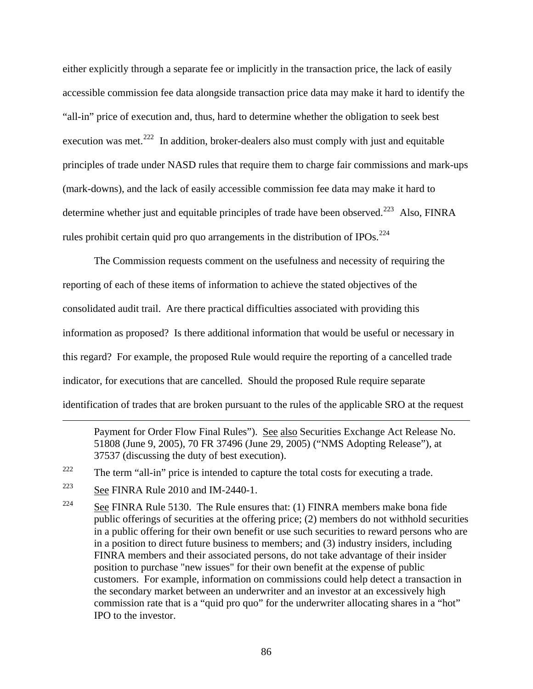either explicitly through a separate fee or implicitly in the transaction price, the lack of easily accessible commission fee data alongside transaction price data may make it hard to identify the "all-in" price of execution and, thus, hard to determine whether the obligation to seek best execution was met.<sup>[222](#page-85-0)</sup> In addition, broker-dealers also must comply with just and equitable principles of trade under NASD rules that require them to charge fair commissions and mark-ups (mark-downs), and the lack of easily accessible commission fee data may make it hard to determine whether just and equitable principles of trade have been observed.<sup>[223](#page-85-1)</sup> Also, FINRA rules prohibit certain quid pro quo arrangements in the distribution of IPOs.<sup>[224](#page-85-2)</sup>

The Commission requests comment on the usefulness and necessity of requiring the reporting of each of these items of information to achieve the stated objectives of the consolidated audit trail. Are there practical difficulties associated with providing this information as proposed? Is there additional information that would be useful or necessary in this regard? For example, the proposed Rule would require the reporting of a cancelled trade indicator, for executions that are cancelled. Should the proposed Rule require separate identification of trades that are broken pursuant to the rules of the applicable SRO at the request

Payment for Order Flow Final Rules"). See also Securities Exchange Act Release No. 51808 (June 9, 2005), 70 FR 37496 (June 29, 2005) ("NMS Adopting Release"), at 37537 (discussing the duty of best execution).

 $\overline{a}$ 

<span id="page-85-0"></span> $222$  The term "all-in" price is intended to capture the total costs for executing a trade.

<span id="page-85-1"></span> $223$  See FINRA Rule 2010 and IM-2440-1.

<span id="page-85-2"></span><sup>&</sup>lt;sup>224</sup> See FINRA Rule 5130. The Rule ensures that: (1) FINRA members make bona fide public offerings of securities at the offering price; (2) members do not withhold securities in a public offering for their own benefit or use such securities to reward persons who are in a position to direct future business to members; and (3) industry insiders, including FINRA members and their associated persons, do not take advantage of their insider position to purchase "new issues" for their own benefit at the expense of public customers. For example, information on commissions could help detect a transaction in the secondary market between an underwriter and an investor at an excessively high commission rate that is a "quid pro quo" for the underwriter allocating shares in a "hot" IPO to the investor.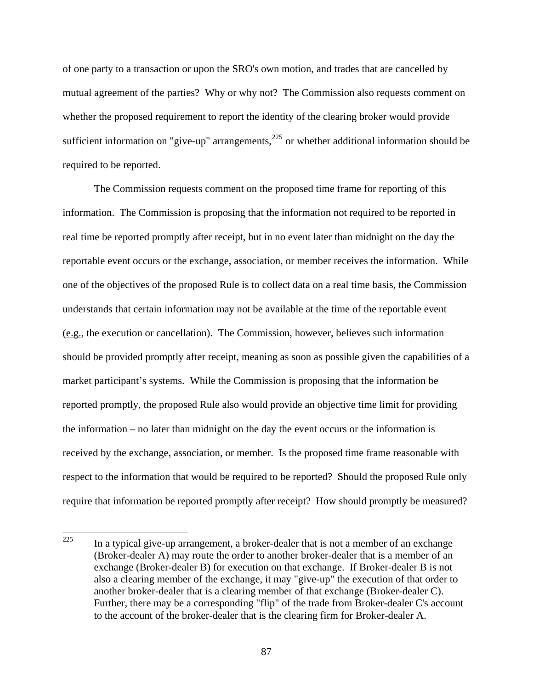of one party to a transaction or upon the SRO's own motion, and trades that are cancelled by mutual agreement of the parties? Why or why not? The Commission also requests comment on whether the proposed requirement to report the identity of the clearing broker would provide sufficient information on "give-up" arrangements,  $225$  or whether additional information should be required to be reported.

The Commission requests comment on the proposed time frame for reporting of this information. The Commission is proposing that the information not required to be reported in real time be reported promptly after receipt, but in no event later than midnight on the day the reportable event occurs or the exchange, association, or member receives the information. While one of the objectives of the proposed Rule is to collect data on a real time basis, the Commission understands that certain information may not be available at the time of the reportable event (e.g., the execution or cancellation). The Commission, however, believes such information should be provided promptly after receipt, meaning as soon as possible given the capabilities of a market participant's systems. While the Commission is proposing that the information be reported promptly, the proposed Rule also would provide an objective time limit for providing the information – no later than midnight on the day the event occurs or the information is received by the exchange, association, or member. Is the proposed time frame reasonable with respect to the information that would be required to be reported? Should the proposed Rule only require that information be reported promptly after receipt? How should promptly be measured?

<span id="page-86-0"></span><sup>225</sup> In a typical give-up arrangement, a broker-dealer that is not a member of an exchange (Broker-dealer A) may route the order to another broker-dealer that is a member of an exchange (Broker-dealer B) for execution on that exchange. If Broker-dealer B is not also a clearing member of the exchange, it may "give-up" the execution of that order to another broker-dealer that is a clearing member of that exchange (Broker-dealer C). Further, there may be a corresponding "flip" of the trade from Broker-dealer C's account to the account of the broker-dealer that is the clearing firm for Broker-dealer A.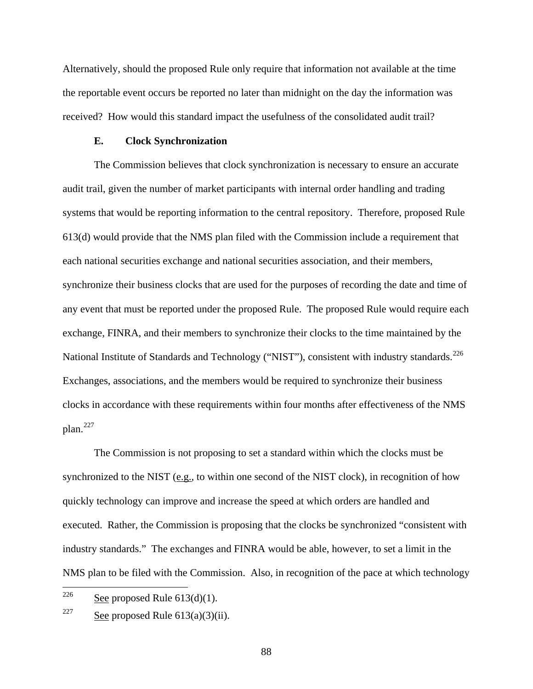Alternatively, should the proposed Rule only require that information not available at the time the reportable event occurs be reported no later than midnight on the day the information was received? How would this standard impact the usefulness of the consolidated audit trail?

### **E. Clock Synchronization**

The Commission believes that clock synchronization is necessary to ensure an accurate audit trail, given the number of market participants with internal order handling and trading systems that would be reporting information to the central repository. Therefore, proposed Rule 613(d) would provide that the NMS plan filed with the Commission include a requirement that each national securities exchange and national securities association, and their members, synchronize their business clocks that are used for the purposes of recording the date and time of any event that must be reported under the proposed Rule. The proposed Rule would require each exchange, FINRA, and their members to synchronize their clocks to the time maintained by the National Institute of Standards and Technology ("NIST"), consistent with industry standards.<sup>[226](#page-87-0)</sup> Exchanges, associations, and the members would be required to synchronize their business clocks in accordance with these requirements within four months after effectiveness of the NMS  $plan.<sup>227</sup>$  $plan.<sup>227</sup>$  $plan.<sup>227</sup>$ 

The Commission is not proposing to set a standard within which the clocks must be synchronized to the NIST (e.g., to within one second of the NIST clock), in recognition of how quickly technology can improve and increase the speed at which orders are handled and executed. Rather, the Commission is proposing that the clocks be synchronized "consistent with industry standards." The exchanges and FINRA would be able, however, to set a limit in the NMS plan to be filed with the Commission. Also, in recognition of the pace at which technology

<span id="page-87-0"></span><sup>226</sup> See proposed Rule  $613(d)(1)$ .

<span id="page-87-1"></span><sup>&</sup>lt;sup>227</sup> See proposed Rule  $613(a)(3)(ii)$ .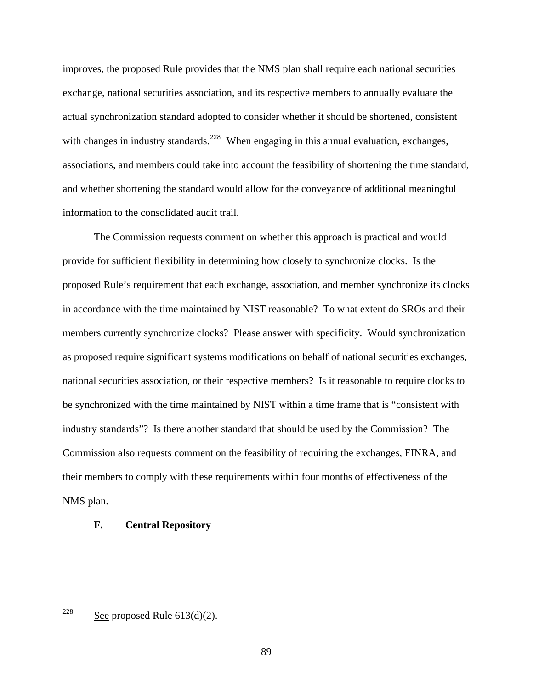improves, the proposed Rule provides that the NMS plan shall require each national securities exchange, national securities association, and its respective members to annually evaluate the actual synchronization standard adopted to consider whether it should be shortened, consistent with changes in industry standards.<sup>[228](#page-88-0)</sup> When engaging in this annual evaluation, exchanges, associations, and members could take into account the feasibility of shortening the time standard, and whether shortening the standard would allow for the conveyance of additional meaningful information to the consolidated audit trail.

The Commission requests comment on whether this approach is practical and would provide for sufficient flexibility in determining how closely to synchronize clocks. Is the proposed Rule's requirement that each exchange, association, and member synchronize its clocks in accordance with the time maintained by NIST reasonable? To what extent do SROs and their members currently synchronize clocks? Please answer with specificity. Would synchronization as proposed require significant systems modifications on behalf of national securities exchanges, national securities association, or their respective members? Is it reasonable to require clocks to be synchronized with the time maintained by NIST within a time frame that is "consistent with industry standards"? Is there another standard that should be used by the Commission? The Commission also requests comment on the feasibility of requiring the exchanges, FINRA, and their members to comply with these requirements within four months of effectiveness of the NMS plan.

## **F. Central Repository**

<span id="page-88-0"></span>See proposed Rule  $613(d)(2)$ .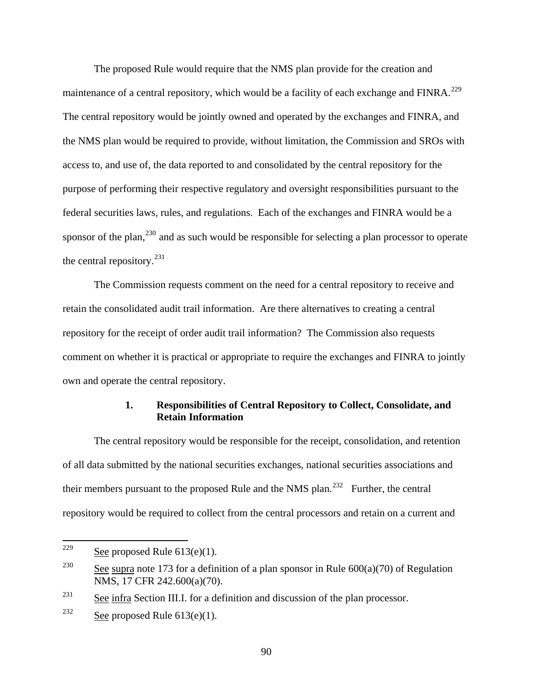The proposed Rule would require that the NMS plan provide for the creation and maintenance of a central repository, which would be a facility of each exchange and FINRA.<sup>[229](#page-89-0)</sup> The central repository would be jointly owned and operated by the exchanges and FINRA, and the NMS plan would be required to provide, without limitation, the Commission and SROs with access to, and use of, the data reported to and consolidated by the central repository for the purpose of performing their respective regulatory and oversight responsibilities pursuant to the federal securities laws, rules, and regulations. Each of the exchanges and FINRA would be a sponsor of the plan, $^{230}$  $^{230}$  $^{230}$  and as such would be responsible for selecting a plan processor to operate the central repository. $^{231}$  $^{231}$  $^{231}$ 

The Commission requests comment on the need for a central repository to receive and retain the consolidated audit trail information. Are there alternatives to creating a central repository for the receipt of order audit trail information? The Commission also requests comment on whether it is practical or appropriate to require the exchanges and FINRA to jointly own and operate the central repository.

# **1. Responsibilities of Central Repository to Collect, Consolidate, and Retain Information**

 The central repository would be responsible for the receipt, consolidation, and retention of all data submitted by the national securities exchanges, national securities associations and their members pursuant to the proposed Rule and the NMS plan.<sup>[232](#page-89-3)</sup> Further, the central repository would be required to collect from the central processors and retain on a current and

<span id="page-89-0"></span><sup>229</sup> See proposed Rule  $613(e)(1)$ .

<span id="page-89-1"></span><sup>&</sup>lt;sup>230</sup> See supra note 173 for a definition of a plan sponsor in Rule  $600(a)(70)$  of Regulation NMS, 17 CFR 242.600(a)(70).

<span id="page-89-2"></span> $231$  See infra Section III.I. for a definition and discussion of the plan processor.

<span id="page-89-3"></span><sup>&</sup>lt;sup>232</sup> See proposed Rule  $613(e)(1)$ .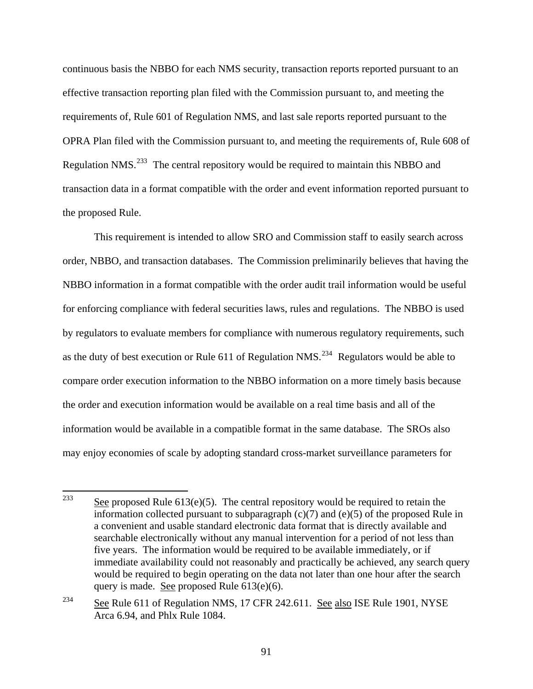continuous basis the NBBO for each NMS security, transaction reports reported pursuant to an effective transaction reporting plan filed with the Commission pursuant to, and meeting the requirements of, Rule 601 of Regulation NMS, and last sale reports reported pursuant to the OPRA Plan filed with the Commission pursuant to, and meeting the requirements of, Rule 608 of Regulation NMS.<sup>[233](#page-90-0)</sup> The central repository would be required to maintain this NBBO and transaction data in a format compatible with the order and event information reported pursuant to the proposed Rule.

 This requirement is intended to allow SRO and Commission staff to easily search across order, NBBO, and transaction databases. The Commission preliminarily believes that having the NBBO information in a format compatible with the order audit trail information would be useful for enforcing compliance with federal securities laws, rules and regulations. The NBBO is used by regulators to evaluate members for compliance with numerous regulatory requirements, such as the duty of best execution or Rule 611 of Regulation NMS.<sup>[234](#page-90-1)</sup> Regulators would be able to compare order execution information to the NBBO information on a more timely basis because the order and execution information would be available on a real time basis and all of the information would be available in a compatible format in the same database. The SROs also may enjoy economies of scale by adopting standard cross-market surveillance parameters for

<span id="page-90-0"></span><sup>233</sup> See proposed Rule  $613(e)(5)$ . The central repository would be required to retain the information collected pursuant to subparagraph (c)(7) and (e)(5) of the proposed Rule in a convenient and usable standard electronic data format that is directly available and searchable electronically without any manual intervention for a period of not less than five years. The information would be required to be available immediately, or if immediate availability could not reasonably and practically be achieved, any search query would be required to begin operating on the data not later than one hour after the search query is made. See proposed Rule 613(e)(6).

<span id="page-90-1"></span><sup>&</sup>lt;sup>234</sup> See Rule 611 of Regulation NMS, 17 CFR 242.611. See also ISE Rule 1901, NYSE Arca 6.94, and Phlx Rule 1084.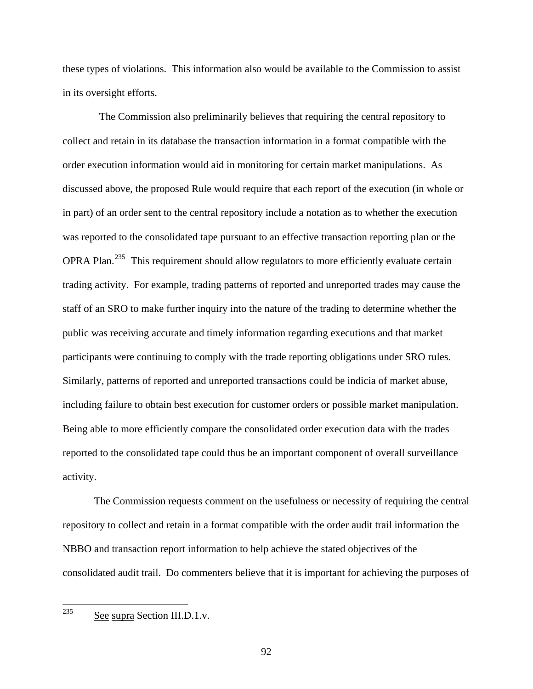these types of violations. This information also would be available to the Commission to assist in its oversight efforts.

 The Commission also preliminarily believes that requiring the central repository to collect and retain in its database the transaction information in a format compatible with the order execution information would aid in monitoring for certain market manipulations. As discussed above, the proposed Rule would require that each report of the execution (in whole or in part) of an order sent to the central repository include a notation as to whether the execution was reported to the consolidated tape pursuant to an effective transaction reporting plan or the OPRA Plan.<sup>[235](#page-91-0)</sup> This requirement should allow regulators to more efficiently evaluate certain trading activity. For example, trading patterns of reported and unreported trades may cause the staff of an SRO to make further inquiry into the nature of the trading to determine whether the public was receiving accurate and timely information regarding executions and that market participants were continuing to comply with the trade reporting obligations under SRO rules. Similarly, patterns of reported and unreported transactions could be indicia of market abuse, including failure to obtain best execution for customer orders or possible market manipulation. Being able to more efficiently compare the consolidated order execution data with the trades reported to the consolidated tape could thus be an important component of overall surveillance activity.

The Commission requests comment on the usefulness or necessity of requiring the central repository to collect and retain in a format compatible with the order audit trail information the NBBO and transaction report information to help achieve the stated objectives of the consolidated audit trail. Do commenters believe that it is important for achieving the purposes of

<span id="page-91-0"></span>See supra Section III.D.1.v.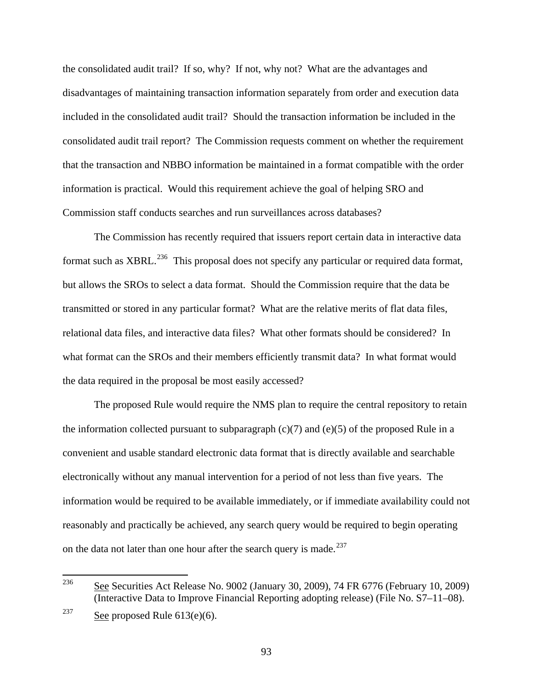the consolidated audit trail? If so, why? If not, why not? What are the advantages and disadvantages of maintaining transaction information separately from order and execution data included in the consolidated audit trail? Should the transaction information be included in the consolidated audit trail report? The Commission requests comment on whether the requirement that the transaction and NBBO information be maintained in a format compatible with the order information is practical. Would this requirement achieve the goal of helping SRO and Commission staff conducts searches and run surveillances across databases?

The Commission has recently required that issuers report certain data in interactive data format such as XBRL.<sup>[236](#page-92-0)</sup> This proposal does not specify any particular or required data format, but allows the SROs to select a data format. Should the Commission require that the data be transmitted or stored in any particular format? What are the relative merits of flat data files, relational data files, and interactive data files? What other formats should be considered? In what format can the SROs and their members efficiently transmit data? In what format would the data required in the proposal be most easily accessed?

The proposed Rule would require the NMS plan to require the central repository to retain the information collected pursuant to subparagraph  $(c)(7)$  and  $(e)(5)$  of the proposed Rule in a convenient and usable standard electronic data format that is directly available and searchable electronically without any manual intervention for a period of not less than five years. The information would be required to be available immediately, or if immediate availability could not reasonably and practically be achieved, any search query would be required to begin operating on the data not later than one hour after the search query is made.<sup>[237](#page-92-1)</sup>

<span id="page-92-0"></span><sup>236</sup> 236 See Securities Act Release No. 9002 (January 30, 2009), 74 FR 6776 (February 10, 2009) (Interactive Data to Improve Financial Reporting adopting release) (File No. S7–11–08).

<span id="page-92-1"></span><sup>&</sup>lt;sup>237</sup> See proposed Rule  $613(e)(6)$ .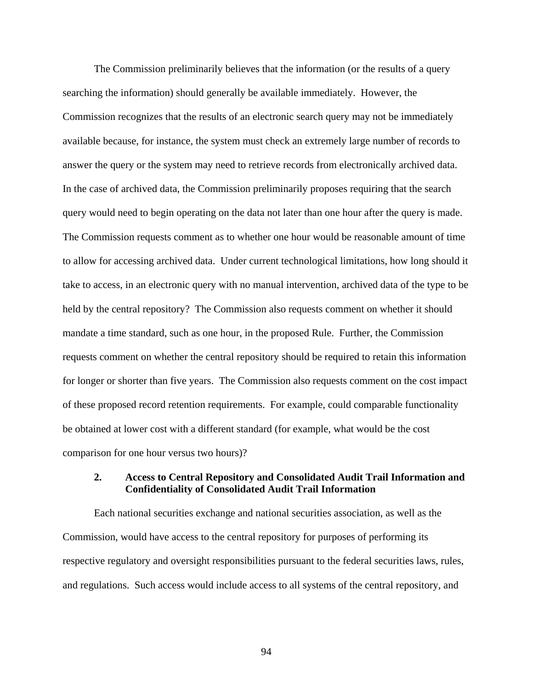The Commission preliminarily believes that the information (or the results of a query searching the information) should generally be available immediately. However, the Commission recognizes that the results of an electronic search query may not be immediately available because, for instance, the system must check an extremely large number of records to answer the query or the system may need to retrieve records from electronically archived data. In the case of archived data, the Commission preliminarily proposes requiring that the search query would need to begin operating on the data not later than one hour after the query is made. The Commission requests comment as to whether one hour would be reasonable amount of time to allow for accessing archived data. Under current technological limitations, how long should it take to access, in an electronic query with no manual intervention, archived data of the type to be held by the central repository? The Commission also requests comment on whether it should mandate a time standard, such as one hour, in the proposed Rule. Further, the Commission requests comment on whether the central repository should be required to retain this information for longer or shorter than five years. The Commission also requests comment on the cost impact of these proposed record retention requirements. For example, could comparable functionality be obtained at lower cost with a different standard (for example, what would be the cost comparison for one hour versus two hours)?

# **2. Access to Central Repository and Consolidated Audit Trail Information and Confidentiality of Consolidated Audit Trail Information**

 Each national securities exchange and national securities association, as well as the Commission, would have access to the central repository for purposes of performing its respective regulatory and oversight responsibilities pursuant to the federal securities laws, rules, and regulations. Such access would include access to all systems of the central repository, and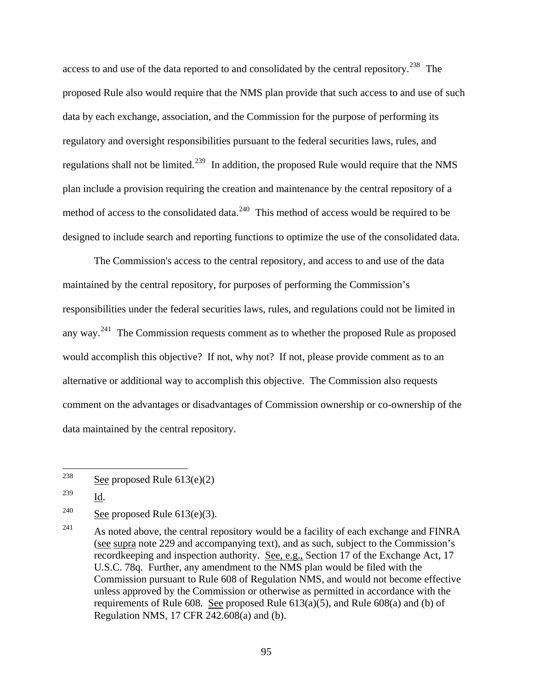access to and use of the data reported to and consolidated by the central repository.<sup>[238](#page-94-0)</sup> The proposed Rule also would require that the NMS plan provide that such access to and use of such data by each exchange, association, and the Commission for the purpose of performing its regulatory and oversight responsibilities pursuant to the federal securities laws, rules, and regulations shall not be limited.<sup>[239](#page-94-1)</sup> In addition, the proposed Rule would require that the NMS plan include a provision requiring the creation and maintenance by the central repository of a method of access to the consolidated data.<sup>[240](#page-94-2)</sup> This method of access would be required to be designed to include search and reporting functions to optimize the use of the consolidated data.

 The Commission's access to the central repository, and access to and use of the data maintained by the central repository, for purposes of performing the Commission's responsibilities under the federal securities laws, rules, and regulations could not be limited in any way.<sup>[241](#page-94-3)</sup> The Commission requests comment as to whether the proposed Rule as proposed would accomplish this objective? If not, why not? If not, please provide comment as to an alternative or additional way to accomplish this objective. The Commission also requests comment on the advantages or disadvantages of Commission ownership or co-ownership of the data maintained by the central repository.

<span id="page-94-0"></span><sup>238</sup> See proposed Rule  $613(e)(2)$ 

<span id="page-94-1"></span><sup>239</sup> Id.

<span id="page-94-2"></span><sup>&</sup>lt;sup>240</sup> See proposed Rule  $613(e)(3)$ .

<span id="page-94-3"></span> $241$  As noted above, the central repository would be a facility of each exchange and FINRA (see supra note 229 and accompanying text), and as such, subject to the Commission's recordkeeping and inspection authority. See, e.g., Section 17 of the Exchange Act, 17 U.S.C. 78q. Further, any amendment to the NMS plan would be filed with the Commission pursuant to Rule 608 of Regulation NMS, and would not become effective unless approved by the Commission or otherwise as permitted in accordance with the requirements of Rule 608. See proposed Rule  $613(a)(5)$ , and Rule  $608(a)$  and (b) of Regulation NMS, 17 CFR 242.608(a) and (b).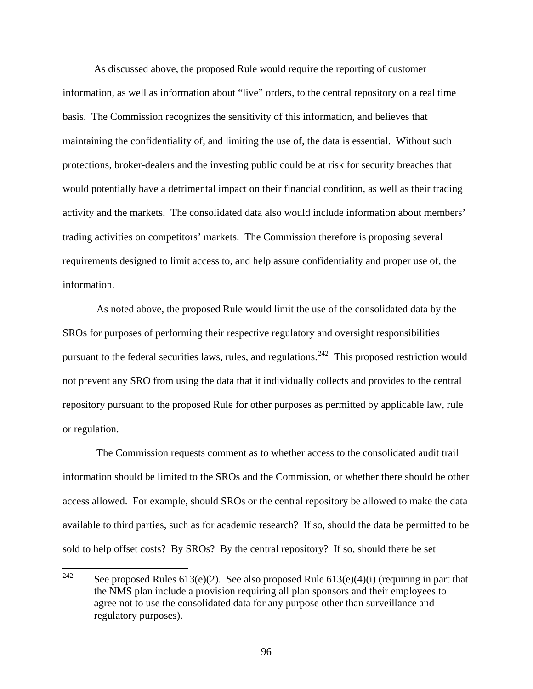As discussed above, the proposed Rule would require the reporting of customer information, as well as information about "live" orders, to the central repository on a real time basis. The Commission recognizes the sensitivity of this information, and believes that maintaining the confidentiality of, and limiting the use of, the data is essential. Without such protections, broker-dealers and the investing public could be at risk for security breaches that would potentially have a detrimental impact on their financial condition, as well as their trading activity and the markets. The consolidated data also would include information about members' trading activities on competitors' markets. The Commission therefore is proposing several requirements designed to limit access to, and help assure confidentiality and proper use of, the information.

 As noted above, the proposed Rule would limit the use of the consolidated data by the SROs for purposes of performing their respective regulatory and oversight responsibilities pursuant to the federal securities laws, rules, and regulations.<sup>[242](#page-95-0)</sup> This proposed restriction would not prevent any SRO from using the data that it individually collects and provides to the central repository pursuant to the proposed Rule for other purposes as permitted by applicable law, rule or regulation.

 The Commission requests comment as to whether access to the consolidated audit trail information should be limited to the SROs and the Commission, or whether there should be other access allowed. For example, should SROs or the central repository be allowed to make the data available to third parties, such as for academic research? If so, should the data be permitted to be sold to help offset costs? By SROs? By the central repository? If so, should there be set

<span id="page-95-0"></span><sup>242</sup> See proposed Rules 613(e)(2). See also proposed Rule 613(e)(4)(i) (requiring in part that the NMS plan include a provision requiring all plan sponsors and their employees to agree not to use the consolidated data for any purpose other than surveillance and regulatory purposes).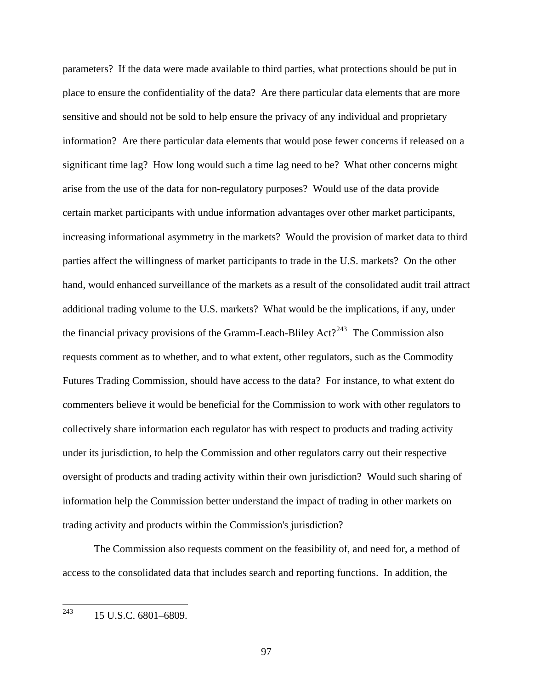parameters? If the data were made available to third parties, what protections should be put in place to ensure the confidentiality of the data? Are there particular data elements that are more sensitive and should not be sold to help ensure the privacy of any individual and proprietary information? Are there particular data elements that would pose fewer concerns if released on a significant time lag? How long would such a time lag need to be? What other concerns might arise from the use of the data for non-regulatory purposes? Would use of the data provide certain market participants with undue information advantages over other market participants, increasing informational asymmetry in the markets? Would the provision of market data to third parties affect the willingness of market participants to trade in the U.S. markets? On the other hand, would enhanced surveillance of the markets as a result of the consolidated audit trail attract additional trading volume to the U.S. markets? What would be the implications, if any, under the financial privacy provisions of the Gramm-Leach-Bliley  $Act?^{243}$  $Act?^{243}$  $Act?^{243}$  The Commission also requests comment as to whether, and to what extent, other regulators, such as the Commodity Futures Trading Commission, should have access to the data? For instance, to what extent do commenters believe it would be beneficial for the Commission to work with other regulators to collectively share information each regulator has with respect to products and trading activity under its jurisdiction, to help the Commission and other regulators carry out their respective oversight of products and trading activity within their own jurisdiction? Would such sharing of information help the Commission better understand the impact of trading in other markets on trading activity and products within the Commission's jurisdiction?

 The Commission also requests comment on the feasibility of, and need for, a method of access to the consolidated data that includes search and reporting functions. In addition, the

<span id="page-96-0"></span>243 243 15 U.S.C. 6801–6809.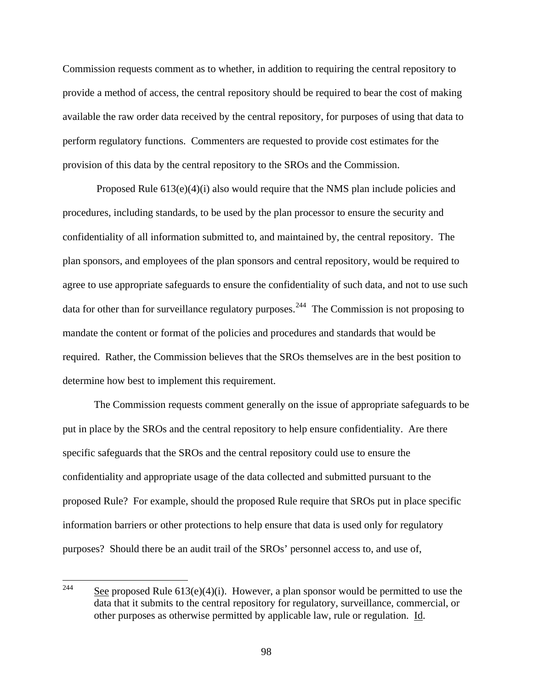Commission requests comment as to whether, in addition to requiring the central repository to provide a method of access, the central repository should be required to bear the cost of making available the raw order data received by the central repository, for purposes of using that data to perform regulatory functions. Commenters are requested to provide cost estimates for the provision of this data by the central repository to the SROs and the Commission.

 Proposed Rule 613(e)(4)(i) also would require that the NMS plan include policies and procedures, including standards, to be used by the plan processor to ensure the security and confidentiality of all information submitted to, and maintained by, the central repository. The plan sponsors, and employees of the plan sponsors and central repository, would be required to agree to use appropriate safeguards to ensure the confidentiality of such data, and not to use such data for other than for surveillance regulatory purposes.<sup>[244](#page-97-0)</sup> The Commission is not proposing to mandate the content or format of the policies and procedures and standards that would be required. Rather, the Commission believes that the SROs themselves are in the best position to determine how best to implement this requirement.

 The Commission requests comment generally on the issue of appropriate safeguards to be put in place by the SROs and the central repository to help ensure confidentiality. Are there specific safeguards that the SROs and the central repository could use to ensure the confidentiality and appropriate usage of the data collected and submitted pursuant to the proposed Rule? For example, should the proposed Rule require that SROs put in place specific information barriers or other protections to help ensure that data is used only for regulatory purposes? Should there be an audit trail of the SROs' personnel access to, and use of,

<span id="page-97-0"></span><sup>244</sup> See proposed Rule  $613(e)(4)(i)$ . However, a plan sponsor would be permitted to use the data that it submits to the central repository for regulatory, surveillance, commercial, or other purposes as otherwise permitted by applicable law, rule or regulation. Id.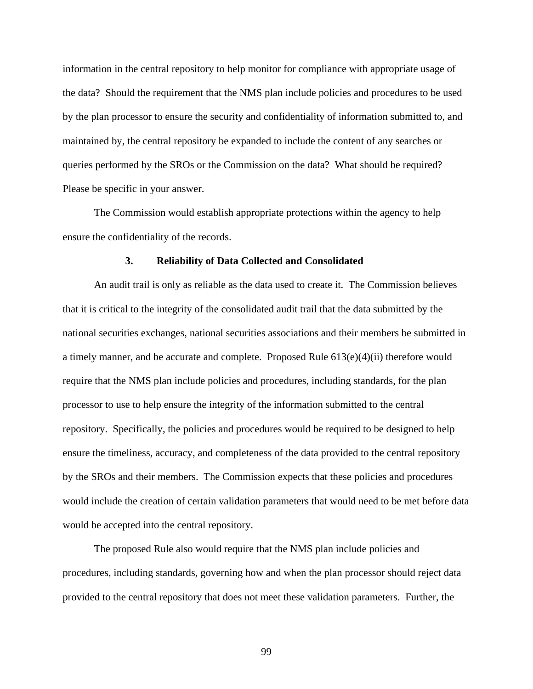information in the central repository to help monitor for compliance with appropriate usage of the data? Should the requirement that the NMS plan include policies and procedures to be used by the plan processor to ensure the security and confidentiality of information submitted to, and maintained by, the central repository be expanded to include the content of any searches or queries performed by the SROs or the Commission on the data? What should be required? Please be specific in your answer.

The Commission would establish appropriate protections within the agency to help ensure the confidentiality of the records.

#### **3. Reliability of Data Collected and Consolidated**

 An audit trail is only as reliable as the data used to create it. The Commission believes that it is critical to the integrity of the consolidated audit trail that the data submitted by the national securities exchanges, national securities associations and their members be submitted in a timely manner, and be accurate and complete. Proposed Rule 613(e)(4)(ii) therefore would require that the NMS plan include policies and procedures, including standards, for the plan processor to use to help ensure the integrity of the information submitted to the central repository. Specifically, the policies and procedures would be required to be designed to help ensure the timeliness, accuracy, and completeness of the data provided to the central repository by the SROs and their members. The Commission expects that these policies and procedures would include the creation of certain validation parameters that would need to be met before data would be accepted into the central repository.

 The proposed Rule also would require that the NMS plan include policies and procedures, including standards, governing how and when the plan processor should reject data provided to the central repository that does not meet these validation parameters. Further, the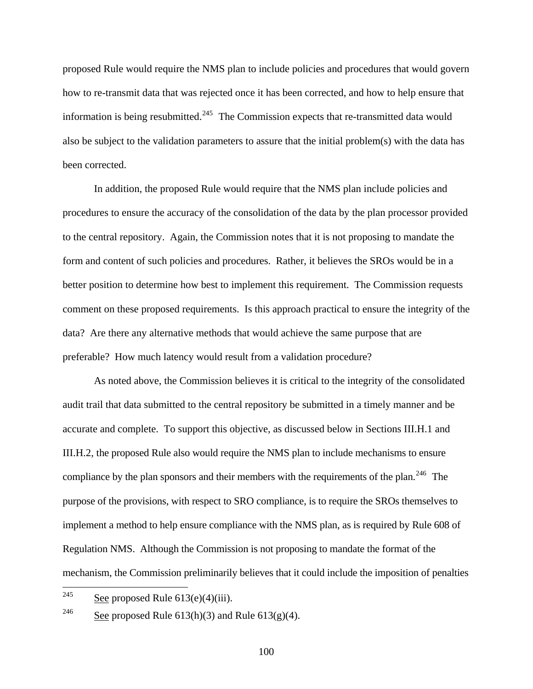proposed Rule would require the NMS plan to include policies and procedures that would govern how to re-transmit data that was rejected once it has been corrected, and how to help ensure that information is being resubmitted.<sup>[245](#page-99-0)</sup> The Commission expects that re-transmitted data would also be subject to the validation parameters to assure that the initial problem(s) with the data has been corrected.

 In addition, the proposed Rule would require that the NMS plan include policies and procedures to ensure the accuracy of the consolidation of the data by the plan processor provided to the central repository. Again, the Commission notes that it is not proposing to mandate the form and content of such policies and procedures. Rather, it believes the SROs would be in a better position to determine how best to implement this requirement. The Commission requests comment on these proposed requirements. Is this approach practical to ensure the integrity of the data? Are there any alternative methods that would achieve the same purpose that are preferable? How much latency would result from a validation procedure?

As noted above, the Commission believes it is critical to the integrity of the consolidated audit trail that data submitted to the central repository be submitted in a timely manner and be accurate and complete. To support this objective, as discussed below in Sections III.H.1 and III.H.2, the proposed Rule also would require the NMS plan to include mechanisms to ensure compliance by the plan sponsors and their members with the requirements of the plan.<sup>[246](#page-99-1)</sup> The purpose of the provisions, with respect to SRO compliance, is to require the SROs themselves to implement a method to help ensure compliance with the NMS plan, as is required by Rule 608 of Regulation NMS. Although the Commission is not proposing to mandate the format of the mechanism, the Commission preliminarily believes that it could include the imposition of penalties

<span id="page-99-1"></span><sup>246</sup> See proposed Rule 613(h)(3) and Rule 613(g)(4).

<span id="page-99-0"></span><sup>245</sup> See proposed Rule  $613(e)(4)(iii)$ .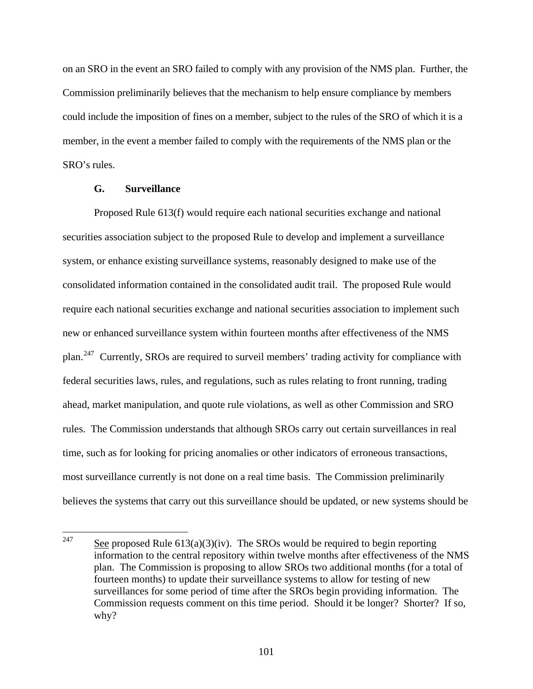on an SRO in the event an SRO failed to comply with any provision of the NMS plan. Further, the Commission preliminarily believes that the mechanism to help ensure compliance by members could include the imposition of fines on a member, subject to the rules of the SRO of which it is a member, in the event a member failed to comply with the requirements of the NMS plan or the SRO's rules.

## **G. Surveillance**

 Proposed Rule 613(f) would require each national securities exchange and national securities association subject to the proposed Rule to develop and implement a surveillance system, or enhance existing surveillance systems, reasonably designed to make use of the consolidated information contained in the consolidated audit trail. The proposed Rule would require each national securities exchange and national securities association to implement such new or enhanced surveillance system within fourteen months after effectiveness of the NMS plan.[247](#page-100-0) Currently, SROs are required to surveil members' trading activity for compliance with federal securities laws, rules, and regulations, such as rules relating to front running, trading ahead, market manipulation, and quote rule violations, as well as other Commission and SRO rules. The Commission understands that although SROs carry out certain surveillances in real time, such as for looking for pricing anomalies or other indicators of erroneous transactions, most surveillance currently is not done on a real time basis. The Commission preliminarily believes the systems that carry out this surveillance should be updated, or new systems should be

<span id="page-100-0"></span><sup>247</sup> See proposed Rule  $613(a)(3)(iv)$ . The SROs would be required to begin reporting information to the central repository within twelve months after effectiveness of the NMS plan. The Commission is proposing to allow SROs two additional months (for a total of fourteen months) to update their surveillance systems to allow for testing of new surveillances for some period of time after the SROs begin providing information. The Commission requests comment on this time period. Should it be longer? Shorter? If so, why?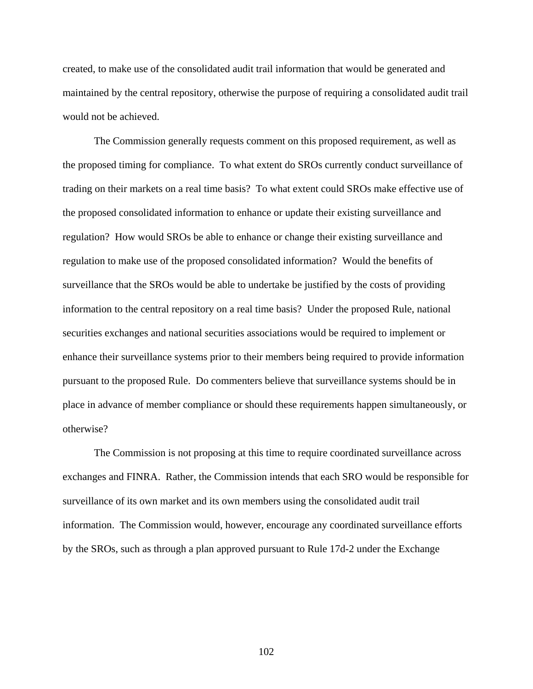created, to make use of the consolidated audit trail information that would be generated and maintained by the central repository, otherwise the purpose of requiring a consolidated audit trail would not be achieved.

 The Commission generally requests comment on this proposed requirement, as well as the proposed timing for compliance. To what extent do SROs currently conduct surveillance of trading on their markets on a real time basis? To what extent could SROs make effective use of the proposed consolidated information to enhance or update their existing surveillance and regulation? How would SROs be able to enhance or change their existing surveillance and regulation to make use of the proposed consolidated information? Would the benefits of surveillance that the SROs would be able to undertake be justified by the costs of providing information to the central repository on a real time basis? Under the proposed Rule, national securities exchanges and national securities associations would be required to implement or enhance their surveillance systems prior to their members being required to provide information pursuant to the proposed Rule. Do commenters believe that surveillance systems should be in place in advance of member compliance or should these requirements happen simultaneously, or otherwise?

The Commission is not proposing at this time to require coordinated surveillance across exchanges and FINRA. Rather, the Commission intends that each SRO would be responsible for surveillance of its own market and its own members using the consolidated audit trail information. The Commission would, however, encourage any coordinated surveillance efforts by the SROs, such as through a plan approved pursuant to Rule 17d-2 under the Exchange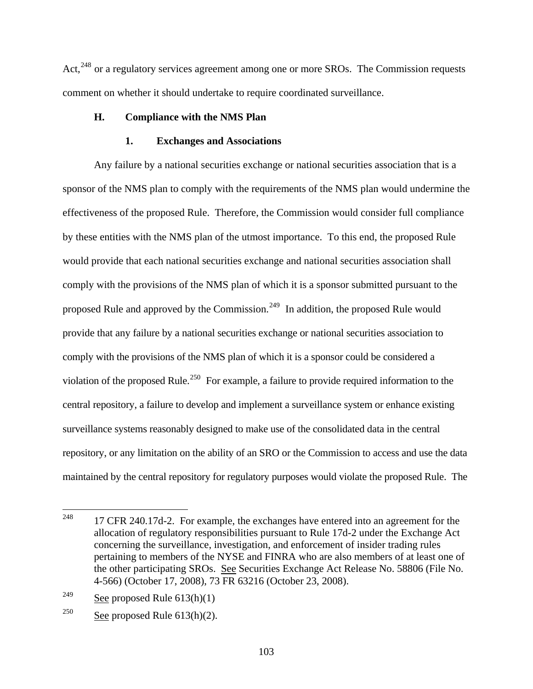Act,<sup>[248](#page-102-0)</sup> or a regulatory services agreement among one or more SROs. The Commission requests comment on whether it should undertake to require coordinated surveillance.

# **H. Compliance with the NMS Plan**

## **1. Exchanges and Associations**

Any failure by a national securities exchange or national securities association that is a sponsor of the NMS plan to comply with the requirements of the NMS plan would undermine the effectiveness of the proposed Rule. Therefore, the Commission would consider full compliance by these entities with the NMS plan of the utmost importance. To this end, the proposed Rule would provide that each national securities exchange and national securities association shall comply with the provisions of the NMS plan of which it is a sponsor submitted pursuant to the proposed Rule and approved by the Commission.<sup>[249](#page-102-1)</sup> In addition, the proposed Rule would provide that any failure by a national securities exchange or national securities association to comply with the provisions of the NMS plan of which it is a sponsor could be considered a violation of the proposed Rule.<sup>[250](#page-102-2)</sup> For example, a failure to provide required information to the central repository, a failure to develop and implement a surveillance system or enhance existing surveillance systems reasonably designed to make use of the consolidated data in the central repository, or any limitation on the ability of an SRO or the Commission to access and use the data maintained by the central repository for regulatory purposes would violate the proposed Rule. The

<span id="page-102-0"></span><sup>248</sup> 248 17 CFR 240.17d-2. For example, the exchanges have entered into an agreement for the allocation of regulatory responsibilities pursuant to Rule 17d-2 under the Exchange Act concerning the surveillance, investigation, and enforcement of insider trading rules pertaining to members of the NYSE and FINRA who are also members of at least one of the other participating SROs. See Securities Exchange Act Release No. 58806 (File No. 4-566) (October 17, 2008), 73 FR 63216 (October 23, 2008).

<span id="page-102-1"></span><sup>&</sup>lt;sup>249</sup> See proposed Rule  $613(h)(1)$ 

<span id="page-102-2"></span><sup>&</sup>lt;sup>250</sup> See proposed Rule  $613(h)(2)$ .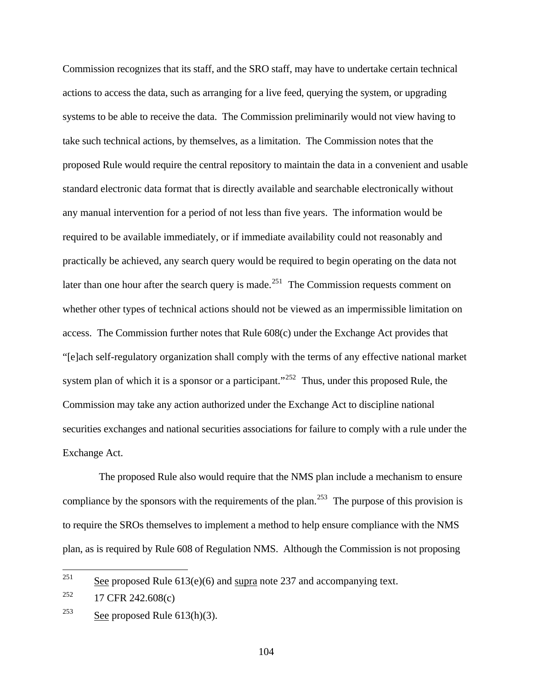Commission recognizes that its staff, and the SRO staff, may have to undertake certain technical actions to access the data, such as arranging for a live feed, querying the system, or upgrading systems to be able to receive the data. The Commission preliminarily would not view having to take such technical actions, by themselves, as a limitation. The Commission notes that the proposed Rule would require the central repository to maintain the data in a convenient and usable standard electronic data format that is directly available and searchable electronically without any manual intervention for a period of not less than five years. The information would be required to be available immediately, or if immediate availability could not reasonably and practically be achieved, any search query would be required to begin operating on the data not later than one hour after the search query is made.<sup>[251](#page-103-0)</sup> The Commission requests comment on whether other types of technical actions should not be viewed as an impermissible limitation on access. The Commission further notes that Rule 608(c) under the Exchange Act provides that "[e]ach self-regulatory organization shall comply with the terms of any effective national market system plan of which it is a sponsor or a participant."<sup>[252](#page-103-1)</sup> Thus, under this proposed Rule, the Commission may take any action authorized under the Exchange Act to discipline national securities exchanges and national securities associations for failure to comply with a rule under the Exchange Act.

 The proposed Rule also would require that the NMS plan include a mechanism to ensure compliance by the sponsors with the requirements of the plan.<sup>[253](#page-103-2)</sup> The purpose of this provision is to require the SROs themselves to implement a method to help ensure compliance with the NMS plan, as is required by Rule 608 of Regulation NMS. Although the Commission is not proposing

<span id="page-103-0"></span><sup>251</sup> See proposed Rule  $613(e)(6)$  and supra note 237 and accompanying text.

<span id="page-103-1"></span> $^{252}$  17 CFR 242.608(c)

<span id="page-103-2"></span><sup>&</sup>lt;sup>253</sup> See proposed Rule  $613(h)(3)$ .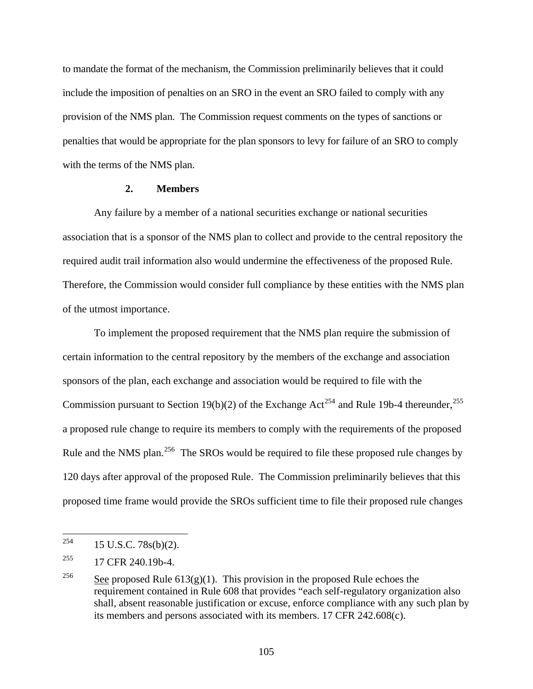to mandate the format of the mechanism, the Commission preliminarily believes that it could include the imposition of penalties on an SRO in the event an SRO failed to comply with any provision of the NMS plan. The Commission request comments on the types of sanctions or penalties that would be appropriate for the plan sponsors to levy for failure of an SRO to comply with the terms of the NMS plan.

### **2. Members**

Any failure by a member of a national securities exchange or national securities association that is a sponsor of the NMS plan to collect and provide to the central repository the required audit trail information also would undermine the effectiveness of the proposed Rule. Therefore, the Commission would consider full compliance by these entities with the NMS plan of the utmost importance.

To implement the proposed requirement that the NMS plan require the submission of certain information to the central repository by the members of the exchange and association sponsors of the plan, each exchange and association would be required to file with the Commission pursuant to Section 19(b)(2) of the Exchange Act<sup>[254](#page-104-0)</sup> and Rule 19b-4 thereunder,<sup>[255](#page-104-1)</sup> a proposed rule change to require its members to comply with the requirements of the proposed Rule and the NMS plan.<sup>[256](#page-104-2)</sup> The SROs would be required to file these proposed rule changes by 120 days after approval of the proposed Rule. The Commission preliminarily believes that this proposed time frame would provide the SROs sufficient time to file their proposed rule changes

<span id="page-104-0"></span><sup>254</sup> 254 15 U.S.C. 78s(b)(2).

<span id="page-104-1"></span><sup>255 17</sup> CFR 240.19b-4.

<span id="page-104-2"></span><sup>&</sup>lt;sup>256</sup> See proposed Rule 613(g)(1). This provision in the proposed Rule echoes the requirement contained in Rule 608 that provides "each self-regulatory organization also shall, absent reasonable justification or excuse, enforce compliance with any such plan by its members and persons associated with its members. 17 CFR 242.608(c).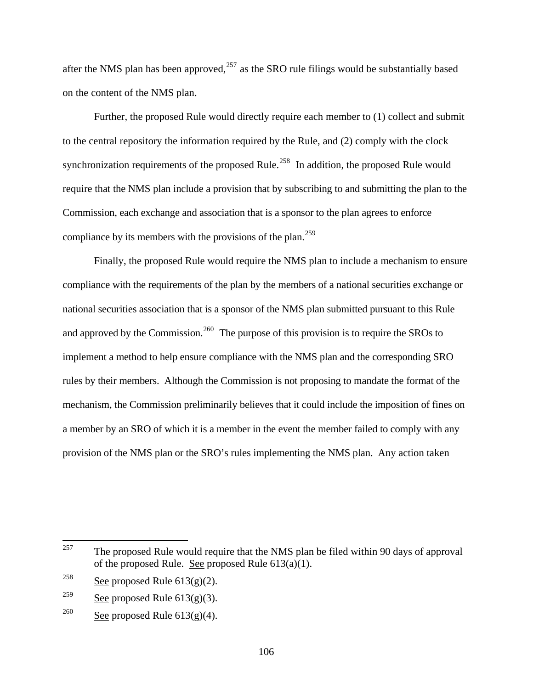after the NMS plan has been approved,  $257$  as the SRO rule filings would be substantially based on the content of the NMS plan.

Further, the proposed Rule would directly require each member to (1) collect and submit to the central repository the information required by the Rule, and (2) comply with the clock synchronization requirements of the proposed Rule.<sup>[258](#page-105-1)</sup> In addition, the proposed Rule would require that the NMS plan include a provision that by subscribing to and submitting the plan to the Commission, each exchange and association that is a sponsor to the plan agrees to enforce compliance by its members with the provisions of the plan.<sup>[259](#page-105-2)</sup>

Finally, the proposed Rule would require the NMS plan to include a mechanism to ensure compliance with the requirements of the plan by the members of a national securities exchange or national securities association that is a sponsor of the NMS plan submitted pursuant to this Rule and approved by the Commission.<sup>[260](#page-105-3)</sup> The purpose of this provision is to require the SROs to implement a method to help ensure compliance with the NMS plan and the corresponding SRO rules by their members. Although the Commission is not proposing to mandate the format of the mechanism, the Commission preliminarily believes that it could include the imposition of fines on a member by an SRO of which it is a member in the event the member failed to comply with any provision of the NMS plan or the SRO's rules implementing the NMS plan. Any action taken

<span id="page-105-0"></span><sup>257</sup> The proposed Rule would require that the NMS plan be filed within 90 days of approval of the proposed Rule. See proposed Rule 613(a)(1).

<span id="page-105-1"></span><sup>&</sup>lt;sup>258</sup> See proposed Rule  $613(g)(2)$ .

<span id="page-105-2"></span> $\frac{259}{\text{See proposed Rule}}$  613(g)(3).

<span id="page-105-3"></span><sup>&</sup>lt;sup>260</sup> See proposed Rule  $613(g)(4)$ .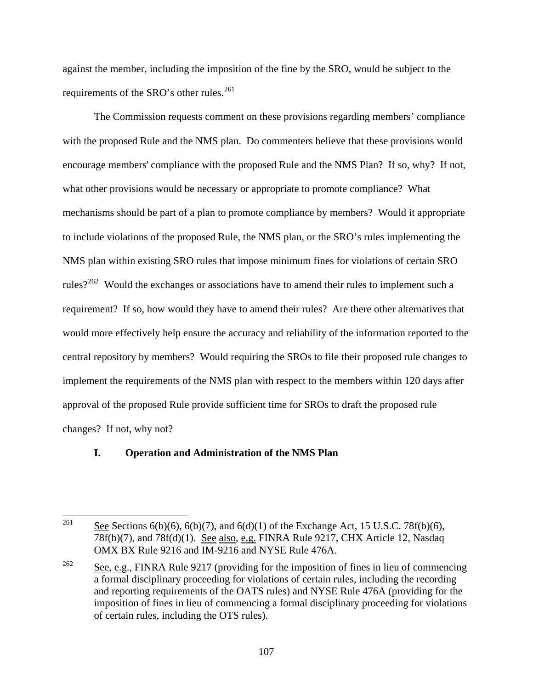against the member, including the imposition of the fine by the SRO, would be subject to the requirements of the SRO's other rules.<sup>[261](#page-106-0)</sup>

The Commission requests comment on these provisions regarding members' compliance with the proposed Rule and the NMS plan. Do commenters believe that these provisions would encourage members' compliance with the proposed Rule and the NMS Plan? If so, why? If not, what other provisions would be necessary or appropriate to promote compliance? What mechanisms should be part of a plan to promote compliance by members? Would it appropriate to include violations of the proposed Rule, the NMS plan, or the SRO's rules implementing the NMS plan within existing SRO rules that impose minimum fines for violations of certain SRO rules?<sup>[262](#page-106-1)</sup> Would the exchanges or associations have to amend their rules to implement such a requirement? If so, how would they have to amend their rules? Are there other alternatives that would more effectively help ensure the accuracy and reliability of the information reported to the central repository by members? Would requiring the SROs to file their proposed rule changes to implement the requirements of the NMS plan with respect to the members within 120 days after approval of the proposed Rule provide sufficient time for SROs to draft the proposed rule changes? If not, why not?

# **I. Operation and Administration of the NMS Plan**

<span id="page-106-0"></span><sup>261</sup> See Sections  $6(b)(6)$ ,  $6(b)(7)$ , and  $6(d)(1)$  of the Exchange Act, 15 U.S.C. 78f(b)(6), 78f(b)(7), and 78f(d)(1). See also, e.g. FINRA Rule 9217, CHX Article 12, Nasdaq OMX BX Rule 9216 and IM-9216 and NYSE Rule 476A.

<span id="page-106-1"></span><sup>&</sup>lt;sup>262</sup> See, e.g., FINRA Rule 9217 (providing for the imposition of fines in lieu of commencing a formal disciplinary proceeding for violations of certain rules, including the recording and reporting requirements of the OATS rules) and NYSE Rule 476A (providing for the imposition of fines in lieu of commencing a formal disciplinary proceeding for violations of certain rules, including the OTS rules).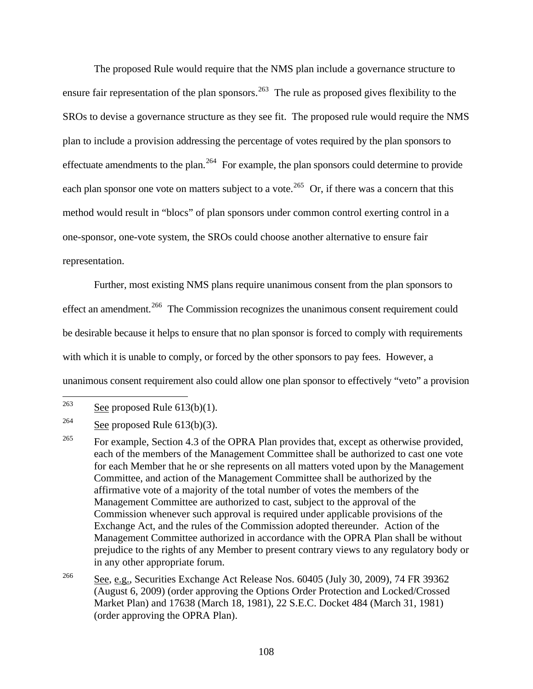The proposed Rule would require that the NMS plan include a governance structure to ensure fair representation of the plan sponsors.<sup>[263](#page-107-0)</sup> The rule as proposed gives flexibility to the SROs to devise a governance structure as they see fit. The proposed rule would require the NMS plan to include a provision addressing the percentage of votes required by the plan sponsors to effectuate amendments to the plan.<sup>[264](#page-107-1)</sup> For example, the plan sponsors could determine to provide each plan sponsor one vote on matters subject to a vote.<sup>[265](#page-107-2)</sup> Or, if there was a concern that this method would result in "blocs" of plan sponsors under common control exerting control in a one-sponsor, one-vote system, the SROs could choose another alternative to ensure fair representation.

Further, most existing NMS plans require unanimous consent from the plan sponsors to effect an amendment.<sup>[266](#page-107-3)</sup> The Commission recognizes the unanimous consent requirement could be desirable because it helps to ensure that no plan sponsor is forced to comply with requirements with which it is unable to comply, or forced by the other sponsors to pay fees. However, a unanimous consent requirement also could allow one plan sponsor to effectively "veto" a provision

<span id="page-107-0"></span><sup>263</sup> See proposed Rule  $613(b)(1)$ .

<span id="page-107-1"></span><sup>&</sup>lt;sup>264</sup> See proposed Rule  $613(b)(3)$ .

<span id="page-107-2"></span><sup>&</sup>lt;sup>265</sup> For example, Section 4.3 of the OPRA Plan provides that, except as otherwise provided, each of the members of the Management Committee shall be authorized to cast one vote for each Member that he or she represents on all matters voted upon by the Management Committee, and action of the Management Committee shall be authorized by the affirmative vote of a majority of the total number of votes the members of the Management Committee are authorized to cast, subject to the approval of the Commission whenever such approval is required under applicable provisions of the Exchange Act, and the rules of the Commission adopted thereunder. Action of the Management Committee authorized in accordance with the OPRA Plan shall be without prejudice to the rights of any Member to present contrary views to any regulatory body or in any other appropriate forum.

<span id="page-107-3"></span><sup>266</sup> See, e.g., Securities Exchange Act Release Nos. 60405 (July 30, 2009), 74 FR 39362 (August 6, 2009) (order approving the Options Order Protection and Locked/Crossed Market Plan) and 17638 (March 18, 1981), 22 S.E.C. Docket 484 (March 31, 1981) (order approving the OPRA Plan).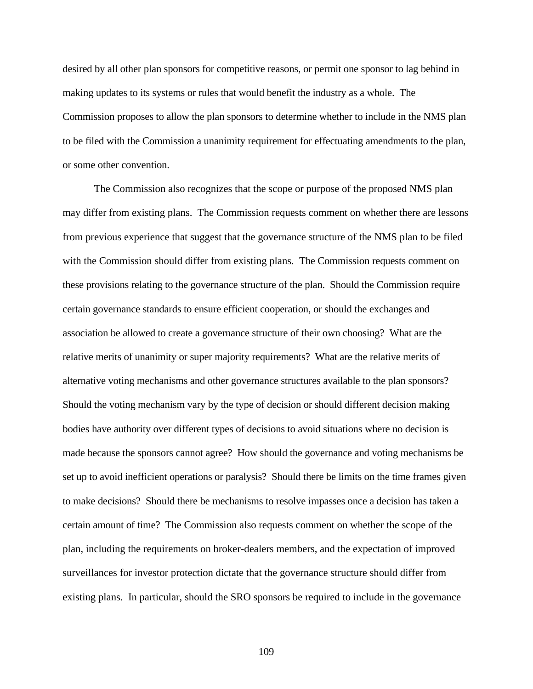desired by all other plan sponsors for competitive reasons, or permit one sponsor to lag behind in making updates to its systems or rules that would benefit the industry as a whole. The Commission proposes to allow the plan sponsors to determine whether to include in the NMS plan to be filed with the Commission a unanimity requirement for effectuating amendments to the plan, or some other convention.

The Commission also recognizes that the scope or purpose of the proposed NMS plan may differ from existing plans. The Commission requests comment on whether there are lessons from previous experience that suggest that the governance structure of the NMS plan to be filed with the Commission should differ from existing plans. The Commission requests comment on these provisions relating to the governance structure of the plan. Should the Commission require certain governance standards to ensure efficient cooperation, or should the exchanges and association be allowed to create a governance structure of their own choosing? What are the relative merits of unanimity or super majority requirements? What are the relative merits of alternative voting mechanisms and other governance structures available to the plan sponsors? Should the voting mechanism vary by the type of decision or should different decision making bodies have authority over different types of decisions to avoid situations where no decision is made because the sponsors cannot agree? How should the governance and voting mechanisms be set up to avoid inefficient operations or paralysis? Should there be limits on the time frames given to make decisions? Should there be mechanisms to resolve impasses once a decision has taken a certain amount of time? The Commission also requests comment on whether the scope of the plan, including the requirements on broker-dealers members, and the expectation of improved surveillances for investor protection dictate that the governance structure should differ from existing plans. In particular, should the SRO sponsors be required to include in the governance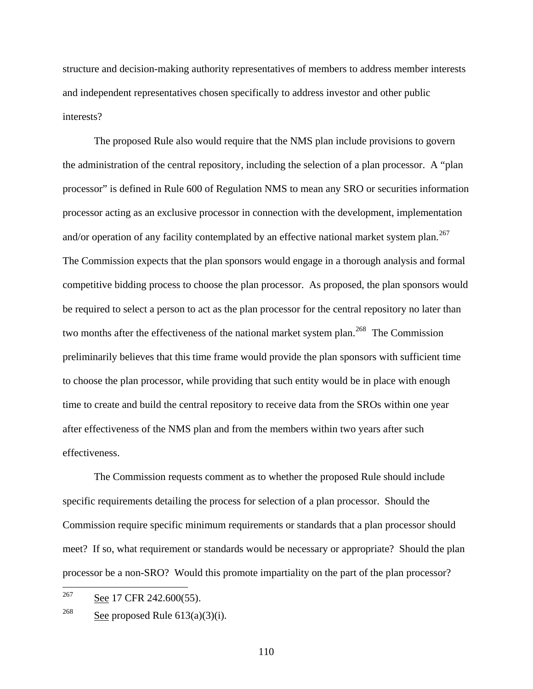structure and decision-making authority representatives of members to address member interests and independent representatives chosen specifically to address investor and other public interests?

The proposed Rule also would require that the NMS plan include provisions to govern the administration of the central repository, including the selection of a plan processor. A "plan processor" is defined in Rule 600 of Regulation NMS to mean any SRO or securities information processor acting as an exclusive processor in connection with the development, implementation and/or operation of any facility contemplated by an effective national market system plan.<sup>[267](#page-109-0)</sup> The Commission expects that the plan sponsors would engage in a thorough analysis and formal competitive bidding process to choose the plan processor. As proposed, the plan sponsors would be required to select a person to act as the plan processor for the central repository no later than two months after the effectiveness of the national market system plan.<sup>[268](#page-109-1)</sup> The Commission preliminarily believes that this time frame would provide the plan sponsors with sufficient time to choose the plan processor, while providing that such entity would be in place with enough time to create and build the central repository to receive data from the SROs within one year after effectiveness of the NMS plan and from the members within two years after such effectiveness.

The Commission requests comment as to whether the proposed Rule should include specific requirements detailing the process for selection of a plan processor. Should the Commission require specific minimum requirements or standards that a plan processor should meet? If so, what requirement or standards would be necessary or appropriate? Should the plan processor be a non-SRO? Would this promote impartiality on the part of the plan processor?

<span id="page-109-0"></span><sup>267</sup> See 17 CFR 242.600(55).

<span id="page-109-1"></span><sup>&</sup>lt;sup>268</sup> See proposed Rule  $613(a)(3)(i)$ .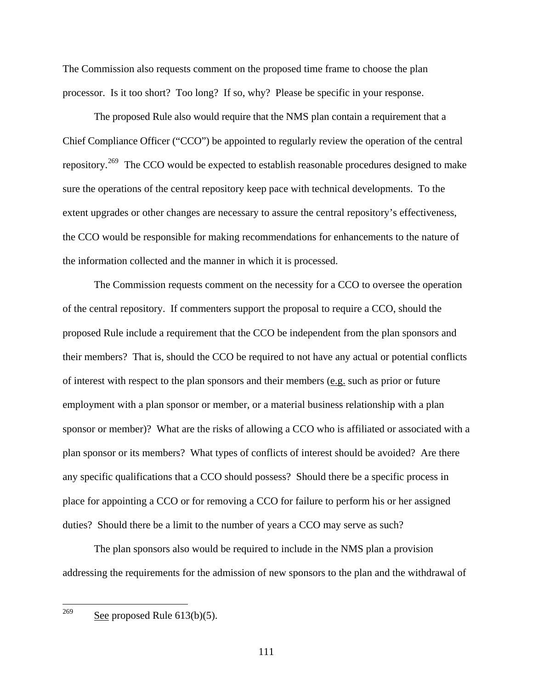The Commission also requests comment on the proposed time frame to choose the plan processor. Is it too short? Too long? If so, why? Please be specific in your response.

The proposed Rule also would require that the NMS plan contain a requirement that a Chief Compliance Officer ("CCO") be appointed to regularly review the operation of the central repository.<sup>[269](#page-110-0)</sup> The CCO would be expected to establish reasonable procedures designed to make sure the operations of the central repository keep pace with technical developments. To the extent upgrades or other changes are necessary to assure the central repository's effectiveness, the CCO would be responsible for making recommendations for enhancements to the nature of the information collected and the manner in which it is processed.

The Commission requests comment on the necessity for a CCO to oversee the operation of the central repository. If commenters support the proposal to require a CCO, should the proposed Rule include a requirement that the CCO be independent from the plan sponsors and their members? That is, should the CCO be required to not have any actual or potential conflicts of interest with respect to the plan sponsors and their members ( $e.g.$  such as prior or future employment with a plan sponsor or member, or a material business relationship with a plan sponsor or member)? What are the risks of allowing a CCO who is affiliated or associated with a plan sponsor or its members? What types of conflicts of interest should be avoided? Are there any specific qualifications that a CCO should possess? Should there be a specific process in place for appointing a CCO or for removing a CCO for failure to perform his or her assigned duties? Should there be a limit to the number of years a CCO may serve as such?

<span id="page-110-0"></span>The plan sponsors also would be required to include in the NMS plan a provision addressing the requirements for the admission of new sponsors to the plan and the withdrawal of

See proposed Rule  $613(b)(5)$ .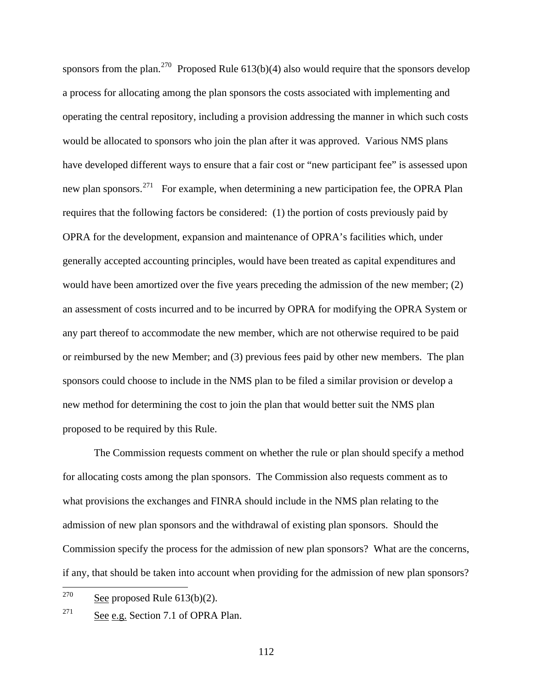sponsors from the plan.<sup>[270](#page-111-0)</sup> Proposed Rule  $613(b)(4)$  also would require that the sponsors develop a process for allocating among the plan sponsors the costs associated with implementing and operating the central repository, including a provision addressing the manner in which such costs would be allocated to sponsors who join the plan after it was approved. Various NMS plans have developed different ways to ensure that a fair cost or "new participant fee" is assessed upon new plan sponsors.<sup>[271](#page-111-1)</sup> For example, when determining a new participation fee, the OPRA Plan requires that the following factors be considered: (1) the portion of costs previously paid by OPRA for the development, expansion and maintenance of OPRA's facilities which, under generally accepted accounting principles, would have been treated as capital expenditures and would have been amortized over the five years preceding the admission of the new member; (2) an assessment of costs incurred and to be incurred by OPRA for modifying the OPRA System or any part thereof to accommodate the new member, which are not otherwise required to be paid or reimbursed by the new Member; and (3) previous fees paid by other new members. The plan sponsors could choose to include in the NMS plan to be filed a similar provision or develop a new method for determining the cost to join the plan that would better suit the NMS plan proposed to be required by this Rule.

The Commission requests comment on whether the rule or plan should specify a method for allocating costs among the plan sponsors. The Commission also requests comment as to what provisions the exchanges and FINRA should include in the NMS plan relating to the admission of new plan sponsors and the withdrawal of existing plan sponsors. Should the Commission specify the process for the admission of new plan sponsors? What are the concerns, if any, that should be taken into account when providing for the admission of new plan sponsors?

<span id="page-111-0"></span><sup>270</sup> See proposed Rule  $613(b)(2)$ .

<span id="page-111-1"></span><sup>&</sup>lt;sup>271</sup> See e.g. Section 7.1 of OPRA Plan.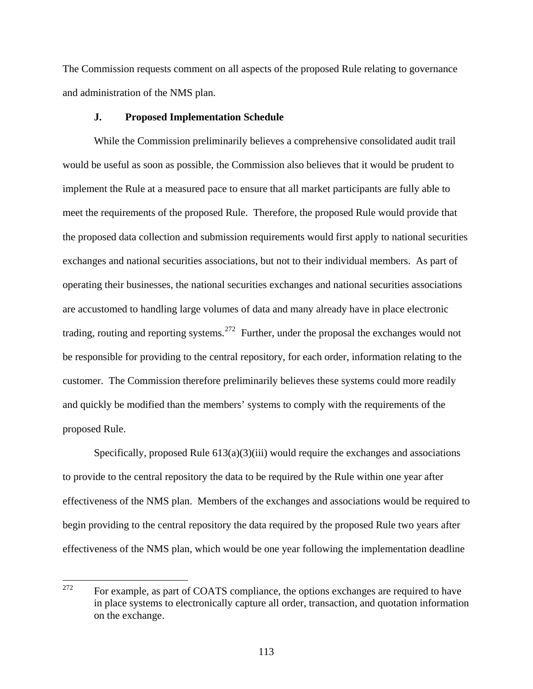The Commission requests comment on all aspects of the proposed Rule relating to governance and administration of the NMS plan.

## **J. Proposed Implementation Schedule**

 While the Commission preliminarily believes a comprehensive consolidated audit trail would be useful as soon as possible, the Commission also believes that it would be prudent to implement the Rule at a measured pace to ensure that all market participants are fully able to meet the requirements of the proposed Rule. Therefore, the proposed Rule would provide that the proposed data collection and submission requirements would first apply to national securities exchanges and national securities associations, but not to their individual members. As part of operating their businesses, the national securities exchanges and national securities associations are accustomed to handling large volumes of data and many already have in place electronic trading, routing and reporting systems.<sup>[272](#page-112-0)</sup> Further, under the proposal the exchanges would not be responsible for providing to the central repository, for each order, information relating to the customer. The Commission therefore preliminarily believes these systems could more readily and quickly be modified than the members' systems to comply with the requirements of the proposed Rule.

Specifically, proposed Rule  $613(a)(3)(iii)$  would require the exchanges and associations to provide to the central repository the data to be required by the Rule within one year after effectiveness of the NMS plan. Members of the exchanges and associations would be required to begin providing to the central repository the data required by the proposed Rule two years after effectiveness of the NMS plan, which would be one year following the implementation deadline

<span id="page-112-0"></span><sup>272</sup> For example, as part of COATS compliance, the options exchanges are required to have in place systems to electronically capture all order, transaction, and quotation information on the exchange.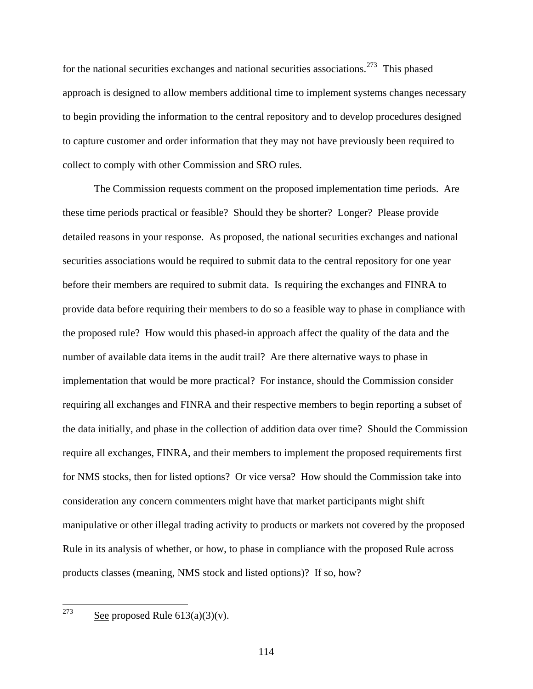for the national securities exchanges and national securities associations.<sup>[273](#page-113-0)</sup> This phased approach is designed to allow members additional time to implement systems changes necessary to begin providing the information to the central repository and to develop procedures designed to capture customer and order information that they may not have previously been required to collect to comply with other Commission and SRO rules.

The Commission requests comment on the proposed implementation time periods. Are these time periods practical or feasible? Should they be shorter? Longer? Please provide detailed reasons in your response. As proposed, the national securities exchanges and national securities associations would be required to submit data to the central repository for one year before their members are required to submit data. Is requiring the exchanges and FINRA to provide data before requiring their members to do so a feasible way to phase in compliance with the proposed rule? How would this phased-in approach affect the quality of the data and the number of available data items in the audit trail? Are there alternative ways to phase in implementation that would be more practical? For instance, should the Commission consider requiring all exchanges and FINRA and their respective members to begin reporting a subset of the data initially, and phase in the collection of addition data over time? Should the Commission require all exchanges, FINRA, and their members to implement the proposed requirements first for NMS stocks, then for listed options? Or vice versa? How should the Commission take into consideration any concern commenters might have that market participants might shift manipulative or other illegal trading activity to products or markets not covered by the proposed Rule in its analysis of whether, or how, to phase in compliance with the proposed Rule across products classes (meaning, NMS stock and listed options)? If so, how?

<span id="page-113-0"></span>See proposed Rule  $613(a)(3)(v)$ .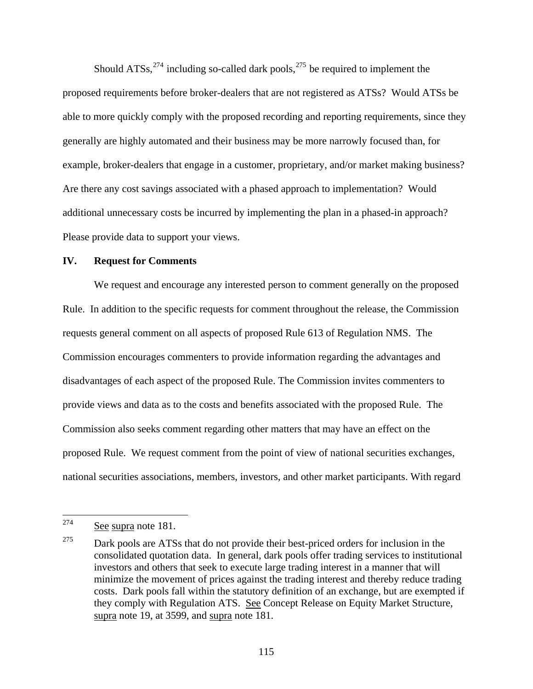Should ATSs,  $274$  including so-called dark pools,  $275$  be required to implement the proposed requirements before broker-dealers that are not registered as ATSs? Would ATSs b e able to more quickly comply with the proposed recording and reporting requirements, sinc e they generally are highly automated and their business may be more narrowly focused than, for example, broker-dealers that engage in a customer, proprietary, and/or market making business? Are there any cost savings associated with a phased approach to implementation? Would additional unnecessary costs be incurred by implementing the plan in a phased-in approach? Please provide data to support your views.

### **IV. Request for Comments**

We request and encourage any interested person to comment generally on the proposed Rule. In addition to the specific requests for comment throughout the release, the Commission requests general comment on all aspects of proposed Rule 613 of Regulation NMS. The Commission encourages commenters to provide information regarding the advantages and disadvantages of each aspect of the proposed Rule. The Commission invites commenters to provide views and data as to the costs and benefits associated with the proposed Rule. The Commission also seeks comment regarding other matters that may have an effect on the proposed Rule. We request comment from the point of view of national securities exchanges, national securities associations, members, investors, and other market participants. With regard

<span id="page-114-0"></span><sup>274</sup> See supra note 181.

<span id="page-114-1"></span> $275$  Dark pools are ATSs that do not provide their best-priced orders for inclusion in the consolidated quotation data. In general, dark pools offer trading services to institutional investors and others that seek to execute large trading interest in a manner that will minimize the movement of prices against the trading interest and thereby reduce trading costs. Dark pools fall within the statutory definition of an exchange, but are exempted if they comply with Regulation ATS. See Concept Release on Equity Market Structure, supra note 19, at 3599, and supra note 181.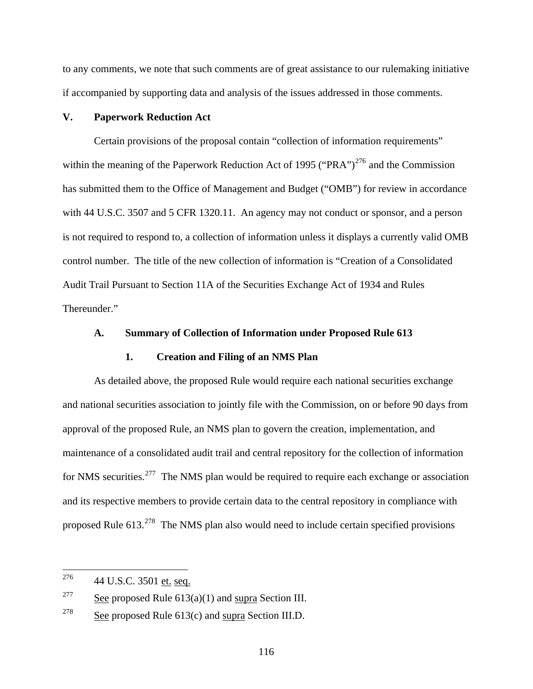to any comments, we note that such comments are of great assistance to our rulemaking initiative if accompanied by supporting data and analysis of the issues addressed in those comments.

## **V. Paperwork Reduction Act**

Certain provisions of the proposal contain "collection of information requirements" within the meaning of the Paperwork Reduction Act of 1995 ("PRA")<sup>[276](#page-115-0)</sup> and the Commission has submitted them to the Office of Management and Budget ("OMB") for review in accordance with 44 U.S.C. 3507 and 5 CFR 1320.11. An agency may not conduct or sponsor, and a person is not required to respond to, a collection of information unless it displays a currently valid OMB control number. The title of the new collection of information is "Creation of a Consolidated Audit Trail Pursuant to Section 11A of the Securities Exchange Act of 1934 and Rules Thereunder."

### **A. Summary of Collection of Information under Proposed Rule 613**

### **1. Creation and Filing of an NMS Plan**

As detailed above, the proposed Rule would require each national securities exchange and national securities association to jointly file with the Commission, on or before 90 days from approval of the proposed Rule, an NMS plan to govern the creation, implementation, and maintenance of a consolidated audit trail and central repository for the collection of information for NMS securities.[277](#page-115-1)The NMS plan would be required to require each exchange or association and its respective members to provide certain data to the central repository in compliance with proposed Rule 613.<sup>[278](#page-115-2)</sup> The NMS plan also would need to include certain specified provisions

<span id="page-115-0"></span><sup>276</sup> 44 U.S.C. 3501 et. seq.

<span id="page-115-1"></span><sup>&</sup>lt;sup>277</sup> See proposed Rule  $613(a)(1)$  and supra Section III.

<span id="page-115-2"></span><sup>&</sup>lt;sup>278</sup> See proposed Rule  $613(c)$  and supra Section III.D.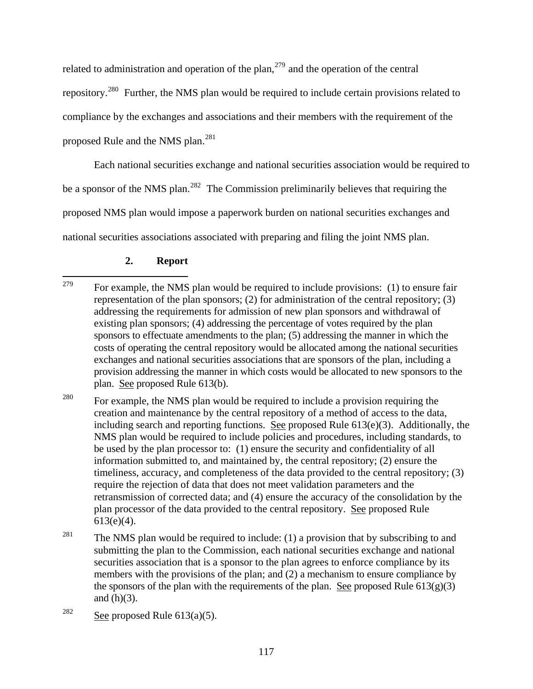related to administration and operation of the plan,<sup>[279](#page-116-0)</sup> and the operation of the central repository.[280](#page-116-1) Further, the NMS plan would be required to include certain provisions related to compliance by the exchanges and associations and their members with the requirement of the proposed Rule and the NMS plan.[281](#page-116-2)

Each national securities exchange and national securities association would be required to be a sponsor of the NMS plan.<sup>[282](#page-116-3)</sup> The Commission preliminarily believes that requiring the proposed NMS plan would impose a paperwork burden on national securities exchanges and national securities associations associated with preparing and filing the joint NMS plan.

# **2. Report**

<span id="page-116-1"></span><sup>280</sup> For example, the NMS plan would be required to include a provision requiring the creation and maintenance by the central repository of a method of access to the data, including search and reporting functions. See proposed Rule 613(e)(3). Additionally, the NMS plan would be required to include policies and procedures, including standards, to be used by the plan processor to: (1) ensure the security and confidentiality of all information submitted to, and maintained by, the central repository; (2) ensure the timeliness, accuracy, and completeness of the data provided to the central repository; (3) require the rejection of data that does not meet validation parameters and the retransmission of corrected data; and (4) ensure the accuracy of the consolidation by the plan processor of the data provided to the central repository. See proposed Rule 613(e)(4).

<span id="page-116-2"></span><sup>281</sup> The NMS plan would be required to include: (1) a provision that by subscribing to and submitting the plan to the Commission, each national securities exchange and national securities association that is a sponsor to the plan agrees to enforce compliance by its members with the provisions of the plan; and (2) a mechanism to ensure compliance by the sponsors of the plan with the requirements of the plan. See proposed Rule  $613(g)(3)$ and  $(h)(3)$ .

<span id="page-116-0"></span><sup>279</sup> For example, the NMS plan would be required to include provisions: (1) to ensure fair representation of the plan sponsors; (2) for administration of the central repository; (3) addressing the requirements for admission of new plan sponsors and withdrawal of existing plan sponsors; (4) addressing the percentage of votes required by the plan sponsors to effectuate amendments to the plan; (5) addressing the manner in which the costs of operating the central repository would be allocated among the national securities exchanges and national securities associations that are sponsors of the plan, including a provision addressing the manner in which costs would be allocated to new sponsors to the plan. See proposed Rule 613(b).

<span id="page-116-3"></span><sup>&</sup>lt;sup>282</sup> See proposed Rule 613(a)(5).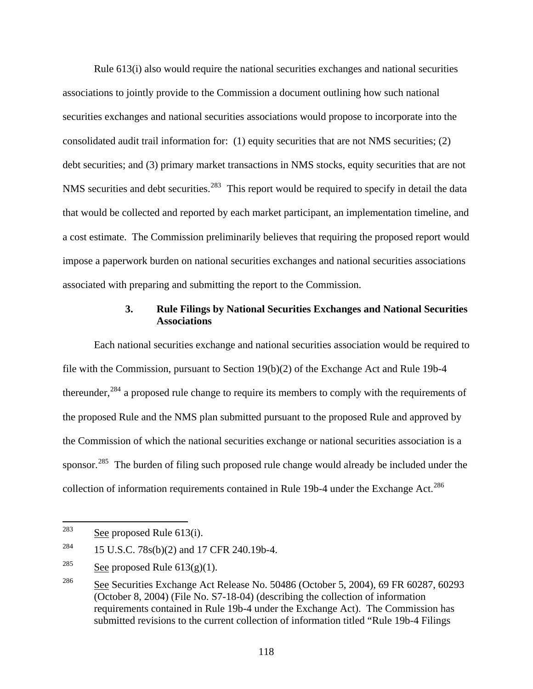Rule 613(i) also would require the national securities exchanges and national securities associations to jointly provide to the Commission a document outlining how such national securities exchanges and national securities associations would propose to incorporate into the consolidated audit trail information for: (1) equity securities that are not NMS securities; (2) debt securities; and (3) primary market transactions in NMS stocks, equity securities that are not NMS securities and debt securities.<sup>[283](#page-117-0)</sup> This report would be required to specify in detail the data that would be collected and reported by each market participant, an implementation timeline, and a cost estimate. The Commission preliminarily believes that requiring the proposed report would impose a paperwork burden on national securities exchanges and national securities associations associated with preparing and submitting the report to the Commission.

## **3. Rule Filings by National Securities Exchanges and National Securities Associations**

Each national securities exchange and national securities association would be required to file with the Commission, pursuant to Section 19(b)(2) of the Exchange Act and Rule 19b-4 thereunder.<sup>[284](#page-117-1)</sup> a proposed rule change to require its members to comply with the requirements of the proposed Rule and the NMS plan submitted pursuant to the proposed Rule and approved by the Commission of which the national securities exchange or national securities association is a sponsor.<sup>[285](#page-117-2)</sup> The burden of filing such proposed rule change would already be included under the collection of information requirements contained in Rule 19b-4 under the Exchange Act.<sup>[286](#page-117-3)</sup>

<span id="page-117-0"></span><sup>283</sup> See proposed Rule  $613(i)$ .

<span id="page-117-1"></span><sup>&</sup>lt;sup>284</sup> 15 U.S.C. 78s(b)(2) and 17 CFR 240.19b-4.

<span id="page-117-2"></span><sup>&</sup>lt;sup>285</sup> See proposed Rule  $613(g)(1)$ .

<span id="page-117-3"></span><sup>&</sup>lt;sup>286</sup> See Securities Exchange Act Release No. 50486 (October 5, 2004), 69 FR 60287, 60293 (October 8, 2004) (File No. S7-18-04) (describing the collection of information requirements contained in Rule 19b-4 under the Exchange Act). The Commission has submitted revisions to the current collection of information titled "Rule 19b-4 Filings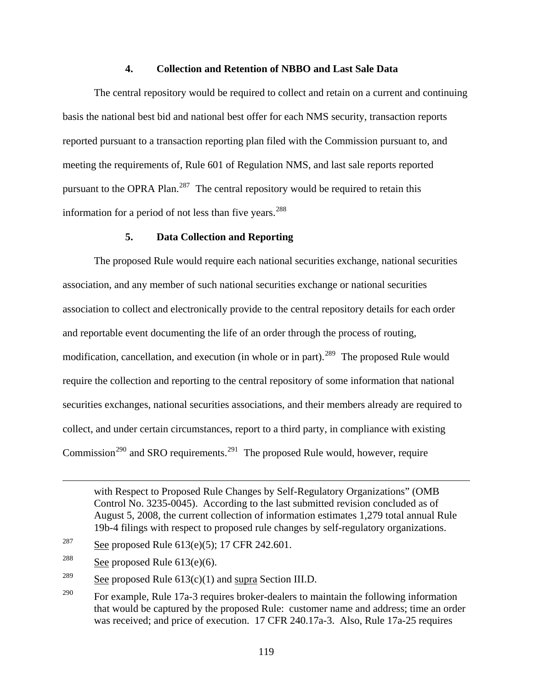### **4. Collection and Retention of NBBO and Last Sale Data**

 The central repository would be required to collect and retain on a current and continuing basis the national best bid and national best offer for each NMS security, transaction reports reported pursuant to a transaction reporting plan filed with the Commission pursuant to, and meeting the requirements of, Rule 601 of Regulation NMS, and last sale reports reported pursuant to the OPRA Plan.<sup>[287](#page-118-0)</sup> The central repository would be required to retain this information for a period of not less than five years. $288$ 

### **5. Data Collection and Reporting**

The proposed Rule would require each national securities exchange, national securities association, and any member of such national securities exchange or national securities association to collect and electronically provide to the central repository details for each order and reportable event documenting the life of an order through the process of routing, modification, cancellation, and execution (in whole or in part).<sup>[289](#page-118-2)</sup> The proposed Rule would require the collection and reporting to the central repository of some information that national securities exchanges, national securities associations, and their members already are required to collect, and under certain circumstances, report to a third party, in compliance with existing Commission<sup>[290](#page-118-3)</sup> and SRO requirements.<sup>[291](#page-118-4)</sup> The proposed Rule would, however, require

<span id="page-118-4"></span> $\overline{a}$ 

with Respect to Proposed Rule Changes by Self-Regulatory Organizations" (OMB Control No. 3235-0045). According to the last submitted revision concluded as of August 5, 2008, the current collection of information estimates 1,279 total annual Rule 19b-4 filings with respect to proposed rule changes by self-regulatory organizations.

<span id="page-118-0"></span><sup>&</sup>lt;sup>287</sup> See proposed Rule  $613(e)(5)$ ; 17 CFR 242.601.

<span id="page-118-1"></span><sup>&</sup>lt;sup>288</sup> See proposed Rule  $613(e)(6)$ .

<span id="page-118-2"></span><sup>&</sup>lt;sup>289</sup> See proposed Rule  $613(c)(1)$  and supra Section III.D.

<span id="page-118-3"></span><sup>&</sup>lt;sup>290</sup> For example, Rule 17a-3 requires broker-dealers to maintain the following information that would be captured by the proposed Rule: customer name and address; time an order was received; and price of execution. 17 CFR 240.17a-3. Also, Rule 17a-25 requires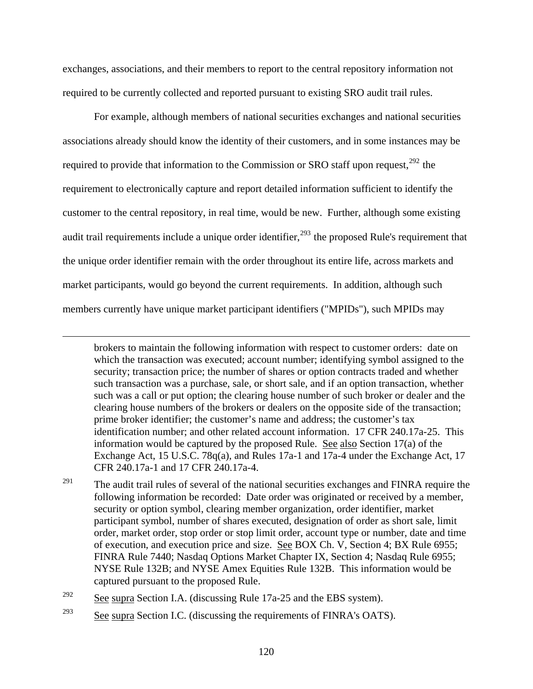exchanges, associations, and their members to report to the central repository information not required to be currently collected and reported pursuant to existing SRO audit trail rules.

For example, although members of national securities exchanges and national securities associations already should know the identity of their customers, and in some instances may be required to provide that information to the Commission or SRO staff upon request, $^{292}$  $^{292}$  $^{292}$  the requirement to electronically capture and report detailed information sufficient to identify the customer to the central repository, in real time, would be new. Further, although some existing audit trail requirements include a unique order identifier,  $293$  the proposed Rule's requirement that the unique order identifier remain with the order throughout its entire life, across markets and market participants, would go beyond the current requirements. In addition, although such members currently have unique market participant identifiers ("MPIDs"), such MPIDs may

brokers to maintain the following information with respect to customer orders: date on which the transaction was executed; account number; identifying symbol assigned to the security; transaction price; the number of shares or option contracts traded and whether such transaction was a purchase, sale, or short sale, and if an option transaction, whether such was a call or put option; the clearing house number of such broker or dealer and the clearing house numbers of the brokers or dealers on the opposite side of the transaction; prime broker identifier; the customer's name and address; the customer's tax identification number; and other related account information. 17 CFR 240.17a-25. This information would be captured by the proposed Rule. See also Section 17(a) of the Exchange Act, 15 U.S.C. 78q(a), and Rules 17a-1 and 17a-4 under the Exchange Act, 17 CFR 240.17a-1 and 17 CFR 240.17a-4.

<sup>291</sup> The audit trail rules of several of the national securities exchanges and FINRA require the following information be recorded: Date order was originated or received by a member, security or option symbol, clearing member organization, order identifier, market participant symbol, number of shares executed, designation of order as short sale, limit order, market order, stop order or stop limit order, account type or number, date and time of execution, and execution price and size. See BOX Ch. V, Section 4; BX Rule 6955; FINRA Rule 7440; Nasdaq Options Market Chapter IX, Section 4; Nasdaq Rule 6955; NYSE Rule 132B; and NYSE Amex Equities Rule 132B. This information would be captured pursuant to the proposed Rule.

<span id="page-119-0"></span> $\frac{292}{292}$  See supra Section I.A. (discussing Rule 17a-25 and the EBS system).

 $\overline{a}$ 

<span id="page-119-1"></span><sup>293</sup> See supra Section I.C. (discussing the requirements of FINRA's OATS).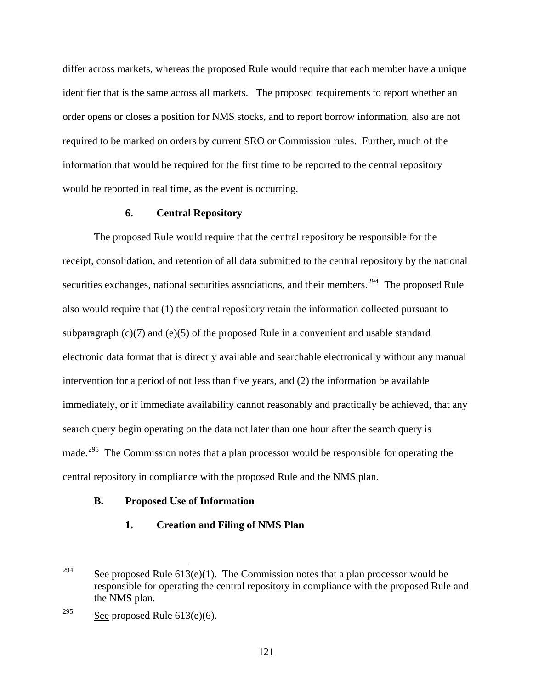differ across markets, whereas the proposed Rule would require that each member have a unique identifier that is the same across all markets. The proposed requirements to report whether an order opens or closes a position for NMS stocks, and to report borrow information, also are not required to be marked on orders by current SRO or Commission rules. Further, much of the information that would be required for the first time to be reported to the central repository would be reported in real time, as the event is occurring.

#### **6. Central Repository**

 The proposed Rule would require that the central repository be responsible for the receipt, consolidation, and retention of all data submitted to the central repository by the national securities exchanges, national securities associations, and their members.<sup>[294](#page-120-0)</sup> The proposed Rule also would require that (1) the central repository retain the information collected pursuant to subparagraph  $(c)(7)$  and  $(e)(5)$  of the proposed Rule in a convenient and usable standard electronic data format that is directly available and searchable electronically without any manual intervention for a period of not less than five years, and (2) the information be available immediately, or if immediate availability cannot reasonably and practically be achieved, that any search query begin operating on the data not later than one hour after the search query is made.<sup>[295](#page-120-1)</sup> The Commission notes that a plan processor would be responsible for operating the central repository in compliance with the proposed Rule and the NMS plan.

### **B. Proposed Use of Information**

#### **1. Creation and Filing of NMS Plan**

<span id="page-120-0"></span><sup>294</sup> See proposed Rule  $613(e)(1)$ . The Commission notes that a plan processor would be responsible for operating the central repository in compliance with the proposed Rule and the NMS plan.

<span id="page-120-1"></span><sup>&</sup>lt;sup>295</sup> See proposed Rule  $613(e)(6)$ .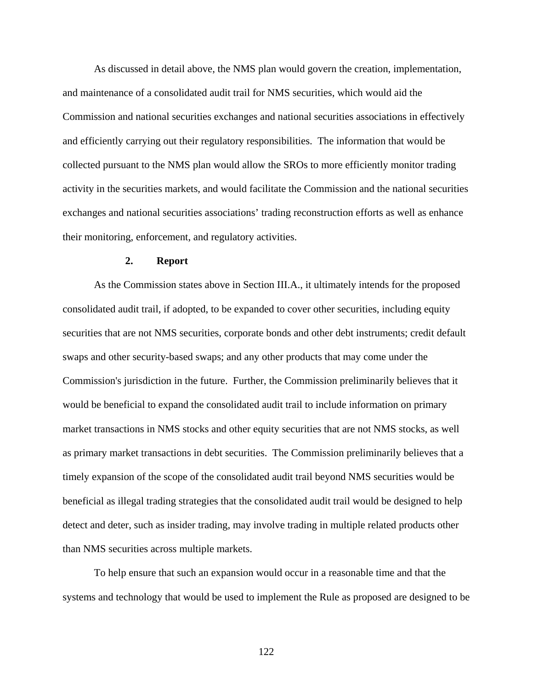As discussed in detail above, the NMS plan would govern the creation, implementation, and maintenance of a consolidated audit trail for NMS securities, which would aid the Commission and national securities exchanges and national securities associations in effectively and efficiently carrying out their regulatory responsibilities. The information that would be collected pursuant to the NMS plan would allow the SROs to more efficiently monitor trading activity in the securities markets, and would facilitate the Commission and the national securities exchanges and national securities associations' trading reconstruction efforts as well as enhance their monitoring, enforcement, and regulatory activities.

#### **2. Report**

As the Commission states above in Section III.A., it ultimately intends for the proposed consolidated audit trail, if adopted, to be expanded to cover other securities, including equity securities that are not NMS securities, corporate bonds and other debt instruments; credit default swaps and other security-based swaps; and any other products that may come under the Commission's jurisdiction in the future. Further, the Commission preliminarily believes that it would be beneficial to expand the consolidated audit trail to include information on primary market transactions in NMS stocks and other equity securities that are not NMS stocks, as well as primary market transactions in debt securities. The Commission preliminarily believes that a timely expansion of the scope of the consolidated audit trail beyond NMS securities would be beneficial as illegal trading strategies that the consolidated audit trail would be designed to help detect and deter, such as insider trading, may involve trading in multiple related products other than NMS securities across multiple markets.

To help ensure that such an expansion would occur in a reasonable time and that the systems and technology that would be used to implement the Rule as proposed are designed to be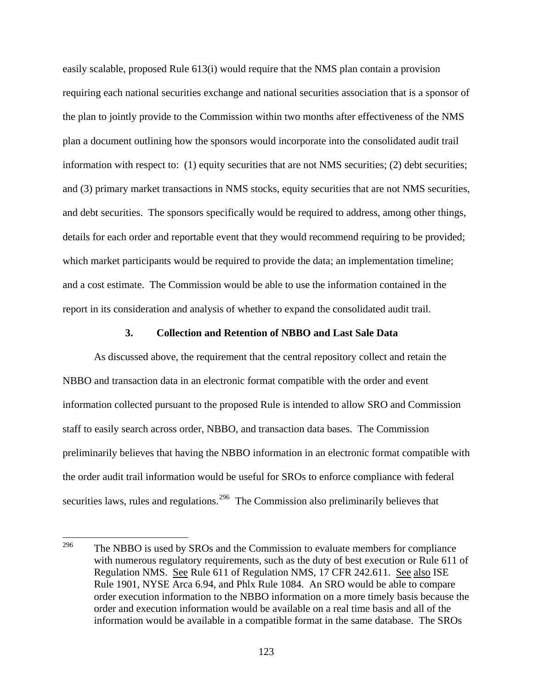easily scalable, proposed Rule 613(i) would require that the NMS plan contain a provision requiring each national securities exchange and national securities association that is a sponsor of the plan to jointly provide to the Commission within two months after effectiveness of the NMS plan a document outlining how the sponsors would incorporate into the consolidated audit trail information with respect to:  $(1)$  equity securities that are not NMS securities;  $(2)$  debt securities; and (3) primary market transactions in NMS stocks, equity securities that are not NMS securities, and debt securities. The sponsors specifically would be required to address, among other things, details for each order and reportable event that they would recommend requiring to be provided; which market participants would be required to provide the data; an implementation timeline; and a cost estimate. The Commission would be able to use the information contained in the report in its consideration and analysis of whether to expand the consolidated audit trail.

### **3. Collection and Retention of NBBO and Last Sale Data**

As discussed above, the requirement that the central repository collect and retain the NBBO and transaction data in an electronic format compatible with the order and event information collected pursuant to the proposed Rule is intended to allow SRO and Commission staff to easily search across order, NBBO, and transaction data bases. The Commission preliminarily believes that having the NBBO information in an electronic format compatible with the order audit trail information would be useful for SROs to enforce compliance with federal securities laws, rules and regulations.<sup>[296](#page-122-0)</sup> The Commission also preliminarily believes that

<span id="page-122-0"></span><sup>296</sup> The NBBO is used by SROs and the Commission to evaluate members for compliance with numerous regulatory requirements, such as the duty of best execution or Rule 611 of Regulation NMS. See Rule 611 of Regulation NMS, 17 CFR 242.611. See also ISE Rule 1901, NYSE Arca 6.94, and Phlx Rule 1084. An SRO would be able to compare order execution information to the NBBO information on a more timely basis because the order and execution information would be available on a real time basis and all of the information would be available in a compatible format in the same database. The SROs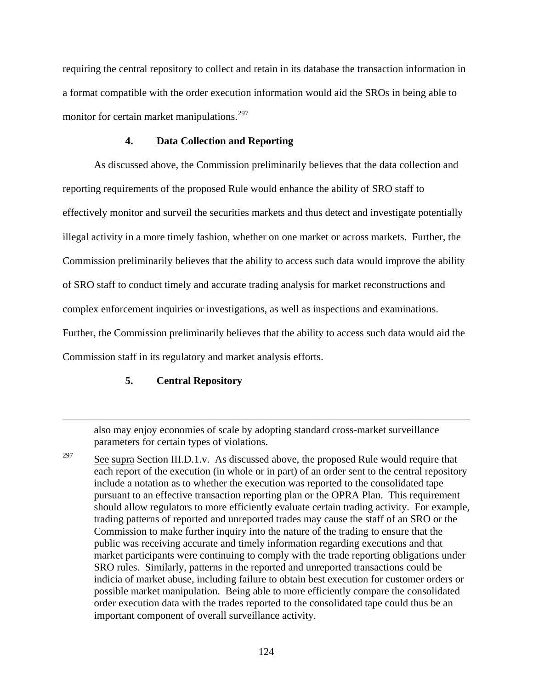requiring the central repository to collect and retain in its database the transaction information in a format compatible with the order execution information would aid the SROs in being able to monitor for certain market manipulations.<sup>[297](#page-123-0)</sup>

## **4. Data Collection and Reporting**

As discussed above, the Commission preliminarily believes that the data collection and reporting requirements of the proposed Rule would enhance the ability of SRO staff to effectively monitor and surveil the securities markets and thus detect and investigate potentially illegal activity in a more timely fashion, whether on one market or across markets. Further, the Commission preliminarily believes that the ability to access such data would improve the ability of SRO staff to conduct timely and accurate trading analysis for market reconstructions and complex enforcement inquiries or investigations, as well as inspections and examinations. Further, the Commission preliminarily believes that the ability to access such data would aid the Commission staff in its regulatory and market analysis efforts.

# **5. Central Repository**

 $\overline{a}$ 

also may enjoy economies of scale by adopting standard cross-market surveillance parameters for certain types of violations.

<span id="page-123-0"></span> $\frac{297}{297}$  See supra Section III.D.1.v. As discussed above, the proposed Rule would require that each report of the execution (in whole or in part) of an order sent to the central repository include a notation as to whether the execution was reported to the consolidated tape pursuant to an effective transaction reporting plan or the OPRA Plan. This requirement should allow regulators to more efficiently evaluate certain trading activity. For example, trading patterns of reported and unreported trades may cause the staff of an SRO or the Commission to make further inquiry into the nature of the trading to ensure that the public was receiving accurate and timely information regarding executions and that market participants were continuing to comply with the trade reporting obligations under SRO rules. Similarly, patterns in the reported and unreported transactions could be indicia of market abuse, including failure to obtain best execution for customer orders or possible market manipulation. Being able to more efficiently compare the consolidated order execution data with the trades reported to the consolidated tape could thus be an important component of overall surveillance activity.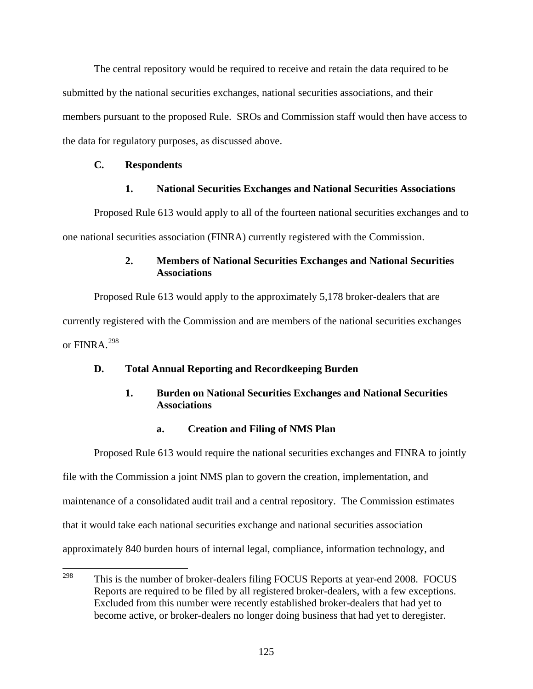The central repository would be required to receive and retain the data required to be submitted by the national securities exchanges, national securities associations, and their members pursuant to the proposed Rule. SROs and Commission staff would then have access to the data for regulatory purposes, as discussed above.

## **C. Respondents**

# **1. National Securities Exchanges and National Securities Associations**

Proposed Rule 613 would apply to all of the fourteen national securities exchanges and to one national securities association (FINRA) currently registered with the Commission.

# **2. Members of National Securities Exchanges and National Securities Associations**

Proposed Rule 613 would apply to the approximately 5,178 broker-dealers that are currently registered with the Commission and are members of the national securities exchanges or  $FINRA$ <sup>[298](#page-124-0)</sup>

# **D. Total Annual Reporting and Recordkeeping Burden**

# **1. Burden on National Securities Exchanges and National Securities Associations**

# **a. Creation and Filing of NMS Plan**

 Proposed Rule 613 would require the national securities exchanges and FINRA to jointly file with the Commission a joint NMS plan to govern the creation, implementation, and maintenance of a consolidated audit trail and a central repository. The Commission estimates that it would take each national securities exchange and national securities association approximately 840 burden hours of internal legal, compliance, information technology, and

<span id="page-124-0"></span><sup>298</sup> This is the number of broker-dealers filing FOCUS Reports at year-end 2008. FOCUS Reports are required to be filed by all registered broker-dealers, with a few exceptions. Excluded from this number were recently established broker-dealers that had yet to become active, or broker-dealers no longer doing business that had yet to deregister.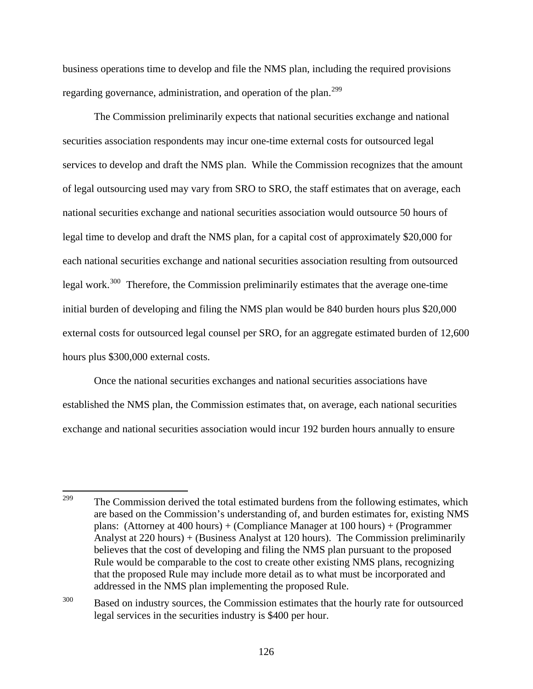business operations time to develop and file the NMS plan, including the required provisions regarding governance, administration, and operation of the plan.<sup>[299](#page-125-0)</sup>

 The Commission preliminarily expects that national securities exchange and national securities association respondents may incur one-time external costs for outsourced legal services to develop and draft the NMS plan. While the Commission recognizes that the amount of legal outsourcing used may vary from SRO to SRO, the staff estimates that on average, each national securities exchange and national securities association would outsource 50 hours of legal time to develop and draft the NMS plan, for a capital cost of approximately \$20,000 for each national securities exchange and national securities association resulting from outsourced legal work.[300](#page-125-1) Therefore, the Commission preliminarily estimates that the average one-time initial burden of developing and filing the NMS plan would be 840 burden hours plus \$20,000 external costs for outsourced legal counsel per SRO, for an aggregate estimated burden of 12,600 hours plus \$300,000 external costs.

 Once the national securities exchanges and national securities associations have established the NMS plan, the Commission estimates that, on average, each national securities exchange and national securities association would incur 192 burden hours annually to ensure

<span id="page-125-0"></span><sup>299</sup> The Commission derived the total estimated burdens from the following estimates, which are based on the Commission's understanding of, and burden estimates for, existing NMS plans: (Attorney at 400 hours) + (Compliance Manager at 100 hours) + (Programmer Analyst at 220 hours) + (Business Analyst at 120 hours). The Commission preliminarily believes that the cost of developing and filing the NMS plan pursuant to the proposed Rule would be comparable to the cost to create other existing NMS plans, recognizing that the proposed Rule may include more detail as to what must be incorporated and addressed in the NMS plan implementing the proposed Rule.

<span id="page-125-1"></span><sup>&</sup>lt;sup>300</sup> Based on industry sources, the Commission estimates that the hourly rate for outsourced legal services in the securities industry is \$400 per hour.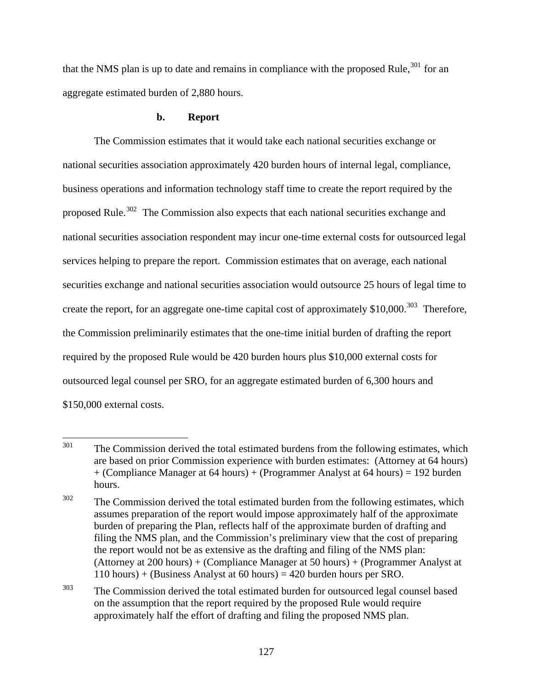that the NMS plan is up to date and remains in compliance with the proposed Rule,  $301$  for an aggregate estimated burden of 2,880 hours.

## **b. Report**

The Commission estimates that it would take each national securities exchange or national securities association approximately 420 burden hours of internal legal, compliance, business operations and information technology staff time to create the report required by the proposed Rule.<sup>[302](#page-126-1)</sup> The Commission also expects that each national securities exchange and national securities association respondent may incur one-time external costs for outsourced legal services helping to prepare the report. Commission estimates that on average, each national securities exchange and national securities association would outsource 25 hours of legal time to create the report, for an aggregate one-time capital cost of approximately \$10,000.<sup>[303](#page-126-2)</sup> Therefore, the Commission preliminarily estimates that the one-time initial burden of drafting the report required by the proposed Rule would be 420 burden hours plus \$10,000 external costs for outsourced legal counsel per SRO, for an aggregate estimated burden of 6,300 hours and \$150,000 external costs.

<span id="page-126-2"></span><sup>303</sup> The Commission derived the total estimated burden for outsourced legal counsel based on the assumption that the report required by the proposed Rule would require approximately half the effort of drafting and filing the proposed NMS plan.

<span id="page-126-0"></span><sup>301</sup> The Commission derived the total estimated burdens from the following estimates, which are based on prior Commission experience with burden estimates: (Attorney at 64 hours) + (Compliance Manager at 64 hours) + (Programmer Analyst at 64 hours) = 192 burden hours.

<span id="page-126-1"></span> $302$  The Commission derived the total estimated burden from the following estimates, which assumes preparation of the report would impose approximately half of the approximate burden of preparing the Plan, reflects half of the approximate burden of drafting and filing the NMS plan, and the Commission's preliminary view that the cost of preparing the report would not be as extensive as the drafting and filing of the NMS plan: (Attorney at 200 hours) + (Compliance Manager at 50 hours) + (Programmer Analyst at 110 hours) + (Business Analyst at 60 hours) = 420 burden hours per SRO.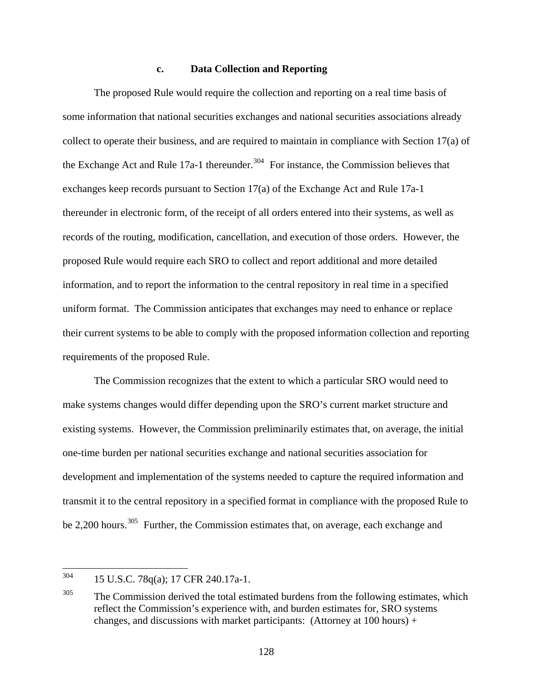### **c. Data Collection and Reporting**

 The proposed Rule would require the collection and reporting on a real time basis of some information that national securities exchanges and national securities associations already collect to operate their business, and are required to maintain in compliance with Section 17(a) of the Exchange Act and Rule 17a-1 thereunder.<sup>[304](#page-127-0)</sup> For instance, the Commission believes that exchanges keep records pursuant to Section 17(a) of the Exchange Act and Rule 17a-1 thereunder in electronic form, of the receipt of all orders entered into their systems, as well as records of the routing, modification, cancellation, and execution of those orders. However, the proposed Rule would require each SRO to collect and report additional and more detailed information, and to report the information to the central repository in real time in a specified uniform format. The Commission anticipates that exchanges may need to enhance or replace their current systems to be able to comply with the proposed information collection and reporting requirements of the proposed Rule.

 The Commission recognizes that the extent to which a particular SRO would need to make systems changes would differ depending upon the SRO's current market structure and existing systems. However, the Commission preliminarily estimates that, on average, the initial one-time burden per national securities exchange and national securities association for development and implementation of the systems needed to capture the required information and transmit it to the central repository in a specified format in compliance with the proposed Rule to be 2,200 hours.<sup>[305](#page-127-1)</sup> Further, the Commission estimates that, on average, each exchange and

<span id="page-127-0"></span><sup>304</sup> 304 15 U.S.C. 78q(a); 17 CFR 240.17a-1.

<span id="page-127-1"></span> $305$  The Commission derived the total estimated burdens from the following estimates, which reflect the Commission's experience with, and burden estimates for, SRO systems changes, and discussions with market participants: (Attorney at  $100$  hours) +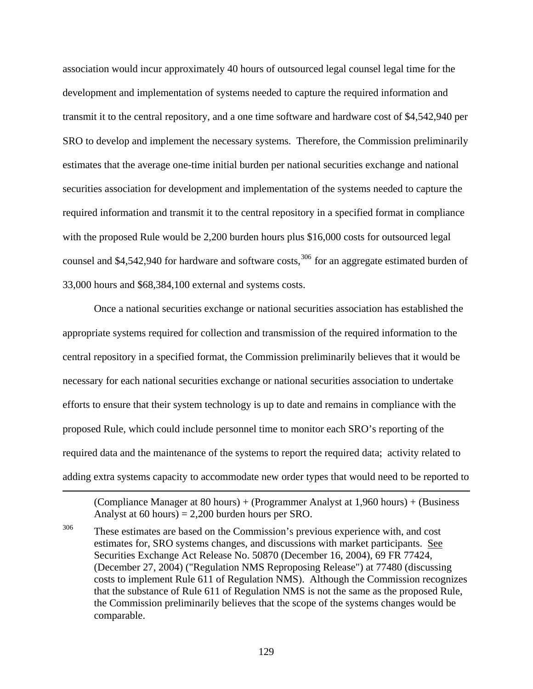association would incur approximately 40 hours of outsourced legal counsel legal time for the development and implementation of systems needed to capture the required information and transmit it to the central repository, and a one time software and hardware cost of \$4,542,940 per SRO to develop and implement the necessary systems. Therefore, the Commission preliminarily estimates that the average one-time initial burden per national securities exchange and national securities association for development and implementation of the systems needed to capture the required information and transmit it to the central repository in a specified format in compliance with the proposed Rule would be 2,200 burden hours plus \$16,000 costs for outsourced legal counsel and \$4,542,940 for hardware and software costs,<sup>[306](#page-128-0)</sup> for an aggregate estimated burden of 33,000 hours and \$68,384,100 external and systems costs.

 Once a national securities exchange or national securities association has established the appropriate systems required for collection and transmission of the required information to the central repository in a specified format, the Commission preliminarily believes that it would be necessary for each national securities exchange or national securities association to undertake efforts to ensure that their system technology is up to date and remains in compliance with the proposed Rule, which could include personnel time to monitor each SRO's reporting of the required data and the maintenance of the systems to report the required data; activity related to adding extra systems capacity to accommodate new order types that would need to be reported to

(Compliance Manager at 80 hours) + (Programmer Analyst at 1,960 hours) + (Business Analyst at 60 hours) = 2,200 burden hours per SRO.

 $\overline{a}$ 

<span id="page-128-0"></span><sup>306</sup> These estimates are based on the Commission's previous experience with, and cost estimates for, SRO systems changes, and discussions with market participants. See Securities Exchange Act Release No. 50870 (December 16, 2004), 69 FR 77424, (December 27, 2004) ("Regulation NMS Reproposing Release") at 77480 (discussing costs to implement Rule 611 of Regulation NMS). Although the Commission recognizes that the substance of Rule 611 of Regulation NMS is not the same as the proposed Rule, the Commission preliminarily believes that the scope of the systems changes would be comparable.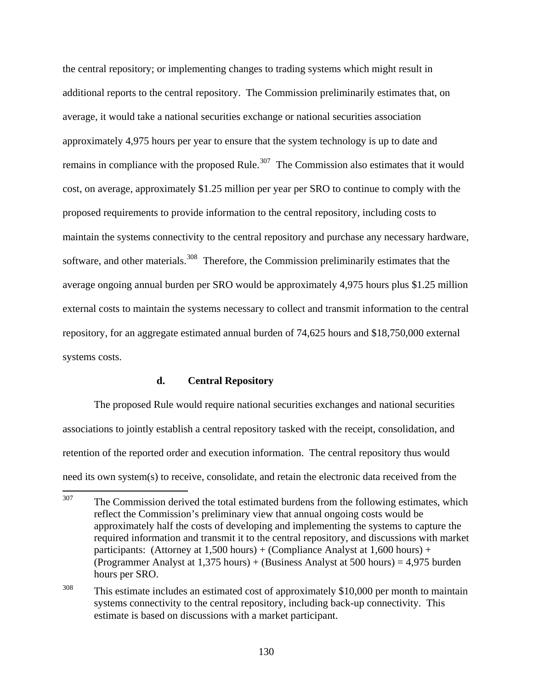the central repository; or implementing changes to trading systems which might result in additional reports to the central repository. The Commission preliminarily estimates that, on average, it would take a national securities exchange or national securities association approximately 4,975 hours per year to ensure that the system technology is up to date and remains in compliance with the proposed Rule.<sup>[307](#page-129-0)</sup> The Commission also estimates that it would cost, on average, approximately \$1.25 million per year per SRO to continue to comply with the proposed requirements to provide information to the central repository, including costs to maintain the systems connectivity to the central repository and purchase any necessary hardware, software, and other materials.<sup>[308](#page-129-1)</sup> Therefore, the Commission preliminarily estimates that the average ongoing annual burden per SRO would be approximately 4,975 hours plus \$1.25 million external costs to maintain the systems necessary to collect and transmit information to the central repository, for an aggregate estimated annual burden of 74,625 hours and \$18,750,000 external systems costs.

### **d. Central Repository**

 The proposed Rule would require national securities exchanges and national securities associations to jointly establish a central repository tasked with the receipt, consolidation, and retention of the reported order and execution information. The central repository thus would need its own system(s) to receive, consolidate, and retain the electronic data received from the

<span id="page-129-0"></span><sup>307</sup> The Commission derived the total estimated burdens from the following estimates, which reflect the Commission's preliminary view that annual ongoing costs would be approximately half the costs of developing and implementing the systems to capture the required information and transmit it to the central repository, and discussions with market participants: (Attorney at  $1,500$  hours) + (Compliance Analyst at  $1,600$  hours) + (Programmer Analyst at 1,375 hours) + (Business Analyst at 500 hours) = 4,975 burden hours per SRO.

<span id="page-129-1"></span><sup>&</sup>lt;sup>308</sup> This estimate includes an estimated cost of approximately \$10,000 per month to maintain systems connectivity to the central repository, including back-up connectivity. This estimate is based on discussions with a market participant.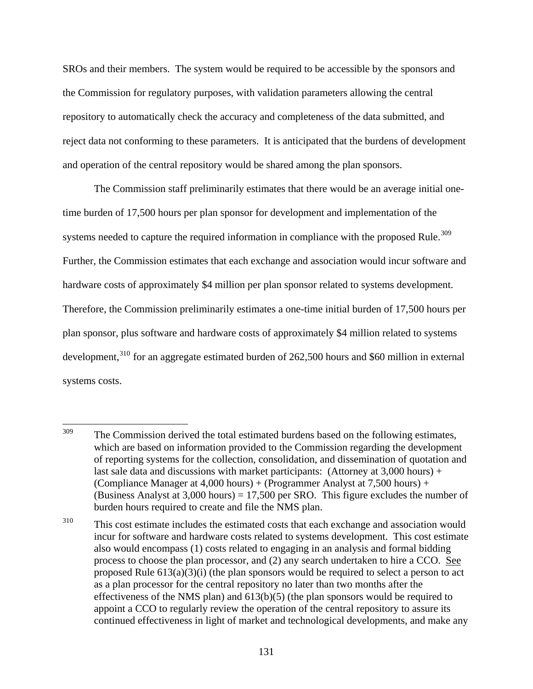SROs and their members. The system would be required to be accessible by the sponsors and the Commission for regulatory purposes, with validation parameters allowing the central repository to automatically check the accuracy and completeness of the data submitted, and reject data not conforming to these parameters. It is anticipated that the burdens of development and operation of the central repository would be shared among the plan sponsors.

 The Commission staff preliminarily estimates that there would be an average initial onetime burden of 17,500 hours per plan sponsor for development and implementation of the systems needed to capture the required information in compliance with the proposed Rule.<sup>[309](#page-130-0)</sup> Further, the Commission estimates that each exchange and association would incur software and hardware costs of approximately \$4 million per plan sponsor related to systems development. Therefore, the Commission preliminarily estimates a one-time initial burden of 17,500 hours per plan sponsor, plus software and hardware costs of approximately \$4 million related to systems development, $310$  for an aggregate estimated burden of 262,500 hours and \$60 million in external systems costs.

<span id="page-130-0"></span><sup>309</sup> The Commission derived the total estimated burdens based on the following estimates, which are based on information provided to the Commission regarding the development of reporting systems for the collection, consolidation, and dissemination of quotation and last sale data and discussions with market participants: (Attorney at 3,000 hours) + (Compliance Manager at 4,000 hours) + (Programmer Analyst at 7,500 hours) + (Business Analyst at  $3,000$  hours) = 17,500 per SRO. This figure excludes the number of burden hours required to create and file the NMS plan.

<span id="page-130-1"></span><sup>&</sup>lt;sup>310</sup> This cost estimate includes the estimated costs that each exchange and association would incur for software and hardware costs related to systems development. This cost estimate also would encompass (1) costs related to engaging in an analysis and formal bidding process to choose the plan processor, and (2) any search undertaken to hire a CCO. See proposed Rule  $613(a)(3)(i)$  (the plan sponsors would be required to select a person to act as a plan processor for the central repository no later than two months after the effectiveness of the NMS plan) and 613(b)(5) (the plan sponsors would be required to appoint a CCO to regularly review the operation of the central repository to assure its continued effectiveness in light of market and technological developments, and make any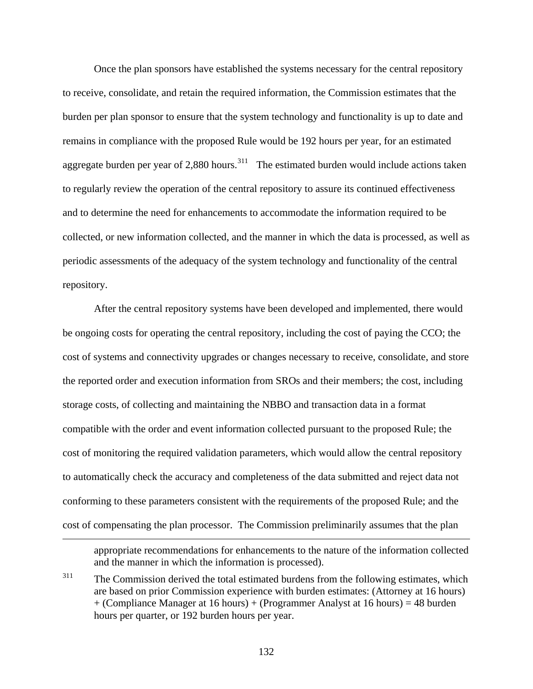Once the plan sponsors have established the systems necessary for the central repository to receive, consolidate, and retain the required information, the Commission estimates that the burden per plan sponsor to ensure that the system technology and functionality is up to date and remains in compliance with the proposed Rule would be 192 hours per year, for an estimated aggregate burden per year of 2,880 hours.<sup>[311](#page-131-0)</sup> The estimated burden would include actions taken to regularly review the operation of the central repository to assure its continued effectiveness and to determine the need for enhancements to accommodate the information required to be collected, or new information collected, and the manner in which the data is processed, as well as periodic assessments of the adequacy of the system technology and functionality of the central repository.

 After the central repository systems have been developed and implemented, there would be ongoing costs for operating the central repository, including the cost of paying the CCO; the cost of systems and connectivity upgrades or changes necessary to receive, consolidate, and store the reported order and execution information from SROs and their members; the cost, including storage costs, of collecting and maintaining the NBBO and transaction data in a format compatible with the order and event information collected pursuant to the proposed Rule; the cost of monitoring the required validation parameters, which would allow the central repository to automatically check the accuracy and completeness of the data submitted and reject data not conforming to these parameters consistent with the requirements of the proposed Rule; and the cost of compensating the plan processor. The Commission preliminarily assumes that the plan

 $\overline{a}$ 

appropriate recommendations for enhancements to the nature of the information collected and the manner in which the information is processed).

<span id="page-131-0"></span> $311$  The Commission derived the total estimated burdens from the following estimates, which are based on prior Commission experience with burden estimates: (Attorney at 16 hours) + (Compliance Manager at 16 hours) + (Programmer Analyst at 16 hours) = 48 burden hours per quarter, or 192 burden hours per year.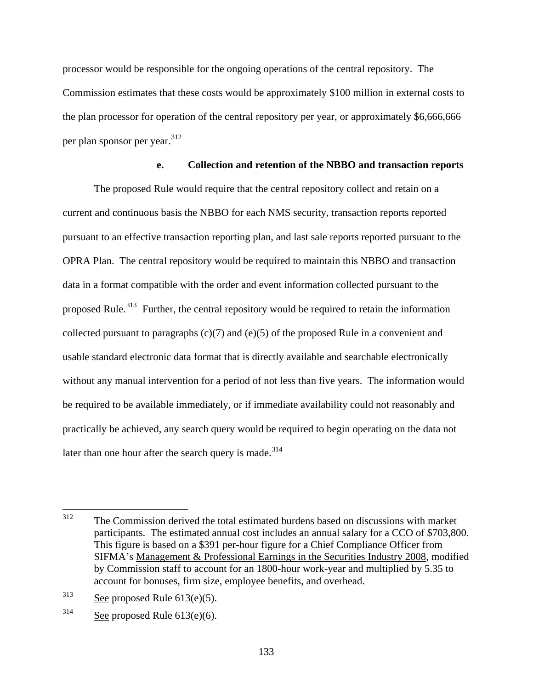processor would be responsible for the ongoing operations of the central repository. The Commission estimates that these costs would be approximately \$100 million in external costs to the plan processor for operation of the central repository per year, or approximately \$6,666,666 per plan sponsor per year.[312](#page-132-0)

### **e. Collection and retention of the NBBO and transaction reports**

 The proposed Rule would require that the central repository collect and retain on a current and continuous basis the NBBO for each NMS security, transaction reports reported pursuant to an effective transaction reporting plan, and last sale reports reported pursuant to the OPRA Plan. The central repository would be required to maintain this NBBO and transaction data in a format compatible with the order and event information collected pursuant to the proposed Rule.<sup>[313](#page-132-1)</sup> Further, the central repository would be required to retain the information collected pursuant to paragraphs  $(c)(7)$  and  $(e)(5)$  of the proposed Rule in a convenient and usable standard electronic data format that is directly available and searchable electronically without any manual intervention for a period of not less than five years. The information would be required to be available immediately, or if immediate availability could not reasonably and practically be achieved, any search query would be required to begin operating on the data not later than one hour after the search query is made.<sup>[314](#page-132-2)</sup>

<span id="page-132-0"></span><sup>312</sup> The Commission derived the total estimated burdens based on discussions with market participants. The estimated annual cost includes an annual salary for a CCO of \$703,800. This figure is based on a \$391 per-hour figure for a Chief Compliance Officer from SIFMA's Management & Professional Earnings in the Securities Industry 2008, modified by Commission staff to account for an 1800-hour work-year and multiplied by 5.35 to account for bonuses, firm size, employee benefits, and overhead.

<span id="page-132-1"></span> $313$  See proposed Rule 613(e)(5).

<span id="page-132-2"></span> $314$  See proposed Rule 613(e)(6).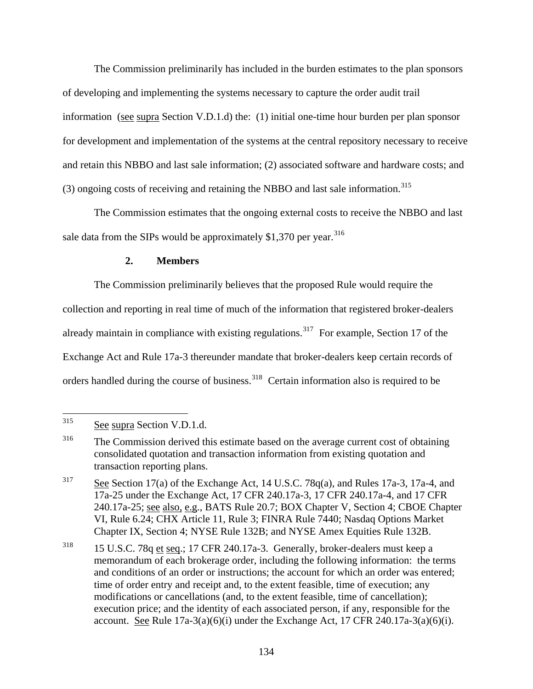The Commission preliminarily has included in the burden estimates to the plan sponsors of developing and implementing the systems necessary to capture the order audit trail information (see supra Section V.D.1.d) the: (1) initial one-time hour burden per plan sponsor for development and implementation of the systems at the central repository necessary to receive and retain this NBBO and last sale information; (2) associated software and hardware costs; and (3) ongoing costs of receiving and retaining the NBBO and last sale information.[315](#page-133-0)

 The Commission estimates that the ongoing external costs to receive the NBBO and last sale data from the SIPs would be approximately  $$1,370$  per year.<sup>[316](#page-133-1)</sup>

## **2. Members**

 The Commission preliminarily believes that the proposed Rule would require the collection and reporting in real time of much of the information that registered broker-dealers already maintain in compliance with existing regulations.<sup>[317](#page-133-2)</sup> For example, Section 17 of the Exchange Act and Rule 17a-3 thereunder mandate that broker-dealers keep certain records of orders handled during the course of business.<sup>[318](#page-133-3)</sup> Certain information also is required to be

<span id="page-133-0"></span><sup>315</sup> See supra Section V.D.1.d.

<span id="page-133-1"></span><sup>&</sup>lt;sup>316</sup> The Commission derived this estimate based on the average current cost of obtaining consolidated quotation and transaction information from existing quotation and transaction reporting plans.

<span id="page-133-2"></span> $\frac{317}{\text{e}}$  See Section 17(a) of the Exchange Act, 14 U.S.C. 78q(a), and Rules 17a-3, 17a-4, and 17a-25 under the Exchange Act, 17 CFR 240.17a-3, 17 CFR 240.17a-4, and 17 CFR 240.17a-25; see also, e.g., BATS Rule 20.7; BOX Chapter V, Section 4; CBOE Chapter VI, Rule 6.24; CHX Article 11, Rule 3; FINRA Rule 7440; Nasdaq Options Market Chapter IX, Section 4; NYSE Rule 132B; and NYSE Amex Equities Rule 132B.

<span id="page-133-3"></span><sup>318 15</sup> U.S.C. 78q et seq.; 17 CFR 240.17a-3. Generally, broker-dealers must keep a memorandum of each brokerage order, including the following information: the terms and conditions of an order or instructions; the account for which an order was entered; time of order entry and receipt and, to the extent feasible, time of execution; any modifications or cancellations (and, to the extent feasible, time of cancellation); execution price; and the identity of each associated person, if any, responsible for the account. See Rule  $17a-3(a)(6)(i)$  under the Exchange Act,  $17$  CFR  $240.17a-3(a)(6)(i)$ .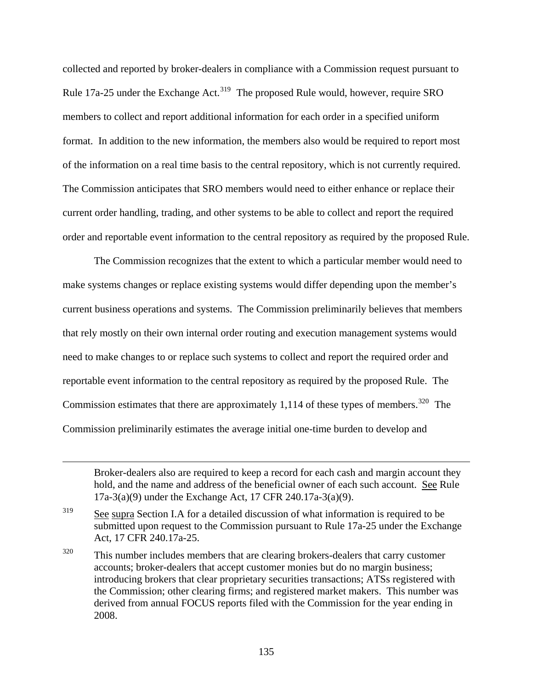collected and reported by broker-dealers in compliance with a Commission request pursuant to Rule 17a-25 under the Exchange Act.<sup>[319](#page-134-0)</sup> The proposed Rule would, however, require SRO members to collect and report additional information for each order in a specified uniform format. In addition to the new information, the members also would be required to report most of the information on a real time basis to the central repository, which is not currently required. The Commission anticipates that SRO members would need to either enhance or replace their current order handling, trading, and other systems to be able to collect and report the required order and reportable event information to the central repository as required by the proposed Rule.

 The Commission recognizes that the extent to which a particular member would need to make systems changes or replace existing systems would differ depending upon the member's current business operations and systems. The Commission preliminarily believes that members that rely mostly on their own internal order routing and execution management systems would need to make changes to or replace such systems to collect and report the required order and reportable event information to the central repository as required by the proposed Rule. The Commission estimates that there are approximately 1,114 of these types of members. $320$  The Commission preliminarily estimates the average initial one-time burden to develop and

Broker-dealers also are required to keep a record for each cash and margin account they hold, and the name and address of the beneficial owner of each such account. See Rule 17a-3(a)(9) under the Exchange Act, 17 CFR 240.17a-3(a)(9).

<span id="page-134-0"></span><sup>&</sup>lt;sup>319</sup> See supra Section I.A for a detailed discussion of what information is required to be submitted upon request to the Commission pursuant to Rule 17a-25 under the Exchange Act, 17 CFR 240.17a-25.

<span id="page-134-1"></span><sup>&</sup>lt;sup>320</sup> This number includes members that are clearing brokers-dealers that carry customer accounts; broker-dealers that accept customer monies but do no margin business; introducing brokers that clear proprietary securities transactions; ATSs registered with the Commission; other clearing firms; and registered market makers. This number was derived from annual FOCUS reports filed with the Commission for the year ending in 2008.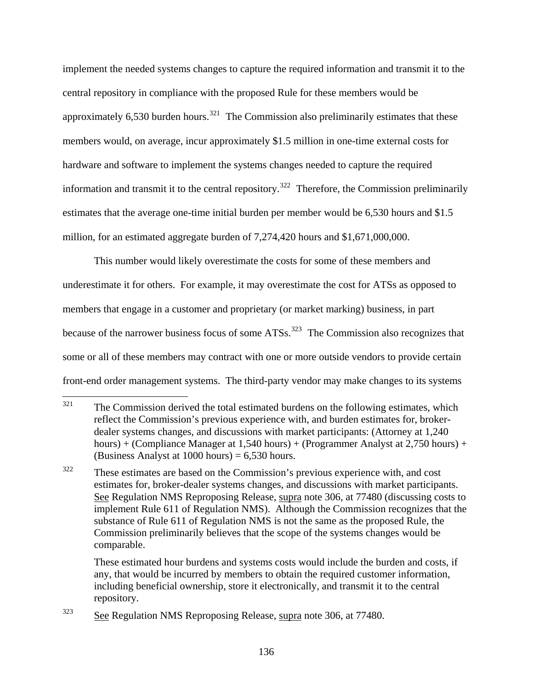implement the needed systems changes to capture the required information and transmit it to the central repository in compliance with the proposed Rule for these members would be approximately 6,530 burden hours.<sup>[321](#page-135-0)</sup> The Commission also preliminarily estimates that these members would, on average, incur approximately \$1.5 million in one-time external costs for hardware and software to implement the systems changes needed to capture the required information and transmit it to the central repository.<sup>[322](#page-135-1)</sup> Therefore, the Commission preliminarily estimates that the average one-time initial burden per member would be 6,530 hours and \$1.5 million, for an estimated aggregate burden of 7,274,420 hours and \$1,671,000,000.

This number would likely overestimate the costs for some of these members and underestimate it for others. For example, it may overestimate the cost for ATSs as opposed to members that engage in a customer and proprietary (or market marking) business, in part because of the narrower business focus of some  $ATSs$ .<sup>[323](#page-135-2)</sup> The Commission also recognizes that some or all of these members may contract with one or more outside vendors to provide certain front-end order management systems. The third-party vendor may make changes to its systems

These estimated hour burdens and systems costs would include the burden and costs, if any, that would be incurred by members to obtain the required customer information, including beneficial ownership, store it electronically, and transmit it to the central repository.

<span id="page-135-0"></span><sup>321</sup> The Commission derived the total estimated burdens on the following estimates, which reflect the Commission's previous experience with, and burden estimates for, brokerdealer systems changes, and discussions with market participants: (Attorney at 1,240 hours) + (Compliance Manager at 1,540 hours) + (Programmer Analyst at 2,750 hours) + (Business Analyst at  $1000$  hours) = 6,530 hours.

<span id="page-135-1"></span><sup>322</sup> These estimates are based on the Commission's previous experience with, and cost estimates for, broker-dealer systems changes, and discussions with market participants. See Regulation NMS Reproposing Release, supra note 306, at 77480 (discussing costs to implement Rule 611 of Regulation NMS). Although the Commission recognizes that the substance of Rule 611 of Regulation NMS is not the same as the proposed Rule, the Commission preliminarily believes that the scope of the systems changes would be comparable.

<span id="page-135-2"></span><sup>323</sup> See Regulation NMS Reproposing Release, supra note 306, at 77480.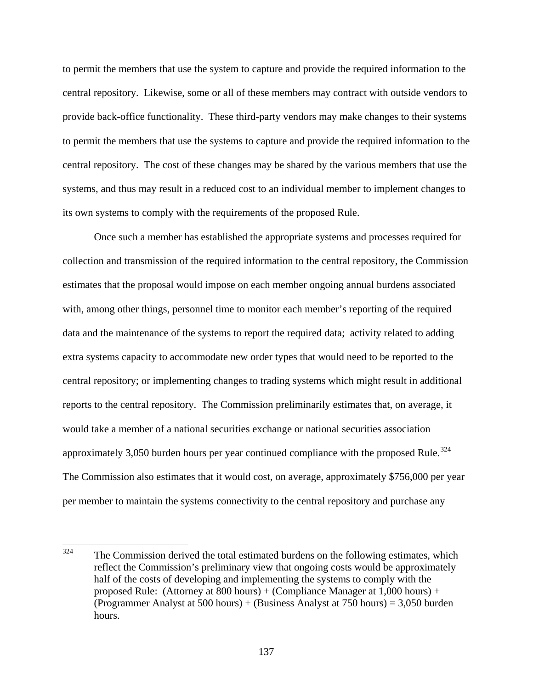to permit the members that use the system to capture and provide the required information to the central repository. Likewise, some or all of these members may contract with outside vendors to provide back-office functionality. These third-party vendors may make changes to their systems to permit the members that use the systems to capture and provide the required information to the central repository. The cost of these changes may be shared by the various members that use the systems, and thus may result in a reduced cost to an individual member to implement changes to its own systems to comply with the requirements of the proposed Rule.

 Once such a member has established the appropriate systems and processes required for collection and transmission of the required information to the central repository, the Commission estimates that the proposal would impose on each member ongoing annual burdens associated with, among other things, personnel time to monitor each member's reporting of the required data and the maintenance of the systems to report the required data; activity related to adding extra systems capacity to accommodate new order types that would need to be reported to the central repository; or implementing changes to trading systems which might result in additional reports to the central repository. The Commission preliminarily estimates that, on average, it would take a member of a national securities exchange or national securities association approximately 3,050 burden hours per year continued compliance with the proposed Rule.<sup>[324](#page-136-0)</sup> The Commission also estimates that it would cost, on average, approximately \$756,000 per year per member to maintain the systems connectivity to the central repository and purchase any

<span id="page-136-0"></span><sup>324</sup> The Commission derived the total estimated burdens on the following estimates, which reflect the Commission's preliminary view that ongoing costs would be approximately half of the costs of developing and implementing the systems to comply with the proposed Rule: (Attorney at 800 hours) + (Compliance Manager at 1,000 hours) + (Programmer Analyst at 500 hours) + (Business Analyst at 750 hours) = 3,050 burden hours.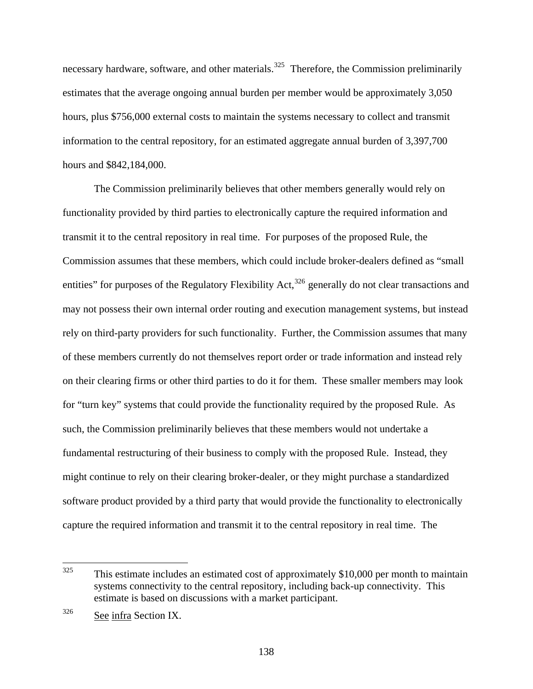necessary hardware, software, and other materials.<sup>[325](#page-137-0)</sup> Therefore, the Commission preliminarily estimates that the average ongoing annual burden per member would be approximately 3,050 hours, plus \$756,000 external costs to maintain the systems necessary to collect and transmit information to the central repository, for an estimated aggregate annual burden of 3,397,700 hours and \$842,184,000.

 The Commission preliminarily believes that other members generally would rely on functionality provided by third parties to electronically capture the required information and transmit it to the central repository in real time. For purposes of the proposed Rule, the Commission assumes that these members, which could include broker-dealers defined as "small entities" for purposes of the Regulatory Flexibility Act,<sup>[326](#page-137-1)</sup> generally do not clear transactions and may not possess their own internal order routing and execution management systems, but instead rely on third-party providers for such functionality. Further, the Commission assumes that many of these members currently do not themselves report order or trade information and instead rely on their clearing firms or other third parties to do it for them. These smaller members may look for "turn key" systems that could provide the functionality required by the proposed Rule. As such, the Commission preliminarily believes that these members would not undertake a fundamental restructuring of their business to comply with the proposed Rule. Instead, they might continue to rely on their clearing broker-dealer, or they might purchase a standardized software product provided by a third party that would provide the functionality to electronically capture the required information and transmit it to the central repository in real time. The

<span id="page-137-0"></span><sup>325</sup> This estimate includes an estimated cost of approximately \$10,000 per month to maintain systems connectivity to the central repository, including back-up connectivity. This estimate is based on discussions with a market participant.

<span id="page-137-1"></span><sup>326</sup> See infra Section IX.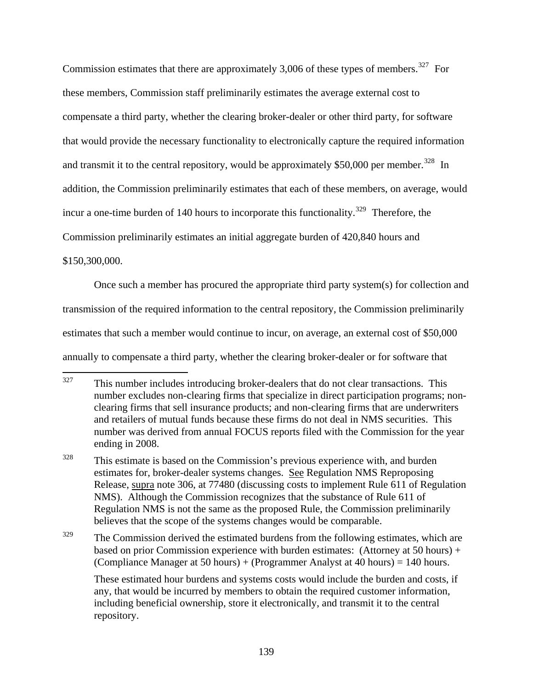Commission estimates that there are approximately 3,006 of these types of members.<sup>[327](#page-138-0)</sup> For these members, Commission staff preliminarily estimates the average external cost to compensate a third party, whether the clearing broker-dealer or other third party, for software that would provide the necessary functionality to electronically capture the required information and transmit it to the central repository, would be approximately \$50,000 per member.<sup>[328](#page-138-1)</sup> In addition, the Commission preliminarily estimates that each of these members, on average, would incur a one-time burden of 140 hours to incorporate this functionality.<sup>[329](#page-138-2)</sup> Therefore, the Commission preliminarily estimates an initial aggregate burden of 420,840 hours and

\$150,300,000.

 Once such a member has procured the appropriate third party system(s) for collection and transmission of the required information to the central repository, the Commission preliminarily estimates that such a member would continue to incur, on average, an external cost of \$50,000 annually to compensate a third party, whether the clearing broker-dealer or for software that

<span id="page-138-2"></span> $329$  The Commission derived the estimated burdens from the following estimates, which are based on prior Commission experience with burden estimates: (Attorney at 50 hours) + (Compliance Manager at 50 hours) + (Programmer Analyst at 40 hours) = 140 hours.

These estimated hour burdens and systems costs would include the burden and costs, if any, that would be incurred by members to obtain the required customer information, including beneficial ownership, store it electronically, and transmit it to the central repository.

<span id="page-138-0"></span><sup>327</sup> This number includes introducing broker-dealers that do not clear transactions. This number excludes non-clearing firms that specialize in direct participation programs; nonclearing firms that sell insurance products; and non-clearing firms that are underwriters and retailers of mutual funds because these firms do not deal in NMS securities. This number was derived from annual FOCUS reports filed with the Commission for the year ending in 2008.

<span id="page-138-1"></span><sup>&</sup>lt;sup>328</sup> This estimate is based on the Commission's previous experience with, and burden estimates for, broker-dealer systems changes. See Regulation NMS Reproposing Release, supra note 306, at 77480 (discussing costs to implement Rule 611 of Regulation NMS). Although the Commission recognizes that the substance of Rule 611 of Regulation NMS is not the same as the proposed Rule, the Commission preliminarily believes that the scope of the systems changes would be comparable.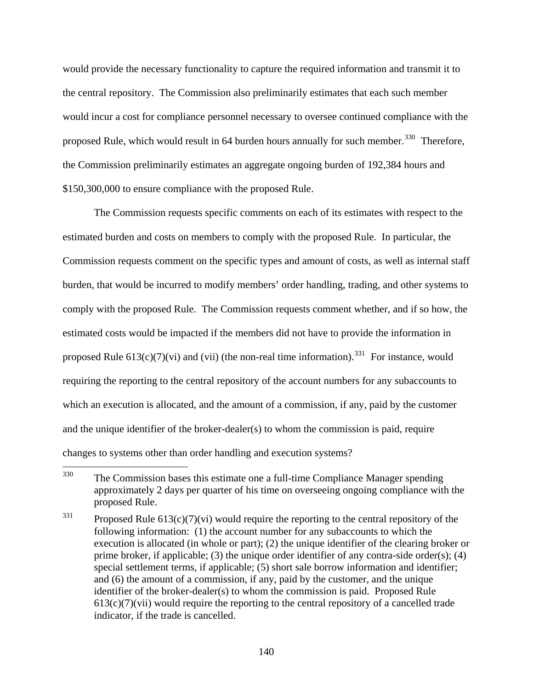would provide the necessary functionality to capture the required information and transmit it to the central repository. The Commission also preliminarily estimates that each such member would incur a cost for compliance personnel necessary to oversee continued compliance with the proposed Rule, which would result in 64 burden hours annually for such member.<sup>[330](#page-139-0)</sup> Therefore, the Commission preliminarily estimates an aggregate ongoing burden of 192,384 hours and \$150,300,000 to ensure compliance with the proposed Rule.

 The Commission requests specific comments on each of its estimates with respect to the estimated burden and costs on members to comply with the proposed Rule. In particular, the Commission requests comment on the specific types and amount of costs, as well as internal staff burden, that would be incurred to modify members' order handling, trading, and other systems to comply with the proposed Rule. The Commission requests comment whether, and if so how, the estimated costs would be impacted if the members did not have to provide the information in proposed Rule  $613(c)(7)(vi)$  and (vii) (the non-real time information).<sup>[331](#page-139-1)</sup> For instance, would requiring the reporting to the central repository of the account numbers for any subaccounts to which an execution is allocated, and the amount of a commission, if any, paid by the customer and the unique identifier of the broker-dealer(s) to whom the commission is paid, require changes to systems other than order handling and execution systems?

<span id="page-139-0"></span><sup>330</sup> The Commission bases this estimate one a full-time Compliance Manager spending approximately 2 days per quarter of his time on overseeing ongoing compliance with the proposed Rule.

<span id="page-139-1"></span> $331$  Proposed Rule 613(c)(7)(vi) would require the reporting to the central repository of the following information: (1) the account number for any subaccounts to which the execution is allocated (in whole or part); (2) the unique identifier of the clearing broker or prime broker, if applicable; (3) the unique order identifier of any contra-side order(s); (4) special settlement terms, if applicable; (5) short sale borrow information and identifier; and (6) the amount of a commission, if any, paid by the customer, and the unique identifier of the broker-dealer(s) to whom the commission is paid. Proposed Rule  $613(c)(7)(vii)$  would require the reporting to the central repository of a cancelled trade indicator, if the trade is cancelled.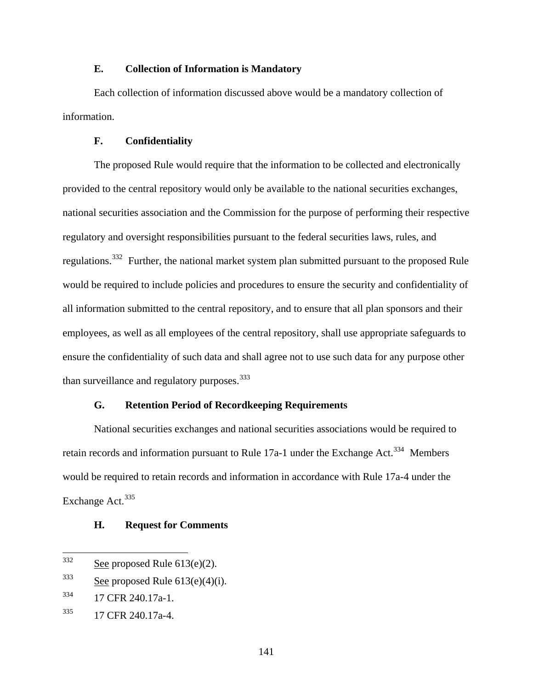### **E. Collection of Information is Mandatory**

Each collection of information discussed above would be a mandatory collection of information.

#### **F. Confidentiality**

The proposed Rule would require that the information to be collected and electronically provided to the central repository would only be available to the national securities exchanges, national securities association and the Commission for the purpose of performing their respective regulatory and oversight responsibilities pursuant to the federal securities laws, rules, and regulations.[332](#page-140-0) Further, the national market system plan submitted pursuant to the proposed Rule would be required to include policies and procedures to ensure the security and confidentiality of all information submitted to the central repository, and to ensure that all plan sponsors and their employees, as well as all employees of the central repository, shall use appropriate safeguards to ensure the confidentiality of such data and shall agree not to use such data for any purpose other than surveillance and regulatory purposes.<sup>[333](#page-140-1)</sup>

#### **G. Retention Period of Recordkeeping Requirements**

National securities exchanges and national securities associations would be required to retain records and information pursuant to Rule 17a-1 under the Exchange Act.<sup>[334](#page-140-2)</sup> Members would be required to retain records and information in accordance with Rule 17a-4 under the Exchange Act.<sup>[335](#page-140-3)</sup>

### **H. Request for Comments**

<span id="page-140-1"></span> $333$  See proposed Rule 613(e)(4)(i).

<span id="page-140-0"></span><sup>332</sup> See proposed Rule  $613(e)(2)$ .

<span id="page-140-2"></span><sup>334 17</sup> CFR 240.17a-1.

<span id="page-140-3"></span><sup>335 17</sup> CFR 240.17a-4.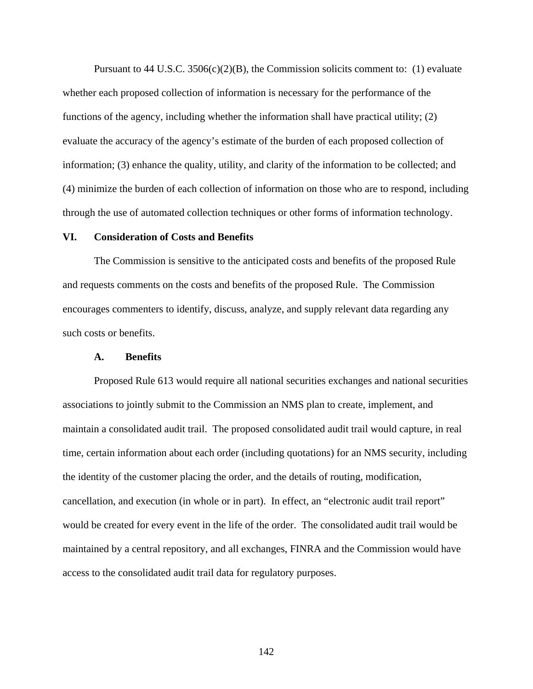Pursuant to 44 U.S.C.  $3506(c)(2)(B)$ , the Commission solicits comment to: (1) evaluate whether each proposed collection of information is necessary for the performance of the functions of the agency, including whether the information shall have practical utility; (2) evaluate the accuracy of the agency's estimate of the burden of each proposed collection of information; (3) enhance the quality, utility, and clarity of the information to be collected; and (4) minimize the burden of each collection of information on those who are to respond, including through the use of automated collection techniques or other forms of information technology.

### **VI. Consideration of Costs and Benefits**

The Commission is sensitive to the anticipated costs and benefits of the proposed Rule and requests comments on the costs and benefits of the proposed Rule. The Commission encourages commenters to identify, discuss, analyze, and supply relevant data regarding any such costs or benefits.

#### **A. Benefits**

Proposed Rule 613 would require all national securities exchanges and national securities associations to jointly submit to the Commission an NMS plan to create, implement, and maintain a consolidated audit trail. The proposed consolidated audit trail would capture, in real time, certain information about each order (including quotations) for an NMS security, including the identity of the customer placing the order, and the details of routing, modification, cancellation, and execution (in whole or in part). In effect, an "electronic audit trail report" would be created for every event in the life of the order. The consolidated audit trail would be maintained by a central repository, and all exchanges, FINRA and the Commission would have access to the consolidated audit trail data for regulatory purposes.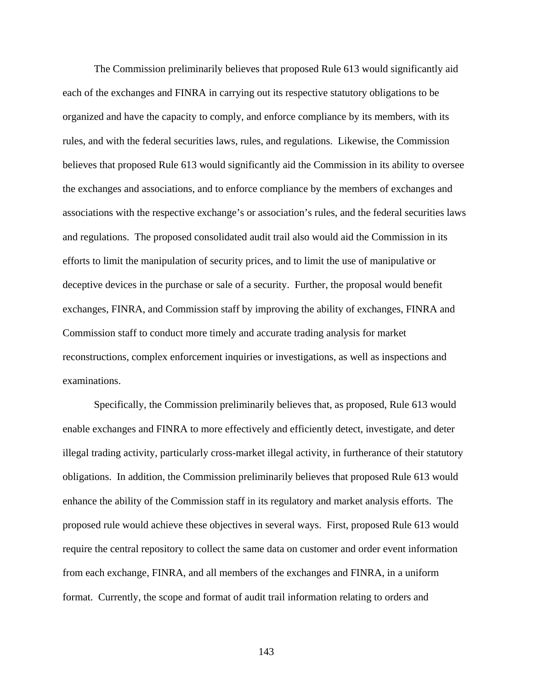The Commission preliminarily believes that proposed Rule 613 would significantly aid each of the exchanges and FINRA in carrying out its respective statutory obligations to be organized and have the capacity to comply, and enforce compliance by its members, with its rules, and with the federal securities laws, rules, and regulations. Likewise, the Commission believes that proposed Rule 613 would significantly aid the Commission in its ability to oversee the exchanges and associations, and to enforce compliance by the members of exchanges and associations with the respective exchange's or association's rules, and the federal securities laws and regulations. The proposed consolidated audit trail also would aid the Commission in its efforts to limit the manipulation of security prices, and to limit the use of manipulative or deceptive devices in the purchase or sale of a security. Further, the proposal would benefit exchanges, FINRA, and Commission staff by improving the ability of exchanges, FINRA and Commission staff to conduct more timely and accurate trading analysis for market reconstructions, complex enforcement inquiries or investigations, as well as inspections and examinations.

Specifically, the Commission preliminarily believes that, as proposed, Rule 613 would enable exchanges and FINRA to more effectively and efficiently detect, investigate, and deter illegal trading activity, particularly cross-market illegal activity, in furtherance of their statutory obligations. In addition, the Commission preliminarily believes that proposed Rule 613 would enhance the ability of the Commission staff in its regulatory and market analysis efforts. The proposed rule would achieve these objectives in several ways. First, proposed Rule 613 would require the central repository to collect the same data on customer and order event information from each exchange, FINRA, and all members of the exchanges and FINRA, in a uniform format. Currently, the scope and format of audit trail information relating to orders and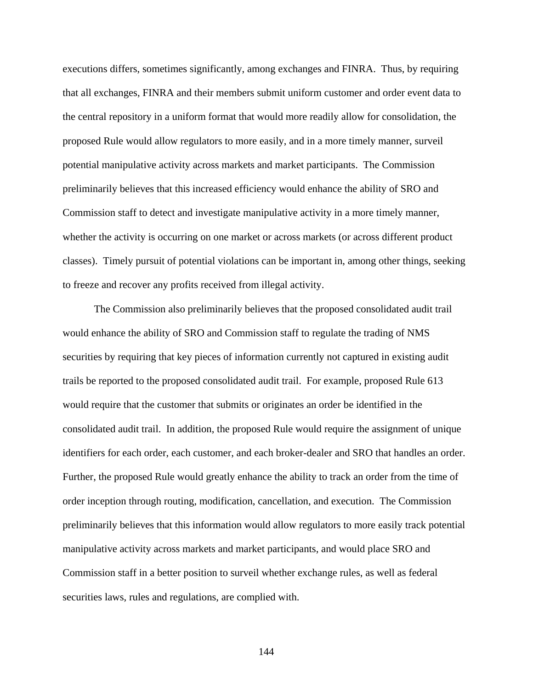executions differs, sometimes significantly, among exchanges and FINRA. Thus, by requiring that all exchanges, FINRA and their members submit uniform customer and order event data to the central repository in a uniform format that would more readily allow for consolidation, the proposed Rule would allow regulators to more easily, and in a more timely manner, surveil potential manipulative activity across markets and market participants. The Commission preliminarily believes that this increased efficiency would enhance the ability of SRO and Commission staff to detect and investigate manipulative activity in a more timely manner, whether the activity is occurring on one market or across markets (or across different product classes). Timely pursuit of potential violations can be important in, among other things, seeking to freeze and recover any profits received from illegal activity.

The Commission also preliminarily believes that the proposed consolidated audit trail would enhance the ability of SRO and Commission staff to regulate the trading of NMS securities by requiring that key pieces of information currently not captured in existing audit trails be reported to the proposed consolidated audit trail. For example, proposed Rule 613 would require that the customer that submits or originates an order be identified in the consolidated audit trail. In addition, the proposed Rule would require the assignment of unique identifiers for each order, each customer, and each broker-dealer and SRO that handles an order. Further, the proposed Rule would greatly enhance the ability to track an order from the time of order inception through routing, modification, cancellation, and execution. The Commission preliminarily believes that this information would allow regulators to more easily track potential manipulative activity across markets and market participants, and would place SRO and Commission staff in a better position to surveil whether exchange rules, as well as federal securities laws, rules and regulations, are complied with.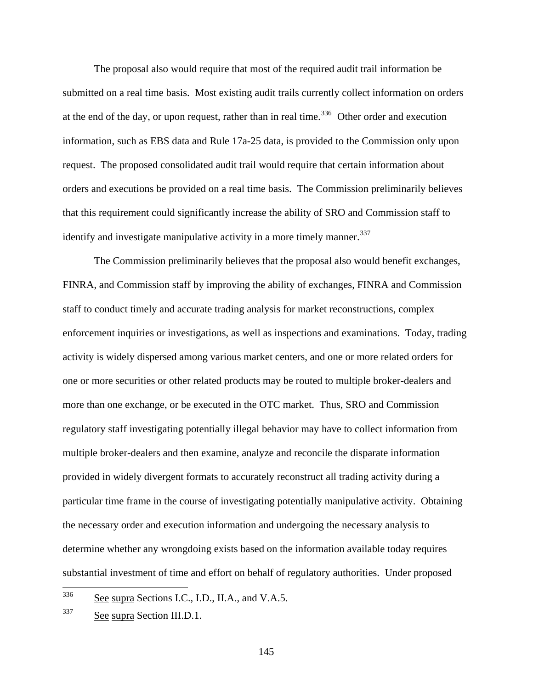The proposal also would require that most of the required audit trail information be submitted on a real time basis. Most existing audit trails currently collect information on orders at the end of the day, or upon request, rather than in real time.<sup>[336](#page-144-0)</sup> Other order and execution information, such as EBS data and Rule 17a-25 data, is provided to the Commission only upon request. The proposed consolidated audit trail would require that certain information about orders and executions be provided on a real time basis. The Commission preliminarily believes that this requirement could significantly increase the ability of SRO and Commission staff to identify and investigate manipulative activity in a more timely manner.<sup>[337](#page-144-1)</sup>

The Commission preliminarily believes that the proposal also would benefit exchanges, FINRA, and Commission staff by improving the ability of exchanges, FINRA and Commission staff to conduct timely and accurate trading analysis for market reconstructions, complex enforcement inquiries or investigations, as well as inspections and examinations. Today, trading activity is widely dispersed among various market centers, and one or more related orders for one or more securities or other related products may be routed to multiple broker-dealers and more than one exchange, or be executed in the OTC market. Thus, SRO and Commission regulatory staff investigating potentially illegal behavior may have to collect information from multiple broker-dealers and then examine, analyze and reconcile the disparate information provided in widely divergent formats to accurately reconstruct all trading activity during a particular time frame in the course of investigating potentially manipulative activity. Obtaining the necessary order and execution information and undergoing the necessary analysis to determine whether any wrongdoing exists based on the information available today requires substantial investment of time and effort on behalf of regulatory authorities. Under proposed

<span id="page-144-0"></span><sup>336</sup> See supra Sections I.C., I.D., II.A., and V.A.5.

<span id="page-144-1"></span> $337$  See supra Section III.D.1.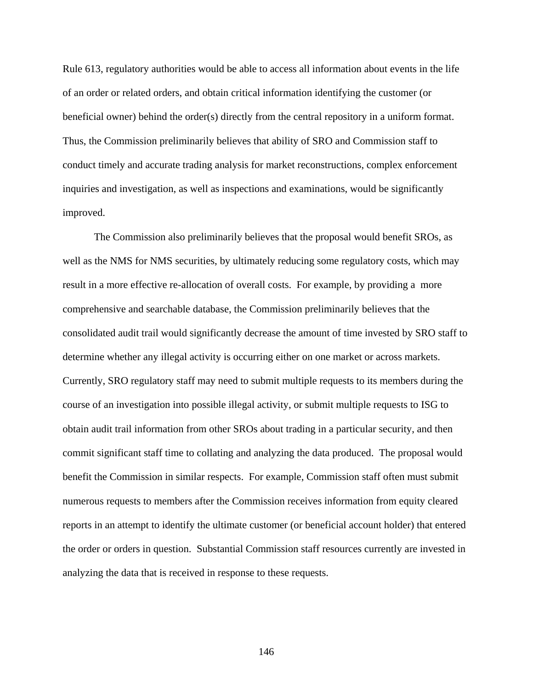Rule 613, regulatory authorities would be able to access all information about events in the life of an order or related orders, and obtain critical information identifying the customer (or beneficial owner) behind the order(s) directly from the central repository in a uniform format. Thus, the Commission preliminarily believes that ability of SRO and Commission staff to conduct timely and accurate trading analysis for market reconstructions, complex enforcement inquiries and investigation, as well as inspections and examinations, would be significantly improved.

The Commission also preliminarily believes that the proposal would benefit SROs, as well as the NMS for NMS securities, by ultimately reducing some regulatory costs, which may result in a more effective re-allocation of overall costs. For example, by providing a more comprehensive and searchable database, the Commission preliminarily believes that the consolidated audit trail would significantly decrease the amount of time invested by SRO staff to determine whether any illegal activity is occurring either on one market or across markets. Currently, SRO regulatory staff may need to submit multiple requests to its members during the course of an investigation into possible illegal activity, or submit multiple requests to ISG to obtain audit trail information from other SROs about trading in a particular security, and then commit significant staff time to collating and analyzing the data produced. The proposal would benefit the Commission in similar respects. For example, Commission staff often must submit numerous requests to members after the Commission receives information from equity cleared reports in an attempt to identify the ultimate customer (or beneficial account holder) that entered the order or orders in question. Substantial Commission staff resources currently are invested in analyzing the data that is received in response to these requests.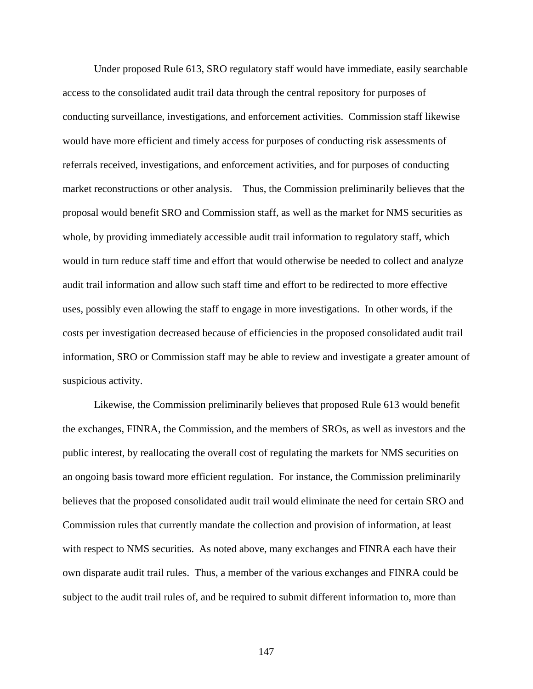Under proposed Rule 613, SRO regulatory staff would have immediate, easily searchable access to the consolidated audit trail data through the central repository for purposes of conducting surveillance, investigations, and enforcement activities. Commission staff likewise would have more efficient and timely access for purposes of conducting risk assessments of referrals received, investigations, and enforcement activities, and for purposes of conducting market reconstructions or other analysis. Thus, the Commission preliminarily believes that the proposal would benefit SRO and Commission staff, as well as the market for NMS securities as whole, by providing immediately accessible audit trail information to regulatory staff, which would in turn reduce staff time and effort that would otherwise be needed to collect and analyze audit trail information and allow such staff time and effort to be redirected to more effective uses, possibly even allowing the staff to engage in more investigations. In other words, if the costs per investigation decreased because of efficiencies in the proposed consolidated audit trail information, SRO or Commission staff may be able to review and investigate a greater amount of suspicious activity.

Likewise, the Commission preliminarily believes that proposed Rule 613 would benefit the exchanges, FINRA, the Commission, and the members of SROs, as well as investors and the public interest, by reallocating the overall cost of regulating the markets for NMS securities on an ongoing basis toward more efficient regulation. For instance, the Commission preliminarily believes that the proposed consolidated audit trail would eliminate the need for certain SRO and Commission rules that currently mandate the collection and provision of information, at least with respect to NMS securities. As noted above, many exchanges and FINRA each have their own disparate audit trail rules. Thus, a member of the various exchanges and FINRA could be subject to the audit trail rules of, and be required to submit different information to, more than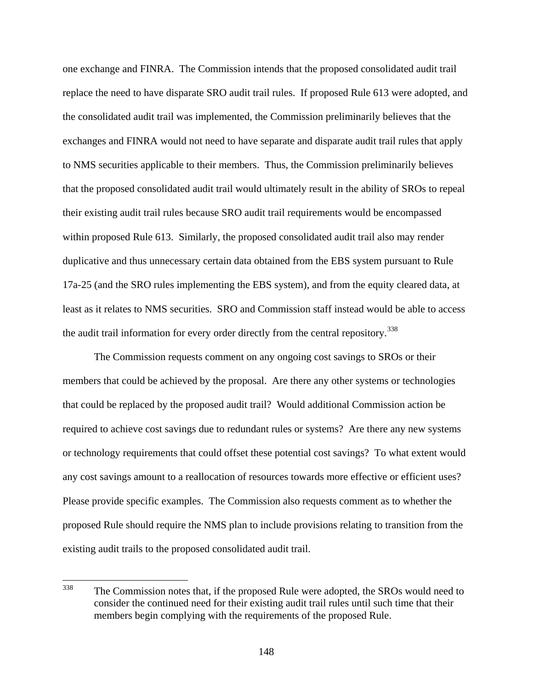one exchange and FINRA. The Commission intends that the proposed consolidated audit trail replace the need to have disparate SRO audit trail rules. If proposed Rule 613 were adopted, and the consolidated audit trail was implemented, the Commission preliminarily believes that the exchanges and FINRA would not need to have separate and disparate audit trail rules that apply to NMS securities applicable to their members. Thus, the Commission preliminarily believes that the proposed consolidated audit trail would ultimately result in the ability of SROs to repeal their existing audit trail rules because SRO audit trail requirements would be encompassed within proposed Rule 613. Similarly, the proposed consolidated audit trail also may render duplicative and thus unnecessary certain data obtained from the EBS system pursuant to Rule 17a-25 (and the SRO rules implementing the EBS system), and from the equity cleared data, at least as it relates to NMS securities. SRO and Commission staff instead would be able to access the audit trail information for every order directly from the central repository.<sup>[338](#page-147-0)</sup>

The Commission requests comment on any ongoing cost savings to SROs or their members that could be achieved by the proposal. Are there any other systems or technologies that could be replaced by the proposed audit trail? Would additional Commission action be required to achieve cost savings due to redundant rules or systems? Are there any new systems or technology requirements that could offset these potential cost savings? To what extent would any cost savings amount to a reallocation of resources towards more effective or efficient uses? Please provide specific examples. The Commission also requests comment as to whether the proposed Rule should require the NMS plan to include provisions relating to transition from the existing audit trails to the proposed consolidated audit trail.

<span id="page-147-0"></span><sup>338</sup> The Commission notes that, if the proposed Rule were adopted, the SROs would need to consider the continued need for their existing audit trail rules until such time that their members begin complying with the requirements of the proposed Rule.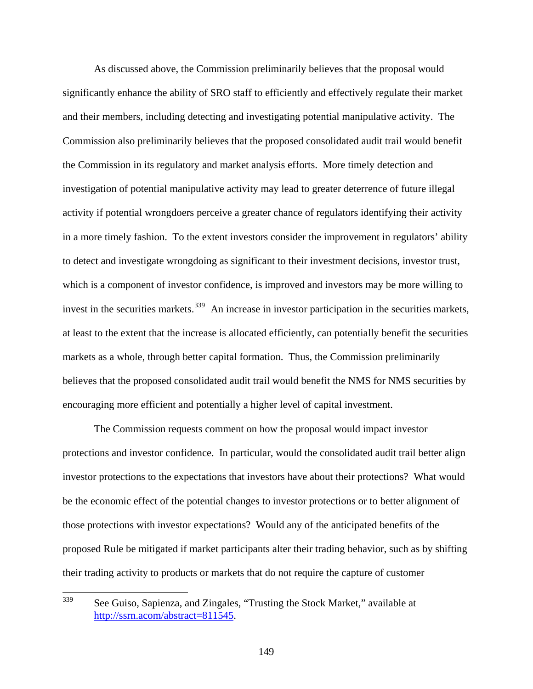As discussed above, the Commission preliminarily believes that the proposal would significantly enhance the ability of SRO staff to efficiently and effectively regulate their market and their members, including detecting and investigating potential manipulative activity. The Commission also preliminarily believes that the proposed consolidated audit trail would benefit the Commission in its regulatory and market analysis efforts. More timely detection and investigation of potential manipulative activity may lead to greater deterrence of future illegal activity if potential wrongdoers perceive a greater chance of regulators identifying their activity in a more timely fashion. To the extent investors consider the improvement in regulators' ability to detect and investigate wrongdoing as significant to their investment decisions, investor trust, which is a component of investor confidence, is improved and investors may be more willing to invest in the securities markets.<sup>[339](#page-148-0)</sup> An increase in investor participation in the securities markets, at least to the extent that the increase is allocated efficiently, can potentially benefit the securities markets as a whole, through better capital formation. Thus, the Commission preliminarily believes that the proposed consolidated audit trail would benefit the NMS for NMS securities by encouraging more efficient and potentially a higher level of capital investment.

The Commission requests comment on how the proposal would impact investor protections and investor confidence. In particular, would the consolidated audit trail better align investor protections to the expectations that investors have about their protections? What would be the economic effect of the potential changes to investor protections or to better alignment of those protections with investor expectations? Would any of the anticipated benefits of the proposed Rule be mitigated if market participants alter their trading behavior, such as by shifting their trading activity to products or markets that do not require the capture of customer

<span id="page-148-0"></span><sup>339</sup> See Guiso, Sapienza, and Zingales, "Trusting the Stock Market," available at <http://ssrn.acom/abstract=811545>.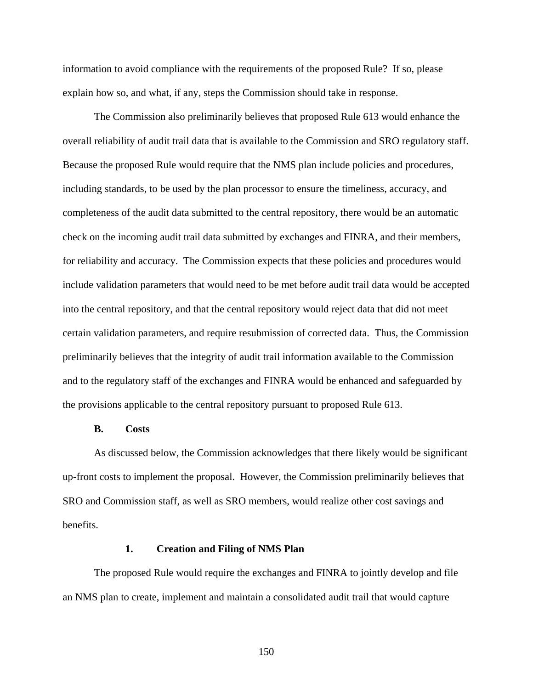information to avoid compliance with the requirements of the proposed Rule? If so, please explain how so, and what, if any, steps the Commission should take in response.

The Commission also preliminarily believes that proposed Rule 613 would enhance the overall reliability of audit trail data that is available to the Commission and SRO regulatory staff. Because the proposed Rule would require that the NMS plan include policies and procedures, including standards, to be used by the plan processor to ensure the timeliness, accuracy, and completeness of the audit data submitted to the central repository, there would be an automatic check on the incoming audit trail data submitted by exchanges and FINRA, and their members, for reliability and accuracy. The Commission expects that these policies and procedures would include validation parameters that would need to be met before audit trail data would be accepted into the central repository, and that the central repository would reject data that did not meet certain validation parameters, and require resubmission of corrected data. Thus, the Commission preliminarily believes that the integrity of audit trail information available to the Commission and to the regulatory staff of the exchanges and FINRA would be enhanced and safeguarded by the provisions applicable to the central repository pursuant to proposed Rule 613.

## **B. Costs**

As discussed below, the Commission acknowledges that there likely would be significant up-front costs to implement the proposal. However, the Commission preliminarily believes that SRO and Commission staff, as well as SRO members, would realize other cost savings and benefits.

#### **1. Creation and Filing of NMS Plan**

The proposed Rule would require the exchanges and FINRA to jointly develop and file an NMS plan to create, implement and maintain a consolidated audit trail that would capture

150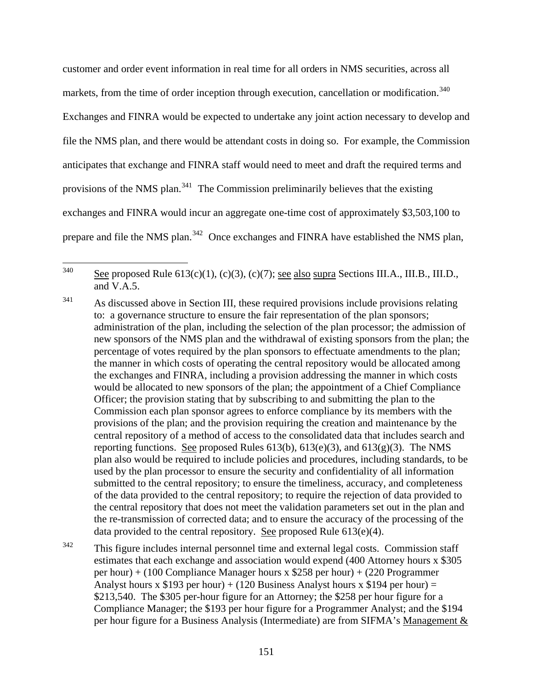customer and order event information in real time for all orders in NMS securities, across all markets, from the time of order inception through execution, cancellation or modification.<sup>[340](#page-150-0)</sup> Exchanges and FINRA would be expected to undertake any joint action necessary to develop and file the NMS plan, and there would be attendant costs in doing so. For example, the Commission anticipates that exchange and FINRA staff would need to meet and draft the required terms and provisions of the NMS plan. $341$  The Commission preliminarily believes that the existing exchanges and FINRA would incur an aggregate one-time cost of approximately \$3,503,100 to prepare and file the NMS plan.<sup>[342](#page-150-2)</sup> Once exchanges and FINRA have established the NMS plan,

<span id="page-150-0"></span>340 See proposed Rule  $613(c)(1)$ ,  $(c)(3)$ ,  $(c)(7)$ ; see also supra Sections III.A., III.B., III.D., and V.A.5.

<span id="page-150-2"></span><sup>342</sup> This figure includes internal personnel time and external legal costs. Commission staff estimates that each exchange and association would expend (400 Attorney hours x \$305 per hour) + (100 Compliance Manager hours x \$258 per hour) + (220 Programmer Analyst hours x \$193 per hour) + (120 Business Analyst hours x \$194 per hour) = \$213,540. The \$305 per-hour figure for an Attorney; the \$258 per hour figure for a Compliance Manager; the \$193 per hour figure for a Programmer Analyst; and the \$194 per hour figure for a Business Analysis (Intermediate) are from SIFMA's Management &

<span id="page-150-1"></span> $341$  As discussed above in Section III, these required provisions include provisions relating to: a governance structure to ensure the fair representation of the plan sponsors; administration of the plan, including the selection of the plan processor; the admission of new sponsors of the NMS plan and the withdrawal of existing sponsors from the plan; the percentage of votes required by the plan sponsors to effectuate amendments to the plan; the manner in which costs of operating the central repository would be allocated among the exchanges and FINRA, including a provision addressing the manner in which costs would be allocated to new sponsors of the plan; the appointment of a Chief Compliance Officer; the provision stating that by subscribing to and submitting the plan to the Commission each plan sponsor agrees to enforce compliance by its members with the provisions of the plan; and the provision requiring the creation and maintenance by the central repository of a method of access to the consolidated data that includes search and reporting functions. See proposed Rules  $613(b)$ ,  $613(e)(3)$ , and  $613(g)(3)$ . The NMS plan also would be required to include policies and procedures, including standards, to be used by the plan processor to ensure the security and confidentiality of all information submitted to the central repository; to ensure the timeliness, accuracy, and completeness of the data provided to the central repository; to require the rejection of data provided to the central repository that does not meet the validation parameters set out in the plan and the re-transmission of corrected data; and to ensure the accuracy of the processing of the data provided to the central repository. See proposed Rule  $613(e)(4)$ .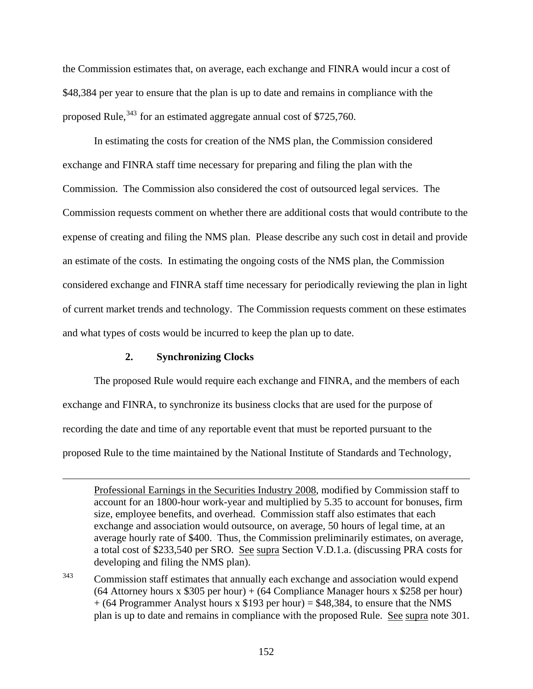the Commission estimates that, on average, each exchange and FINRA would incur a cost of \$48,384 per year to ensure that the plan is up to date and remains in compliance with the proposed Rule,  $343$  for an estimated aggregate annual cost of \$725,760.

In estimating the costs for creation of the NMS plan, the Commission considered exchange and FINRA staff time necessary for preparing and filing the plan with the Commission. The Commission also considered the cost of outsourced legal services. The Commission requests comment on whether there are additional costs that would contribute to the expense of creating and filing the NMS plan. Please describe any such cost in detail and provide an estimate of the costs. In estimating the ongoing costs of the NMS plan, the Commission considered exchange and FINRA staff time necessary for periodically reviewing the plan in light of current market trends and technology. The Commission requests comment on these estimates and what types of costs would be incurred to keep the plan up to date.

## **2. Synchronizing Clocks**

 $\overline{a}$ 

The proposed Rule would require each exchange and FINRA, and the members of each exchange and FINRA, to synchronize its business clocks that are used for the purpose of recording the date and time of any reportable event that must be reported pursuant to the proposed Rule to the time maintained by the National Institute of Standards and Technology,

<span id="page-151-0"></span><sup>343</sup> Commission staff estimates that annually each exchange and association would expend  $(64$  Attorney hours x \$305 per hour) +  $(64$  Compliance Manager hours x \$258 per hour)  $+$  (64 Programmer Analyst hours x \$193 per hour) = \$48,384, to ensure that the NMS plan is up to date and remains in compliance with the proposed Rule. See supra note 301.

Professional Earnings in the Securities Industry 2008, modified by Commission staff to account for an 1800-hour work-year and multiplied by 5.35 to account for bonuses, firm size, employee benefits, and overhead. Commission staff also estimates that each exchange and association would outsource, on average, 50 hours of legal time, at an average hourly rate of \$400. Thus, the Commission preliminarily estimates, on average, a total cost of \$233,540 per SRO. See supra Section V.D.1.a. (discussing PRA costs for developing and filing the NMS plan).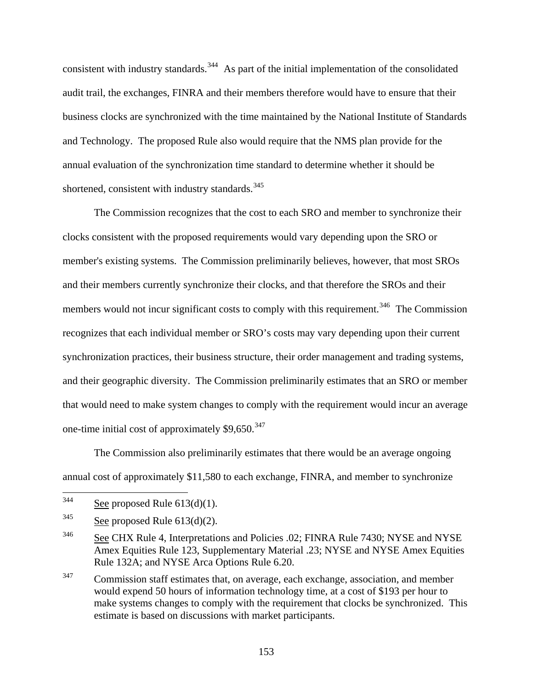consistent with industry standards.<sup>[344](#page-152-0)</sup> As part of the initial implementation of the consolidated audit trail, the exchanges, FINRA and their members therefore would have to ensure that their business clocks are synchronized with the time maintained by the National Institute of Standards and Technology. The proposed Rule also would require that the NMS plan provide for the annual evaluation of the synchronization time standard to determine whether it should be shortened, consistent with industry standards.<sup>[345](#page-152-1)</sup>

The Commission recognizes that the cost to each SRO and member to synchronize their clocks consistent with the proposed requirements would vary depending upon the SRO or member's existing systems. The Commission preliminarily believes, however, that most SROs and their members currently synchronize their clocks, and that therefore the SROs and their members would not incur significant costs to comply with this requirement.<sup>[346](#page-152-2)</sup> The Commission recognizes that each individual member or SRO's costs may vary depending upon their current synchronization practices, their business structure, their order management and trading systems, and their geographic diversity. The Commission preliminarily estimates that an SRO or member that would need to make system changes to comply with the requirement would incur an average one-time initial cost of approximately  $$9,650.<sup>347</sup>$  $$9,650.<sup>347</sup>$  $$9,650.<sup>347</sup>$ 

The Commission also preliminarily estimates that there would be an average ongoing annual cost of approximately \$11,580 to each exchange, FINRA, and member to synchronize

<span id="page-152-0"></span><sup>344</sup> See proposed Rule  $613(d)(1)$ .

<span id="page-152-1"></span> $345$  See proposed Rule 613(d)(2).

<span id="page-152-2"></span><sup>&</sup>lt;sup>346</sup> See CHX Rule 4, Interpretations and Policies .02; FINRA Rule 7430; NYSE and NYSE Amex Equities Rule 123, Supplementary Material .23; NYSE and NYSE Amex Equities Rule 132A; and NYSE Arca Options Rule 6.20.

<span id="page-152-3"></span><sup>&</sup>lt;sup>347</sup> Commission staff estimates that, on average, each exchange, association, and member would expend 50 hours of information technology time, at a cost of \$193 per hour to make systems changes to comply with the requirement that clocks be synchronized. This estimate is based on discussions with market participants.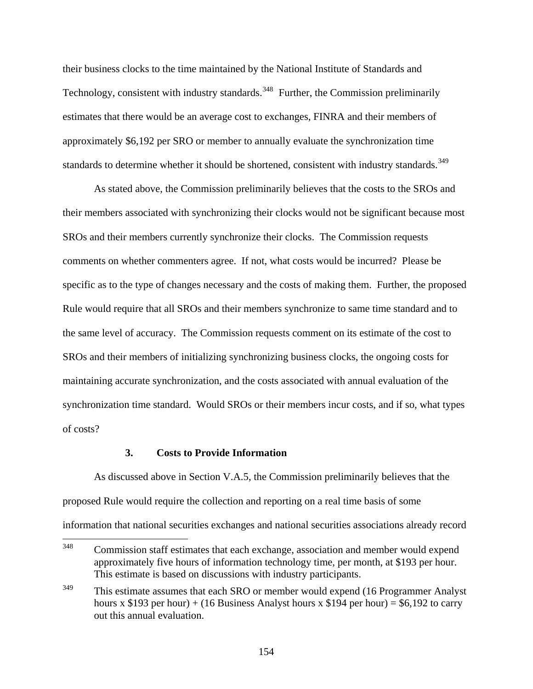their business clocks to the time maintained by the National Institute of Standards and Technology, consistent with industry standards.<sup>[348](#page-153-0)</sup> Further, the Commission preliminarily estimates that there would be an average cost to exchanges, FINRA and their members of approximately \$6,192 per SRO or member to annually evaluate the synchronization time standards to determine whether it should be shortened, consistent with industry standards.<sup>[349](#page-153-1)</sup>

As stated above, the Commission preliminarily believes that the costs to the SROs and their members associated with synchronizing their clocks would not be significant because most SROs and their members currently synchronize their clocks. The Commission requests comments on whether commenters agree. If not, what costs would be incurred? Please be specific as to the type of changes necessary and the costs of making them. Further, the proposed Rule would require that all SROs and their members synchronize to same time standard and to the same level of accuracy. The Commission requests comment on its estimate of the cost to SROs and their members of initializing synchronizing business clocks, the ongoing costs for maintaining accurate synchronization, and the costs associated with annual evaluation of the synchronization time standard. Would SROs or their members incur costs, and if so, what types of costs?

## **3. Costs to Provide Information**

 As discussed above in Section V.A.5, the Commission preliminarily believes that the proposed Rule would require the collection and reporting on a real time basis of some information that national securities exchanges and national securities associations already record

<span id="page-153-0"></span><sup>348</sup> Commission staff estimates that each exchange, association and member would expend approximately five hours of information technology time, per month, at \$193 per hour. This estimate is based on discussions with industry participants.

<span id="page-153-1"></span><sup>&</sup>lt;sup>349</sup> This estimate assumes that each SRO or member would expend (16 Programmer Analyst) hours x \$193 per hour) + (16 Business Analyst hours x \$194 per hour) = \$6,192 to carry out this annual evaluation.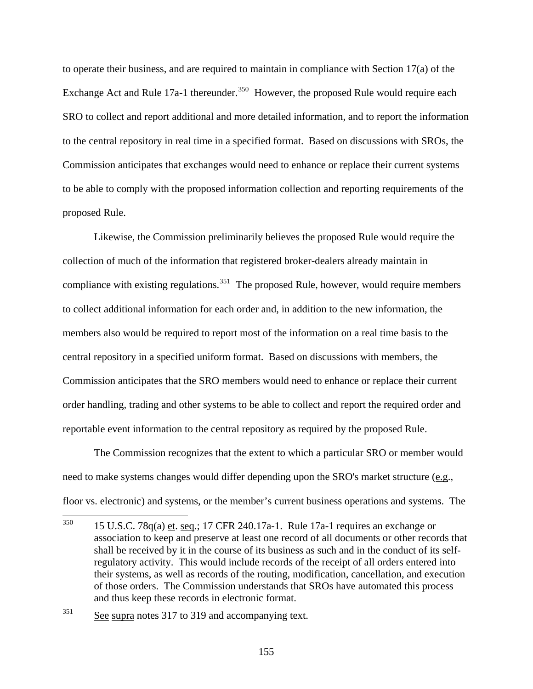to operate their business, and are required to maintain in compliance with Section 17(a) of the Exchange Act and Rule 17a-1 thereunder.<sup>[350](#page-154-0)</sup> However, the proposed Rule would require each SRO to collect and report additional and more detailed information, and to report the information to the central repository in real time in a specified format. Based on discussions with SROs, the Commission anticipates that exchanges would need to enhance or replace their current systems to be able to comply with the proposed information collection and reporting requirements of the proposed Rule.

 Likewise, the Commission preliminarily believes the proposed Rule would require the collection of much of the information that registered broker-dealers already maintain in compliance with existing regulations.<sup>[351](#page-154-1)</sup> The proposed Rule, however, would require members to collect additional information for each order and, in addition to the new information, the members also would be required to report most of the information on a real time basis to the central repository in a specified uniform format. Based on discussions with members, the Commission anticipates that the SRO members would need to enhance or replace their current order handling, trading and other systems to be able to collect and report the required order and reportable event information to the central repository as required by the proposed Rule.

 The Commission recognizes that the extent to which a particular SRO or member would need to make systems changes would differ depending upon the SRO's market structure (e.g., floor vs. electronic) and systems, or the member's current business operations and systems. The

<span id="page-154-0"></span><sup>350</sup> 350 15 U.S.C. 78q(a) et. seq.; 17 CFR 240.17a-1. Rule 17a-1 requires an exchange or association to keep and preserve at least one record of all documents or other records that shall be received by it in the course of its business as such and in the conduct of its selfregulatory activity. This would include records of the receipt of all orders entered into their systems, as well as records of the routing, modification, cancellation, and execution of those orders. The Commission understands that SROs have automated this process and thus keep these records in electronic format.

<span id="page-154-1"></span><sup>351</sup> See supra notes 317 to 319 and accompanying text.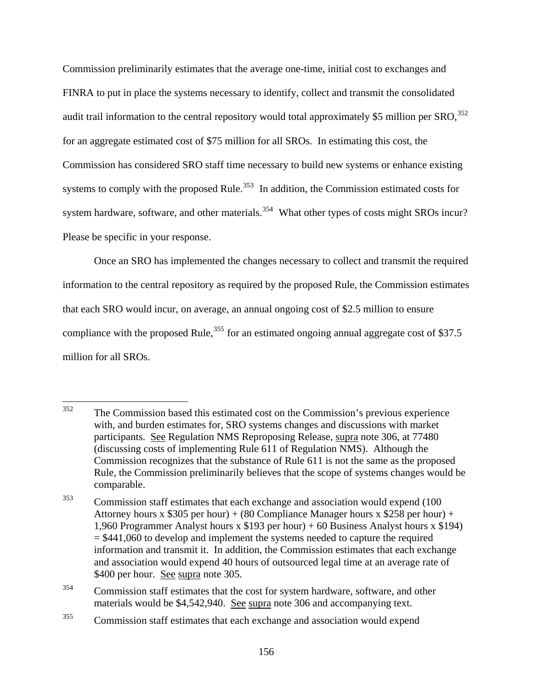Commission preliminarily estimates that the average one-time, initial cost to exchanges and FINRA to put in place the systems necessary to identify, collect and transmit the consolidated audit trail information to the central repository would total approximately \$5 million per  $SRO$ <sup>[352](#page-155-0)</sup> for an aggregate estimated cost of \$75 million for all SROs. In estimating this cost, the Commission has considered SRO staff time necessary to build new systems or enhance existing systems to comply with the proposed Rule.<sup>[353](#page-155-1)</sup> In addition, the Commission estimated costs for system hardware, software, and other materials.<sup>[354](#page-155-2)</sup> What other types of costs might SROs incur? Please be specific in your response.

 Once an SRO has implemented the changes necessary to collect and transmit the required information to the central repository as required by the proposed Rule, the Commission estimates that each SRO would incur, on average, an annual ongoing cost of \$2.5 million to ensure compliance with the proposed Rule, $355$  for an estimated ongoing annual aggregate cost of \$37.5 million for all SROs.

<span id="page-155-0"></span><sup>352</sup> 352 The Commission based this estimated cost on the Commission's previous experience with, and burden estimates for, SRO systems changes and discussions with market participants. See Regulation NMS Reproposing Release, supra note 306, at 77480 (discussing costs of implementing Rule 611 of Regulation NMS). Although the Commission recognizes that the substance of Rule 611 is not the same as the proposed Rule, the Commission preliminarily believes that the scope of systems changes would be comparable.

<span id="page-155-1"></span><sup>&</sup>lt;sup>353</sup> Commission staff estimates that each exchange and association would expend (100 Attorney hours x \$305 per hour) + (80 Compliance Manager hours x \$258 per hour) + 1,960 Programmer Analyst hours x \$193 per hour) + 60 Business Analyst hours x \$194)  $= $441,060$  to develop and implement the systems needed to capture the required information and transmit it. In addition, the Commission estimates that each exchange and association would expend 40 hours of outsourced legal time at an average rate of \$400 per hour. See supra note 305.

<span id="page-155-2"></span><sup>&</sup>lt;sup>354</sup> Commission staff estimates that the cost for system hardware, software, and other materials would be \$4,542,940. See supra note 306 and accompanying text.

<span id="page-155-3"></span><sup>&</sup>lt;sup>355</sup> Commission staff estimates that each exchange and association would expend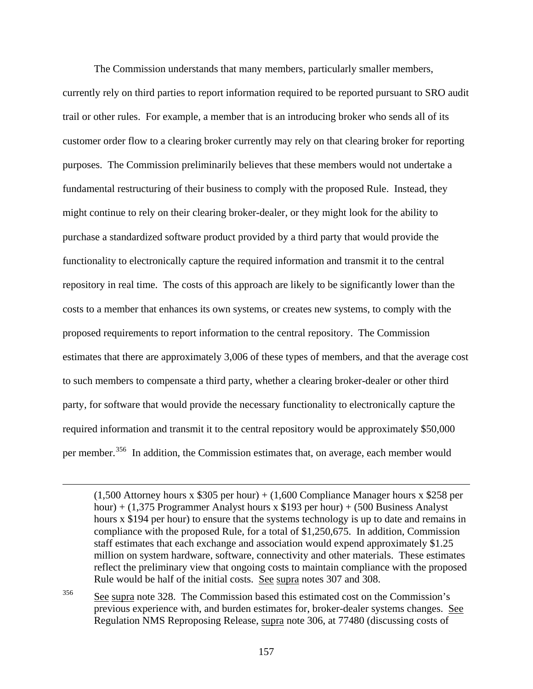The Commission understands that many members, particularly smaller members, currently rely on third parties to report information required to be reported pursuant to SRO audit trail or other rules. For example, a member that is an introducing broker who sends all of its customer order flow to a clearing broker currently may rely on that clearing broker for reporting purposes. The Commission preliminarily believes that these members would not undertake a fundamental restructuring of their business to comply with the proposed Rule. Instead, they might continue to rely on their clearing broker-dealer, or they might look for the ability to purchase a standardized software product provided by a third party that would provide the functionality to electronically capture the required information and transmit it to the central repository in real time. The costs of this approach are likely to be significantly lower than the costs to a member that enhances its own systems, or creates new systems, to comply with the proposed requirements to report information to the central repository. The Commission estimates that there are approximately 3,006 of these types of members, and that the average cost to such members to compensate a third party, whether a clearing broker-dealer or other third party, for software that would provide the necessary functionality to electronically capture the required information and transmit it to the central repository would be approximately \$50,000 per member.<sup>[356](#page-156-0)</sup> In addition, the Commission estimates that, on average, each member would

 $\overline{a}$ 

 $(1,500$  Attorney hours x \$305 per hour) +  $(1,600$  Compliance Manager hours x \$258 per hour) + (1,375 Programmer Analyst hours x \$193 per hour) + (500 Business Analyst hours x \$194 per hour) to ensure that the systems technology is up to date and remains in compliance with the proposed Rule, for a total of \$1,250,675. In addition, Commission staff estimates that each exchange and association would expend approximately \$1.25 million on system hardware, software, connectivity and other materials. These estimates reflect the preliminary view that ongoing costs to maintain compliance with the proposed Rule would be half of the initial costs. See supra notes 307 and 308.

<span id="page-156-0"></span><sup>356</sup> See supra note 328. The Commission based this estimated cost on the Commission's previous experience with, and burden estimates for, broker-dealer systems changes. See Regulation NMS Reproposing Release, supra note 306, at 77480 (discussing costs of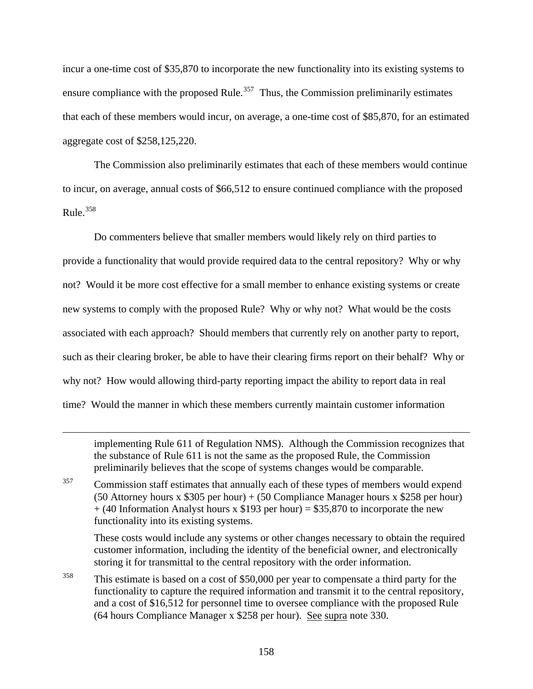incur a one-time cost of \$35,870 to incorporate the new functionality into its existing systems to ensure compliance with the proposed Rule.<sup>[357](#page-157-0)</sup> Thus, the Commission preliminarily estimates that each of these members would incur, on average, a one-time cost of \$85,870, for an estima ted aggregate cost of \$258,125,220.

 The Commission also preliminarily estimates that each of these members would continue to incur, on average, annual costs of \$66,512 to ensure continued compliance with the proposed Rule. $358$ 

 Do commenters believe that smaller members would likely rely on third parties to provide a functionality that would provide required data to the central repository? Why or why not? Would it be more cost effective for a small member to enhance existing systems or create new systems to comply with the proposed Rule? Why or why not? What would be the costs associated with each approach? Should members that currently rely on another party to report, such as their clearing broker, be able to have their clearing firms report on their behalf? Why or why not? How would allowing third-party reporting impact the ability to report data in real time? Would the manner in which these members currently maintain customer information

implementing Rule 611 of Regulation NMS). Although the Commission recognizes that the substance of Rule 611 is not the same as the proposed Rule, the Commission preliminarily believes that the scope of systems changes would be comparable.

<span id="page-157-0"></span><sup>357</sup> Commission staff estimates that annually each of these types of members would expend (50 Attorney hours x \$305 per hour) + (50 Compliance Manager hours x \$258 per hour)  $+$  (40 Information Analyst hours x \$193 per hour) = \$35,870 to incorporate the new functionality into its existing systems.

 $\overline{a}$ 

These costs would include any systems or other changes necessary to obtain the required customer information, including the identity of the beneficial owner, and electronically storing it for transmittal to the central repository with the order information.

<span id="page-157-1"></span><sup>358</sup> This estimate is based on a cost of \$50,000 per year to compensate a third party for the functionality to capture the required information and transmit it to the central repository, and a cost of \$16,512 for personnel time to oversee compliance with the proposed Rule (64 hours Compliance Manager x \$258 per hour). See supra note 330.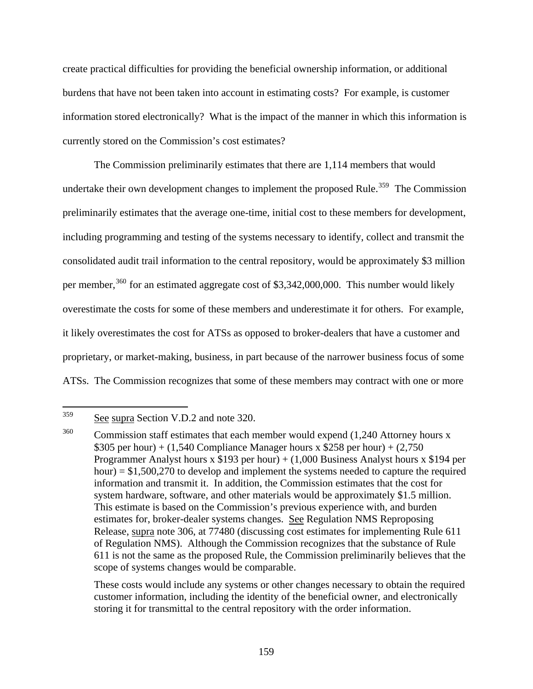create practical difficulties for providing the beneficial ownership information, or additional burdens that have not been taken into account in estimating costs? For example, is customer information stored electronically? What is the impact of the manner in which this information is currently stored on the Commission's cost estimates?

 The Commission preliminarily estimates that there are 1,114 members that would undertake their own development changes to implement the proposed Rule.<sup>[359](#page-158-0)</sup> The Commission preliminarily estimates that the average one-time, initial cost to these members for development, including programming and testing of the systems necessary to identify, collect and transmit the consolidated audit trail information to the central repository, would be approximately \$3 million per member,  $360$  for an estimated aggregate cost of \$3,342,000,000. This number would likely overestimate the costs for some of these members and underestimate it for others. For example, it likely overestimates the cost for ATSs as opposed to broker-dealers that have a customer and proprietary, or market-making, business, in part because of the narrower business focus of some ATSs. The Commission recognizes that some of these members may contract with one or more

These costs would include any systems or other changes necessary to obtain the required customer information, including the identity of the beneficial owner, and electronically storing it for transmittal to the central repository with the order information.

<span id="page-158-0"></span><sup>359</sup> See supra Section V.D.2 and note 320.

<span id="page-158-1"></span><sup>&</sup>lt;sup>360</sup> Commission staff estimates that each member would expend (1,240 Attorney hours x \$305 per hour) + (1,540 Compliance Manager hours x \$258 per hour) + (2,750 Programmer Analyst hours x  $$193$  per hour) + (1,000 Business Analyst hours x  $$194$  per hour)  $= $1,500,270$  to develop and implement the systems needed to capture the required information and transmit it. In addition, the Commission estimates that the cost for system hardware, software, and other materials would be approximately \$1.5 million. This estimate is based on the Commission's previous experience with, and burden estimates for, broker-dealer systems changes. See Regulation NMS Reproposing Release, supra note 306, at 77480 (discussing cost estimates for implementing Rule 611 of Regulation NMS). Although the Commission recognizes that the substance of Rule 611 is not the same as the proposed Rule, the Commission preliminarily believes that the scope of systems changes would be comparable.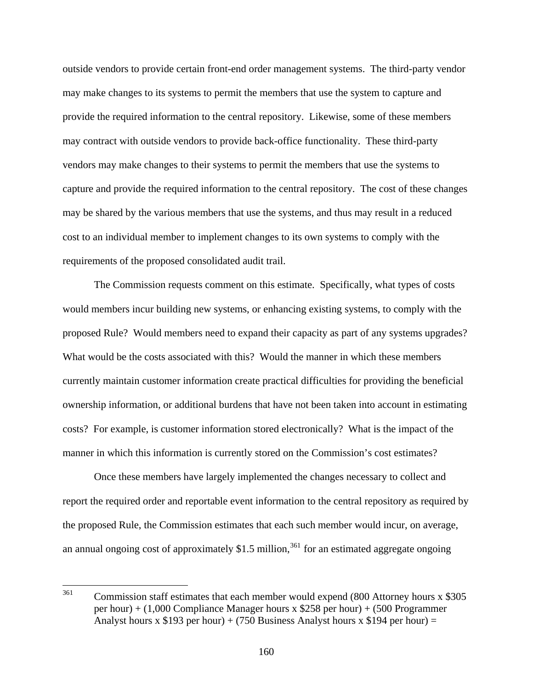outside vendors to provide certain front-end order management systems. The third-party vendor may make changes to its systems to permit the members that use the system to capture and provide the required information to the central repository. Likewise, some of these members may contract with outside vendors to provide back-office functionality. These third-party vendors may make changes to their systems to permit the members that use the systems to capture and provide the required information to the central repository. The cost of these changes may be shared by the various members that use the systems, and thus may result in a reduced cost to an individual member to implement changes to its own systems to comply with the requirements of the proposed consolidated audit trail.

 The Commission requests comment on this estimate. Specifically, what types of costs would members incur building new systems, or enhancing existing systems, to comply with the proposed Rule? Would members need to expand their capacity as part of any systems upgrades? What would be the costs associated with this? Would the manner in which these members currently maintain customer information create practical difficulties for providing the beneficial ownership information, or additional burdens that have not been taken into account in estimating costs? For example, is customer information stored electronically? What is the impact of the manner in which this information is currently stored on the Commission's cost estimates?

 Once these members have largely implemented the changes necessary to collect and report the required order and reportable event information to the central repository as required by the proposed Rule, the Commission estimates that each such member would incur, on average, an annual ongoing cost of approximately  $$1.5$  million,<sup>[361](#page-159-0)</sup> for an estimated aggregate ongoing

<span id="page-159-0"></span><sup>361</sup> Commission staff estimates that each member would expend (800 Attorney hours x \$305) per hour) + (1,000 Compliance Manager hours x \$258 per hour) + (500 Programmer Analyst hours x \$193 per hour) + (750 Business Analyst hours x \$194 per hour) =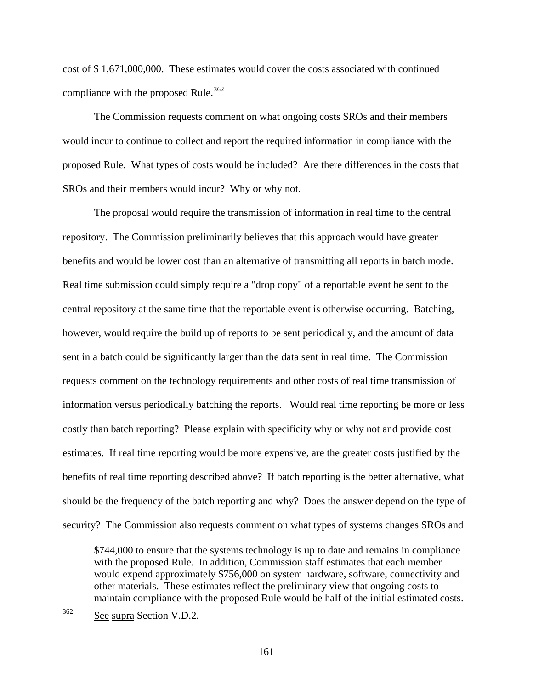cost of \$1,671,000,000. These estimates would cover the costs associated with continued compliance with the proposed Rule.<sup>[362](#page-160-0)</sup>

 The Commission requests comment on what ongoing costs SROs and their members would incur to continue to collect and report the required information in compliance with the proposed Rule. What types of costs would be included? Are there differences in the costs that SROs and their members would incur? Why or why not.

 The proposal would require the transmission of information in real time to the central repository. The Commission preliminarily believes that this approach would have greater benefits and would be lower cost than an alternative of transmitting all reports in batch mode. Real time submission could simply require a "drop copy" of a reportable event be sent to the central repository at the same time that the reportable event is otherwise occurring. Batching, however, would require the build up of reports to be sent periodically, and the amount of data sent in a batch could be significantly larger than the data sent in real time. The Commission requests comment on the technology requirements and other costs of real time transmission of information versus periodically batching the reports. Would real time reporting be more or less costly than batch reporting? Please explain with specificity why or why not and provide cost estimates. If real time reporting would be more expensive, are the greater costs justified by the benefits of real time reporting described above? If batch reporting is the better alternative, what should be the frequency of the batch reporting and why? Does the answer depend on the type of security? The Commission also requests comment on what types of systems changes SROs and

<span id="page-160-0"></span>362 See supra Section V.D.2.

 $\overline{a}$ 

<sup>\$744,000</sup> to ensure that the systems technology is up to date and remains in compliance with the proposed Rule. In addition, Commission staff estimates that each member would expend approximately \$756,000 on system hardware, software, connectivity and other materials. These estimates reflect the preliminary view that ongoing costs to maintain compliance with the proposed Rule would be half of the initial estimated costs.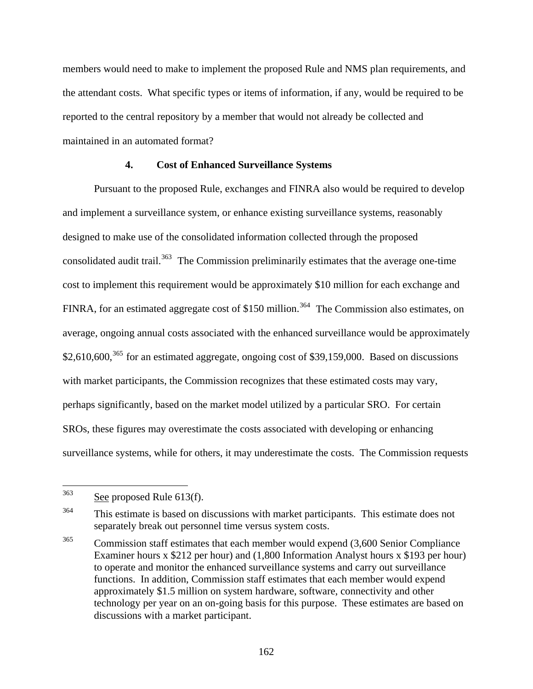members would need to make to implement the proposed Rule and NMS plan requirements, and the attendant costs. What specific types or items of information, if any, would be required to be reported to the central repository by a member that would not already be collected and maintained in an automated format?

# **4. Cost of Enhanced Surveillance Systems**

Pursuant to the proposed Rule, exchanges and FINRA also would be required to develop and implement a surveillance system, or enhance existing surveillance systems, reasonably designed to make use of the consolidated information collected through the proposed consolidated audit trail.<sup>[363](#page-161-0)</sup> The Commission preliminarily estimates that the average one-time cost to implement this requirement would be approximately \$10 million for each exchange and FINRA, for an estimated aggregate cost of \$150 million.<sup>[364](#page-161-1)</sup> The Commission also estimates, on average, ongoing annual costs associated with the enhanced surveillance would be approximately  $$2,610,600$ ,<sup>[365](#page-161-2)</sup> for an estimated aggregate, ongoing cost of \$39,159,000. Based on discussions with market participants, the Commission recognizes that these estimated costs may vary, perhaps significantly, based on the market model utilized by a particular SRO. For certain SROs, these figures may overestimate the costs associated with developing or enhancing surveillance systems, while for others, it may underestimate the costs. The Commission requests

<span id="page-161-0"></span><sup>363</sup> See proposed Rule 613(f).

<span id="page-161-1"></span><sup>&</sup>lt;sup>364</sup> This estimate is based on discussions with market participants. This estimate does not separately break out personnel time versus system costs.

<span id="page-161-2"></span><sup>&</sup>lt;sup>365</sup> Commission staff estimates that each member would expend (3,600 Senior Compliance Examiner hours x \$212 per hour) and (1,800 Information Analyst hours x \$193 per hour) to operate and monitor the enhanced surveillance systems and carry out surveillance functions. In addition, Commission staff estimates that each member would expend approximately \$1.5 million on system hardware, software, connectivity and other technology per year on an on-going basis for this purpose. These estimates are based on discussions with a market participant.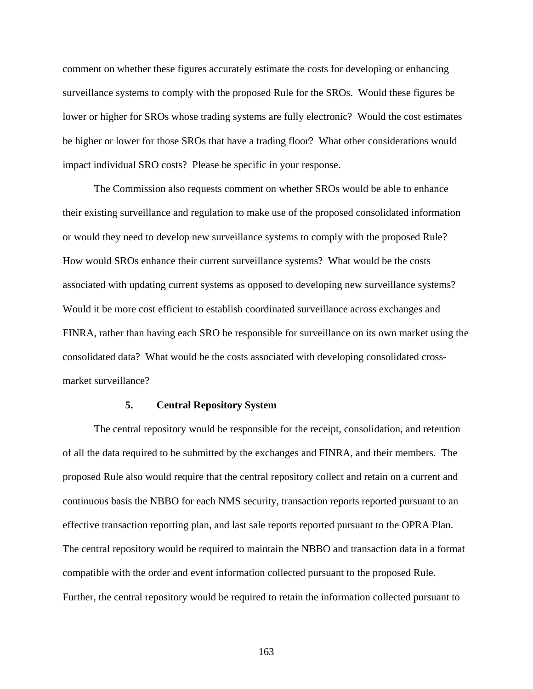comment on whether these figures accurately estimate the costs for developing or enhancing surveillance systems to comply with the proposed Rule for the SROs. Would these figures be lower or higher for SROs whose trading systems are fully electronic? Would the cost estimates be higher or lower for those SROs that have a trading floor? What other considerations would impact individual SRO costs? Please be specific in your response.

 The Commission also requests comment on whether SROs would be able to enhance their existing surveillance and regulation to make use of the proposed consolidated information or would they need to develop new surveillance systems to comply with the proposed Rule? How would SROs enhance their current surveillance systems? What would be the costs associated with updating current systems as opposed to developing new surveillance systems? Would it be more cost efficient to establish coordinated surveillance across exchanges and FINRA, rather than having each SRO be responsible for surveillance on its own market using the consolidated data? What would be the costs associated with developing consolidated crossmarket surveillance?

#### **5. Central Repository System**

 The central repository would be responsible for the receipt, consolidation, and retention of all the data required to be submitted by the exchanges and FINRA, and their members. The proposed Rule also would require that the central repository collect and retain on a current and continuous basis the NBBO for each NMS security, transaction reports reported pursuant to an effective transaction reporting plan, and last sale reports reported pursuant to the OPRA Plan. The central repository would be required to maintain the NBBO and transaction data in a format compatible with the order and event information collected pursuant to the proposed Rule. Further, the central repository would be required to retain the information collected pursuant to

163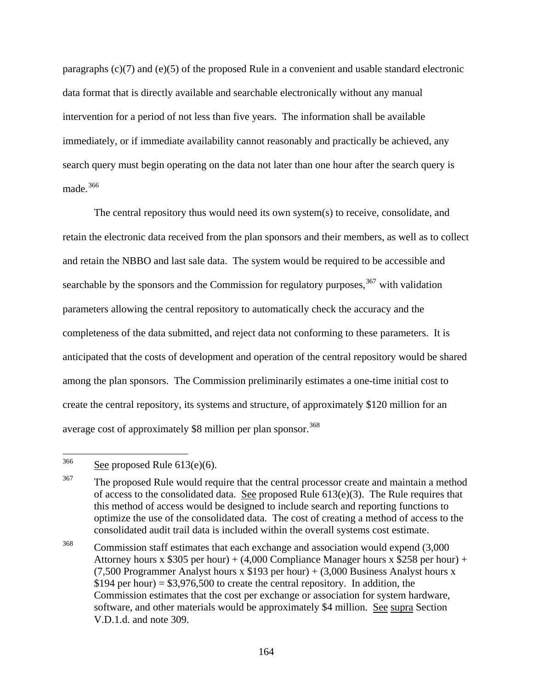paragraphs (c)(7) and (e)(5) of the proposed Rule in a convenient and usable standard electronic data format that is directly available and searchable electronically without any manual intervention for a period of not less than five years. The information shall be available immediately, or if immediate availability cannot reasonably and practically be achieved, any search query must begin operating on the data not later than one hour after the search query is made.[366](#page-163-0)

 The central repository thus would need its own system(s) to receive, consolidate, and retain the electronic data received from the plan sponsors and their members, as well as to collect and retain the NBBO and last sale data. The system would be required to be accessible and searchable by the sponsors and the Commission for regulatory purposes,  $367$  with validation parameters allowing the central repository to automatically check the accuracy and the completeness of the data submitted, and reject data not conforming to these parameters. It is anticipated that the costs of development and operation of the central repository would be shared among the plan sponsors. The Commission preliminarily estimates a one-time initial cost to create the central repository, its systems and structure, of approximately \$120 million for an average cost of approximately \$8 million per plan sponsor.<sup>[368](#page-163-2)</sup>

<span id="page-163-2"></span><sup>368</sup> Commission staff estimates that each exchange and association would expend (3,000) Attorney hours x \$305 per hour) + (4,000 Compliance Manager hours x \$258 per hour) + (7,500 Programmer Analyst hours x  $$193$  per hour) + (3,000 Business Analyst hours x  $$194$  per hour) =  $$3,976,500$  to create the central repository. In addition, the Commission estimates that the cost per exchange or association for system hardware, software, and other materials would be approximately \$4 million. See supra Section V.D.1.d. and note 309.

<span id="page-163-0"></span><sup>366</sup> See proposed Rule  $613(e)(6)$ .

<span id="page-163-1"></span><sup>&</sup>lt;sup>367</sup> The proposed Rule would require that the central processor create and maintain a method of access to the consolidated data. See proposed Rule  $613(e)(3)$ . The Rule requires that this method of access would be designed to include search and reporting functions to optimize the use of the consolidated data. The cost of creating a method of access to the consolidated audit trail data is included within the overall systems cost estimate.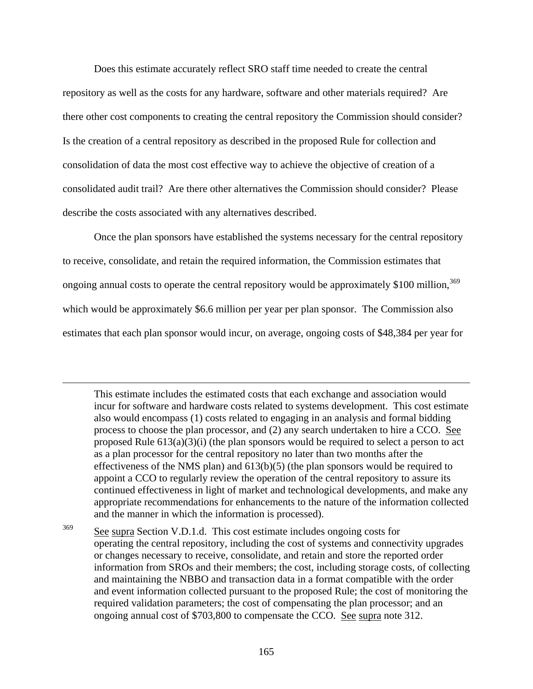Does this estimate accurately reflect SRO staff time needed to create the central repository as well as the costs for any hardware, software and other materials required? Are there other cost components to creating the central repository the Commission should consider? Is the creation of a central repository as described in the proposed Rule for collection and consolidation of data the most cost effective way to achieve the objective of creation of a consolidated audit trail? Are there other alternatives the Commission should consider? Please describe the costs associated with any alternatives described.

 Once the plan sponsors have established the systems necessary for the central repository to receive, consolidate, and retain the required information, the Commission estimates that ongoing annual costs to operate the central repository would be approximately \$100 million,<sup>[369](#page-164-0)</sup> which would be approximately \$6.6 million per year per plan sponsor. The Commission also estimates that each plan sponsor would incur, on average, ongoing costs of \$48,384 per year for

1

This estimate includes the estimated costs that each exchange and association would incur for software and hardware costs related to systems development. This cost estimate also would encompass (1) costs related to engaging in an analysis and formal bidding process to choose the plan processor, and (2) any search undertaken to hire a CCO. See proposed Rule  $613(a)(3)(i)$  (the plan sponsors would be required to select a person to act as a plan processor for the central repository no later than two months after the effectiveness of the NMS plan) and 613(b)(5) (the plan sponsors would be required to appoint a CCO to regularly review the operation of the central repository to assure its continued effectiveness in light of market and technological developments, and make any appropriate recommendations for enhancements to the nature of the information collected and the manner in which the information is processed).

<span id="page-164-0"></span><sup>369</sup> See supra Section V.D.1.d. This cost estimate includes ongoing costs for operating the central repository, including the cost of systems and connectivity upgrades or changes necessary to receive, consolidate, and retain and store the reported order information from SROs and their members; the cost, including storage costs, of collecting and maintaining the NBBO and transaction data in a format compatible with the order and event information collected pursuant to the proposed Rule; the cost of monitoring the required validation parameters; the cost of compensating the plan processor; and an ongoing annual cost of \$703,800 to compensate the CCO. See supra note 312.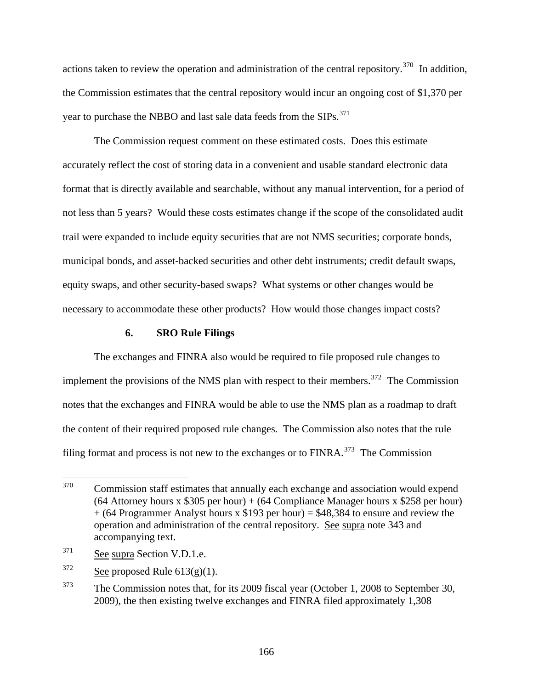actions taken to review the operation and administration of the central repository.<sup>[370](#page-165-0)</sup> In addition, the Commission estimates that the central repository would incur an ongoing cost of \$1,370 per year to purchase the NBBO and last sale data feeds from the SIPs.<sup>[371](#page-165-1)</sup>

 The Commission request comment on these estimated costs. Does this estimate accurately reflect the cost of storing data in a convenient and usable standard electronic data format that is directly available and searchable, without any manual intervention, for a period of not less than 5 years? Would these costs estimates change if the scope of the consolidated audit trail were expanded to include equity securities that are not NMS securities; corporate bonds, municipal bonds, and asset-backed securities and other debt instruments; credit default swaps, equity swaps, and other security-based swaps? What systems or other changes would be necessary to accommodate these other products? How would those changes impact costs?

## **6. SRO Rule Filings**

The exchanges and FINRA also would be required to file proposed rule changes to implement the provisions of the NMS plan with respect to their members.<sup>[372](#page-165-2)</sup> The Commission notes that the exchanges and FINRA would be able to use the NMS plan as a roadmap to draft the content of their required proposed rule changes. The Commission also notes that the rule filing format and process is not new to the exchanges or to  $FINRA$ <sup>[373](#page-165-3)</sup>. The Commission

<span id="page-165-0"></span><sup>370</sup> 370 Commission staff estimates that annually each exchange and association would expend  $(64$  Attorney hours x \$305 per hour) +  $(64$  Compliance Manager hours x \$258 per hour)  $+$  (64 Programmer Analyst hours x \$193 per hour) = \$48,384 to ensure and review the operation and administration of the central repository. See supra note 343 and accompanying text.

<span id="page-165-1"></span><sup>371</sup> See supra Section V.D.1.e.

<span id="page-165-2"></span> $372$  See proposed Rule 613(g)(1).

<span id="page-165-3"></span><sup>&</sup>lt;sup>373</sup> The Commission notes that, for its 2009 fiscal year (October 1, 2008 to September 30, 2009), the then existing twelve exchanges and FINRA filed approximately 1,308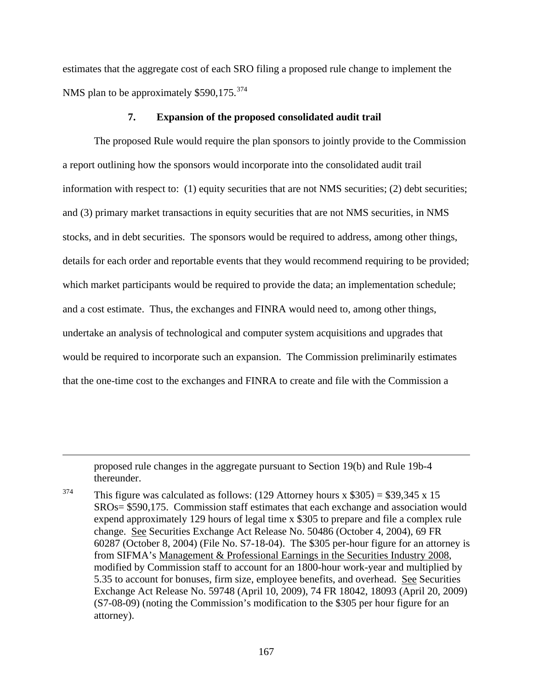estimates that the aggregate cost of each SRO filing a proposed rule change to implement the NMS plan to be approximately \$590,175.<sup>[374](#page-166-0)</sup>

# **7. Expansion of the proposed consolidated audit trail**

The proposed Rule would require the plan sponsors to jointly provide to the Commission a report outlining how the sponsors would incorporate into the consolidated audit trail information with respect to: (1) equity securities that are not NMS securities; (2) debt securities; and (3) primary market transactions in equity securities that are not NMS securities, in NMS stocks, and in debt securities. The sponsors would be required to address, among other things, details for each order and reportable events that they would recommend requiring to be provided; which market participants would be required to provide the data; an implementation schedule; and a cost estimate. Thus, the exchanges and FINRA would need to, among other things, undertake an analysis of technological and computer system acquisitions and upgrades that would be required to incorporate such an expansion. The Commission preliminarily estimates that the one-time cost to the exchanges and FINRA to create and file with the Commission a

proposed rule changes in the aggregate pursuant to Section 19(b) and Rule 19b-4 thereunder.

 $\overline{a}$ 

<span id="page-166-0"></span><sup>374</sup> This figure was calculated as follows: (129 Attorney hours x  $$305$ ) = \$39,345 x 15 SROs= \$590,175. Commission staff estimates that each exchange and association would expend approximately 129 hours of legal time x \$305 to prepare and file a complex rule change. See Securities Exchange Act Release No. 50486 (October 4, 2004), 69 FR 60287 (October 8, 2004) (File No. S7-18-04). The \$305 per-hour figure for an attorney is from SIFMA's Management & Professional Earnings in the Securities Industry 2008, modified by Commission staff to account for an 1800-hour work-year and multiplied by 5.35 to account for bonuses, firm size, employee benefits, and overhead. See Securities Exchange Act Release No. 59748 (April 10, 2009), 74 FR 18042, 18093 (April 20, 2009) (S7-08-09) (noting the Commission's modification to the \$305 per hour figure for an attorney).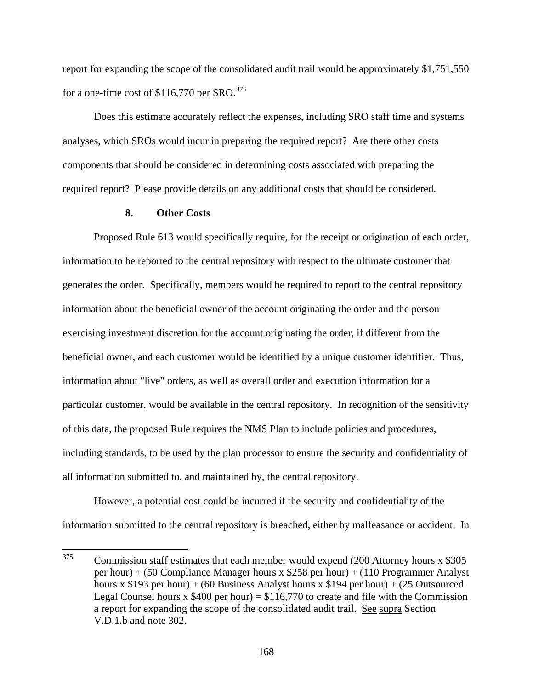report for expanding the scope of the consolidated audit trail would be approximately \$1,751,550 for a one-time cost of  $$116,770$  per SRO.<sup>[375](#page-167-0)</sup>

 Does this estimate accurately reflect the expenses, including SRO staff time and systems analyses, which SROs would incur in preparing the required report? Are there other costs components that should be considered in determining costs associated with preparing the required report? Please provide details on any additional costs that should be considered.

# **8. Other Costs**

 Proposed Rule 613 would specifically require, for the receipt or origination of each order, information to be reported to the central repository with respect to the ultimate customer that generates the order. Specifically, members would be required to report to the central repository information about the beneficial owner of the account originating the order and the person exercising investment discretion for the account originating the order, if different from the beneficial owner, and each customer would be identified by a unique customer identifier. Thus, information about "live" orders, as well as overall order and execution information for a particular customer, would be available in the central repository. In recognition of the sensitivity of this data, the proposed Rule requires the NMS Plan to include policies and procedures, including standards, to be used by the plan processor to ensure the security and confidentiality of all information submitted to, and maintained by, the central repository.

 However, a potential cost could be incurred if the security and confidentiality of the information submitted to the central repository is breached, either by malfeasance or accident. In

<span id="page-167-0"></span><sup>375</sup> 375 Commission staff estimates that each member would expend (200 Attorney hours x \$305 per hour) + (50 Compliance Manager hours x \$258 per hour) + (110 Programmer Analyst hours x \$193 per hour) + (60 Business Analyst hours x \$194 per hour) + (25 Outsourced Legal Counsel hours x  $$400$  per hour) =  $$116,770$  to create and file with the Commission a report for expanding the scope of the consolidated audit trail. See supra Section V.D.1.b and note 302.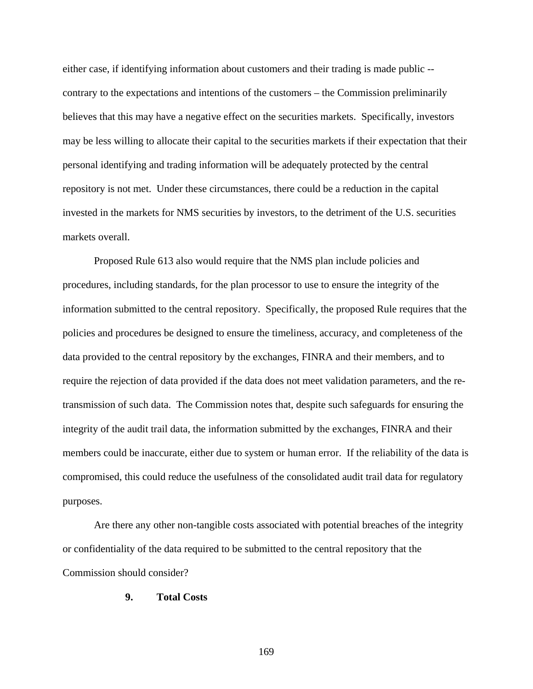either case, if identifying information about customers and their trading is made public - contrary to the expectations and intentions of the customers – the Commission preliminarily believes that this may have a negative effect on the securities markets. Specifically, investors may be less willing to allocate their capital to the securities markets if their expectation that their personal identifying and trading information will be adequately protected by the central repository is not met. Under these circumstances, there could be a reduction in the capital invested in the markets for NMS securities by investors, to the detriment of the U.S. securities markets overall.

 Proposed Rule 613 also would require that the NMS plan include policies and procedures, including standards, for the plan processor to use to ensure the integrity of the information submitted to the central repository. Specifically, the proposed Rule requires that the policies and procedures be designed to ensure the timeliness, accuracy, and completeness of the data provided to the central repository by the exchanges, FINRA and their members, and to require the rejection of data provided if the data does not meet validation parameters, and the retransmission of such data. The Commission notes that, despite such safeguards for ensuring the integrity of the audit trail data, the information submitted by the exchanges, FINRA and their members could be inaccurate, either due to system or human error. If the reliability of the data is compromised, this could reduce the usefulness of the consolidated audit trail data for regulatory purposes.

 Are there any other non-tangible costs associated with potential breaches of the integrity or confidentiality of the data required to be submitted to the central repository that the Commission should consider?

## **9. Total Costs**

169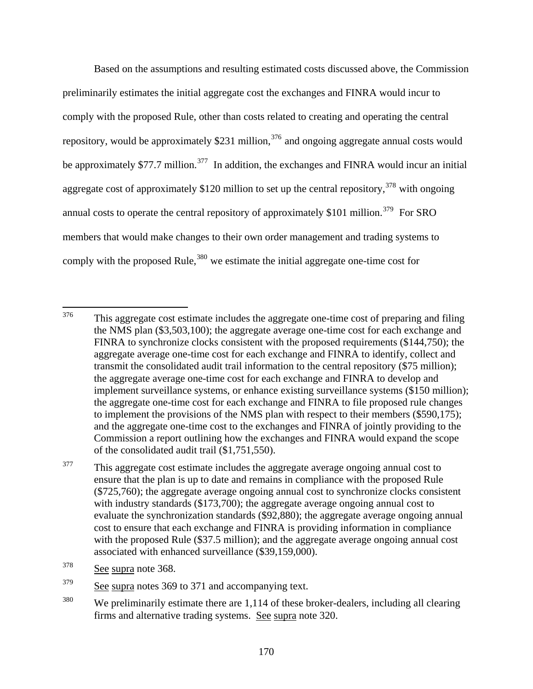Based on the assumptions and resulting estimated costs discussed above, the Commission preliminarily estimates the initial aggregate cost the exchanges and FINRA would incur to comply with the proposed Rule, other than costs related to creating and operating the central repository, would be approximately \$231 million,  $376$  and ongoing aggregate annual costs would be approximately \$77.7 million.<sup>[377](#page-169-1)</sup> In addition, the exchanges and FINRA would incur an initial aggregate cost of approximately \$120 million to set up the central repository,  $378$  with ongoing annual costs to operate the central repository of approximately  $$101$  million.<sup>[379](#page-169-3)</sup> For SRO members that would make changes to their own order management and trading systems to comply with the proposed Rule,  $380$  we estimate the initial aggregate one-time cost for

<span id="page-169-0"></span><sup>376</sup> This aggregate cost estimate includes the aggregate one-time cost of preparing and filing the NMS plan (\$3,503,100); the aggregate average one-time cost for each exchange and FINRA to synchronize clocks consistent with the proposed requirements (\$144,750); the aggregate average one-time cost for each exchange and FINRA to identify, collect and transmit the consolidated audit trail information to the central repository (\$75 million); the aggregate average one-time cost for each exchange and FINRA to develop and implement surveillance systems, or enhance existing surveillance systems (\$150 million); the aggregate one-time cost for each exchange and FINRA to file proposed rule changes to implement the provisions of the NMS plan with respect to their members (\$590,175); and the aggregate one-time cost to the exchanges and FINRA of jointly providing to the Commission a report outlining how the exchanges and FINRA would expand the scope of the consolidated audit trail (\$1,751,550).

<span id="page-169-1"></span><sup>&</sup>lt;sup>377</sup> This aggregate cost estimate includes the aggregate average ongoing annual cost to ensure that the plan is up to date and remains in compliance with the proposed Rule (\$725,760); the aggregate average ongoing annual cost to synchronize clocks consistent with industry standards (\$173,700); the aggregate average ongoing annual cost to evaluate the synchronization standards (\$92,880); the aggregate average ongoing annual cost to ensure that each exchange and FINRA is providing information in compliance with the proposed Rule (\$37.5 million); and the aggregate average ongoing annual cost associated with enhanced surveillance (\$39,159,000).

<span id="page-169-2"></span><sup>378</sup> See supra note 368.

<span id="page-169-3"></span> $\frac{379}{\text{See}}$  supra notes 369 to 371 and accompanying text.

<span id="page-169-4"></span> $380$  We preliminarily estimate there are 1,114 of these broker-dealers, including all clearing firms and alternative trading systems. See supra note 320.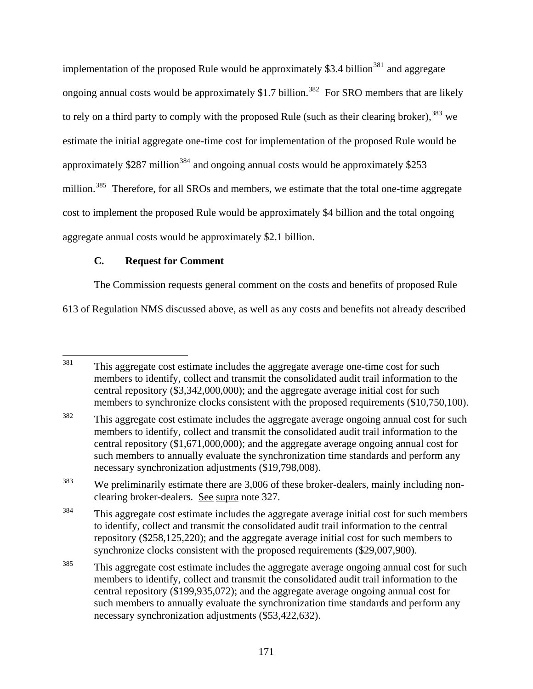implementation of the proposed Rule would be approximately \$3.4 billion<sup>[381](#page-170-0)</sup> and aggregate ongoing annual costs would be approximately \$1.7 billion.<sup>[382](#page-170-1)</sup> For SRO members that are likely to rely on a third party to comply with the proposed Rule (such as their clearing broker),  $383$  we estimate the initial aggregate one-time cost for implementation of the proposed Rule would be approximately \$287 million<sup>[384](#page-170-3)</sup> and ongoing annual costs would be approximately \$253 million.<sup>[385](#page-170-4)</sup> Therefore, for all SROs and members, we estimate that the total one-time aggregate cost to implement the proposed Rule would be approximately \$4 billion and the total ongoing aggregate annual costs would be approximately \$2.1 billion.

# **C. Request for Comment**

The Commission requests general comment on the costs and benefits of proposed Rule

613 of Regulation NMS discussed above, as well as any costs and benefits not already described

<span id="page-170-0"></span><sup>381</sup> This aggregate cost estimate includes the aggregate average one-time cost for such members to identify, collect and transmit the consolidated audit trail information to the central repository (\$3,342,000,000); and the aggregate average initial cost for such members to synchronize clocks consistent with the proposed requirements (\$10,750,100).

<span id="page-170-1"></span><sup>&</sup>lt;sup>382</sup> This aggregate cost estimate includes the aggregate average ongoing annual cost for such members to identify, collect and transmit the consolidated audit trail information to the central repository (\$1,671,000,000); and the aggregate average ongoing annual cost for such members to annually evaluate the synchronization time standards and perform any necessary synchronization adjustments (\$19,798,008).

<span id="page-170-2"></span><sup>&</sup>lt;sup>383</sup> We preliminarily estimate there are 3,006 of these broker-dealers, mainly including nonclearing broker-dealers. See supra note 327.

<span id="page-170-3"></span> $384$  This aggregate cost estimate includes the aggregate average initial cost for such members to identify, collect and transmit the consolidated audit trail information to the central repository (\$258,125,220); and the aggregate average initial cost for such members to synchronize clocks consistent with the proposed requirements (\$29,007,900).

<span id="page-170-4"></span><sup>&</sup>lt;sup>385</sup> This aggregate cost estimate includes the aggregate average ongoing annual cost for such members to identify, collect and transmit the consolidated audit trail information to the central repository (\$199,935,072); and the aggregate average ongoing annual cost for such members to annually evaluate the synchronization time standards and perform any necessary synchronization adjustments (\$53,422,632).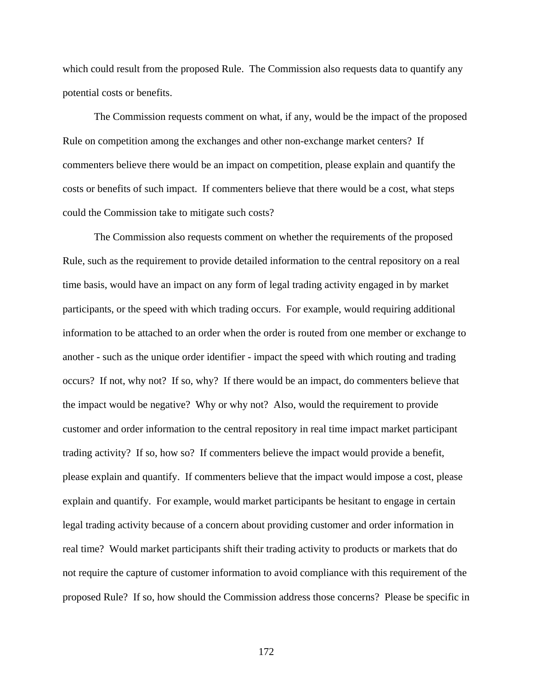which could result from the proposed Rule. The Commission also requests data to quantify any potential costs or benefits.

The Commission requests comment on what, if any, would be the impact of the proposed Rule on competition among the exchanges and other non-exchange market centers? If commenters believe there would be an impact on competition, please explain and quantify the costs or benefits of such impact. If commenters believe that there would be a cost, what steps could the Commission take to mitigate such costs?

The Commission also requests comment on whether the requirements of the proposed Rule, such as the requirement to provide detailed information to the central repository on a real time basis, would have an impact on any form of legal trading activity engaged in by market participants, or the speed with which trading occurs. For example, would requiring additional information to be attached to an order when the order is routed from one member or exchange to another - such as the unique order identifier - impact the speed with which routing and trading occurs? If not, why not? If so, why? If there would be an impact, do commenters believe that the impact would be negative? Why or why not? Also, would the requirement to provide customer and order information to the central repository in real time impact market participant trading activity? If so, how so? If commenters believe the impact would provide a benefit, please explain and quantify. If commenters believe that the impact would impose a cost, please explain and quantify. For example, would market participants be hesitant to engage in certain legal trading activity because of a concern about providing customer and order information in real time? Would market participants shift their trading activity to products or markets that do not require the capture of customer information to avoid compliance with this requirement of the proposed Rule? If so, how should the Commission address those concerns? Please be specific in

172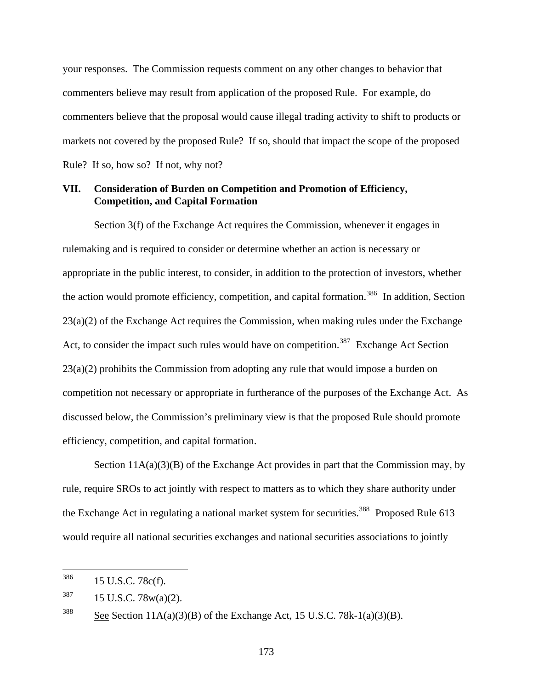your responses. The Commission requests comment on any other changes to behavior that commenters believe may result from application of the proposed Rule. For example, do commenters believe that the proposal would cause illegal trading activity to shift to products or markets not covered by the proposed Rule? If so, should that impact the scope of the proposed Rule? If so, how so? If not, why not?

# **VII. Consideration of Burden on Competition and Promotion of Efficiency, Competition, and Capital Formation**

Section 3(f) of the Exchange Act requires the Commission, whenever it engages in rulemaking and is required to consider or determine whether an action is necessary or appropriate in the public interest, to consider, in addition to the protection of investors, whether the action would promote efficiency, competition, and capital formation.<sup>[386](#page-172-0)</sup> In addition, Section  $23(a)(2)$  of the Exchange Act requires the Commission, when making rules under the Exchange Act, to consider the impact such rules would have on competition.<sup>[387](#page-172-1)</sup> Exchange Act Section  $23(a)(2)$  prohibits the Commission from adopting any rule that would impose a burden on competition not necessary or appropriate in furtherance of the purposes of the Exchange Act. As discussed below, the Commission's preliminary view is that the proposed Rule should promote efficiency, competition, and capital formation.

Section  $11A(a)(3)(B)$  of the Exchange Act provides in part that the Commission may, by rule, require SROs to act jointly with respect to matters as to which they share authority under the Exchange Act in regulating a national market system for securities.<sup>[388](#page-172-2)</sup> Proposed Rule 613 would require all national securities exchanges and national securities associations to jointly

<span id="page-172-0"></span><sup>386</sup> 15 U.S.C. 78c(f).

<span id="page-172-1"></span> $387$  15 U.S.C. 78w(a)(2).

<span id="page-172-2"></span><sup>&</sup>lt;sup>388</sup> See Section 11A(a)(3)(B) of the Exchange Act, 15 U.S.C. 78k-1(a)(3)(B).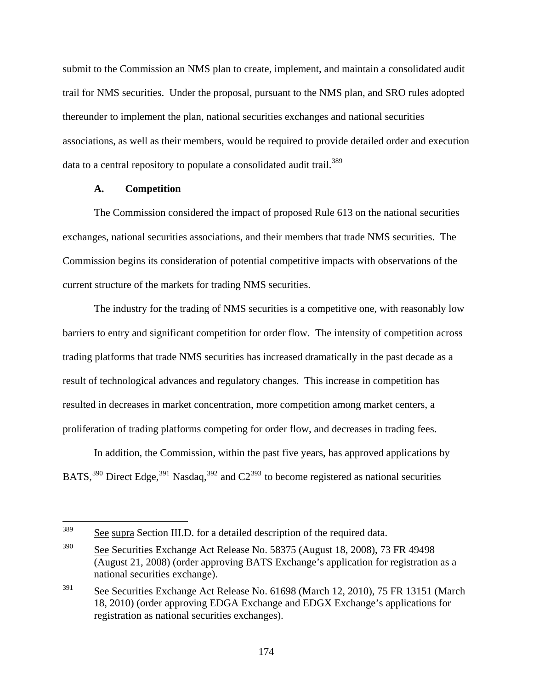submit to the Commission an NMS plan to create, implement, and maintain a consolidated audit trail for NMS securities. Under the proposal, pursuant to the NMS plan, and SRO rules adopted thereunder to implement the plan, national securities exchanges and national securities associations, as well as their members, would be required to provide detailed order and execution data to a central repository to populate a consolidated audit trail.<sup>[389](#page-173-0)</sup>

## **A. Competition**

The Commission considered the impact of proposed Rule 613 on the national securities exchanges, national securities associations, and their members that trade NMS securities. The Commission begins its consideration of potential competitive impacts with observations of the current structure of the markets for trading NMS securities.

<span id="page-173-3"></span>The industry for the trading of NMS securities is a competitive one, with reasonably low barriers to entry and significant competition for order flow. The intensity of competition across trading platforms that trade NMS securities has increased dramatically in the past decade as a result of technological advances and regulatory changes. This increase in competition has resulted in decreases in market concentration, more competition among market centers, a proliferation of trading platforms competing for order flow, and decreases in trading fees.

<span id="page-173-4"></span>In addition, the Commission, within the past five years, has approved applications by BATS,<sup>[390](#page-173-1)</sup> Direct Edge,<sup>[391](#page-173-2)</sup> Nasdaq,<sup>[392](#page-173-3)</sup> and  $C2^{393}$  $C2^{393}$  $C2^{393}$  to become registered as national securities

<span id="page-173-0"></span><sup>389</sup> See supra Section III.D. for a detailed description of the required data.

<span id="page-173-1"></span><sup>&</sup>lt;sup>390</sup> See Securities Exchange Act Release No. 58375 (August 18, 2008), 73 FR 49498 (August 21, 2008) (order approving BATS Exchange's application for registration as a national securities exchange).

<span id="page-173-2"></span><sup>&</sup>lt;sup>391</sup> See Securities Exchange Act Release No. 61698 (March 12, 2010), 75 FR 13151 (March 18, 2010) (order approving EDGA Exchange and EDGX Exchange's applications for registration as national securities exchanges).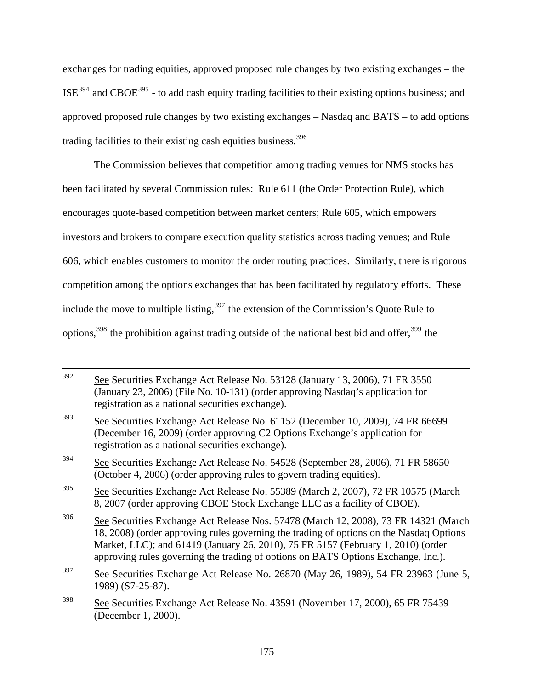exchanges for trading equities, approved proposed rule changes by two existing exchanges – the ISE[394](#page-174-0) and CBOE[395](#page-174-1) - to add cash equity trading facilities to their existing options business; and approved proposed rule changes by two existing exchanges – Nasdaq and BATS – to add options trading facilities to their existing cash equities business.<sup>[396](#page-174-2)</sup>

The Commission believes that competition among trading venues for NMS stocks has been facilitated by several Commission rules: Rule 611 (the Order Protection Rule), which encourages quote-based competition between market centers; Rule 605, which empowers investors and brokers to compare execution quality statistics across trading venues; and Rule 606, which enables customers to monitor the order routing practices. Similarly, there is rigorous competition among the options exchanges that has been facilitated by regulatory efforts. These include the move to multiple listing,<sup>[397](#page-174-3)</sup> the extension of the Commission's Quote Rule to options,  $398$  the prohibition against trading outside of the national best bid and offer,  $399$  the

<span id="page-174-5"></span><span id="page-174-4"></span><span id="page-174-3"></span><span id="page-174-2"></span><span id="page-174-1"></span><span id="page-174-0"></span> <sup>392</sup> See Securities Exchange Act Release No. 53128 (January 13, 2006), 71 FR 3550 (January 23, 2006) (File No. 10-131) (order approving Nasdaq's application for registration as a national securities exchange). 393 See Securities Exchange Act Release No. 61152 (December 10, 2009), 74 FR 66699 (December 16, 2009) (order approving C2 Options Exchange's application for registration as a national securities exchange). 394 See Securities Exchange Act Release No. 54528 (September 28, 2006), 71 FR 58650 (October 4, 2006) (order approving rules to govern trading equities). <sup>395</sup> See Securities Exchange Act Release No. 55389 (March 2, 2007), 72 FR 10575 (March 8, 2007 (order approving CBOE Stock Exchange LLC as a facility of CBOE). <sup>396</sup> See Securities Exchange Act Release Nos. 57478 (March 12, 2008), 73 FR 14321 (March 18, 2008) (order approving rules governing the trading of options on the Nasdaq Options Market, LLC); and 61419 (January 26, 2010), 75 FR 5157 (February 1, 2010) (order approving rules governing the trading of options on BATS Options Exchange, Inc.). 397 See Securities Exchange Act Release No. 26870 (May 26, 1989), 54 FR 23963 (June 5, 1989) (S7-25-87). 398 See Securities Exchange Act Release No. 43591 (November 17, 2000), 65 FR 75439 (December 1, 2000).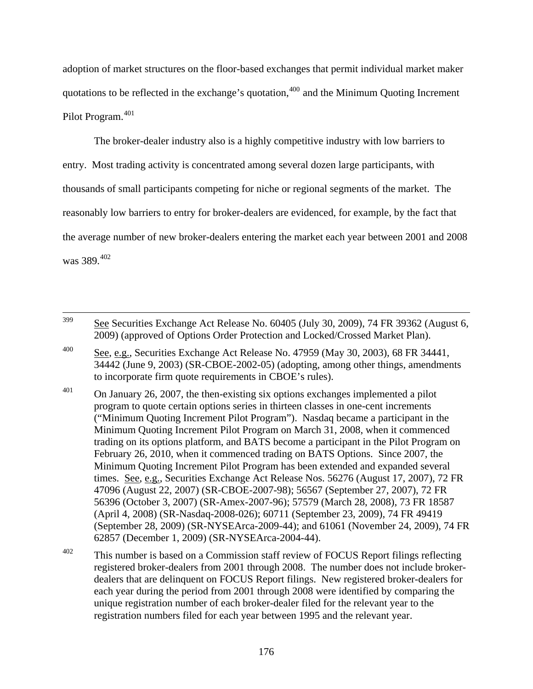adoption of market structures on the floor-based exchanges that permit individual market maker quotations to be reflected in the exchange's quotation,  $400$  and the Minimum Quoting Increment Pilot Program.<sup>[401](#page-175-1)</sup>

The broker-dealer industry also is a highly competitive industry with low barriers to entry. Most trading activity is concentrated among several dozen large participants, with thousands of small participants competing for niche or regional segments of the market. The reasonably low barriers to entry for broker-dealers are evidenced, for example, by the fact that the average number of new broker-dealers entering the market each year between 2001 and 2008 was 389.[402](#page-175-2)

 399 See Securities Exchange Act Release No. 60405 (July 30, 2009), 74 FR 39362 (August 6, 2009) (approved of Options Order Protection and Locked/Crossed Market Plan).

- <span id="page-175-0"></span>400 See, e.g., Securities Exchange Act Release No. 47959 (May 30, 2003), [68 FR 34441,](http://www.lexis.com/research/buttonTFLink?_m=2e78f28748deef1c6f8b5bf78111ab77&_xfercite=%3ccite%20cc%3d%22USA%22%3e%3c%21%5bCDATA%5b69%20FR%206124%5d%5d%3e%3c%2fcite%3e&_butType=3&_butStat=2&_butNum=1&_butInline=1&_butinfo=%3ccite%20cc%3d%22USA%22%3e%3c%21%5bCDATA%5b68%20FR%2034441%2cat%2034442%5d%5d%3e%3c%2fcite%3e&_fmtstr=VKWIC&docnum=1&_startdoc=1&wchp=dGLbVlb-zSkAB&_md5=6633b007cab82ac1bfb87f69b1cac49a)  [34442](http://www.lexis.com/research/buttonTFLink?_m=2e78f28748deef1c6f8b5bf78111ab77&_xfercite=%3ccite%20cc%3d%22USA%22%3e%3c%21%5bCDATA%5b69%20FR%206124%5d%5d%3e%3c%2fcite%3e&_butType=3&_butStat=2&_butNum=1&_butInline=1&_butinfo=%3ccite%20cc%3d%22USA%22%3e%3c%21%5bCDATA%5b68%20FR%2034441%2cat%2034442%5d%5d%3e%3c%2fcite%3e&_fmtstr=VKWIC&docnum=1&_startdoc=1&wchp=dGLbVlb-zSkAB&_md5=6633b007cab82ac1bfb87f69b1cac49a) (June 9, 2003) (SR-CBOE-2002-05) (adopting, among other things, amendments to incorporate firm quote requirements in CBOE's rules).
- <span id="page-175-1"></span> $401$  On January 26, 2007, the then-existing six options exchanges implemented a pilot program to quote certain options series in thirteen classes in one-cent increments ("Minimum Quoting Increment Pilot Program"). Nasdaq became a participant in the Minimum Quoting Increment Pilot Program on March 31, 2008, when it commenced trading on its options platform, and BATS become a participant in the Pilot Program on February 26, 2010, when it commenced trading on BATS Options. Since 2007, the Minimum Quoting Increment Pilot Program has been extended and expanded several times. See, e.g., Securities Exchange Act Release Nos. 56276 (August 17, 2007), 72 FR 47096 (August 22, 2007) (SR-CBOE-2007-98); 56567 (September 27, 2007), 72 FR 56396 (October 3, 2007) (SR-Amex-2007-96); 57579 (March 28, 2008), 73 FR 18587 (April 4, 2008) (SR-Nasdaq-2008-026); 60711 (September 23, 2009), 74 FR 49419 (September 28, 2009) (SR-NYSEArca-2009-44); and 61061 (November 24, 2009), 74 FR 62857 (December 1, 2009) (SR-NYSEArca-2004-44).
- <span id="page-175-2"></span> $402$  This number is based on a Commission staff review of FOCUS Report filings reflecting registered broker-dealers from 2001 through 2008. The number does not include brokerdealers that are delinquent on FOCUS Report filings. New registered broker-dealers for each year during the period from 2001 through 2008 were identified by comparing the unique registration number of each broker-dealer filed for the relevant year to the registration numbers filed for each year between 1995 and the relevant year.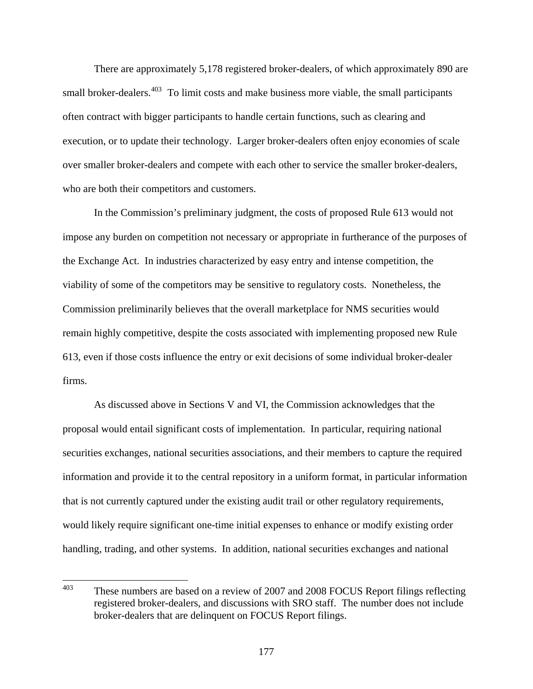There are approximately 5,178 registered broker-dealers, of which approximately 890 are small broker-dealers. $403$  To limit costs and make business more viable, the small participants often contract with bigger participants to handle certain functions, such as clearing and execution, or to update their technology. Larger broker-dealers often enjoy economies of scale over smaller broker-dealers and compete with each other to service the smaller broker-dealers, who are both their competitors and customers.

In the Commission's preliminary judgment, the costs of proposed Rule 613 would not impose any burden on competition not necessary or appropriate in furtherance of the purposes of the Exchange Act. In industries characterized by easy entry and intense competition, the viability of some of the competitors may be sensitive to regulatory costs. Nonetheless, the Commission preliminarily believes that the overall marketplace for NMS securities would remain highly competitive, despite the costs associated with implementing proposed new Rule 613, even if those costs influence the entry or exit decisions of some individual broker-dealer firms.

As discussed above in Sections V and VI, the Commission acknowledges that the proposal would entail significant costs of implementation. In particular, requiring national securities exchanges, national securities associations, and their members to capture the required information and provide it to the central repository in a uniform format, in particular information that is not currently captured under the existing audit trail or other regulatory requirements, would likely require significant one-time initial expenses to enhance or modify existing order handling, trading, and other systems. In addition, national securities exchanges and national

<span id="page-176-0"></span><sup>403</sup> These numbers are based on a review of 2007 and 2008 FOCUS Report filings reflecting registered broker-dealers, and discussions with SRO staff. The number does not include broker-dealers that are delinquent on FOCUS Report filings.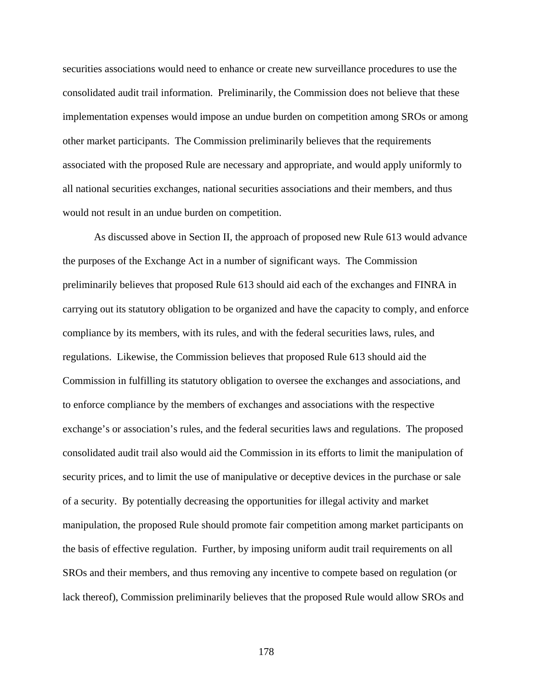securities associations would need to enhance or create new surveillance procedures to use the consolidated audit trail information. Preliminarily, the Commission does not believe that these implementation expenses would impose an undue burden on competition among SROs or among other market participants. The Commission preliminarily believes that the requirements associated with the proposed Rule are necessary and appropriate, and would apply uniformly to all national securities exchanges, national securities associations and their members, and thus would not result in an undue burden on competition.

As discussed above in Section II, the approach of proposed new Rule 613 would advance the purposes of the Exchange Act in a number of significant ways. The Commission preliminarily believes that proposed Rule 613 should aid each of the exchanges and FINRA in carrying out its statutory obligation to be organized and have the capacity to comply, and enforce compliance by its members, with its rules, and with the federal securities laws, rules, and regulations. Likewise, the Commission believes that proposed Rule 613 should aid the Commission in fulfilling its statutory obligation to oversee the exchanges and associations, and to enforce compliance by the members of exchanges and associations with the respective exchange's or association's rules, and the federal securities laws and regulations. The proposed consolidated audit trail also would aid the Commission in its efforts to limit the manipulation of security prices, and to limit the use of manipulative or deceptive devices in the purchase or sale of a security. By potentially decreasing the opportunities for illegal activity and market manipulation, the proposed Rule should promote fair competition among market participants on the basis of effective regulation. Further, by imposing uniform audit trail requirements on all SROs and their members, and thus removing any incentive to compete based on regulation (or lack thereof), Commission preliminarily believes that the proposed Rule would allow SROs and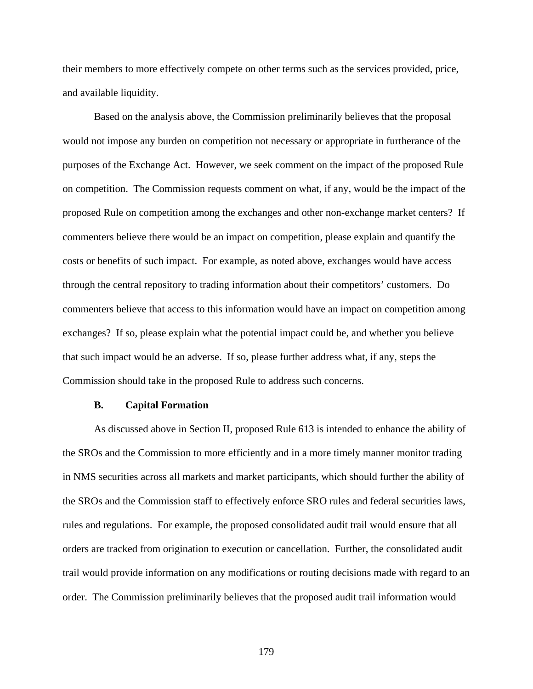their members to more effectively compete on other terms such as the services provided, price, and available liquidity.

Based on the analysis above, the Commission preliminarily believes that the proposal would not impose any burden on competition not necessary or appropriate in furtherance of the purposes of the Exchange Act. However, we seek comment on the impact of the proposed Rule on competition. The Commission requests comment on what, if any, would be the impact of the proposed Rule on competition among the exchanges and other non-exchange market centers? If commenters believe there would be an impact on competition, please explain and quantify the costs or benefits of such impact. For example, as noted above, exchanges would have access through the central repository to trading information about their competitors' customers. Do commenters believe that access to this information would have an impact on competition among exchanges? If so, please explain what the potential impact could be, and whether you believe that such impact would be an adverse. If so, please further address what, if any, steps the Commission should take in the proposed Rule to address such concerns.

#### **B. Capital Formation**

As discussed above in Section II, proposed Rule 613 is intended to enhance the ability of the SROs and the Commission to more efficiently and in a more timely manner monitor trading in NMS securities across all markets and market participants, which should further the ability of the SROs and the Commission staff to effectively enforce SRO rules and federal securities laws, rules and regulations. For example, the proposed consolidated audit trail would ensure that all orders are tracked from origination to execution or cancellation. Further, the consolidated audit trail would provide information on any modifications or routing decisions made with regard to an order. The Commission preliminarily believes that the proposed audit trail information would

179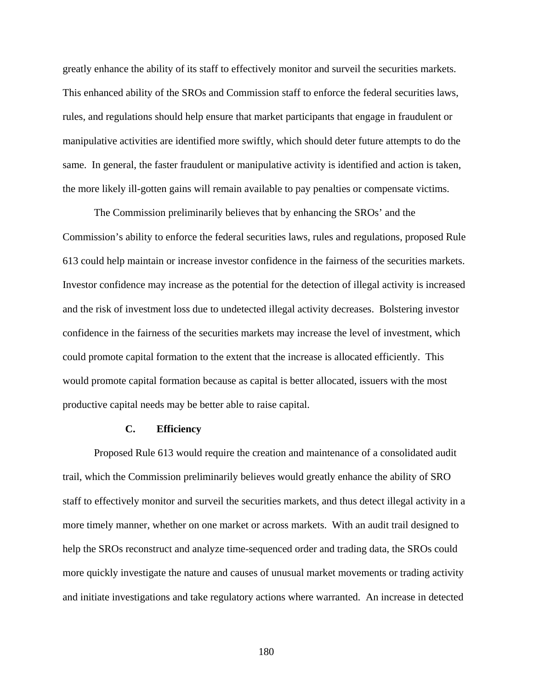greatly enhance the ability of its staff to effectively monitor and surveil the securities markets. This enhanced ability of the SROs and Commission staff to enforce the federal securities laws, rules, and regulations should help ensure that market participants that engage in fraudulent or manipulative activities are identified more swiftly, which should deter future attempts to do the same. In general, the faster fraudulent or manipulative activity is identified and action is taken, the more likely ill-gotten gains will remain available to pay penalties or compensate victims.

The Commission preliminarily believes that by enhancing the SROs' and the Commission's ability to enforce the federal securities laws, rules and regulations, proposed Rule 613 could help maintain or increase investor confidence in the fairness of the securities markets. Investor confidence may increase as the potential for the detection of illegal activity is increased and the risk of investment loss due to undetected illegal activity decreases. Bolstering investor confidence in the fairness of the securities markets may increase the level of investment, which could promote capital formation to the extent that the increase is allocated efficiently. This would promote capital formation because as capital is better allocated, issuers with the most productive capital needs may be better able to raise capital.

## **C. Efficiency**

 Proposed Rule 613 would require the creation and maintenance of a consolidated audit trail, which the Commission preliminarily believes would greatly enhance the ability of SRO staff to effectively monitor and surveil the securities markets, and thus detect illegal activity in a more timely manner, whether on one market or across markets. With an audit trail designed to help the SROs reconstruct and analyze time-sequenced order and trading data, the SROs could more quickly investigate the nature and causes of unusual market movements or trading activity and initiate investigations and take regulatory actions where warranted. An increase in detected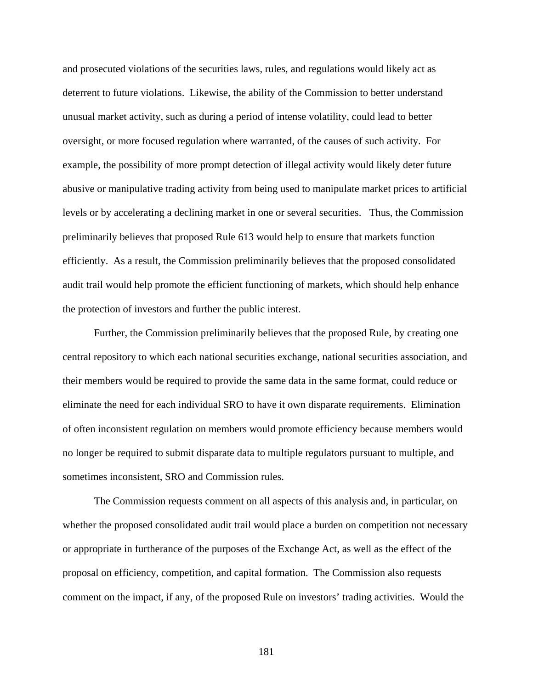and prosecuted violations of the securities laws, rules, and regulations would likely act as deterrent to future violations. Likewise, the ability of the Commission to better understand unusual market activity, such as during a period of intense volatility, could lead to better oversight, or more focused regulation where warranted, of the causes of such activity. For example, the possibility of more prompt detection of illegal activity would likely deter future abusive or manipulative trading activity from being used to manipulate market prices to artificial levels or by accelerating a declining market in one or several securities. Thus, the Commission preliminarily believes that proposed Rule 613 would help to ensure that markets function efficiently. As a result, the Commission preliminarily believes that the proposed consolidated audit trail would help promote the efficient functioning of markets, which should help enhance the protection of investors and further the public interest.

 Further, the Commission preliminarily believes that the proposed Rule, by creating one central repository to which each national securities exchange, national securities association, and their members would be required to provide the same data in the same format, could reduce or eliminate the need for each individual SRO to have it own disparate requirements. Elimination of often inconsistent regulation on members would promote efficiency because members would no longer be required to submit disparate data to multiple regulators pursuant to multiple, and sometimes inconsistent, SRO and Commission rules.

The Commission requests comment on all aspects of this analysis and, in particular, on whether the proposed consolidated audit trail would place a burden on competition not necessary or appropriate in furtherance of the purposes of the Exchange Act, as well as the effect of the proposal on efficiency, competition, and capital formation. The Commission also requests comment on the impact, if any, of the proposed Rule on investors' trading activities. Would the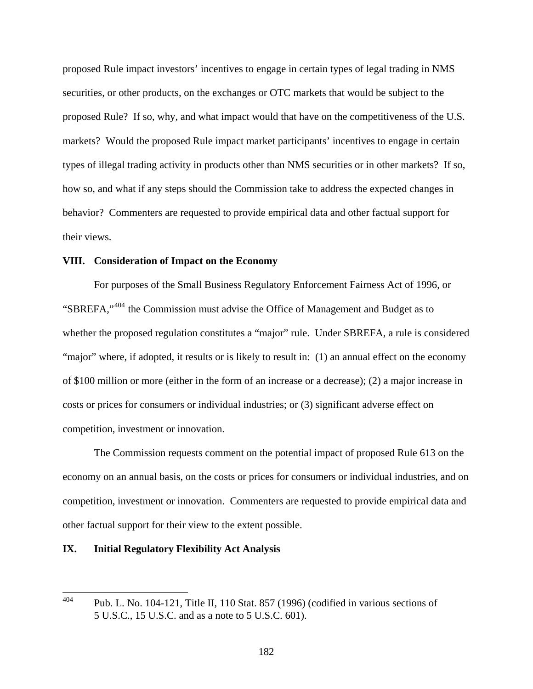proposed Rule impact investors' incentives to engage in certain types of legal trading in NMS securities, or other products, on the exchanges or OTC markets that would be subject to the proposed Rule? If so, why, and what impact would that have on the competitiveness of the U.S. markets? Would the proposed Rule impact market participants' incentives to engage in certain types of illegal trading activity in products other than NMS securities or in other markets? If so, how so, and what if any steps should the Commission take to address the expected changes in behavior? Commenters are requested to provide empirical data and other factual support for their views.

## **VIII. Consideration of Impact on the Economy**

 For purposes of the Small Business Regulatory Enforcement Fairness Act of 1996, or "SBREFA,"[404](#page-181-0) the Commission must advise the Office of Management and Budget as to whether the proposed regulation constitutes a "major" rule. Under SBREFA, a rule is considered "major" where, if adopted, it results or is likely to result in: (1) an annual effect on the economy of \$100 million or more (either in the form of an increase or a decrease); (2) a major increase in costs or prices for consumers or individual industries; or (3) significant adverse effect on competition, investment or innovation.

The Commission requests comment on the potential impact of proposed Rule 613 on the economy on an annual basis, on the costs or prices for consumers or individual industries, and on competition, investment or innovation. Commenters are requested to provide empirical data and other factual support for their view to the extent possible.

### **IX. Initial Regulatory Flexibility Act Analysis**

<span id="page-181-0"></span><sup>404</sup> 404 Pub. L. No. 104-121, Title II, 110 Stat. 857 (1996) (codified in various sections of 5 U.S.C., 15 U.S.C. and as a note to 5 U.S.C. 601).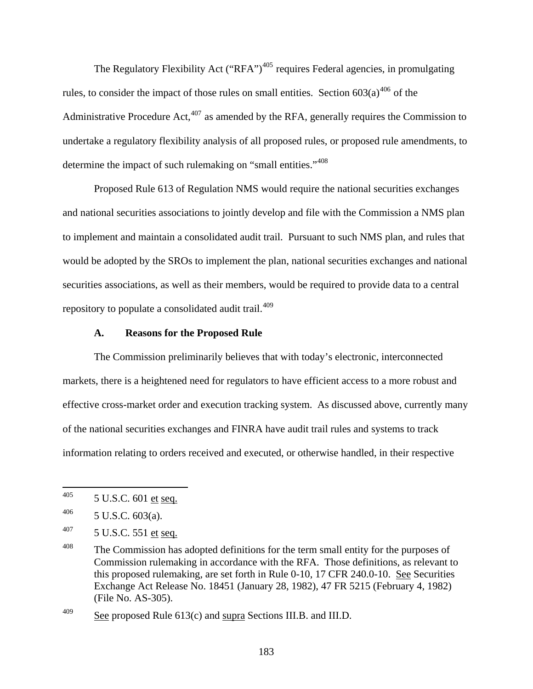The Regulatory Flexibility Act ("RFA")<sup> $405$ </sup> requires Federal agencies, in promulgating rules, to consider the impact of those rules on small entities. Section  $603(a)^{406}$  $603(a)^{406}$  $603(a)^{406}$  of the Administrative Procedure Act, $407$  as amended by the RFA, generally requires the Commission to undertake a regulatory flexibility analysis of all proposed rules, or proposed rule amendments, to determine the impact of such rulemaking on "small entities."<sup>[408](#page-182-3)</sup>

Proposed Rule 613 of Regulation NMS would require the national securities exchanges and national securities associations to jointly develop and file with the Commission a NMS plan to implement and maintain a consolidated audit trail. Pursuant to such NMS plan, and rules that would be adopted by the SROs to implement the plan, national securities exchanges and national securities associations, as well as their members, would be required to provide data to a central repository to populate a consolidated audit trail.<sup>[409](#page-182-4)</sup>

## **A. Reasons for the Proposed Rule**

The Commission preliminarily believes that with today's electronic, interconnected markets, there is a heightened need for regulators to have efficient access to a more robust and effective cross-market order and execution tracking system. As discussed above, currently many of the national securities exchanges and FINRA have audit trail rules and systems to track information relating to orders received and executed, or otherwise handled, in their respective

<span id="page-182-0"></span><sup>405</sup> 5 U.S.C. 601 et seq.

<span id="page-182-1"></span> $^{406}$  5 U.S.C. 603(a).

<span id="page-182-2"></span> $407$  5 U.S.C. 551 et seq.

<span id="page-182-3"></span><sup>&</sup>lt;sup>408</sup> The Commission has adopted definitions for the term small entity for the purposes of Commission rulemaking in accordance with the RFA. Those definitions, as relevant to this proposed rulemaking, are set forth in Rule 0-10, 17 CFR 240.0-10. See Securities Exchange Act Release No. 18451 (January 28, 1982), 47 FR 5215 (February 4, 1982) (File No. AS-305).

<span id="page-182-4"></span> $\frac{\text{68}}{\text{209}}$  See proposed Rule 613(c) and supra Sections III.B. and III.D.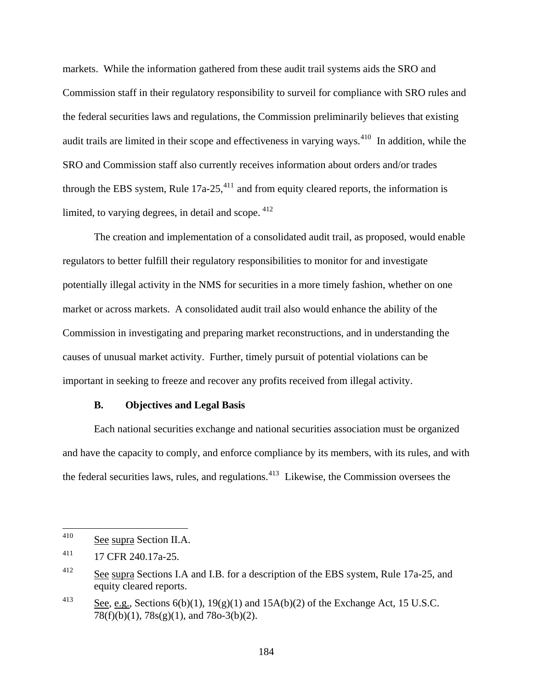markets. While the information gathered from these audit trail systems aids the SRO and Commission staff in their regulatory responsibility to surveil for compliance with SRO rules and the federal securities laws and regulations, the Commission preliminarily believes that existing audit trails are limited in their scope and effectiveness in varying ways.<sup>[410](#page-183-0)</sup> In addition, while the SRO and Commission staff also currently receives information about orders and/or trades through the EBS system, Rule  $17a-25$ ,  $411$  and from equity cleared reports, the information is limited, to varying degrees, in detail and scope.  $412$ 

The creation and implementation of a consolidated audit trail, as proposed, would enable regulators to better fulfill their regulatory responsibilities to monitor for and investigate potentially illegal activity in the NMS for securities in a more timely fashion, whether on one market or across markets. A consolidated audit trail also would enhance the ability of the Commission in investigating and preparing market reconstructions, and in understanding the causes of unusual market activity. Further, timely pursuit of potential violations can be important in seeking to freeze and recover any profits received from illegal activity.

#### **B. Objectives and Legal Basis**

Each national securities exchange and national securities association must be organized and have the capacity to comply, and enforce compliance by its members, with its rules, and with the federal securities laws, rules, and regulations.<sup>[413](#page-183-3)</sup> Likewise, the Commission oversees the

<span id="page-183-0"></span><sup>410</sup> See supra Section II.A.

<span id="page-183-1"></span><sup>411 17</sup> CFR 240.17a-25.

<span id="page-183-2"></span><sup>&</sup>lt;sup>412</sup> See supra Sections I.A and I.B. for a description of the EBS system, Rule 17a-25, and equity cleared reports.

<span id="page-183-3"></span><sup>&</sup>lt;sup>413</sup> See, e.g., Sections  $6(b)(1)$ ,  $19(g)(1)$  and  $15A(b)(2)$  of the Exchange Act, 15 U.S.C. 78(f)(b)(1), 78s(g)(1), and 78o-3(b)(2).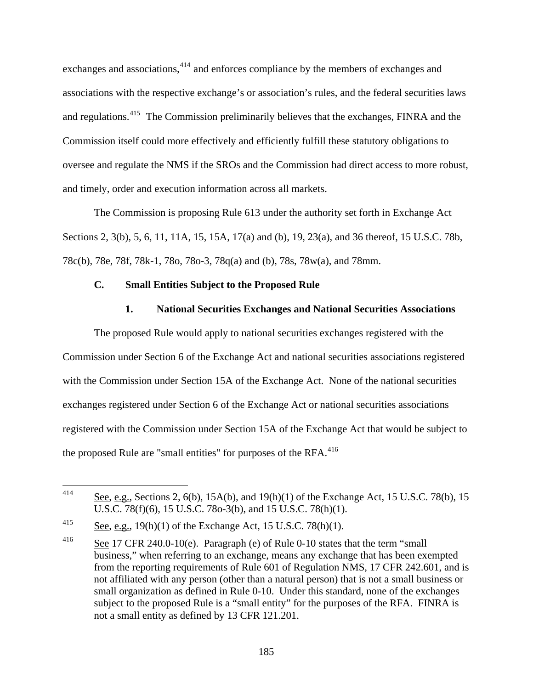exchanges and associations,<sup>[414](#page-184-0)</sup> and enforces compliance by the members of exchanges and associations with the respective exchange's or association's rules, and the federal securities laws and regulations.[415](#page-184-1) The Commission preliminarily believes that the exchanges, FINRA and the Commission itself could more effectively and efficiently fulfill these statutory obligations to oversee and regulate the NMS if the SROs and the Commission had direct access to more robust, and timely, order and execution information across all markets.

The Commission is proposing Rule 613 under the authority set forth in Exchange Act Sections 2, 3(b), 5, 6, 11, 11A, 15, 15A, 17(a) and (b), 19, 23(a), and 36 thereof, [15 U.S.C. 78b,](http://www.lexis.com/research/buttonTFLink?_m=39efc2946c54e3508ff4427e8e5cf0bd&_xfercite=%3ccite%20cc%3d%22USA%22%3e%3c%21%5bCDATA%5b70%20FR%2037496%5d%5d%3e%3c%2fcite%3e&_butType=4&_butStat=0&_butNum=214&_butInline=1&_butinfo=15%20USC%2078B&_fmtstr=FULL&docnum=1&_startdoc=1&wchp=dGLbVzz-zSkAA&_md5=df81e45e1f0d744aaf711f18790a4184) 78c(b), 78e, 78f, 78k-1, 78o, 78o-3, 78q(a) and (b), 78s, 78w(a), and 78mm.

# **C. Small Entities Subject to the Proposed Rule**

# **1. National Securities Exchanges and National Securities Associations**

The proposed Rule would apply to national securities exchanges registered with the Commission under Section 6 of the Exchange Act and national securities associations registered with the Commission under Section 15A of the Exchange Act. None of the national securities exchanges registered under Section 6 of the Exchange Act or national securities associations registered with the Commission under Section 15A of the Exchange Act that would be subject to the proposed Rule are "small entities" for purposes of the  $RFA$ <sup>[416](#page-184-2)</sup>

<span id="page-184-0"></span><sup>414</sup> See, e.g., Sections 2, 6(b), 15A(b), and 19(h)(1) of the Exchange Act, 15 U.S.C. 78(b), 15 U.S.C. 78(f)(6), 15 U.S.C. 78o-3(b), and 15 U.S.C. 78(h)(1).

<span id="page-184-1"></span> $\frac{\text{See}}{\text{See, e.g., 19(h)(1) of the Exchange Act, 15 U.S.C. 78(h)(1)}}$ 

<span id="page-184-2"></span><sup>416</sup> See 17 CFR 240.0-10(e). Paragraph (e) of Rule 0-10 states that the term "small business," when referring to an exchange, means any exchange that has been exempted from the reporting requirements of Rule 601 of Regulation NMS, 17 CFR 242.601, and is not affiliated with any person (other than a natural person) that is not a small business or small organization as defined in Rule 0-10. Under this standard, none of the exchanges subject to the proposed Rule is a "small entity" for the purposes of the RFA. FINRA is not a small entity as defined by 13 CFR 121.201.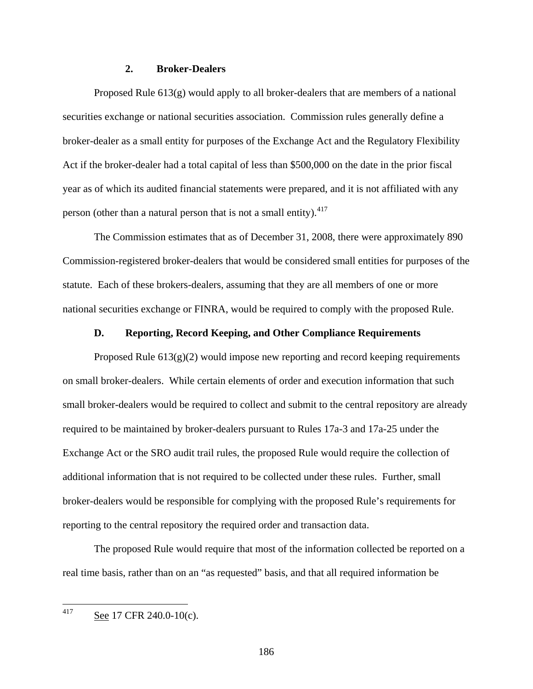## **2. Broker-Dealers**

Proposed Rule  $613(g)$  would apply to all broker-dealers that are members of a national securities exchange or national securities association. Commission rules generally define a broker-dealer as a small entity for purposes of the Exchange Act and the Regulatory Flexibility Act if the broker-dealer had a total capital of less than \$500,000 on the date in the prior fiscal year as of which its audited financial statements were prepared, and it is not affiliated with any person (other than a natural person that is not a small entity). $417$ 

The Commission estimates that as of December 31, 2008, there were approximately 890 Commission-registered broker-dealers that would be considered small entities for purposes of the statute. Each of these brokers-dealers, assuming that they are all members of one or more national securities exchange or FINRA, would be required to comply with the proposed Rule.

## **D. Reporting, Record Keeping, and Other Compliance Requirements**

Proposed Rule  $613(g)(2)$  would impose new reporting and record keeping requirements on small broker-dealers. While certain elements of order and execution information that such small broker-dealers would be required to collect and submit to the central repository are already required to be maintained by broker-dealers pursuant to Rules 17a-3 and 17a-25 under the Exchange Act or the SRO audit trail rules, the proposed Rule would require the collection of additional information that is not required to be collected under these rules. Further, small broker-dealers would be responsible for complying with the proposed Rule's requirements for reporting to the central repository the required order and transaction data.

The proposed Rule would require that most of the information collected be reported on a real time basis, rather than on an "as requested" basis, and that all required information be

<span id="page-185-0"></span>417 See 17 CFR 240.0-10(c).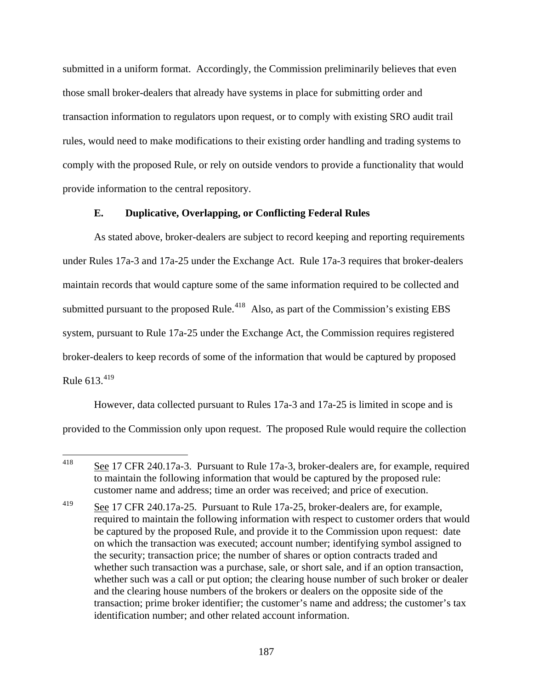submitted in a uniform format. Accordingly, the Commission preliminarily believes that even those small broker-dealers that already have systems in place for submitting order and transaction information to regulators upon request, or to comply with existing SRO audit trail rules, would need to make modifications to their existing order handling and trading systems to comply with the proposed Rule, or rely on outside vendors to provide a functionality that would provide information to the central repository.

# **E. Duplicative, Overlapping, or Conflicting Federal Rules**

As stated above, broker-dealers are subject to record keeping and reporting requirements under Rules 17a-3 and 17a-25 under the Exchange Act. Rule 17a-3 requires that broker-dealers maintain records that would capture some of the same information required to be collected and submitted pursuant to the proposed Rule.<sup>[418](#page-186-0)</sup> Also, as part of the Commission's existing EBS system, pursuant to Rule 17a-25 under the Exchange Act, the Commission requires registered broker-dealers to keep records of some of the information that would be captured by proposed Rule  $613^{419}$  $613^{419}$  $613^{419}$ 

However, data collected pursuant to Rules 17a-3 and 17a-25 is limited in scope and is provided to the Commission only upon request. The proposed Rule would require the collection

<span id="page-186-0"></span><sup>418</sup> See 17 CFR 240.17a-3. Pursuant to Rule 17a-3, broker-dealers are, for example, required to maintain the following information that would be captured by the proposed rule: customer name and address; time an order was received; and price of execution.

<span id="page-186-1"></span><sup>419</sup> See 17 CFR 240.17a-25. Pursuant to Rule 17a-25, broker-dealers are, for example, required to maintain the following information with respect to customer orders that would be captured by the proposed Rule, and provide it to the Commission upon request: date on which the transaction was executed; account number; identifying symbol assigned to the security; transaction price; the number of shares or option contracts traded and whether such transaction was a purchase, sale, or short sale, and if an option transaction, whether such was a call or put option; the clearing house number of such broker or dealer and the clearing house numbers of the brokers or dealers on the opposite side of the transaction; prime broker identifier; the customer's name and address; the customer's tax identification number; and other related account information.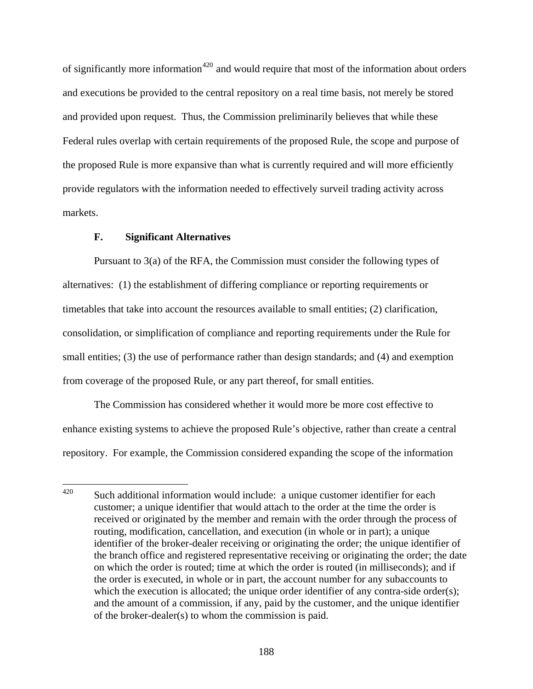of significantly more information<sup>[420](#page-187-0)</sup> and would require that most of the information about orders and executions be provided to the central repository on a real time basis, not merely be stored and provided upon request. Thus, the Commission preliminarily believes that while these Federal rules overlap with certain requirements of the proposed Rule, the scope and purpose of the proposed Rule is more expansive than what is currently required and will more efficiently provide regulators with the information needed to effectively surveil trading activity across markets.

# **F. Significant Alternatives**

Pursuant to 3(a) of the RFA, the Commission must consider the following types of alternatives: (1) the establishment of differing compliance or reporting requirements or timetables that take into account the resources available to small entities; (2) clarification, consolidation, or simplification of compliance and reporting requirements under the Rule for small entities; (3) the use of performance rather than design standards; and (4) and exemption from coverage of the proposed Rule, or any part thereof, for small entities.

The Commission has considered whether it would more be more cost effective to enhance existing systems to achieve the proposed Rule's objective, rather than create a central repository. For example, the Commission considered expanding the scope of the information

<span id="page-187-0"></span><sup>420</sup> Such additional information would include: a unique customer identifier for each customer; a unique identifier that would attach to the order at the time the order is received or originated by the member and remain with the order through the process of routing, modification, cancellation, and execution (in whole or in part); a unique identifier of the broker-dealer receiving or originating the order; the unique identifier of the branch office and registered representative receiving or originating the order; the date on which the order is routed; time at which the order is routed (in milliseconds); and if the order is executed, in whole or in part, the account number for any subaccounts to which the execution is allocated; the unique order identifier of any contra-side order(s); and the amount of a commission, if any, paid by the customer, and the unique identifier of the broker-dealer(s) to whom the commission is paid.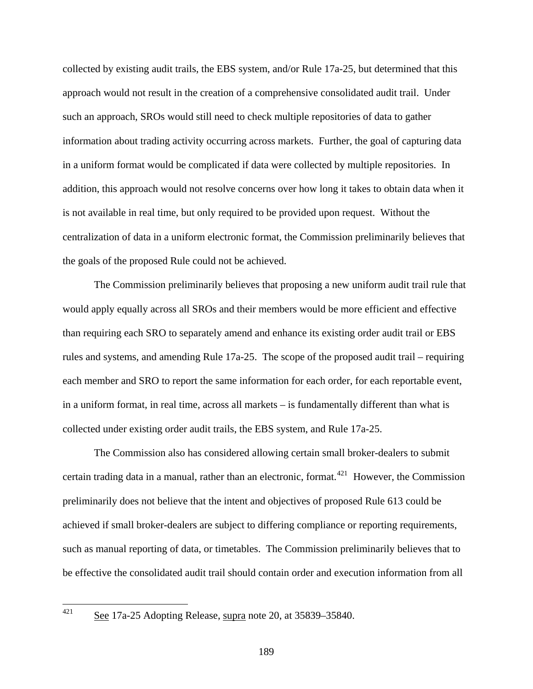collected by existing audit trails, the EBS system, and/or Rule 17a-25, but determined that this approach would not result in the creation of a comprehensive consolidated audit trail. Under such an approach, SROs would still need to check multiple repositories of data to gather information about trading activity occurring across markets. Further, the goal of capturing data in a uniform format would be complicated if data were collected by multiple repositories. In addition, this approach would not resolve concerns over how long it takes to obtain data when it is not available in real time, but only required to be provided upon request. Without the centralization of data in a uniform electronic format, the Commission preliminarily believes that the goals of the proposed Rule could not be achieved.

The Commission preliminarily believes that proposing a new uniform audit trail rule that would apply equally across all SROs and their members would be more efficient and effective than requiring each SRO to separately amend and enhance its existing order audit trail or EBS rules and systems, and amending Rule 17a-25. The scope of the proposed audit trail – requiring each member and SRO to report the same information for each order, for each reportable event, in a uniform format, in real time, across all markets – is fundamentally different than what is collected under existing order audit trails, the EBS system, and Rule 17a-25.

The Commission also has considered allowing certain small broker-dealers to submit certain trading data in a manual, rather than an electronic, format.<sup>[421](#page-188-0)</sup> However, the Commission preliminarily does not believe that the intent and objectives of proposed Rule 613 could be achieved if small broker-dealers are subject to differing compliance or reporting requirements, such as manual reporting of data, or timetables. The Commission preliminarily believes that to be effective the consolidated audit trail should contain order and execution information from all

<span id="page-188-0"></span>See 17a-25 Adopting Release, supra note 20, at 35839–35840.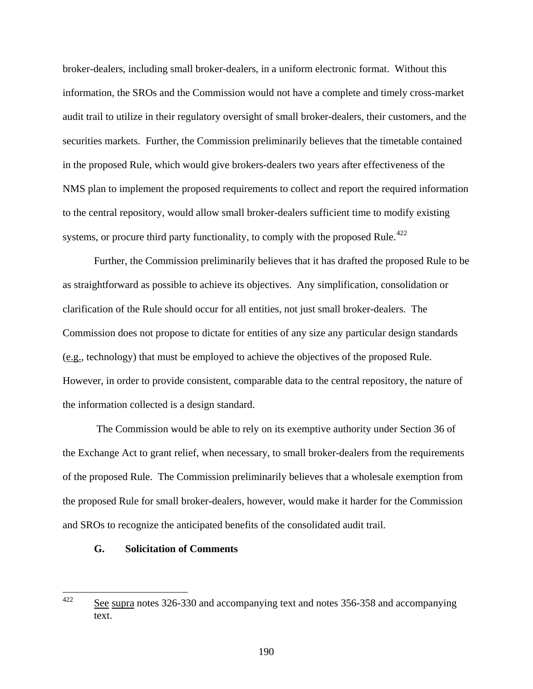broker-dealers, including small broker-dealers, in a uniform electronic format. Without this information, the SROs and the Commission would not have a complete and timely cross-market audit trail to utilize in their regulatory oversight of small broker-dealers, their customers, and the securities markets. Further, the Commission preliminarily believes that the timetable contained in the proposed Rule, which would give brokers-dealers two years after effectiveness of the NMS plan to implement the proposed requirements to collect and report the required information to the central repository, would allow small broker-dealers sufficient time to modify existing systems, or procure third party functionality, to comply with the proposed Rule.<sup> $422$ </sup>

Further, the Commission preliminarily believes that it has drafted the proposed Rule to be as straightforward as possible to achieve its objectives. Any simplification, consolidation or clarification of the Rule should occur for all entities, not just small broker-dealers. The Commission does not propose to dictate for entities of any size any particular design standards (e.g., technology) that must be employed to achieve the objectives of the proposed Rule. However, in order to provide consistent, comparable data to the central repository, the nature of the information collected is a design standard.

 The Commission would be able to rely on its exemptive authority under Section 36 of the Exchange Act to grant relief, when necessary, to small broker-dealers from the requirements of the proposed Rule. The Commission preliminarily believes that a wholesale exemption from the proposed Rule for small broker-dealers, however, would make it harder for the Commission and SROs to recognize the anticipated benefits of the consolidated audit trail.

### **G. Solicitation of Comments**

<span id="page-189-0"></span><sup>422</sup> See supra notes 326-330 and accompanying text and notes 356-358 and accompanying text.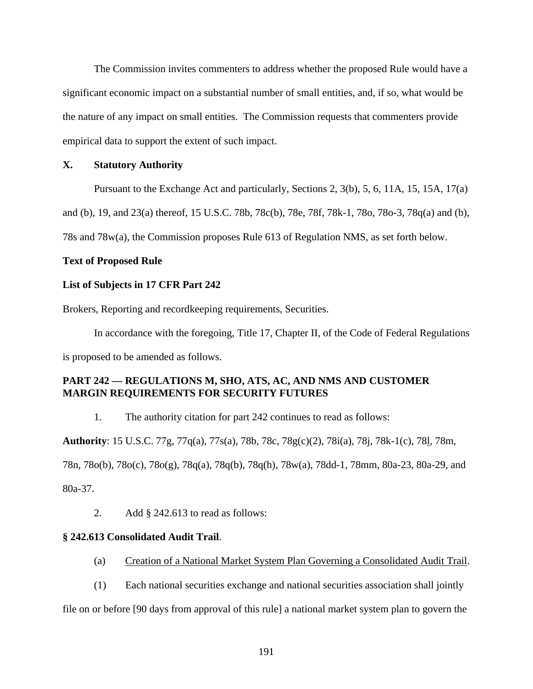The Commission invites commenters to address whether the proposed Rule would have a significant economic impact on a substantial number of small entities, and, if so, what would be the nature of any impact on small entities. The Commission requests that commenters provide empirical data to support the extent of such impact.

# **X. Statutory Authority**

Pursuant to the Exchange Act and particularly, Sections 2, 3(b), 5, 6, 11A, 15, 15A, 17(a)

and (b), 19, and 23(a) thereof, [15 U.S.C. 78b,](http://www.lexis.com/research/buttonTFLink?_m=39efc2946c54e3508ff4427e8e5cf0bd&_xfercite=%3ccite%20cc%3d%22USA%22%3e%3c%21%5bCDATA%5b70%20FR%2037496%5d%5d%3e%3c%2fcite%3e&_butType=4&_butStat=0&_butNum=214&_butInline=1&_butinfo=15%20USC%2078B&_fmtstr=FULL&docnum=1&_startdoc=1&wchp=dGLbVzz-zSkAA&_md5=df81e45e1f0d744aaf711f18790a4184) 78c(b), 78e, 78f, 78k-1, 78o, 78o-3, 78q(a) and (b),

78s and 78w(a), the Commission proposes Rule 613 of Regulation NMS, as set forth below.

## **Text of Proposed Rule**

## **List of Subjects in 17 CFR Part 242**

Brokers, Reporting and recordkeeping requirements, Securities.

In accordance with the foregoing, Title 17, Chapter II, of the Code of Federal Regulations is proposed to be amended as follows.

# **PART 242 — REGULATIONS M, SHO, ATS, AC, AND NMS AND CUSTOMER MARGIN REQUIREMENTS FOR SECURITY FUTURES**

1. The authority citation for part 242 continues to read as follows:

**Authority**: [15 U.S.C. 77g,](http://www.lexis.com/research/buttonTFLink?_m=39efc2946c54e3508ff4427e8e5cf0bd&_xfercite=%3ccite%20cc%3d%22USA%22%3e%3c%21%5bCDATA%5b70%20FR%2037496%5d%5d%3e%3c%2fcite%3e&_butType=4&_butStat=0&_butNum=249&_butInline=1&_butinfo=15%20USC%2077G&_fmtstr=FULL&docnum=1&_startdoc=1&wchp=dGLbVzz-zSkAA&_md5=9ccb187ca7daa2e1e00e4c3290d7c79d) 77q(a), 77s(a), 78b, 78c, 78g(c)(2), 78i(a), 78j, 78k-1(c), 78l, 78m,

78n, 78o(b), 78o(c), 78o(g), 78q(a), 78q(b), 78q(h), 78w(a), 78dd-1, 78mm, 80a-23, 80a-29, and

80a-37.

2. Add § 242.613 to read as follows:

# **§ 242.613 Consolidated Audit Trail**.

- (a) Creation of a National Market System Plan Governing a Consolidated Audit Trail.
- (1) Each national securities exchange and national securities association shall jointly

file on or before [90 days from approval of this rule] a national market system plan to govern the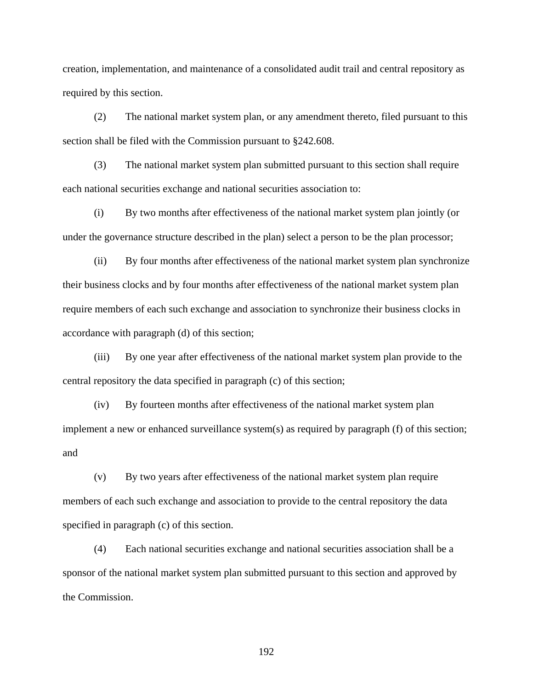creation, implementation, and maintenance of a consolidated audit trail and central repository as required by this section.

(2) The national market system plan, or any amendment thereto, filed pursuant to this section shall be filed with the Commission pursuant to §242.608.

(3) The national market system plan submitted pursuant to this section shall require each national securities exchange and national securities association to:

(i) By two months after effectiveness of the national market system plan jointly (or under the governance structure described in the plan) select a person to be the plan processor;

(ii) By four months after effectiveness of the national market system plan synchronize their business clocks and by four months after effectiveness of the national market system plan require members of each such exchange and association to synchronize their business clocks in accordance with paragraph (d) of this section;

(iii) By one year after effectiveness of the national market system plan provide to the central repository the data specified in paragraph (c) of this section;

(iv) By fourteen months after effectiveness of the national market system plan implement a new or enhanced surveillance system(s) as required by paragraph (f) of this section; and

(v) By two years after effectiveness of the national market system plan require members of each such exchange and association to provide to the central repository the data specified in paragraph (c) of this section.

(4) Each national securities exchange and national securities association shall be a sponsor of the national market system plan submitted pursuant to this section and approved by the Commission.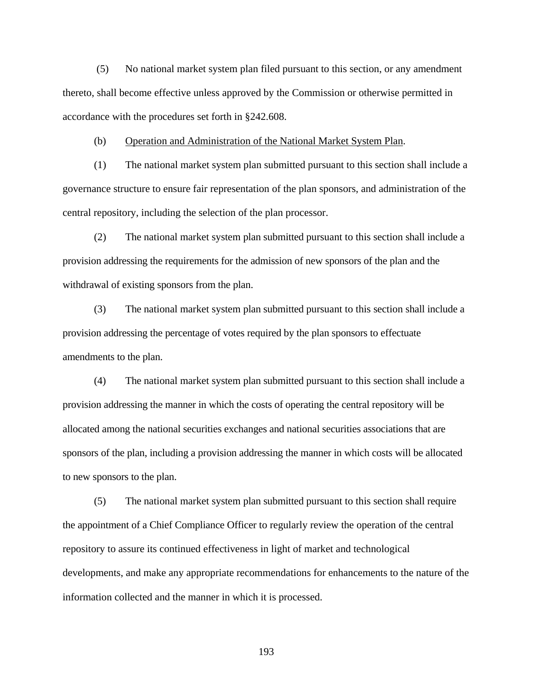(5) No national market system plan filed pursuant to this section, or any amendment thereto, shall become effective unless approved by the Commission or otherwise permitted in accordance with the procedures set forth in §242.608.

(b) Operation and Administration of the National Market System Plan.

(1) The national market system plan submitted pursuant to this section shall include a governance structure to ensure fair representation of the plan sponsors, and administration of the central repository, including the selection of the plan processor.

(2) The national market system plan submitted pursuant to this section shall include a provision addressing the requirements for the admission of new sponsors of the plan and the withdrawal of existing sponsors from the plan.

(3) The national market system plan submitted pursuant to this section shall include a provision addressing the percentage of votes required by the plan sponsors to effectuate amendments to the plan.

(4) The national market system plan submitted pursuant to this section shall include a provision addressing the manner in which the costs of operating the central repository will be allocated among the national securities exchanges and national securities associations that are sponsors of the plan, including a provision addressing the manner in which costs will be allocated to new sponsors to the plan.

(5) The national market system plan submitted pursuant to this section shall require the appointment of a Chief Compliance Officer to regularly review the operation of the central repository to assure its continued effectiveness in light of market and technological developments, and make any appropriate recommendations for enhancements to the nature of the information collected and the manner in which it is processed.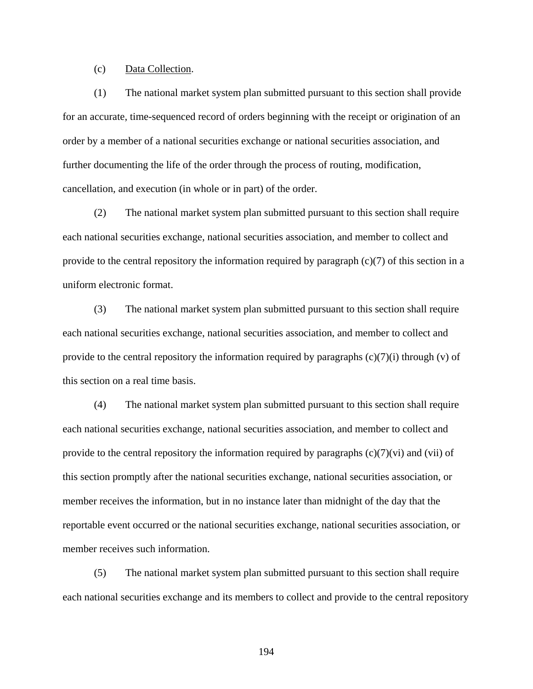## (c) Data Collection.

(1) The national market system plan submitted pursuant to this section shall provide for an accurate, time-sequenced record of orders beginning with the receipt or origination of an order by a member of a national securities exchange or national securities association, and further documenting the life of the order through the process of routing, modification, cancellation, and execution (in whole or in part) of the order.

(2) The national market system plan submitted pursuant to this section shall require each national securities exchange, national securities association, and member to collect and provide to the central repository the information required by paragraph (c)(7) of this section in a uniform electronic format.

(3) The national market system plan submitted pursuant to this section shall require each national securities exchange, national securities association, and member to collect and provide to the central repository the information required by paragraphs  $(c)(7)(i)$  through  $(v)$  of this section on a real time basis.

(4) The national market system plan submitted pursuant to this section shall require each national securities exchange, national securities association, and member to collect and provide to the central repository the information required by paragraphs  $(c)(7)(vi)$  and  $(vii)$  of this section promptly after the national securities exchange, national securities association, or member receives the information, but in no instance later than midnight of the day that the reportable event occurred or the national securities exchange, national securities association, or member receives such information.

(5) The national market system plan submitted pursuant to this section shall require each national securities exchange and its members to collect and provide to the central repository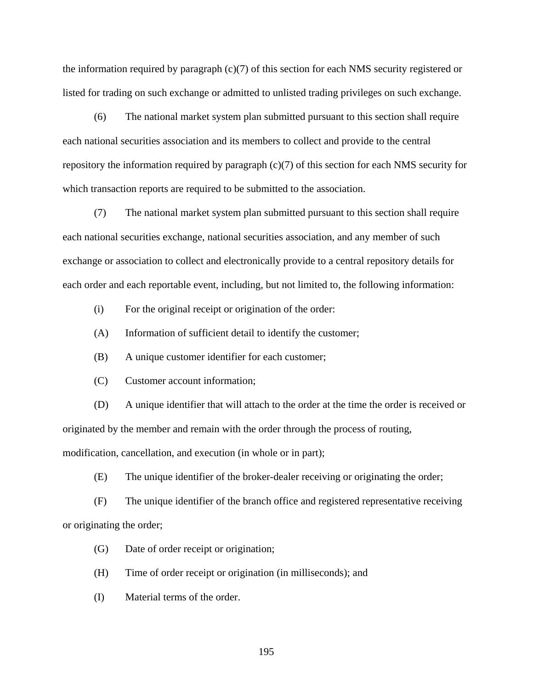the information required by paragraph (c)(7) of this section for each NMS security registered or listed for trading on such exchange or admitted to unlisted trading privileges on such exchange.

(6) The national market system plan submitted pursuant to this section shall require each national securities association and its members to collect and provide to the central repository the information required by paragraph  $(c)(7)$  of this section for each NMS security for which transaction reports are required to be submitted to the association.

(7) The national market system plan submitted pursuant to this section shall require each national securities exchange, national securities association, and any member of such exchange or association to collect and electronically provide to a central repository details for each order and each reportable event, including, but not limited to, the following information:

- (i) For the original receipt or origination of the order:
- (A) Information of sufficient detail to identify the customer;
- (B) A unique customer identifier for each customer;
- (C) Customer account information;

(D) A unique identifier that will attach to the order at the time the order is received or originated by the member and remain with the order through the process of routing, modification, cancellation, and execution (in whole or in part);

(E) The unique identifier of the broker-dealer receiving or originating the order;

(F) The unique identifier of the branch office and registered representative receiving or originating the order;

- (G) Date of order receipt or origination;
- (H) Time of order receipt or origination (in milliseconds); and
- (I) Material terms of the order.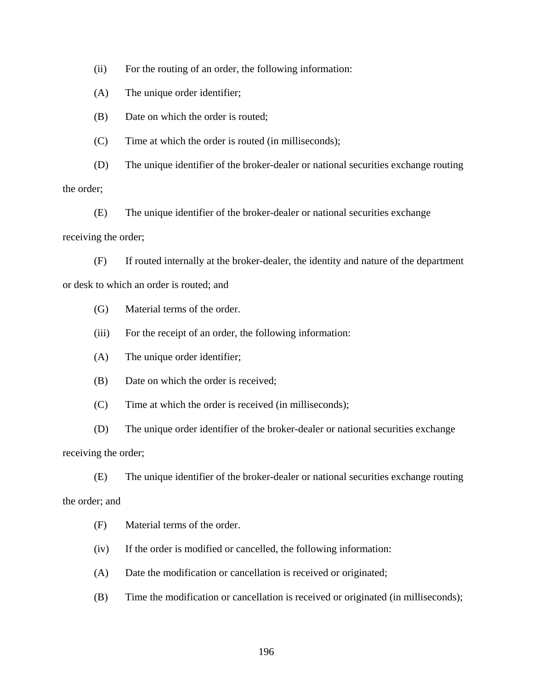(ii) For the routing of an order, the following information:

(A) The unique order identifier;

(B) Date on which the order is routed;

(C) Time at which the order is routed (in milliseconds);

(D) The unique identifier of the broker-dealer or national securities exchange routing

the order;

(E) The unique identifier of the broker-dealer or national securities exchange receiving the order;

(F) If routed internally at the broker-dealer, the identity and nature of the department or desk to which an order is routed; and

(G) Material terms of the order.

(iii) For the receipt of an order, the following information:

(A) The unique order identifier;

(B) Date on which the order is received;

(C) Time at which the order is received (in milliseconds);

(D) The unique order identifier of the broker-dealer or national securities exchange receiving the order;

(E) The unique identifier of the broker-dealer or national securities exchange routing

the order; and

(F) Material terms of the order.

(iv) If the order is modified or cancelled, the following information:

(A) Date the modification or cancellation is received or originated;

(B) Time the modification or cancellation is received or originated (in milliseconds);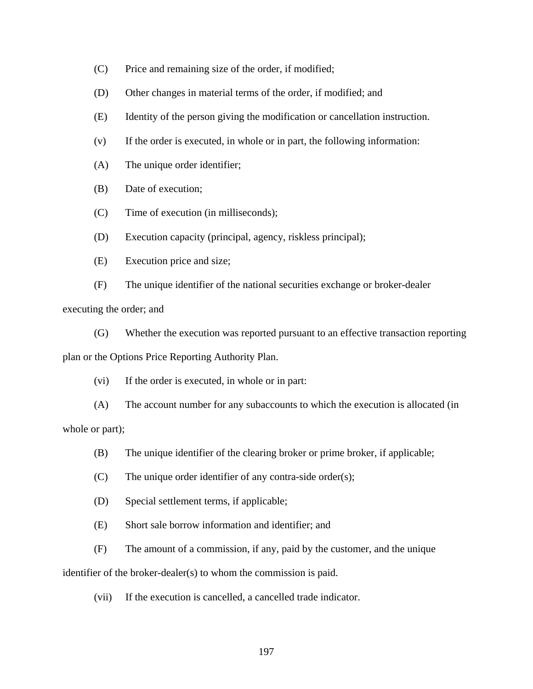- (C) Price and remaining size of the order, if modified;
- (D) Other changes in material terms of the order, if modified; and
- (E) Identity of the person giving the modification or cancellation instruction.
- (v) If the order is executed, in whole or in part, the following information:
- (A) The unique order identifier;
- (B) Date of execution;
- (C) Time of execution (in milliseconds);
- (D) Execution capacity (principal, agency, riskless principal);
- (E) Execution price and size;

(F) The unique identifier of the national securities exchange or broker-dealer executing the order; and

(G) Whether the execution was reported pursuant to an effective transaction reporting plan or the Options Price Reporting Authority Plan.

(vi) If the order is executed, in whole or in part:

(A) The account number for any subaccounts to which the execution is allocated (in whole or part);

- (B) The unique identifier of the clearing broker or prime broker, if applicable;
- (C) The unique order identifier of any contra-side order(s);
- (D) Special settlement terms, if applicable;
- (E) Short sale borrow information and identifier; and
- (F) The amount of a commission, if any, paid by the customer, and the unique

identifier of the broker-dealer(s) to whom the commission is paid.

(vii) If the execution is cancelled, a cancelled trade indicator.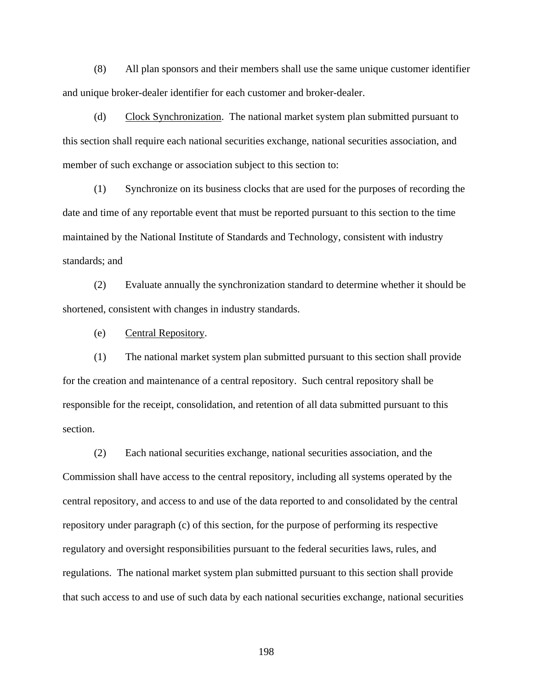(8) All plan sponsors and their members shall use the same unique customer identifier and unique broker-dealer identifier for each customer and broker-dealer.

(d) Clock Synchronization. The national market system plan submitted pursuant to this section shall require each national securities exchange, national securities association, and member of such exchange or association subject to this section to:

(1) Synchronize on its business clocks that are used for the purposes of recording the date and time of any reportable event that must be reported pursuant to this section to the time maintained by the National Institute of Standards and Technology, consistent with industry standards; and

(2) Evaluate annually the synchronization standard to determine whether it should be shortened, consistent with changes in industry standards.

(e) Central Repository.

(1) The national market system plan submitted pursuant to this section shall provide for the creation and maintenance of a central repository. Such central repository shall be responsible for the receipt, consolidation, and retention of all data submitted pursuant to this section.

(2) Each national securities exchange, national securities association, and the Commission shall have access to the central repository, including all systems operated by the central repository, and access to and use of the data reported to and consolidated by the central repository under paragraph (c) of this section, for the purpose of performing its respective regulatory and oversight responsibilities pursuant to the federal securities laws, rules, and regulations. The national market system plan submitted pursuant to this section shall provide that such access to and use of such data by each national securities exchange, national securities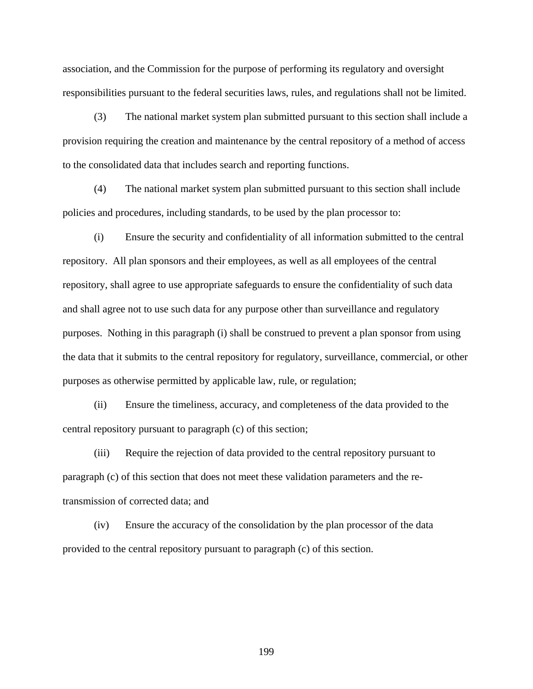association, and the Commission for the purpose of performing its regulatory and oversight responsibilities pursuant to the federal securities laws, rules, and regulations shall not be limited.

(3) The national market system plan submitted pursuant to this section shall include a provision requiring the creation and maintenance by the central repository of a method of access to the consolidated data that includes search and reporting functions.

(4) The national market system plan submitted pursuant to this section shall include policies and procedures, including standards, to be used by the plan processor to:

(i) Ensure the security and confidentiality of all information submitted to the central repository. All plan sponsors and their employees, as well as all employees of the central repository, shall agree to use appropriate safeguards to ensure the confidentiality of such data and shall agree not to use such data for any purpose other than surveillance and regulatory purposes. Nothing in this paragraph (i) shall be construed to prevent a plan sponsor from using the data that it submits to the central repository for regulatory, surveillance, commercial, or other purposes as otherwise permitted by applicable law, rule, or regulation;

(ii) Ensure the timeliness, accuracy, and completeness of the data provided to the central repository pursuant to paragraph (c) of this section;

(iii) Require the rejection of data provided to the central repository pursuant to paragraph (c) of this section that does not meet these validation parameters and the retransmission of corrected data; and

(iv) Ensure the accuracy of the consolidation by the plan processor of the data provided to the central repository pursuant to paragraph (c) of this section.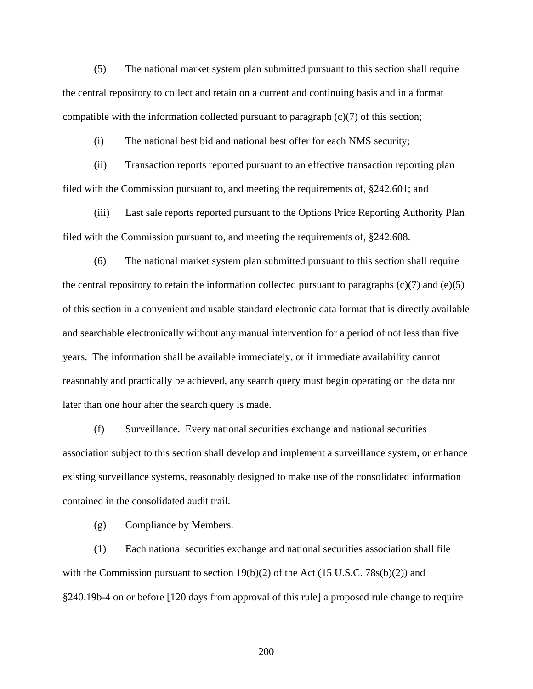(5) The national market system plan submitted pursuant to this section shall require the central repository to collect and retain on a current and continuing basis and in a format compatible with the information collected pursuant to paragraph  $(c)(7)$  of this section;

(i) The national best bid and national best offer for each NMS security;

(ii) Transaction reports reported pursuant to an effective transaction reporting plan filed with the Commission pursuant to, and meeting the requirements of, §242.601; and

(iii) Last sale reports reported pursuant to the Options Price Reporting Authority Plan filed with the Commission pursuant to, and meeting the requirements of, §242.608.

 (6) The national market system plan submitted pursuant to this section shall require the central repository to retain the information collected pursuant to paragraphs  $(c)(7)$  and  $(e)(5)$ of this section in a convenient and usable standard electronic data format that is directly available and searchable electronically without any manual intervention for a period of not less than five years. The information shall be available immediately, or if immediate availability cannot reasonably and practically be achieved, any search query must begin operating on the data not later than one hour after the search query is made.

 (f) Surveillance. Every national securities exchange and national securities association subject to this section shall develop and implement a surveillance system, or enhance existing surveillance systems, reasonably designed to make use of the consolidated information contained in the consolidated audit trail.

(g) Compliance by Members.

(1) Each national securities exchange and national securities association shall file with the Commission pursuant to section  $19(b)(2)$  of the Act (15 U.S.C. 78s(b)(2)) and §240.19b-4 on or before [120 days from approval of this rule] a proposed rule change to require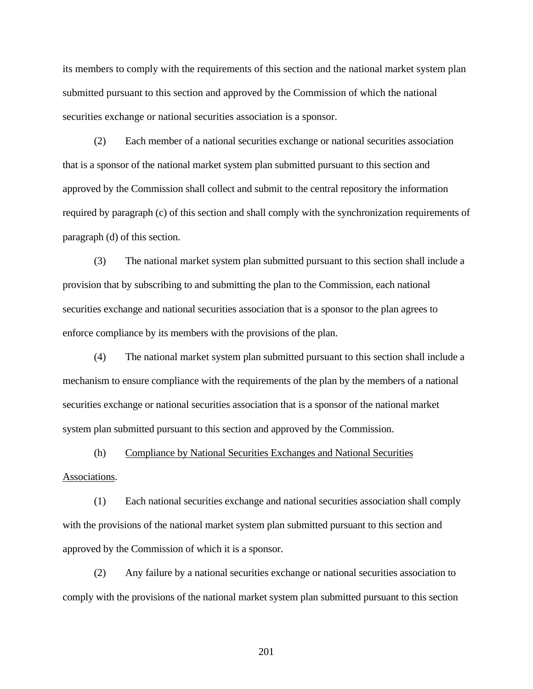its members to comply with the requirements of this section and the national market system plan submitted pursuant to this section and approved by the Commission of which the national securities exchange or national securities association is a sponsor.

(2) Each member of a national securities exchange or national securities association that is a sponsor of the national market system plan submitted pursuant to this section and approved by the Commission shall collect and submit to the central repository the information required by paragraph (c) of this section and shall comply with the synchronization requirements of paragraph (d) of this section.

(3) The national market system plan submitted pursuant to this section shall include a provision that by subscribing to and submitting the plan to the Commission, each national securities exchange and national securities association that is a sponsor to the plan agrees to enforce compliance by its members with the provisions of the plan.

(4) The national market system plan submitted pursuant to this section shall include a mechanism to ensure compliance with the requirements of the plan by the members of a national securities exchange or national securities association that is a sponsor of the national market system plan submitted pursuant to this section and approved by the Commission.

(h) Compliance by National Securities Exchanges and National Securities

## Associations.

(1) Each national securities exchange and national securities association shall comply with the provisions of the national market system plan submitted pursuant to this section and approved by the Commission of which it is a sponsor.

(2) Any failure by a national securities exchange or national securities association to comply with the provisions of the national market system plan submitted pursuant to this section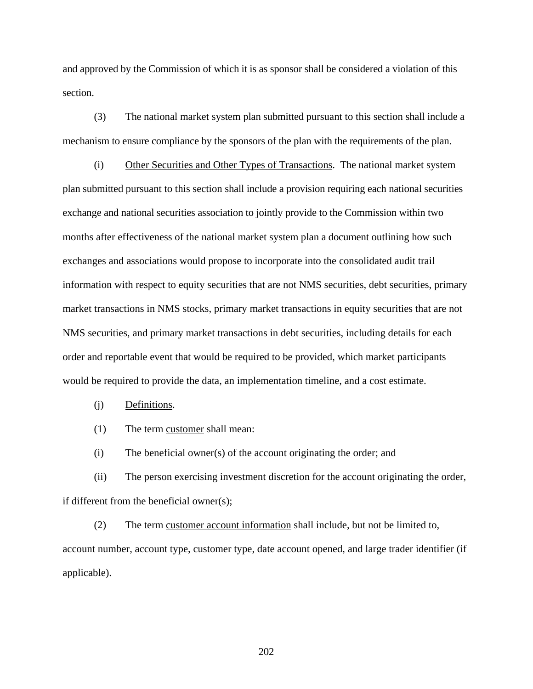and approved by the Commission of which it is as sponsor shall be considered a violation of this section.

(3) The national market system plan submitted pursuant to this section shall include a mechanism to ensure compliance by the sponsors of the plan with the requirements of the plan.

(i) Other Securities and Other Types of Transactions. The national market system plan submitted pursuant to this section shall include a provision requiring each national securities exchange and national securities association to jointly provide to the Commission within two months after effectiveness of the national market system plan a document outlining how such exchanges and associations would propose to incorporate into the consolidated audit trail information with respect to equity securities that are not NMS securities, debt securities, primary market transactions in NMS stocks, primary market transactions in equity securities that are not NMS securities, and primary market transactions in debt securities, including details for each order and reportable event that would be required to be provided, which market participants would be required to provide the data, an implementation timeline, and a cost estimate.

# (j) Definitions.

(1) The term customer shall mean:

(i) The beneficial owner(s) of the account originating the order; and

(ii) The person exercising investment discretion for the account originating the order, if different from the beneficial owner(s);

(2) The term customer account information shall include, but not be limited to, account number, account type, customer type, date account opened, and large trader identifier (if applicable).